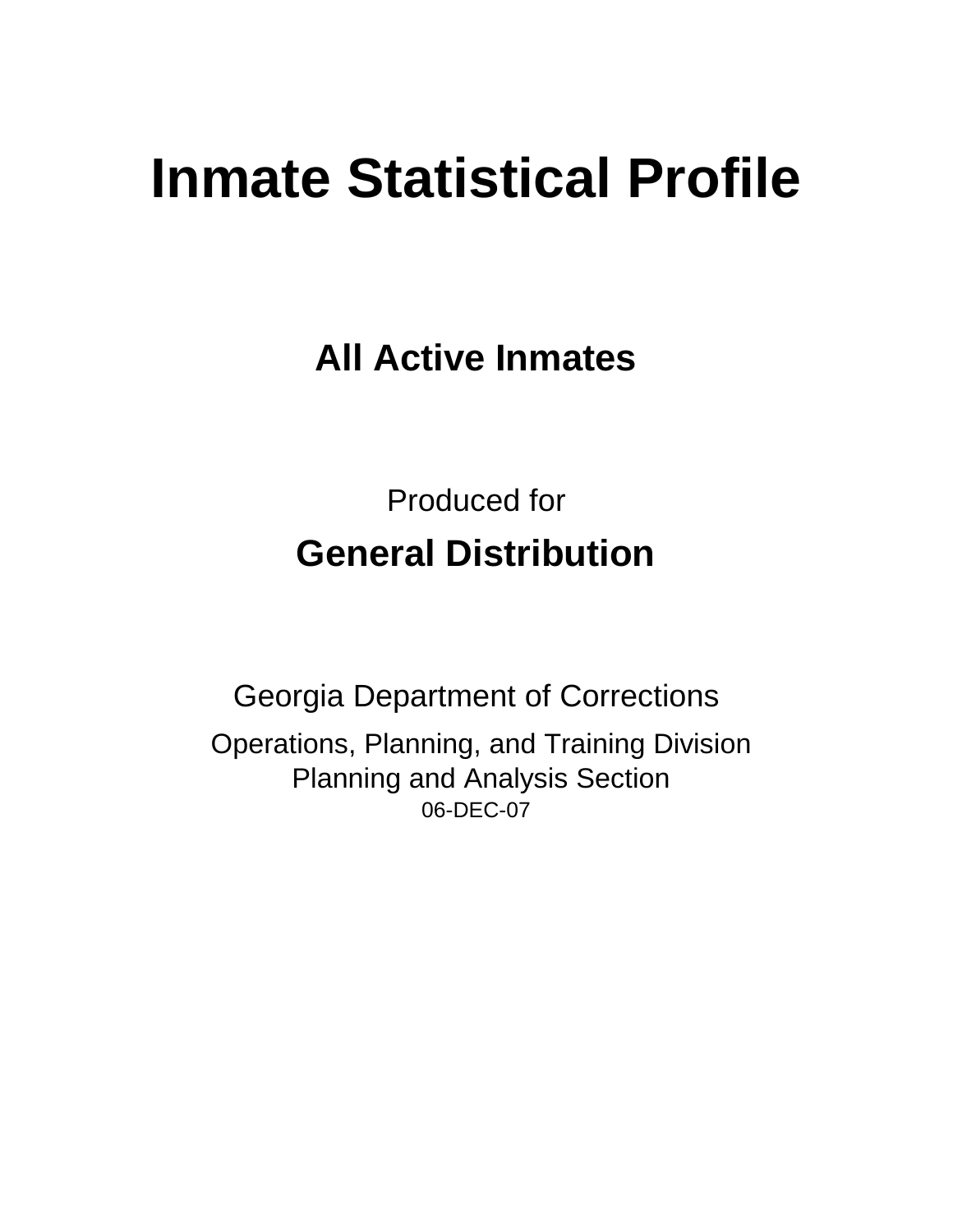# **Inmate Statistical Profile**

**All Active Inmates**

Produced for **General Distribution**

06-DEC-07 Georgia Department of Corrections Operations, Planning, and Training Division Planning and Analysis Section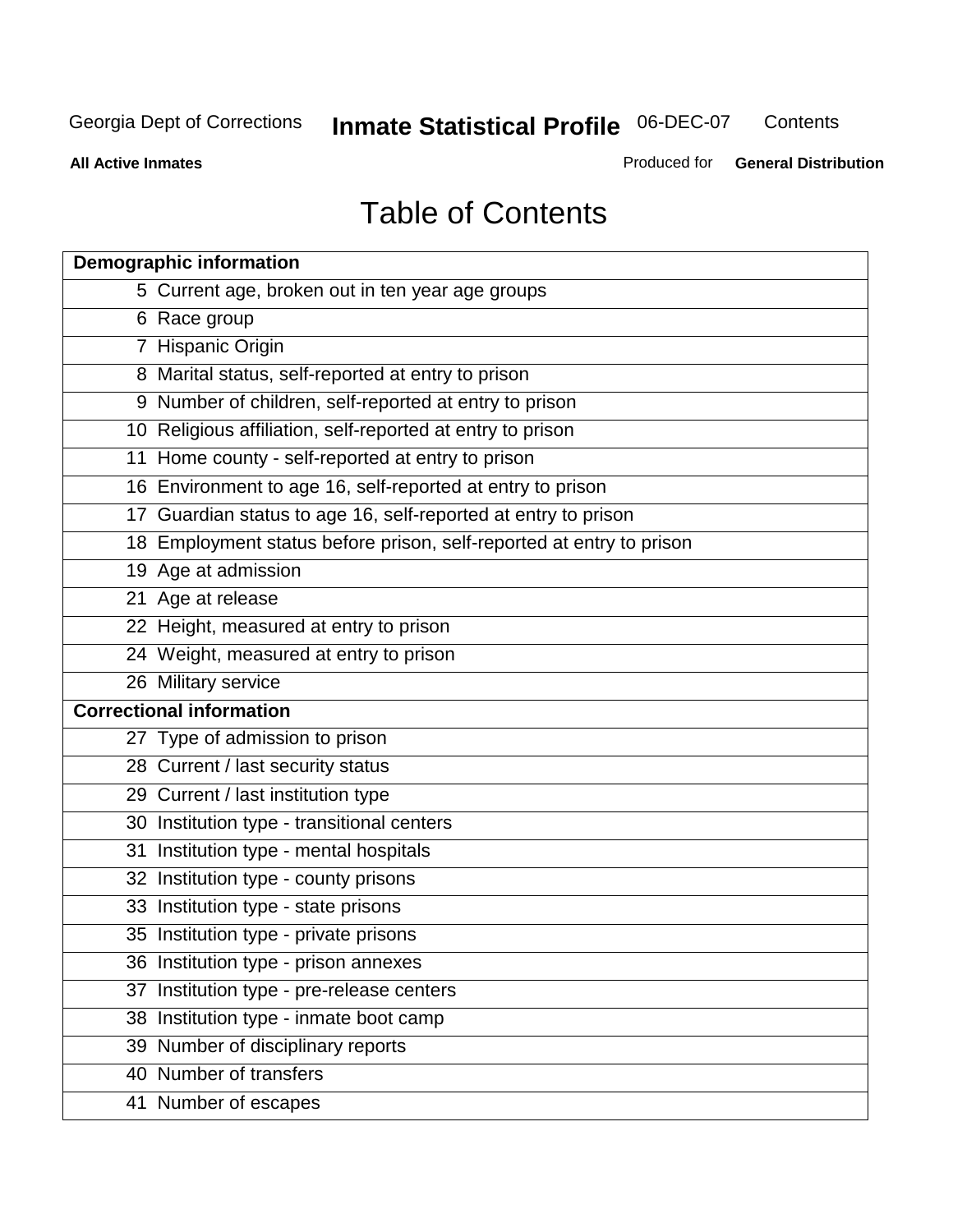**Contents** 

**All Active Inmates**

Produced for **General Distribution**

# Table of Contents

| <b>Demographic information</b>                                       |  |
|----------------------------------------------------------------------|--|
| 5 Current age, broken out in ten year age groups                     |  |
| 6 Race group                                                         |  |
| 7 Hispanic Origin                                                    |  |
| 8 Marital status, self-reported at entry to prison                   |  |
| 9 Number of children, self-reported at entry to prison               |  |
| 10 Religious affiliation, self-reported at entry to prison           |  |
| 11 Home county - self-reported at entry to prison                    |  |
| 16 Environment to age 16, self-reported at entry to prison           |  |
| 17 Guardian status to age 16, self-reported at entry to prison       |  |
| 18 Employment status before prison, self-reported at entry to prison |  |
| 19 Age at admission                                                  |  |
| 21 Age at release                                                    |  |
| 22 Height, measured at entry to prison                               |  |
| 24 Weight, measured at entry to prison                               |  |
| 26 Military service                                                  |  |
| <b>Correctional information</b>                                      |  |
| 27 Type of admission to prison                                       |  |
| 28 Current / last security status                                    |  |
| 29 Current / last institution type                                   |  |
| 30 Institution type - transitional centers                           |  |
| 31 Institution type - mental hospitals                               |  |
| 32 Institution type - county prisons                                 |  |
| 33 Institution type - state prisons                                  |  |
| 35 Institution type - private prisons                                |  |
| 36 Institution type - prison annexes                                 |  |
| 37 Institution type - pre-release centers                            |  |
| 38 Institution type - inmate boot camp                               |  |
| 39 Number of disciplinary reports                                    |  |
| 40 Number of transfers                                               |  |
| 41 Number of escapes                                                 |  |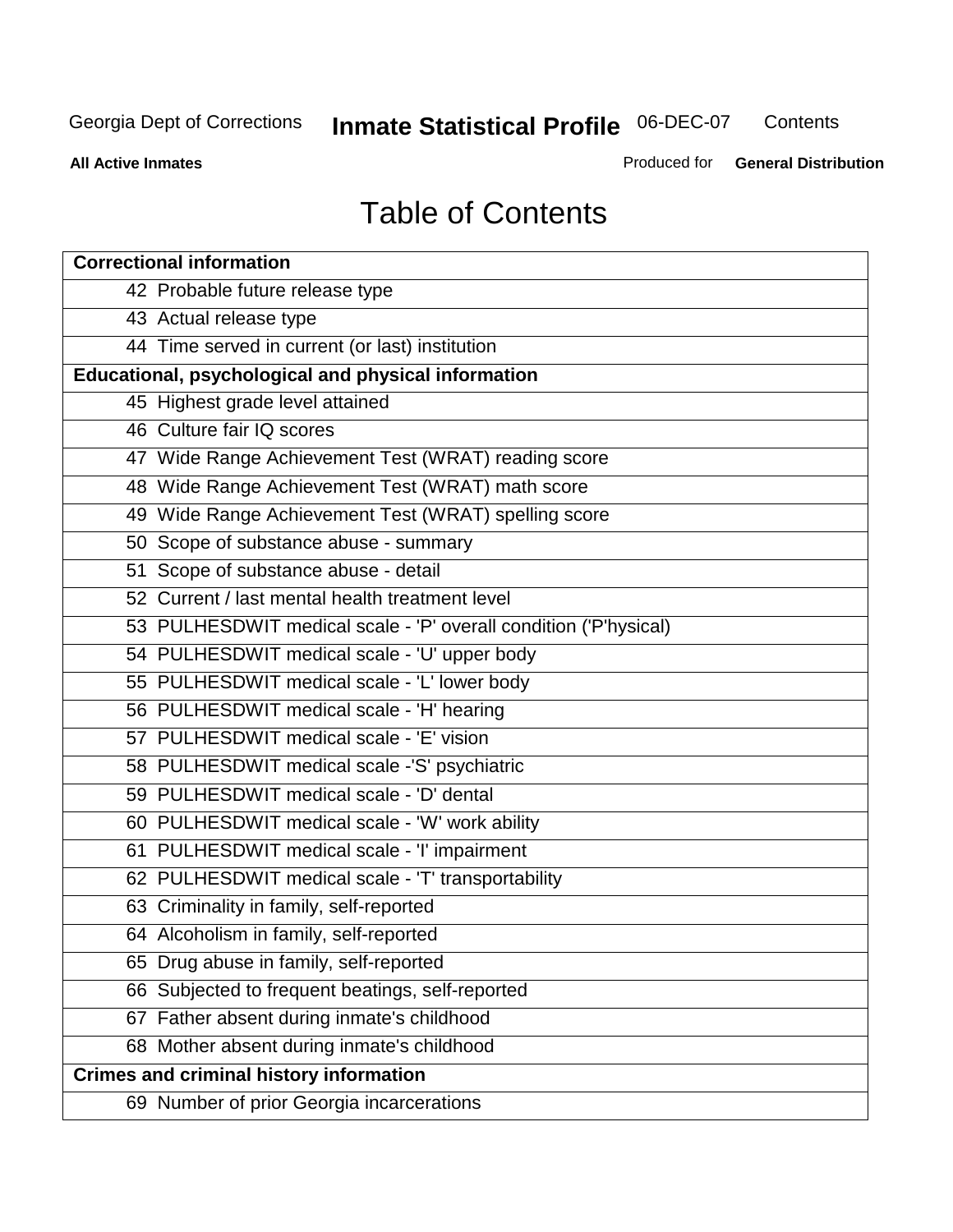**Contents** 

**All Active Inmates**

Produced for **General Distribution**

# Table of Contents

| <b>Correctional information</b>                                  |
|------------------------------------------------------------------|
| 42 Probable future release type                                  |
| 43 Actual release type                                           |
| 44 Time served in current (or last) institution                  |
| Educational, psychological and physical information              |
| 45 Highest grade level attained                                  |
| 46 Culture fair IQ scores                                        |
| 47 Wide Range Achievement Test (WRAT) reading score              |
| 48 Wide Range Achievement Test (WRAT) math score                 |
| 49 Wide Range Achievement Test (WRAT) spelling score             |
| 50 Scope of substance abuse - summary                            |
| 51 Scope of substance abuse - detail                             |
| 52 Current / last mental health treatment level                  |
| 53 PULHESDWIT medical scale - 'P' overall condition ('P'hysical) |
| 54 PULHESDWIT medical scale - 'U' upper body                     |
| 55 PULHESDWIT medical scale - 'L' lower body                     |
| 56 PULHESDWIT medical scale - 'H' hearing                        |
| 57 PULHESDWIT medical scale - 'E' vision                         |
| 58 PULHESDWIT medical scale -'S' psychiatric                     |
| 59 PULHESDWIT medical scale - 'D' dental                         |
| 60 PULHESDWIT medical scale - 'W' work ability                   |
| 61 PULHESDWIT medical scale - 'I' impairment                     |
| 62 PULHESDWIT medical scale - 'T' transportability               |
| 63 Criminality in family, self-reported                          |
| 64 Alcoholism in family, self-reported                           |
| 65 Drug abuse in family, self-reported                           |
| 66 Subjected to frequent beatings, self-reported                 |
| 67 Father absent during inmate's childhood                       |
| 68 Mother absent during inmate's childhood                       |
| <b>Crimes and criminal history information</b>                   |
| 69 Number of prior Georgia incarcerations                        |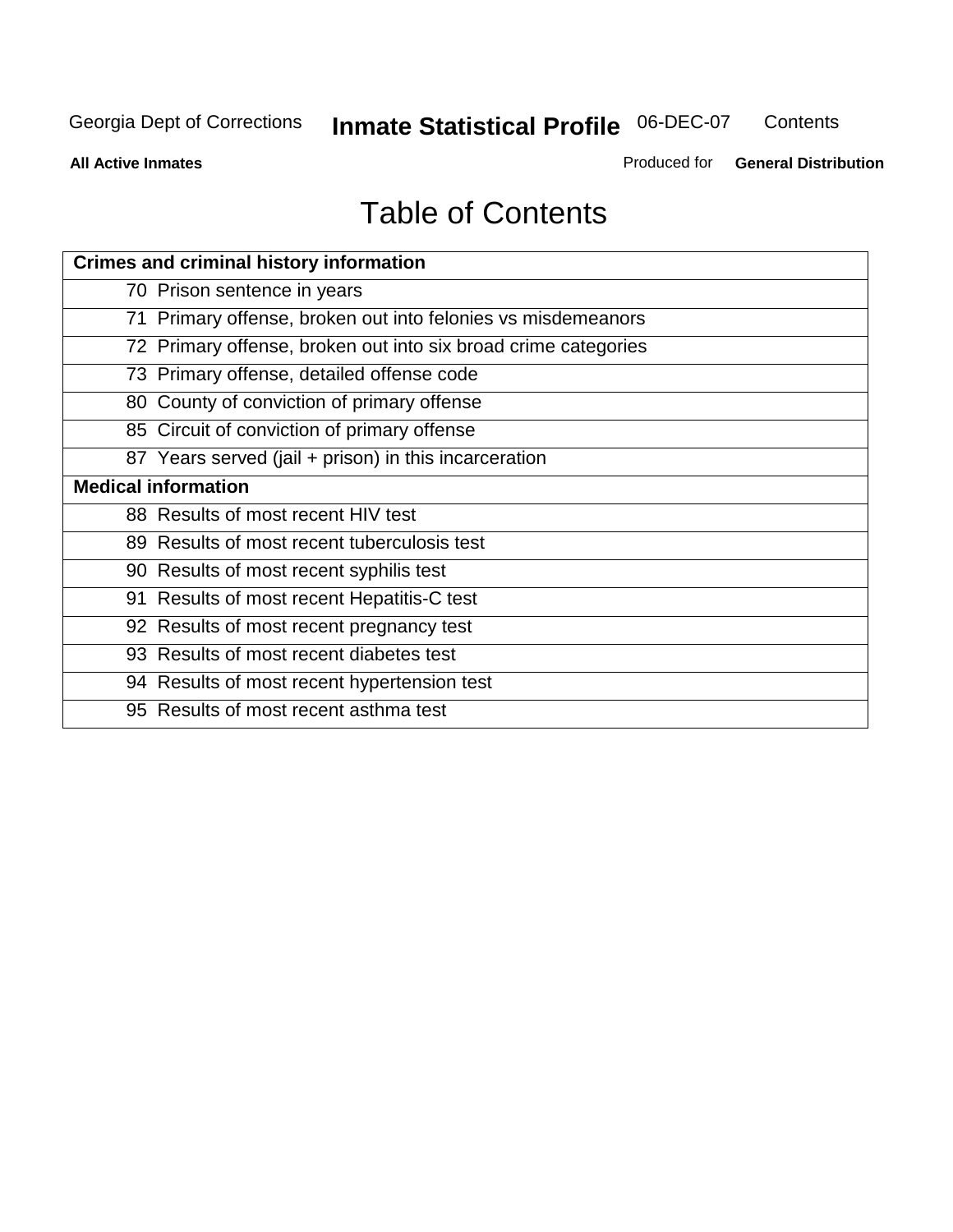**Contents** 

**All Active Inmates**

Produced for **General Distribution**

# Table of Contents

| <b>Crimes and criminal history information</b>                 |
|----------------------------------------------------------------|
| 70 Prison sentence in years                                    |
| 71 Primary offense, broken out into felonies vs misdemeanors   |
| 72 Primary offense, broken out into six broad crime categories |
| 73 Primary offense, detailed offense code                      |
| 80 County of conviction of primary offense                     |
| 85 Circuit of conviction of primary offense                    |
| 87 Years served (jail + prison) in this incarceration          |
| <b>Medical information</b>                                     |
| 88 Results of most recent HIV test                             |
| 89 Results of most recent tuberculosis test                    |
| 90 Results of most recent syphilis test                        |
| 91 Results of most recent Hepatitis-C test                     |
| 92 Results of most recent pregnancy test                       |
| 93 Results of most recent diabetes test                        |
| 94 Results of most recent hypertension test                    |
| 95 Results of most recent asthma test                          |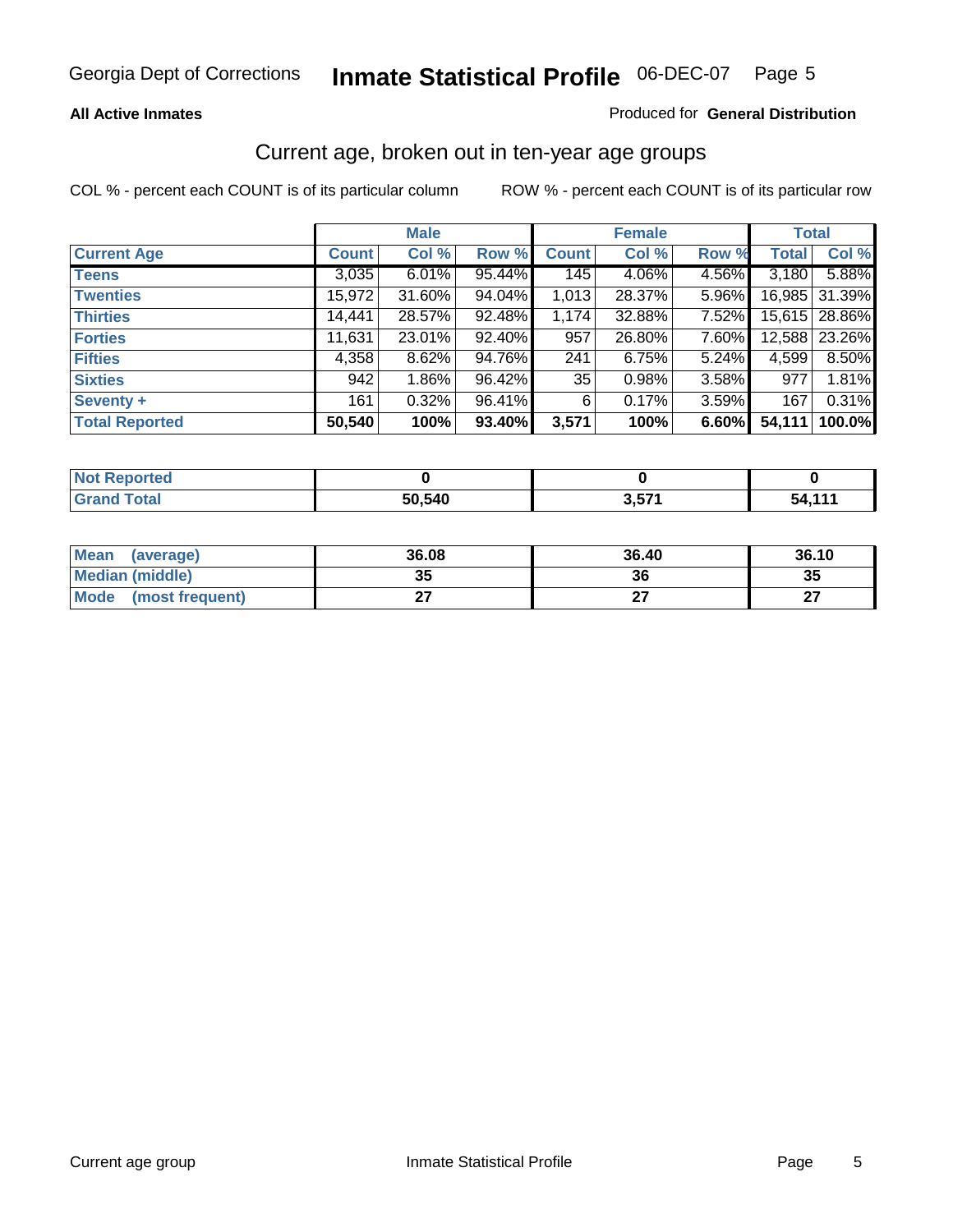#### **All Active Inmates**

#### Produced for **General Distribution**

### Current age, broken out in ten-year age groups

|                       |              | <b>Male</b> |        |              | <b>Female</b> |          | <b>Total</b> |               |
|-----------------------|--------------|-------------|--------|--------------|---------------|----------|--------------|---------------|
| <b>Current Age</b>    | <b>Count</b> | Col %       | Row %  | <b>Count</b> | Col %         | Row %    | <b>Total</b> | Col %         |
| <b>Teens</b>          | 3,035        | $6.01\%$    | 95.44% | 145          | 4.06%         | 4.56%    | 3,180        | 5.88%         |
| <b>Twenties</b>       | 15,972       | 31.60%      | 94.04% | 1,013        | 28.37%        | $5.96\%$ |              | 16,985 31.39% |
| <b>Thirties</b>       | 14,441       | 28.57%      | 92.48% | 1,174        | 32.88%        | $7.52\%$ |              | 15,615 28.86% |
| <b>Forties</b>        | 11,631       | 23.01%      | 92.40% | 957          | 26.80%        | 7.60%    | 12,588       | 23.26%        |
| <b>Fifties</b>        | 4,358        | 8.62%       | 94.76% | 241          | 6.75%         | 5.24%    | 4,599        | 8.50%         |
| <b>Sixties</b>        | 942          | $1.86\%$    | 96.42% | 35           | 0.98%         | 3.58%    | 977          | 1.81%         |
| Seventy +             | 161          | 0.32%       | 96.41% | 6            | 0.17%         | 3.59%    | 167          | 0.31%         |
| <b>Total Reported</b> | 50,540       | 100%        | 93.40% | 3,571        | 100%          | 6.60%    | 54,111       | 100.0%        |

| <b>Not Renor</b><br><b>Construction and</b><br>neo |        |            |                    |
|----------------------------------------------------|--------|------------|--------------------|
| <b>Total</b>                                       | 50,540 | <b>E74</b> | 54 11 <sup>-</sup> |

| <b>Mean</b><br>(average) | 36.08     | 36.40 | 36.10     |
|--------------------------|-----------|-------|-----------|
| Median (middle)          | 25<br>JJ. | 36    | 35        |
| Mode<br>(most frequent)  |           |       | ^7<br>. . |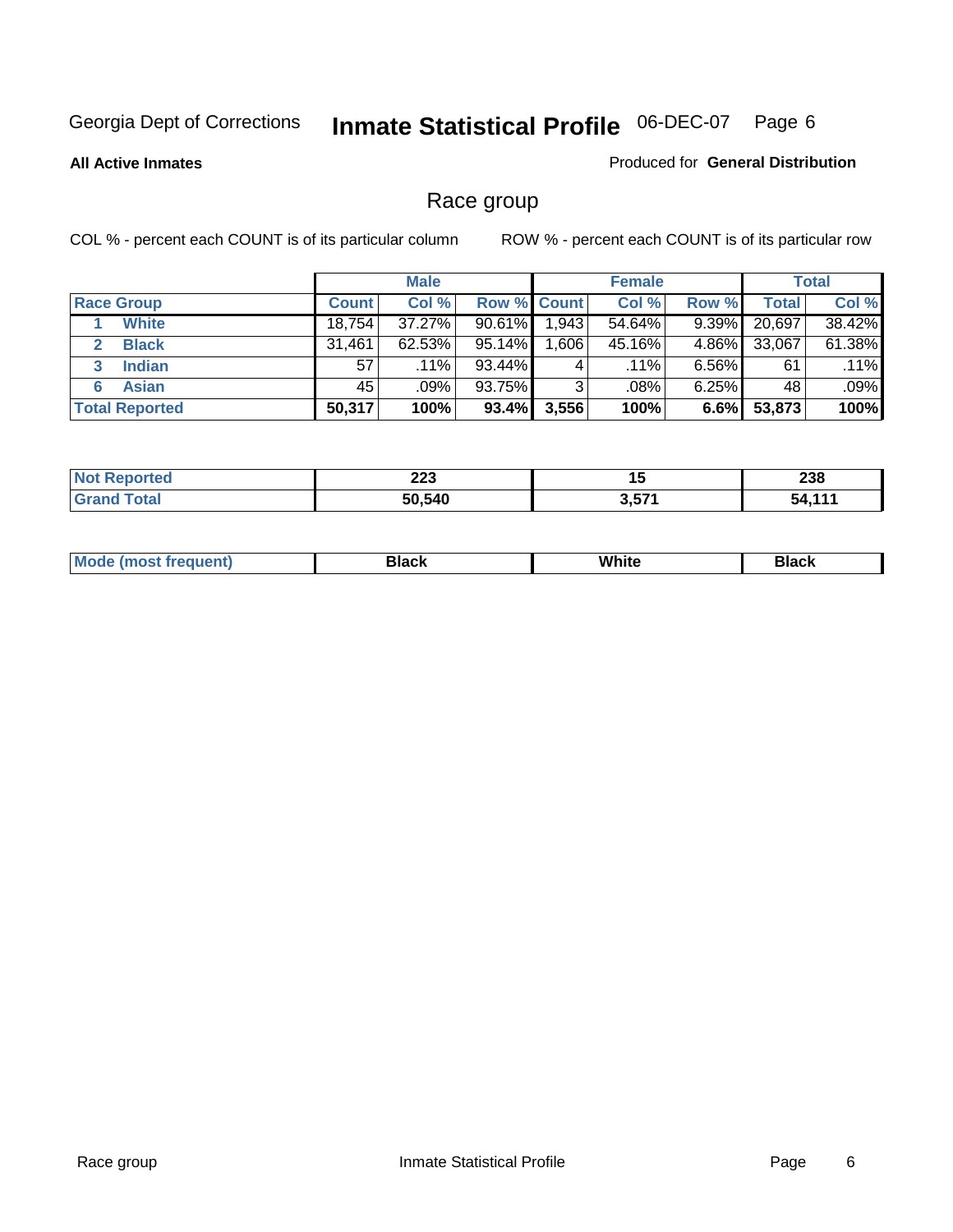#### **All Active Inmates**

#### Produced for **General Distribution**

# Race group

|                       |              | <b>Male</b> |                    |       | <b>Female</b> |          |        | <b>Total</b> |
|-----------------------|--------------|-------------|--------------------|-------|---------------|----------|--------|--------------|
| <b>Race Group</b>     | <b>Count</b> | Col %       | <b>Row % Count</b> |       | Col %         | Row %    | Total  | Col %        |
| <b>White</b>          | 18,754       | 37.27%      | $90.61\%$          | 1,943 | 54.64%        | $9.39\%$ | 20,697 | 38.42%       |
| <b>Black</b>          | 31,461       | 62.53%      | 95.14%             | 606.  | 45.16%        | 4.86%    | 33,067 | 61.38%       |
| <b>Indian</b><br>3    | 57           | $.11\%$     | 93.44%             | 4     | $.11\%$       | $6.56\%$ | 61     | .11%         |
| <b>Asian</b><br>6     | 45           | $.09\%$     | 93.75%             | 3     | .08%          | $6.25\%$ | 48     | .09%         |
| <b>Total Reported</b> | 50,317       | 100%        | 93.4%              | 3,556 | 100%          | 6.6%     | 53,873 | 100%         |

| າາາ    | . .          | ົາາດ |
|--------|--------------|------|
| ZZJ    | 1 J          | 290  |
| 50,540 | 2 571<br>J.J |      |

| <b>Mo</b><br>.<br>านent) | Black | White | ייט<br>DIACK |
|--------------------------|-------|-------|--------------|
|                          |       |       |              |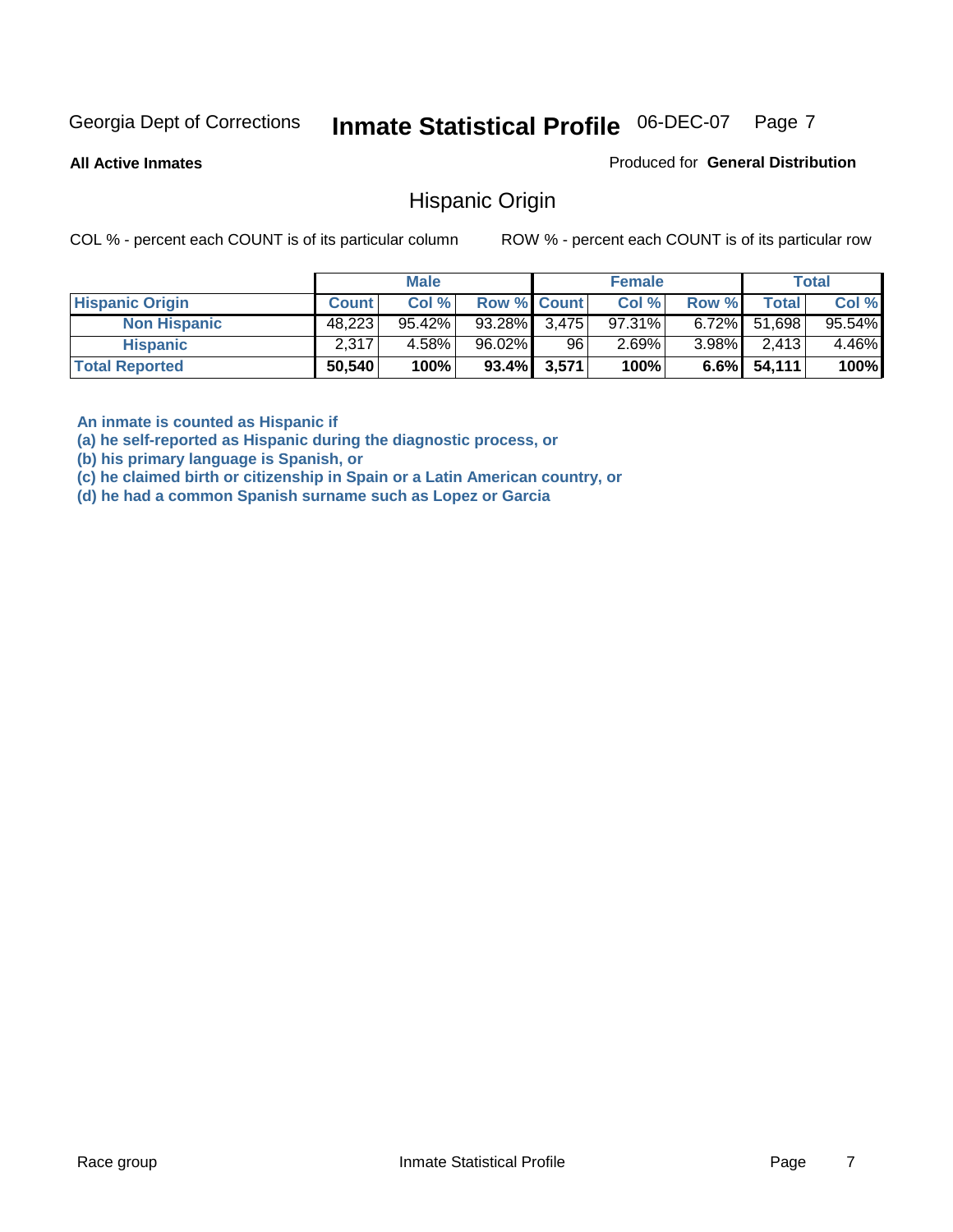**All Active Inmates**

Produced for **General Distribution**

### Hispanic Origin

COL % - percent each COUNT is of its particular column ROW % - percent each COUNT is of its particular row

|                        |              | <b>Male</b> |                    |             | <b>Female</b> |          |                 | <b>Total</b> |
|------------------------|--------------|-------------|--------------------|-------------|---------------|----------|-----------------|--------------|
| <b>Hispanic Origin</b> | <b>Count</b> | Col %       | <b>Row % Count</b> |             | Col %         | Row %    | <b>Total</b>    | Col %        |
| <b>Non Hispanic</b>    | 48,223       | $95.42\%$   | 93.28% 3.475       |             | $97.31\%$     |          | $6.72\%$ 51,698 | 95.54%       |
| <b>Hispanic</b>        | 2,317        | 4.58%       | 96.02%             | 96          | 2.69%         | $3.98\%$ | 2,413           | 4.46%        |
| <b>Total Reported</b>  | 50,540       | 100%        |                    | 93.4% 3,571 | 100%          | $6.6\%$  | 54,111          | 100%         |

**An inmate is counted as Hispanic if** 

**(a) he self-reported as Hispanic during the diagnostic process, or** 

**(b) his primary language is Spanish, or** 

**(c) he claimed birth or citizenship in Spain or a Latin American country, or** 

**(d) he had a common Spanish surname such as Lopez or Garcia**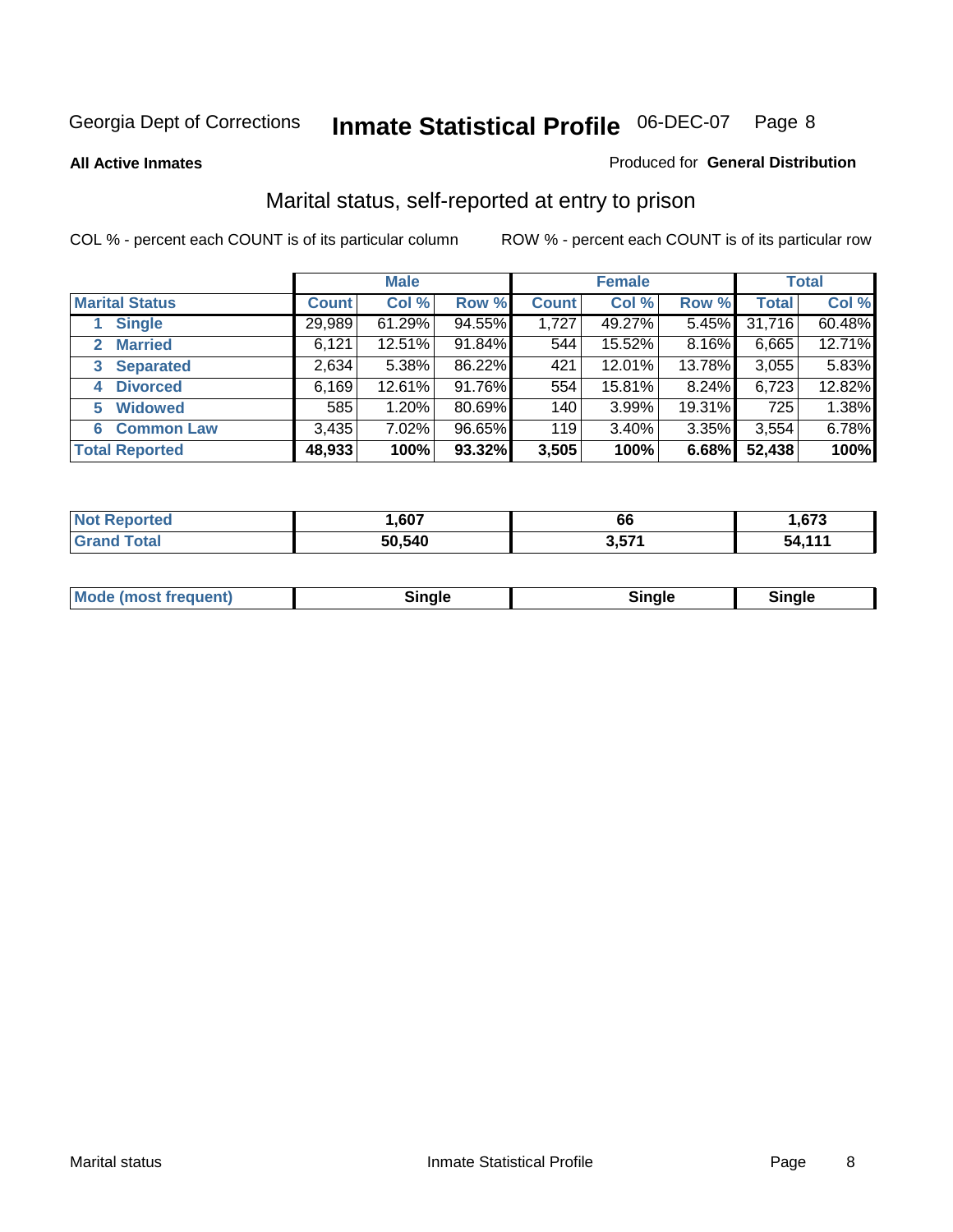**All Active Inmates**

#### Produced for **General Distribution**

# Marital status, self-reported at entry to prison

|                                | <b>Male</b>  |           |        | <b>Female</b> |        |        | <b>Total</b> |        |
|--------------------------------|--------------|-----------|--------|---------------|--------|--------|--------------|--------|
| <b>Marital Status</b>          | <b>Count</b> | Col %     | Row %  | <b>Count</b>  | Col %  | Row %  | <b>Total</b> | Col %  |
| <b>Single</b>                  | 29,989       | $61.29\%$ | 94.55% | 1,727         | 49.27% | 5.45%  | 31,716       | 60.48% |
| <b>Married</b><br>$\mathbf{2}$ | 6,121        | 12.51%    | 91.84% | 544           | 15.52% | 8.16%  | 6,665        | 12.71% |
| <b>Separated</b><br>3          | 2,634        | 5.38%     | 86.22% | 421           | 12.01% | 13.78% | 3,055        | 5.83%  |
| <b>Divorced</b><br>4           | 6,169        | 12.61%    | 91.76% | 554           | 15.81% | 8.24%  | 6,723        | 12.82% |
| <b>Widowed</b><br>5            | 585          | 1.20%     | 80.69% | 140           | 3.99%  | 19.31% | 725          | 1.38%  |
| <b>Common Law</b><br>6         | 3,435        | 7.02%     | 96.65% | 119           | 3.40%  | 3.35%  | 3,554        | 6.78%  |
| <b>Total Reported</b>          | 48,933       | 100%      | 93.32% | 3,505         | 100%   | 6.68%  | 52,438       | 100%   |

| ,607          | 00          | 673          |
|---------------|-------------|--------------|
| <b>ገባ 540</b> | 2.57<br>J.J | 4.4.4<br>54. |

|  | Mode (most f<br>freauent) | `ınale |  | `inale |
|--|---------------------------|--------|--|--------|
|--|---------------------------|--------|--|--------|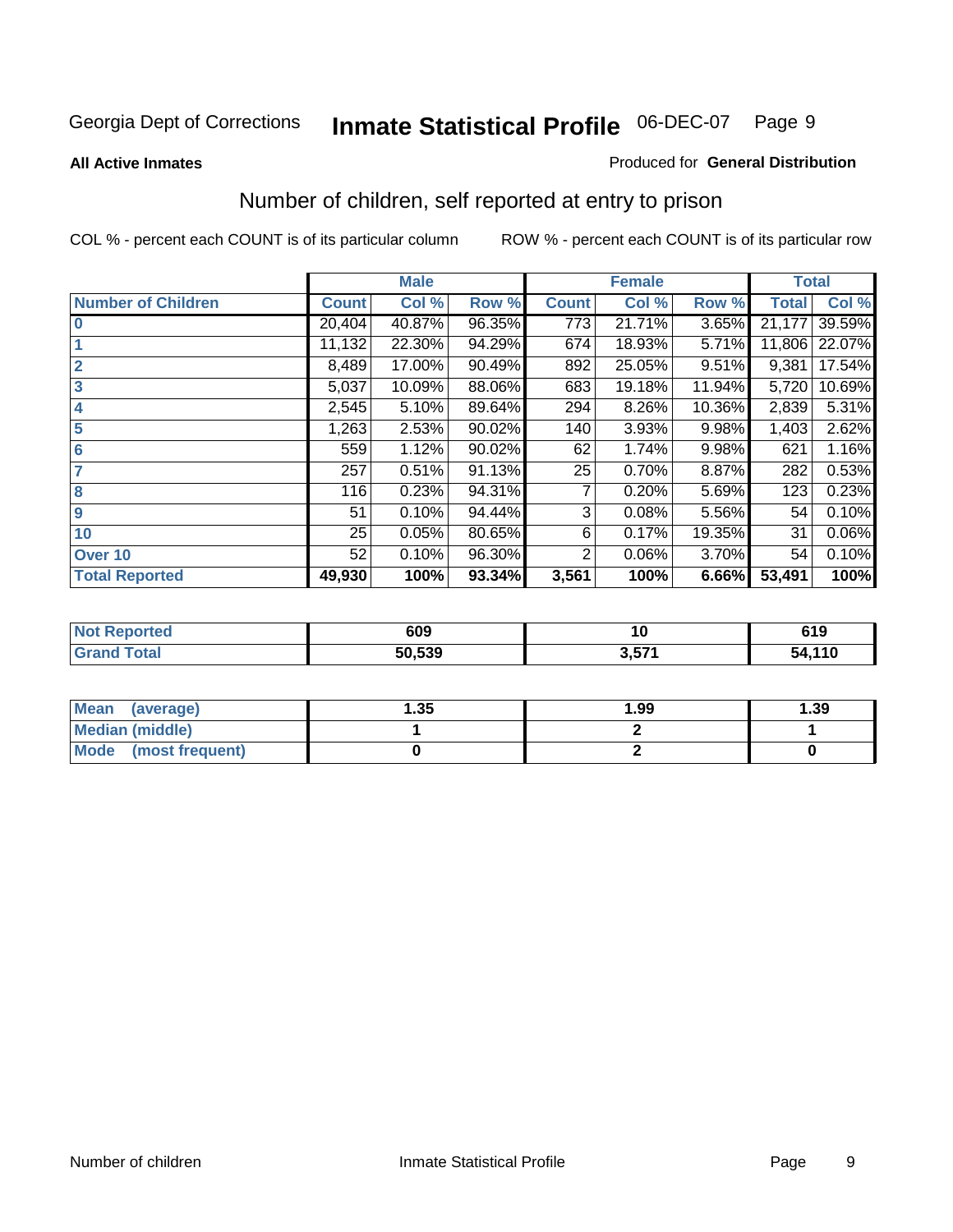#### **All Active Inmates**

#### Produced for **General Distribution**

# Number of children, self reported at entry to prison

|                           |              | <b>Male</b> |        |              | <b>Female</b> |        | <b>Total</b> |        |
|---------------------------|--------------|-------------|--------|--------------|---------------|--------|--------------|--------|
| <b>Number of Children</b> | <b>Count</b> | Col %       | Row %  | <b>Count</b> | Col %         | Row %  | <b>Total</b> | Col %  |
| $\bf{0}$                  | 20,404       | 40.87%      | 96.35% | 773          | 21.71%        | 3.65%  | 21,177       | 39.59% |
|                           | 11,132       | 22.30%      | 94.29% | 674          | 18.93%        | 5.71%  | 11,806       | 22.07% |
| $\overline{2}$            | 8,489        | 17.00%      | 90.49% | 892          | 25.05%        | 9.51%  | 9,381        | 17.54% |
| 3                         | 5,037        | 10.09%      | 88.06% | 683          | 19.18%        | 11.94% | 5,720        | 10.69% |
| 4                         | 2,545        | 5.10%       | 89.64% | 294          | 8.26%         | 10.36% | 2,839        | 5.31%  |
| 5                         | 1,263        | 2.53%       | 90.02% | 140          | 3.93%         | 9.98%  | 1,403        | 2.62%  |
| $6\phantom{a}$            | 559          | 1.12%       | 90.02% | 62           | 1.74%         | 9.98%  | 621          | 1.16%  |
| 7                         | 257          | 0.51%       | 91.13% | 25           | 0.70%         | 8.87%  | 282          | 0.53%  |
| 8                         | 116          | 0.23%       | 94.31% | 7            | 0.20%         | 5.69%  | 123          | 0.23%  |
| 9                         | 51           | 0.10%       | 94.44% | 3            | 0.08%         | 5.56%  | 54           | 0.10%  |
| 10                        | 25           | 0.05%       | 80.65% | 6            | 0.17%         | 19.35% | 31           | 0.06%  |
| Over 10                   | 52           | 0.10%       | 96.30% | 2            | 0.06%         | 3.70%  | 54           | 0.10%  |
| <b>Total Reported</b>     | 49,930       | 100%        | 93.34% | 3,561        | 100%          | 6.66%  | 53,491       | 100%   |

| rrem | 609    | 10   | 619        |
|------|--------|------|------------|
|      | 50.539 | E 74 | .44C<br>5Л |

| <b>Mean</b><br>(average) | .35 | 1.99 | .39 |
|--------------------------|-----|------|-----|
| <b>Median (middle)</b>   |     |      |     |
| Mode<br>(most frequent)  |     |      |     |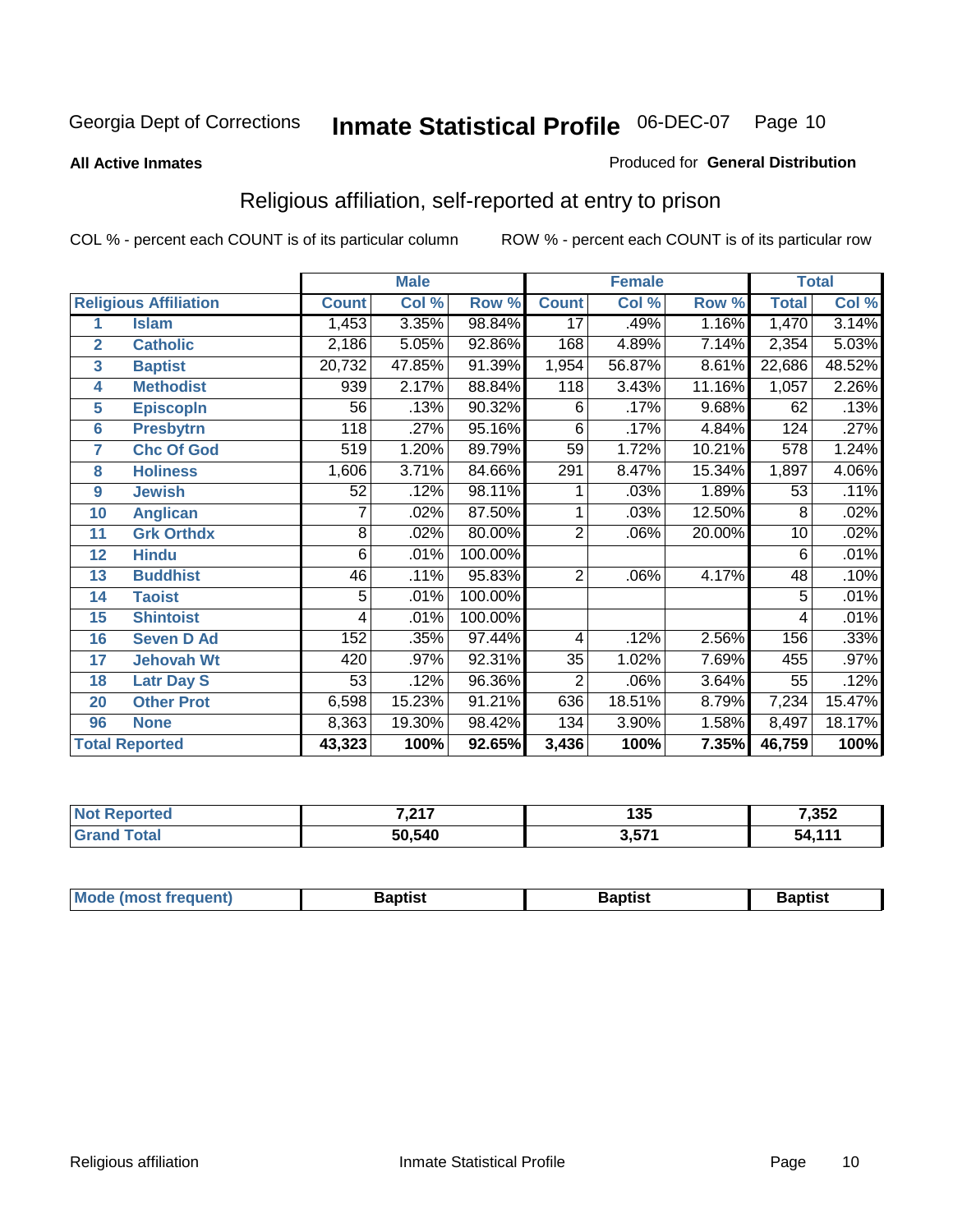#### **All Active Inmates**

#### Produced for **General Distribution**

# Religious affiliation, self-reported at entry to prison

|                  | <b>Male</b>                  |              |        |         | <b>Female</b>  |        |        | <b>Total</b>    |        |
|------------------|------------------------------|--------------|--------|---------|----------------|--------|--------|-----------------|--------|
|                  | <b>Religious Affiliation</b> | <b>Count</b> | Col %  | Row %   | <b>Count</b>   | Col %  | Row %  | <b>Total</b>    | Col %  |
| 1                | <b>Islam</b>                 | 1,453        | 3.35%  | 98.84%  | 17             | .49%   | 1.16%  | 1,470           | 3.14%  |
| $\overline{2}$   | <b>Catholic</b>              | 2,186        | 5.05%  | 92.86%  | 168            | 4.89%  | 7.14%  | 2,354           | 5.03%  |
| $\mathbf{3}$     | <b>Baptist</b>               | 20,732       | 47.85% | 91.39%  | 1,954          | 56.87% | 8.61%  | 22,686          | 48.52% |
| 4                | <b>Methodist</b>             | 939          | 2.17%  | 88.84%  | 118            | 3.43%  | 11.16% | 1,057           | 2.26%  |
| 5                | <b>EpiscopIn</b>             | 56           | .13%   | 90.32%  | 6              | .17%   | 9.68%  | 62              | .13%   |
| 6                | <b>Presbytrn</b>             | 118          | .27%   | 95.16%  | 6              | .17%   | 4.84%  | 124             | .27%   |
| 7                | <b>Chc Of God</b>            | 519          | 1.20%  | 89.79%  | 59             | 1.72%  | 10.21% | 578             | 1.24%  |
| 8                | <b>Holiness</b>              | 1,606        | 3.71%  | 84.66%  | 291            | 8.47%  | 15.34% | 1,897           | 4.06%  |
| $\boldsymbol{9}$ | <b>Jewish</b>                | 52           | .12%   | 98.11%  |                | .03%   | 1.89%  | 53              | .11%   |
| 10               | <b>Anglican</b>              | 7            | .02%   | 87.50%  |                | .03%   | 12.50% | 8               | .02%   |
| 11               | <b>Grk Orthdx</b>            | 8            | .02%   | 80.00%  | $\overline{2}$ | .06%   | 20.00% | 10              | .02%   |
| 12               | <b>Hindu</b>                 | 6            | .01%   | 100.00% |                |        |        | 6               | .01%   |
| 13               | <b>Buddhist</b>              | 46           | .11%   | 95.83%  | $\overline{2}$ | .06%   | 4.17%  | $\overline{48}$ | .10%   |
| 14               | <b>Taoist</b>                | 5            | .01%   | 100.00% |                |        |        | 5               | .01%   |
| 15               | <b>Shintoist</b>             | 4            | .01%   | 100.00% |                |        |        | 4               | .01%   |
| 16               | <b>Seven D Ad</b>            | 152          | .35%   | 97.44%  | 4              | .12%   | 2.56%  | 156             | .33%   |
| 17               | <b>Jehovah Wt</b>            | 420          | .97%   | 92.31%  | 35             | 1.02%  | 7.69%  | 455             | .97%   |
| 18               | <b>Latr Day S</b>            | 53           | .12%   | 96.36%  | $\overline{2}$ | .06%   | 3.64%  | $\overline{55}$ | .12%   |
| 20               | <b>Other Prot</b>            | 6,598        | 15.23% | 91.21%  | 636            | 18.51% | 8.79%  | 7,234           | 15.47% |
| 96               | <b>None</b>                  | 8,363        | 19.30% | 98.42%  | 134            | 3.90%  | 1.58%  | 8,497           | 18.17% |
|                  | <b>Total Reported</b>        | 43,323       | 100%   | 92.65%  | 3,436          | 100%   | 7.35%  | 46,759          | 100%   |

| med         | 7.047<br>, z i i | つん<br>טט ו     | 7,352    |  |
|-------------|------------------|----------------|----------|--|
| $5 - 6 - 1$ | 50,540           | 3571<br>ו וטוט | .<br>54. |  |

| <b>Mode</b><br>frequent)<br>umost | 3aptist | 3aptist | <b>Baptist</b> |
|-----------------------------------|---------|---------|----------------|
|                                   |         |         |                |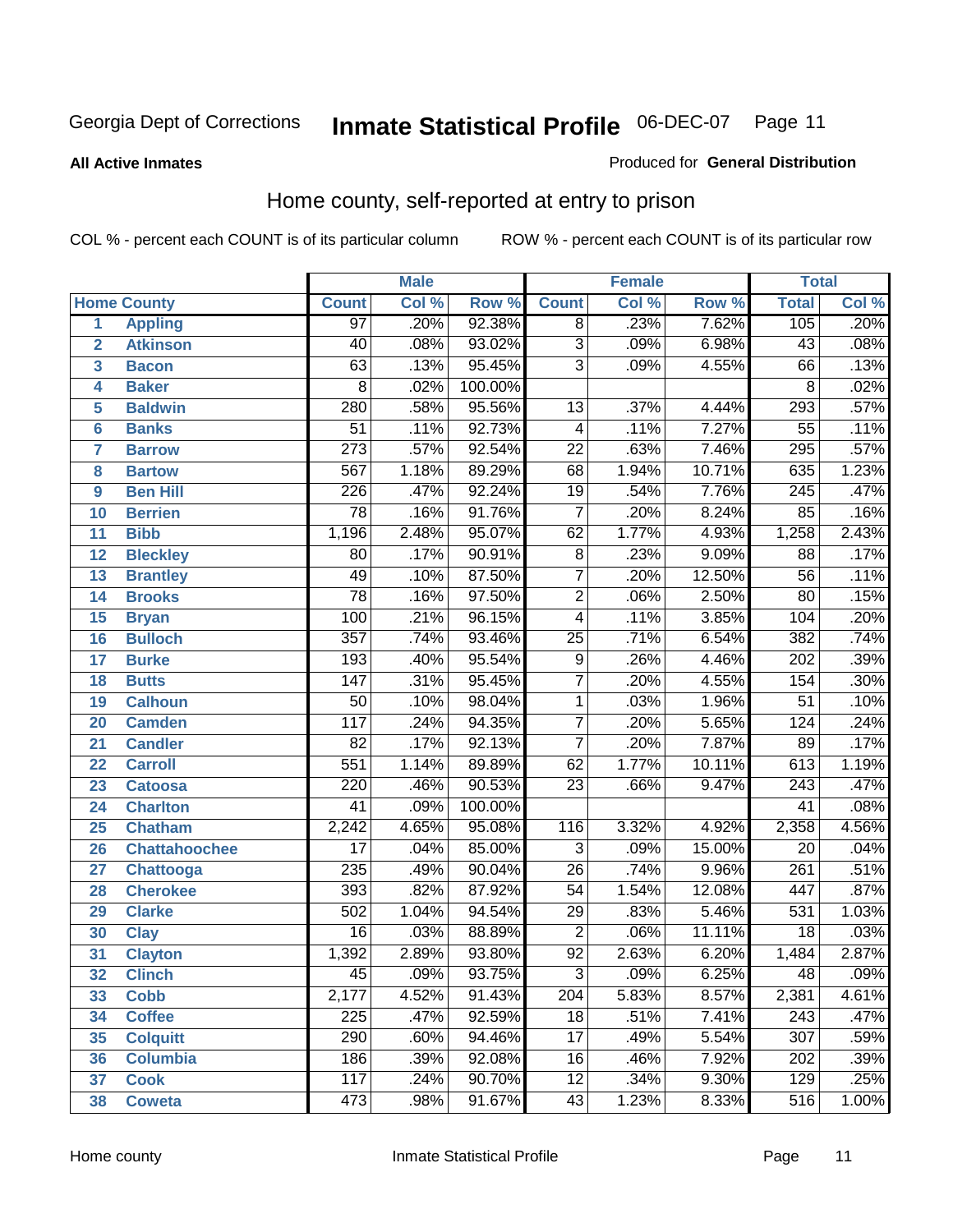**All Active Inmates**

#### Produced for **General Distribution**

# Home county, self-reported at entry to prison

|                 |                      |                  | <b>Male</b> |         |                 | <b>Female</b> |        | <b>Total</b>     |         |
|-----------------|----------------------|------------------|-------------|---------|-----------------|---------------|--------|------------------|---------|
|                 | <b>Home County</b>   | <b>Count</b>     | Col %       | Row %   | <b>Count</b>    | Col %         | Row %  | <b>Total</b>     | Col %   |
| 1               | <b>Appling</b>       | $\overline{97}$  | .20%        | 92.38%  | $\overline{8}$  | .23%          | 7.62%  | 105              | .20%    |
| $\overline{2}$  | <b>Atkinson</b>      | 40               | .08%        | 93.02%  | $\overline{3}$  | .09%          | 6.98%  | $\overline{43}$  | .08%    |
| 3               | <b>Bacon</b>         | 63               | .13%        | 95.45%  | $\overline{3}$  | .09%          | 4.55%  | 66               | .13%    |
| 4               | <b>Baker</b>         | 8                | .02%        | 100.00% |                 |               |        | 8                | .02%    |
| 5               | <b>Baldwin</b>       | 280              | .58%        | 95.56%  | $\overline{13}$ | .37%          | 4.44%  | 293              | .57%    |
| $6\phantom{1}6$ | <b>Banks</b>         | $\overline{51}$  | .11%        | 92.73%  | $\overline{4}$  | .11%          | 7.27%  | $\overline{55}$  | .11%    |
| $\overline{7}$  | <b>Barrow</b>        | $\overline{273}$ | .57%        | 92.54%  | $\overline{22}$ | .63%          | 7.46%  | 295              | .57%    |
| 8               | <b>Bartow</b>        | 567              | 1.18%       | 89.29%  | 68              | 1.94%         | 10.71% | 635              | 1.23%   |
| 9               | <b>Ben Hill</b>      | 226              | .47%        | 92.24%  | $\overline{19}$ | .54%          | 7.76%  | $\overline{245}$ | .47%    |
| 10              | <b>Berrien</b>       | $\overline{78}$  | .16%        | 91.76%  | $\overline{7}$  | .20%          | 8.24%  | 85               | .16%    |
| 11              | <b>Bibb</b>          | 1,196            | 2.48%       | 95.07%  | 62              | 1.77%         | 4.93%  | 1,258            | 2.43%   |
| 12              | <b>Bleckley</b>      | 80               | .17%        | 90.91%  | $\overline{8}$  | .23%          | 9.09%  | 88               | .17%    |
| 13              | <b>Brantley</b>      | 49               | .10%        | 87.50%  | $\overline{7}$  | .20%          | 12.50% | $\overline{56}$  | .11%    |
| 14              | <b>Brooks</b>        | $\overline{78}$  | .16%        | 97.50%  | $\overline{2}$  | .06%          | 2.50%  | $\overline{80}$  | .15%    |
| 15              | <b>Bryan</b>         | 100              | .21%        | 96.15%  | $\overline{4}$  | .11%          | 3.85%  | 104              | .20%    |
| 16              | <b>Bulloch</b>       | $\overline{357}$ | .74%        | 93.46%  | $\overline{25}$ | .71%          | 6.54%  | 382              | .74%    |
| 17              | <b>Burke</b>         | 193              | .40%        | 95.54%  | $\overline{9}$  | .26%          | 4.46%  | $\overline{202}$ | .39%    |
| 18              | <b>Butts</b>         | $\overline{147}$ | .31%        | 95.45%  | $\overline{7}$  | .20%          | 4.55%  | 154              | .30%    |
| 19              | <b>Calhoun</b>       | $\overline{50}$  | .10%        | 98.04%  | $\overline{1}$  | .03%          | 1.96%  | $\overline{51}$  | .10%    |
| 20              | <b>Camden</b>        | $\overline{117}$ | .24%        | 94.35%  | $\overline{7}$  | .20%          | 5.65%  | 124              | .24%    |
| 21              | <b>Candler</b>       | $\overline{82}$  | .17%        | 92.13%  | $\overline{7}$  | .20%          | 7.87%  | 89               | .17%    |
| 22              | <b>Carroll</b>       | 551              | 1.14%       | 89.89%  | 62              | 1.77%         | 10.11% | 613              | 1.19%   |
| 23              | <b>Catoosa</b>       | 220              | .46%        | 90.53%  | $\overline{23}$ | .66%          | 9.47%  | $\overline{243}$ | .47%    |
| 24              | <b>Charlton</b>      | 41               | .09%        | 100.00% |                 |               |        | 41               | .08%    |
| 25              | <b>Chatham</b>       | 2,242            | 4.65%       | 95.08%  | 116             | 3.32%         | 4.92%  | 2,358            | 4.56%   |
| 26              | <b>Chattahoochee</b> | $\overline{17}$  | .04%        | 85.00%  | 3               | .09%          | 15.00% | 20               | .04%    |
| 27              | <b>Chattooga</b>     | $\overline{235}$ | .49%        | 90.04%  | $\overline{26}$ | .74%          | 9.96%  | 261              | .51%    |
| 28              | <b>Cherokee</b>      | 393              | .82%        | 87.92%  | $\overline{54}$ | 1.54%         | 12.08% | 447              | .87%    |
| 29              | <b>Clarke</b>        | 502              | 1.04%       | 94.54%  | $\overline{29}$ | .83%          | 5.46%  | $\overline{531}$ | 1.03%   |
| 30              | <b>Clay</b>          | $\overline{16}$  | .03%        | 88.89%  | $\overline{2}$  | .06%          | 11.11% | $\overline{18}$  | .03%    |
| $\overline{31}$ | <b>Clayton</b>       | 1,392            | 2.89%       | 93.80%  | $\overline{92}$ | 2.63%         | 6.20%  | 1,484            | 2.87%   |
| 32              | <b>Clinch</b>        | 45               | .09%        | 93.75%  | 3               | .09%          | 6.25%  | 48               | $.09\%$ |
| 33              | <b>Cobb</b>          | 2,177            | 4.52%       | 91.43%  | 204             | 5.83%         | 8.57%  | 2,381            | 4.61%   |
| 34              | <b>Coffee</b>        | 225              | .47%        | 92.59%  | 18              | .51%          | 7.41%  | 243              | .47%    |
| 35              | <b>Colquitt</b>      | 290              | .60%        | 94.46%  | $\overline{17}$ | .49%          | 5.54%  | $\overline{307}$ | .59%    |
| 36              | <b>Columbia</b>      | 186              | .39%        | 92.08%  | 16              | .46%          | 7.92%  | 202              | .39%    |
| 37              | <b>Cook</b>          | 117              | .24%        | 90.70%  | $\overline{12}$ | .34%          | 9.30%  | 129              | .25%    |
| 38              | <b>Coweta</b>        | 473              | .98%        | 91.67%  | 43              | 1.23%         | 8.33%  | 516              | 1.00%   |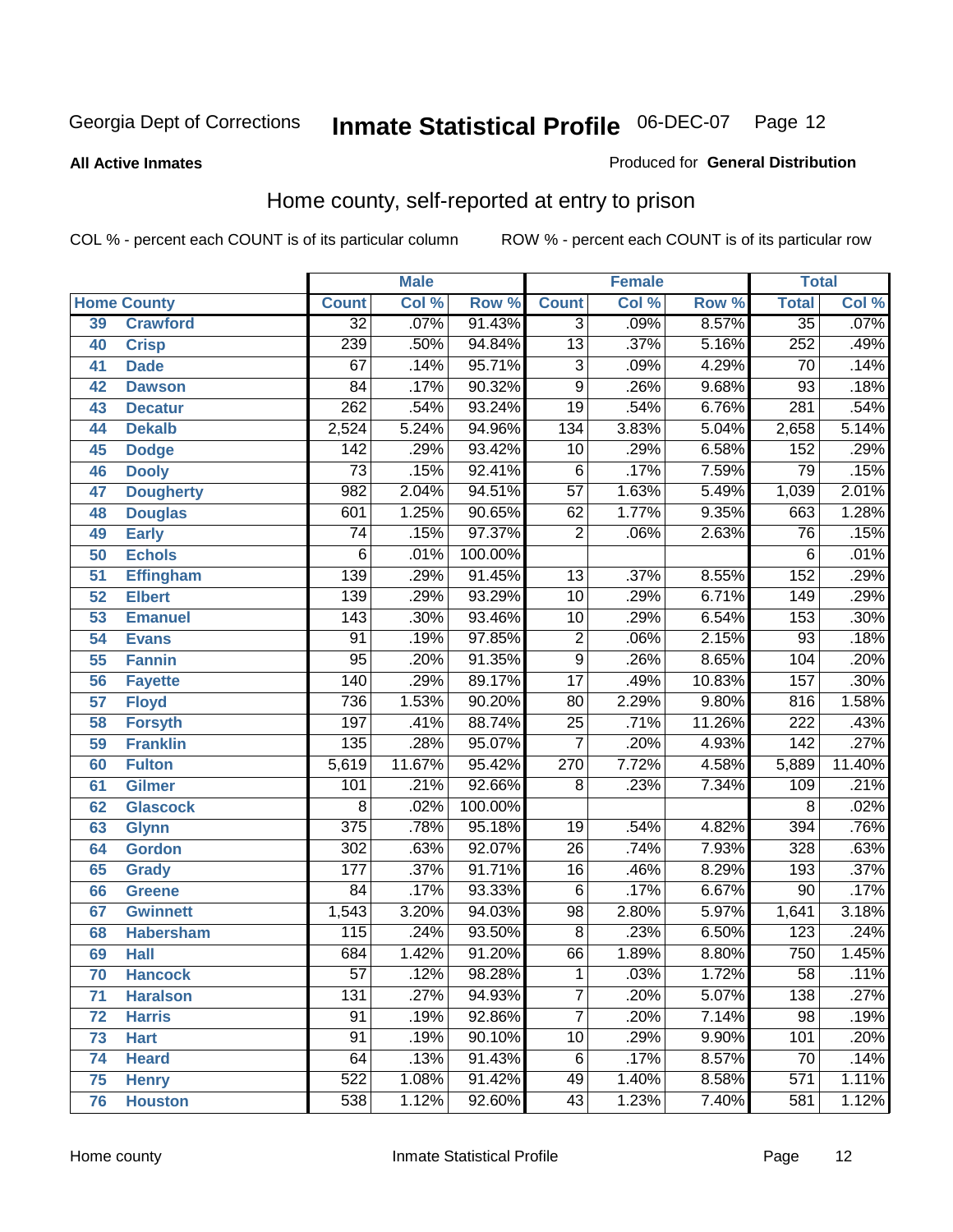#### **All Active Inmates**

#### Produced for **General Distribution**

# Home county, self-reported at entry to prison

|                 |                    |                  | <b>Male</b> |                  |                 | <b>Female</b> |        | <b>Total</b>     |        |  |
|-----------------|--------------------|------------------|-------------|------------------|-----------------|---------------|--------|------------------|--------|--|
|                 | <b>Home County</b> | <b>Count</b>     | Col %       | Row <sup>%</sup> | <b>Count</b>    | Col %         | Row %  | <b>Total</b>     | Col %  |  |
| 39              | <b>Crawford</b>    | $\overline{32}$  | .07%        | 91.43%           | $\overline{3}$  | .09%          | 8.57%  | $\overline{35}$  | .07%   |  |
| 40              | <b>Crisp</b>       | 239              | .50%        | 94.84%           | $\overline{13}$ | .37%          | 5.16%  | 252              | .49%   |  |
| 41              | <b>Dade</b>        | 67               | .14%        | 95.71%           | $\overline{3}$  | .09%          | 4.29%  | 70               | .14%   |  |
| 42              | <b>Dawson</b>      | $\overline{84}$  | .17%        | 90.32%           | $\overline{9}$  | .26%          | 9.68%  | $\overline{93}$  | .18%   |  |
| 43              | <b>Decatur</b>     | $\overline{262}$ | .54%        | 93.24%           | $\overline{19}$ | .54%          | 6.76%  | 281              | .54%   |  |
| 44              | <b>Dekalb</b>      | 2,524            | 5.24%       | 94.96%           | 134             | 3.83%         | 5.04%  | 2,658            | 5.14%  |  |
| 45              | <b>Dodge</b>       | 142              | .29%        | 93.42%           | 10              | .29%          | 6.58%  | 152              | .29%   |  |
| 46              | <b>Dooly</b>       | $\overline{73}$  | .15%        | 92.41%           | $\overline{6}$  | .17%          | 7.59%  | 79               | .15%   |  |
| 47              | <b>Dougherty</b>   | 982              | 2.04%       | 94.51%           | $\overline{57}$ | 1.63%         | 5.49%  | 1,039            | 2.01%  |  |
| 48              | <b>Douglas</b>     | 601              | 1.25%       | 90.65%           | 62              | 1.77%         | 9.35%  | 663              | 1.28%  |  |
| 49              | <b>Early</b>       | $\overline{74}$  | .15%        | 97.37%           | $\overline{2}$  | .06%          | 2.63%  | $\overline{76}$  | .15%   |  |
| 50              | <b>Echols</b>      | 6                | .01%        | 100.00%          |                 |               |        | 6                | .01%   |  |
| $\overline{51}$ | Effingham          | 139              | .29%        | 91.45%           | $\overline{13}$ | .37%          | 8.55%  | 152              | .29%   |  |
| 52              | <b>Elbert</b>      | 139              | .29%        | 93.29%           | $\overline{10}$ | .29%          | 6.71%  | 149              | .29%   |  |
| 53              | <b>Emanuel</b>     | 143              | .30%        | 93.46%           | $\overline{10}$ | .29%          | 6.54%  | 153              | .30%   |  |
| 54              | <b>Evans</b>       | $\overline{91}$  | .19%        | 97.85%           | $\overline{2}$  | .06%          | 2.15%  | $\overline{93}$  | .18%   |  |
| 55              | <b>Fannin</b>      | $\overline{95}$  | .20%        | 91.35%           | $\overline{9}$  | .26%          | 8.65%  | 104              | .20%   |  |
| 56              | <b>Fayette</b>     | 140              | .29%        | 89.17%           | $\overline{17}$ | .49%          | 10.83% | 157              | .30%   |  |
| 57              | <b>Floyd</b>       | 736              | 1.53%       | 90.20%           | 80              | 2.29%         | 9.80%  | 816              | 1.58%  |  |
| 58              | <b>Forsyth</b>     | 197              | .41%        | 88.74%           | $\overline{25}$ | .71%          | 11.26% | $\overline{222}$ | .43%   |  |
| 59              | <b>Franklin</b>    | 135              | .28%        | 95.07%           | $\overline{7}$  | .20%          | 4.93%  | 142              | .27%   |  |
| 60              | <b>Fulton</b>      | 5,619            | 11.67%      | 95.42%           | 270             | 7.72%         | 4.58%  | 5,889            | 11.40% |  |
| 61              | Gilmer             | $\overline{101}$ | .21%        | 92.66%           | 8               | .23%          | 7.34%  | 109              | .21%   |  |
| 62              | <b>Glascock</b>    | $\overline{8}$   | .02%        | 100.00%          |                 |               |        | $\overline{8}$   | .02%   |  |
| 63              | <b>Glynn</b>       | $\overline{375}$ | .78%        | 95.18%           | $\overline{19}$ | .54%          | 4.82%  | 394              | .76%   |  |
| 64              | <b>Gordon</b>      | $\overline{302}$ | .63%        | 92.07%           | $\overline{26}$ | .74%          | 7.93%  | 328              | .63%   |  |
| 65              | <b>Grady</b>       | $\overline{177}$ | .37%        | 91.71%           | $\overline{16}$ | .46%          | 8.29%  | 193              | .37%   |  |
| 66              | <b>Greene</b>      | $\overline{84}$  | .17%        | 93.33%           | $\overline{6}$  | .17%          | 6.67%  | $\overline{90}$  | .17%   |  |
| 67              | <b>Gwinnett</b>    | 1,543            | 3.20%       | 94.03%           | $\overline{98}$ | 2.80%         | 5.97%  | 1,641            | 3.18%  |  |
| 68              | <b>Habersham</b>   | 115              | .24%        | 93.50%           | $\overline{8}$  | .23%          | 6.50%  | $\overline{123}$ | .24%   |  |
| 69              | <b>Hall</b>        | 684              | 1.42%       | 91.20%           | 66              | 1.89%         | 8.80%  | 750              | 1.45%  |  |
| 70              | <b>Hancock</b>     | 57               | .12%        | 98.28%           | 1               | .03%          | 1.72%  | 58               | .11%   |  |
| 71              | <b>Haralson</b>    | $\overline{131}$ | .27%        | 94.93%           | $\overline{7}$  | .20%          | 5.07%  | 138              | .27%   |  |
| 72              | <b>Harris</b>      | 91               | .19%        | 92.86%           | $\overline{7}$  | .20%          | 7.14%  | $\overline{98}$  | .19%   |  |
| 73              | <b>Hart</b>        | $\overline{91}$  | .19%        | 90.10%           | $\overline{10}$ | .29%          | 9.90%  | 101              | .20%   |  |
| 74              | <b>Heard</b>       | 64               | .13%        | 91.43%           | $\,6$           | .17%          | 8.57%  | 70               | .14%   |  |
| 75              | <b>Henry</b>       | $\overline{522}$ | 1.08%       | 91.42%           | 49              | 1.40%         | 8.58%  | 571              | 1.11%  |  |
| 76              | <b>Houston</b>     | 538              | 1.12%       | 92.60%           | $\overline{43}$ | 1.23%         | 7.40%  | 581              | 1.12%  |  |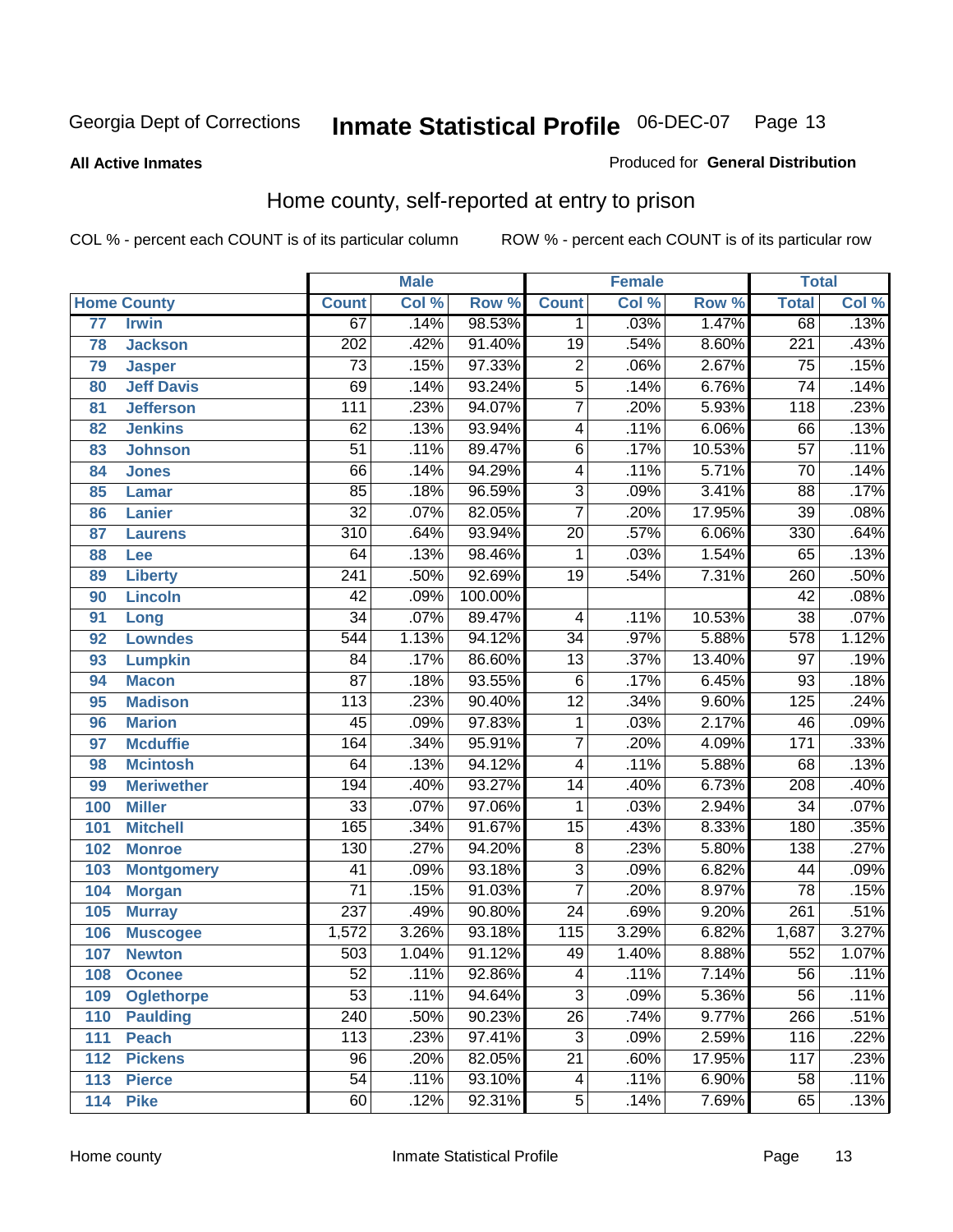#### **All Active Inmates**

#### Produced for **General Distribution**

# Home county, self-reported at entry to prison

|                 |                    |                  | <b>Male</b> |         |                         | <b>Female</b> |        | <b>Total</b>     |                            |
|-----------------|--------------------|------------------|-------------|---------|-------------------------|---------------|--------|------------------|----------------------------|
|                 | <b>Home County</b> | <b>Count</b>     | Col %       | Row %   | <b>Count</b>            | Col %         | Row %  | <b>Total</b>     | $\overline{\text{Col }\%}$ |
| $\overline{77}$ | <b>Irwin</b>       | 67               | .14%        | 98.53%  | 1                       | .03%          | 1.47%  | 68               | .13%                       |
| 78              | <b>Jackson</b>     | $\overline{202}$ | .42%        | 91.40%  | $\overline{19}$         | .54%          | 8.60%  | $\overline{221}$ | .43%                       |
| 79              | <b>Jasper</b>      | $\overline{73}$  | .15%        | 97.33%  | $\overline{2}$          | .06%          | 2.67%  | $\overline{75}$  | .15%                       |
| 80              | <b>Jeff Davis</b>  | $\overline{69}$  | .14%        | 93.24%  | $\overline{5}$          | .14%          | 6.76%  | $\overline{74}$  | .14%                       |
| 81              | <b>Jefferson</b>   | $\overline{111}$ | .23%        | 94.07%  | $\overline{7}$          | .20%          | 5.93%  | $\overline{118}$ | .23%                       |
| 82              | <b>Jenkins</b>     | $\overline{62}$  | .13%        | 93.94%  | $\overline{4}$          | .11%          | 6.06%  | 66               | .13%                       |
| 83              | <b>Johnson</b>     | $\overline{51}$  | .11%        | 89.47%  | $\overline{6}$          | .17%          | 10.53% | $\overline{57}$  | .11%                       |
| 84              | <b>Jones</b>       | 66               | .14%        | 94.29%  | $\overline{4}$          | .11%          | 5.71%  | $\overline{70}$  | .14%                       |
| 85              | Lamar              | $\overline{85}$  | .18%        | 96.59%  | $\overline{3}$          | .09%          | 3.41%  | $\overline{88}$  | .17%                       |
| 86              | <b>Lanier</b>      | $\overline{32}$  | .07%        | 82.05%  | $\overline{7}$          | .20%          | 17.95% | $\overline{39}$  | .08%                       |
| 87              | <b>Laurens</b>     | $\overline{310}$ | .64%        | 93.94%  | $\overline{20}$         | .57%          | 6.06%  | $\overline{330}$ | .64%                       |
| 88              | Lee                | 64               | .13%        | 98.46%  | 1                       | .03%          | 1.54%  | 65               | .13%                       |
| 89              | <b>Liberty</b>     | $\overline{241}$ | .50%        | 92.69%  | $\overline{19}$         | .54%          | 7.31%  | 260              | .50%                       |
| 90              | <b>Lincoln</b>     | $\overline{42}$  | .09%        | 100.00% |                         |               |        | $\overline{42}$  | .08%                       |
| 91              | Long               | $\overline{34}$  | .07%        | 89.47%  | 4                       | .11%          | 10.53% | $\overline{38}$  | .07%                       |
| 92              | <b>Lowndes</b>     | $\overline{544}$ | 1.13%       | 94.12%  | $\overline{34}$         | .97%          | 5.88%  | 578              | 1.12%                      |
| 93              | <b>Lumpkin</b>     | $\overline{84}$  | .17%        | 86.60%  | $\overline{13}$         | .37%          | 13.40% | $\overline{97}$  | .19%                       |
| 94              | <b>Macon</b>       | $\overline{87}$  | .18%        | 93.55%  | $\overline{6}$          | .17%          | 6.45%  | $\overline{93}$  | .18%                       |
| 95              | <b>Madison</b>     | 113              | .23%        | 90.40%  | $\overline{12}$         | .34%          | 9.60%  | 125              | .24%                       |
| 96              | <b>Marion</b>      | $\overline{45}$  | .09%        | 97.83%  | $\mathbf{1}$            | .03%          | 2.17%  | 46               | .09%                       |
| 97              | <b>Mcduffie</b>    | 164              | .34%        | 95.91%  | $\overline{7}$          | .20%          | 4.09%  | 171              | .33%                       |
| 98              | <b>Mcintosh</b>    | 64               | .13%        | 94.12%  | $\overline{4}$          | .11%          | 5.88%  | 68               | .13%                       |
| 99              | <b>Meriwether</b>  | 194              | .40%        | 93.27%  | $\overline{14}$         | .40%          | 6.73%  | 208              | .40%                       |
| 100             | <b>Miller</b>      | $\overline{33}$  | .07%        | 97.06%  | 1                       | .03%          | 2.94%  | $\overline{34}$  | .07%                       |
| 101             | <b>Mitchell</b>    | 165              | .34%        | 91.67%  | $\overline{15}$         | .43%          | 8.33%  | 180              | .35%                       |
| 102             | <b>Monroe</b>      | $\overline{130}$ | .27%        | 94.20%  | $\overline{8}$          | .23%          | 5.80%  | 138              | .27%                       |
| 103             | <b>Montgomery</b>  | $\overline{41}$  | .09%        | 93.18%  | $\overline{3}$          | .09%          | 6.82%  | 44               | .09%                       |
| 104             | <b>Morgan</b>      | $\overline{71}$  | .15%        | 91.03%  | $\overline{7}$          | .20%          | 8.97%  | $\overline{78}$  | .15%                       |
| 105             | <b>Murray</b>      | $\overline{237}$ | .49%        | 90.80%  | $\overline{24}$         | .69%          | 9.20%  | $\overline{261}$ | .51%                       |
| 106             | <b>Muscogee</b>    | 1,572            | 3.26%       | 93.18%  | $\overline{115}$        | 3.29%         | 6.82%  | 1,687            | 3.27%                      |
| 107             | <b>Newton</b>      | $\overline{503}$ | 1.04%       | 91.12%  | 49                      | 1.40%         | 8.88%  | $\overline{552}$ | 1.07%                      |
| 108             | <b>Oconee</b>      | 52               | .11%        | 92.86%  | 4                       | .11%          | 7.14%  | $\overline{56}$  | .11%                       |
| 109             | <b>Oglethorpe</b>  | $\overline{53}$  | .11%        | 94.64%  | $\overline{\mathbf{3}}$ | .09%          | 5.36%  | $\overline{56}$  | .11%                       |
| 110             | <b>Paulding</b>    | $\overline{240}$ | .50%        | 90.23%  | $\overline{26}$         | .74%          | 9.77%  | 266              | .51%                       |
| 111             | <b>Peach</b>       | 113              | .23%        | 97.41%  | $\overline{3}$          | .09%          | 2.59%  | 116              | .22%                       |
| 112             | <b>Pickens</b>     | $\overline{96}$  | .20%        | 82.05%  | $\overline{21}$         | .60%          | 17.95% | 117              | .23%                       |
| 113             | <b>Pierce</b>      | $\overline{54}$  | .11%        | 93.10%  | 4                       | .11%          | 6.90%  | 58               | .11%                       |
| 114             | <b>Pike</b>        | 60               | .12%        | 92.31%  | 5                       | .14%          | 7.69%  | 65               | .13%                       |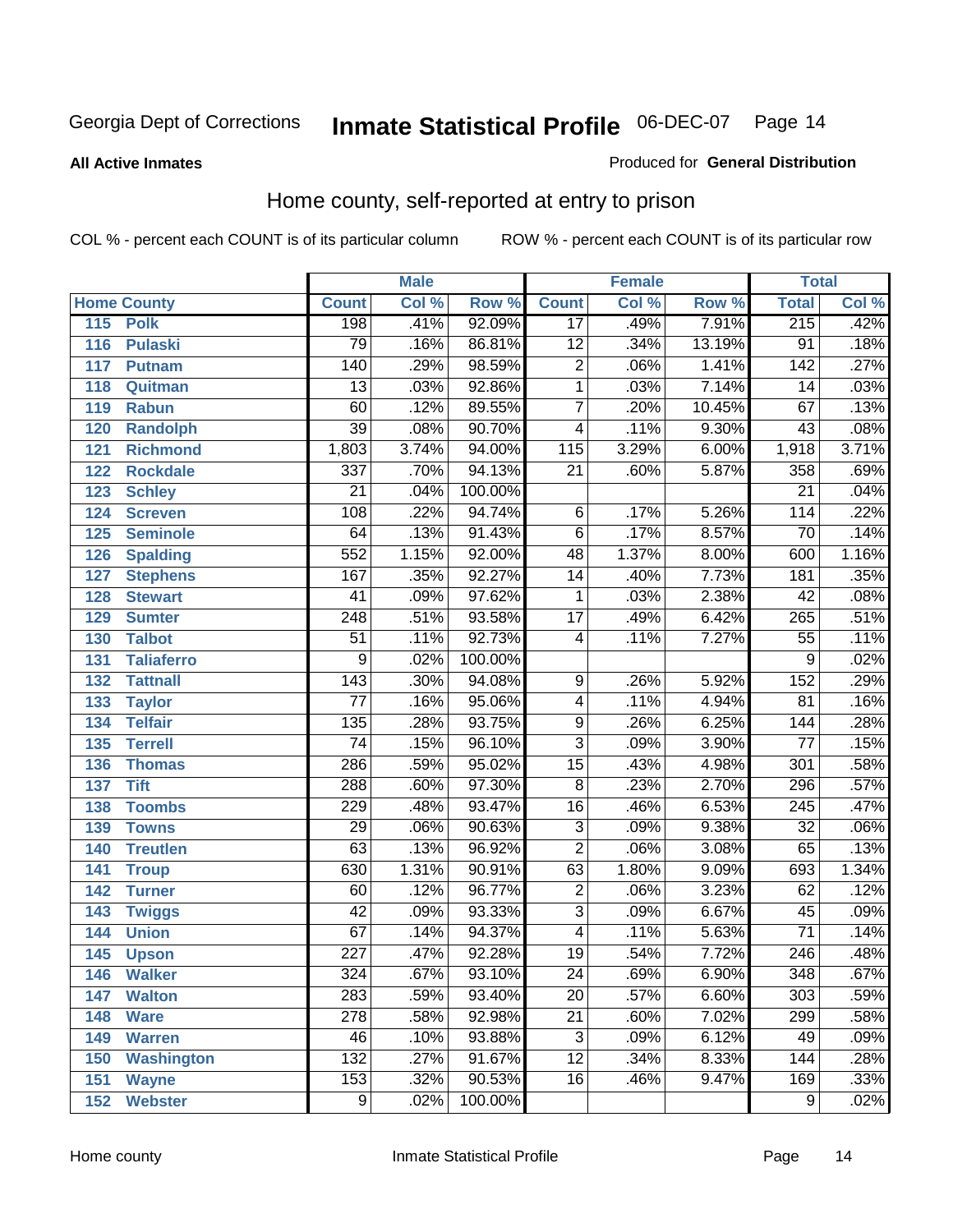#### **All Active Inmates**

#### Produced for **General Distribution**

# Home county, self-reported at entry to prison

|     |                    |                  | <b>Male</b> |         |                  | <b>Female</b> |          | <b>Total</b>     |                            |
|-----|--------------------|------------------|-------------|---------|------------------|---------------|----------|------------------|----------------------------|
|     | <b>Home County</b> | <b>Count</b>     | Col %       | Row %   | <b>Count</b>     | Col %         | Row %    | <b>Total</b>     | $\overline{\text{Col }^9}$ |
| 115 | <b>Polk</b>        | 198              | .41%        | 92.09%  | $\overline{17}$  | .49%          | 7.91%    | 215              | .42%                       |
| 116 | <b>Pulaski</b>     | $\overline{79}$  | .16%        | 86.81%  | $\overline{12}$  | .34%          | 13.19%   | $\overline{91}$  | .18%                       |
| 117 | <b>Putnam</b>      | 140              | .29%        | 98.59%  | $\overline{2}$   | .06%          | 1.41%    | $\overline{142}$ | .27%                       |
| 118 | Quitman            | $\overline{13}$  | .03%        | 92.86%  | $\overline{1}$   | .03%          | 7.14%    | 14               | .03%                       |
| 119 | <b>Rabun</b>       | 60               | .12%        | 89.55%  | $\overline{7}$   | .20%          | 10.45%   | 67               | .13%                       |
| 120 | <b>Randolph</b>    | $\overline{39}$  | .08%        | 90.70%  | $\overline{4}$   | .11%          | 9.30%    | 43               | .08%                       |
| 121 | <b>Richmond</b>    | 1,803            | 3.74%       | 94.00%  | $\overline{115}$ | 3.29%         | 6.00%    | 1,918            | 3.71%                      |
| 122 | <b>Rockdale</b>    | $\overline{337}$ | .70%        | 94.13%  | $\overline{21}$  | .60%          | 5.87%    | 358              | .69%                       |
| 123 | <b>Schley</b>      | $\overline{21}$  | .04%        | 100.00% |                  |               |          | $\overline{21}$  | .04%                       |
| 124 | <b>Screven</b>     | 108              | .22%        | 94.74%  | 6                | .17%          | 5.26%    | 114              | .22%                       |
| 125 | <b>Seminole</b>    | 64               | .13%        | 91.43%  | $\overline{6}$   | .17%          | 8.57%    | 70               | .14%                       |
| 126 | <b>Spalding</b>    | 552              | 1.15%       | 92.00%  | 48               | 1.37%         | 8.00%    | 600              | 1.16%                      |
| 127 | <b>Stephens</b>    | 167              | .35%        | 92.27%  | $\overline{14}$  | .40%          | 7.73%    | 181              | .35%                       |
| 128 | <b>Stewart</b>     | $\overline{41}$  | .09%        | 97.62%  | 1                | .03%          | 2.38%    | $\overline{42}$  | .08%                       |
| 129 | <b>Sumter</b>      | $\overline{248}$ | .51%        | 93.58%  | $\overline{17}$  | .49%          | 6.42%    | 265              | .51%                       |
| 130 | <b>Talbot</b>      | $\overline{51}$  | .11%        | 92.73%  | 4                | .11%          | 7.27%    | $\overline{55}$  | .11%                       |
| 131 | <b>Taliaferro</b>  | $\overline{9}$   | .02%        | 100.00% |                  |               |          | 9                | .02%                       |
| 132 | <b>Tattnall</b>    | $\overline{143}$ | .30%        | 94.08%  | 9                | .26%          | 5.92%    | 152              | .29%                       |
| 133 | <b>Taylor</b>      | $\overline{77}$  | .16%        | 95.06%  | $\overline{4}$   | .11%          | 4.94%    | 81               | .16%                       |
| 134 | <b>Telfair</b>     | 135              | .28%        | 93.75%  | $\overline{9}$   | .26%          | 6.25%    | 144              | .28%                       |
| 135 | <b>Terrell</b>     | $\overline{74}$  | .15%        | 96.10%  | $\overline{3}$   | .09%          | 3.90%    | $\overline{77}$  | .15%                       |
| 136 | <b>Thomas</b>      | 286              | .59%        | 95.02%  | $\overline{15}$  | .43%          | 4.98%    | $\overline{301}$ | .58%                       |
| 137 | <b>Tift</b>        | 288              | .60%        | 97.30%  | $\overline{8}$   | .23%          | 2.70%    | 296              | .57%                       |
| 138 | <b>Toombs</b>      | 229              | .48%        | 93.47%  | $\overline{16}$  | .46%          | 6.53%    | $\overline{245}$ | .47%                       |
| 139 | <b>Towns</b>       | $\overline{29}$  | .06%        | 90.63%  | $\overline{3}$   | .09%          | 9.38%    | $\overline{32}$  | .06%                       |
| 140 | <b>Treutlen</b>    | 63               | .13%        | 96.92%  | $\overline{2}$   | .06%          | 3.08%    | 65               | .13%                       |
| 141 | <b>Troup</b>       | 630              | 1.31%       | 90.91%  | 63               | 1.80%         | 9.09%    | 693              | 1.34%                      |
| 142 | <b>Turner</b>      | 60               | .12%        | 96.77%  | $\overline{2}$   | .06%          | 3.23%    | 62               | .12%                       |
| 143 | <b>Twiggs</b>      | $\overline{42}$  | .09%        | 93.33%  | $\overline{3}$   | .09%          | 6.67%    | 45               | .09%                       |
| 144 | <b>Union</b>       | 67               | .14%        | 94.37%  | $\overline{4}$   | .11%          | 5.63%    | $\overline{71}$  | .14%                       |
| 145 | <b>Upson</b>       | $\overline{227}$ | .47%        | 92.28%  | $\overline{19}$  | .54%          | 7.72%    | $\overline{246}$ | .48%                       |
| 146 | <b>Walker</b>      | 324              | .67%        | 93.10%  | 24               | .69%          | $6.90\%$ | 348              | .67%                       |
| 147 | <b>Walton</b>      | 283              | .59%        | 93.40%  | $\overline{20}$  | .57%          | 6.60%    | $\overline{303}$ | .59%                       |
| 148 | <b>Ware</b>        | $\overline{278}$ | .58%        | 92.98%  | $\overline{21}$  | .60%          | 7.02%    | 299              | .58%                       |
| 149 | <b>Warren</b>      | 46               | .10%        | 93.88%  | $\overline{3}$   | .09%          | 6.12%    | 49               | .09%                       |
| 150 | <b>Washington</b>  | 132              | .27%        | 91.67%  | $\overline{12}$  | .34%          | 8.33%    | 144              | .28%                       |
| 151 | <b>Wayne</b>       | 153              | .32%        | 90.53%  | $\overline{16}$  | .46%          | 9.47%    | 169              | .33%                       |
| 152 | <b>Webster</b>     | $\overline{9}$   | .02%        | 100.00% |                  |               |          | $\overline{9}$   | .02%                       |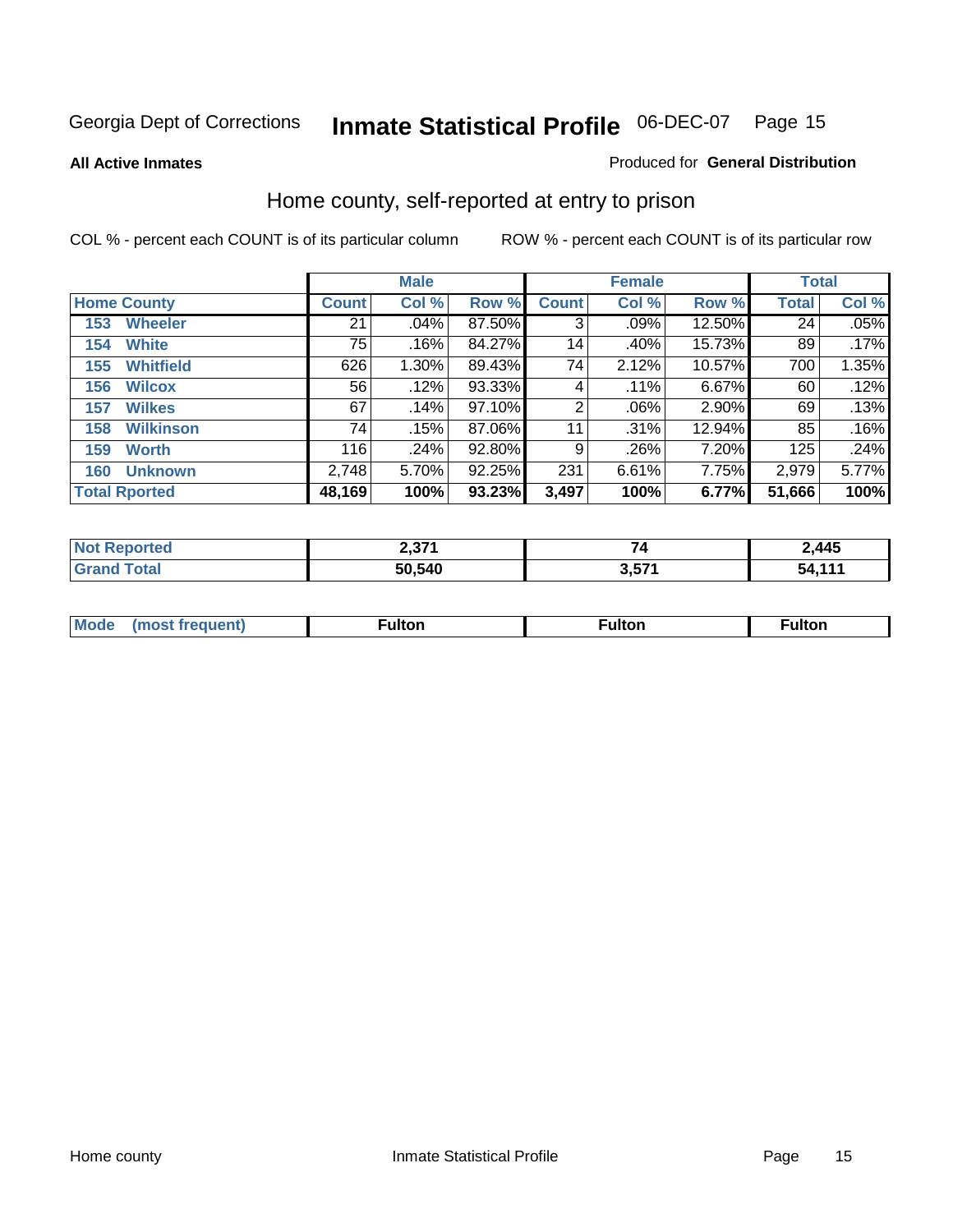#### **All Active Inmates**

#### Produced for **General Distribution**

# Home county, self-reported at entry to prison

|                      |                  | <b>Male</b>  |       |        |              | <b>Female</b> | <b>Total</b> |              |       |
|----------------------|------------------|--------------|-------|--------|--------------|---------------|--------------|--------------|-------|
| <b>Home County</b>   |                  | <b>Count</b> | Col % | Row %  | <b>Count</b> | Col %         | Row %        | <b>Total</b> | Col % |
| 153                  | <b>Wheeler</b>   | 21           | .04%  | 87.50% | 3            | .09%          | 12.50%       | 24           | .05%  |
| 154                  | <b>White</b>     | 75           | .16%  | 84.27% | 14           | .40%          | 15.73%       | 89           | .17%  |
| 155                  | <b>Whitfield</b> | 626          | 1.30% | 89.43% | 74           | 2.12%         | 10.57%       | 700          | 1.35% |
| 156                  | <b>Wilcox</b>    | 56           | .12%  | 93.33% | 4            | $.11\%$       | 6.67%        | 60           | .12%  |
| 157                  | <b>Wilkes</b>    | 67           | .14%  | 97.10% | 2            | .06%          | 2.90%        | 69           | .13%  |
| 158                  | <b>Wilkinson</b> | 74           | .15%  | 87.06% | 11           | .31%          | 12.94%       | 85           | .16%  |
| 159                  | <b>Worth</b>     | 116          | .24%  | 92.80% | 9            | .26%          | 7.20%        | 125          | .24%  |
| 160                  | <b>Unknown</b>   | 2,748        | 5.70% | 92.25% | 231          | 6.61%         | 7.75%        | 2,979        | 5.77% |
| <b>Total Rported</b> |                  | 48,169       | 100%  | 93.23% | 3,497        | 100%          | 6.77%        | 51,666       | 100%  |

| rted<br>NO1 | גדם ה<br>2.JI |                    | 2,445        |
|-------------|---------------|--------------------|--------------|
| <b>ctal</b> | 50,540        | <b>E74</b><br>v,v. | $-11/$<br>יי |

| <b>Mode</b> | ---<br>.tor | <b>ulton</b> | . |
|-------------|-------------|--------------|---|
|             |             |              |   |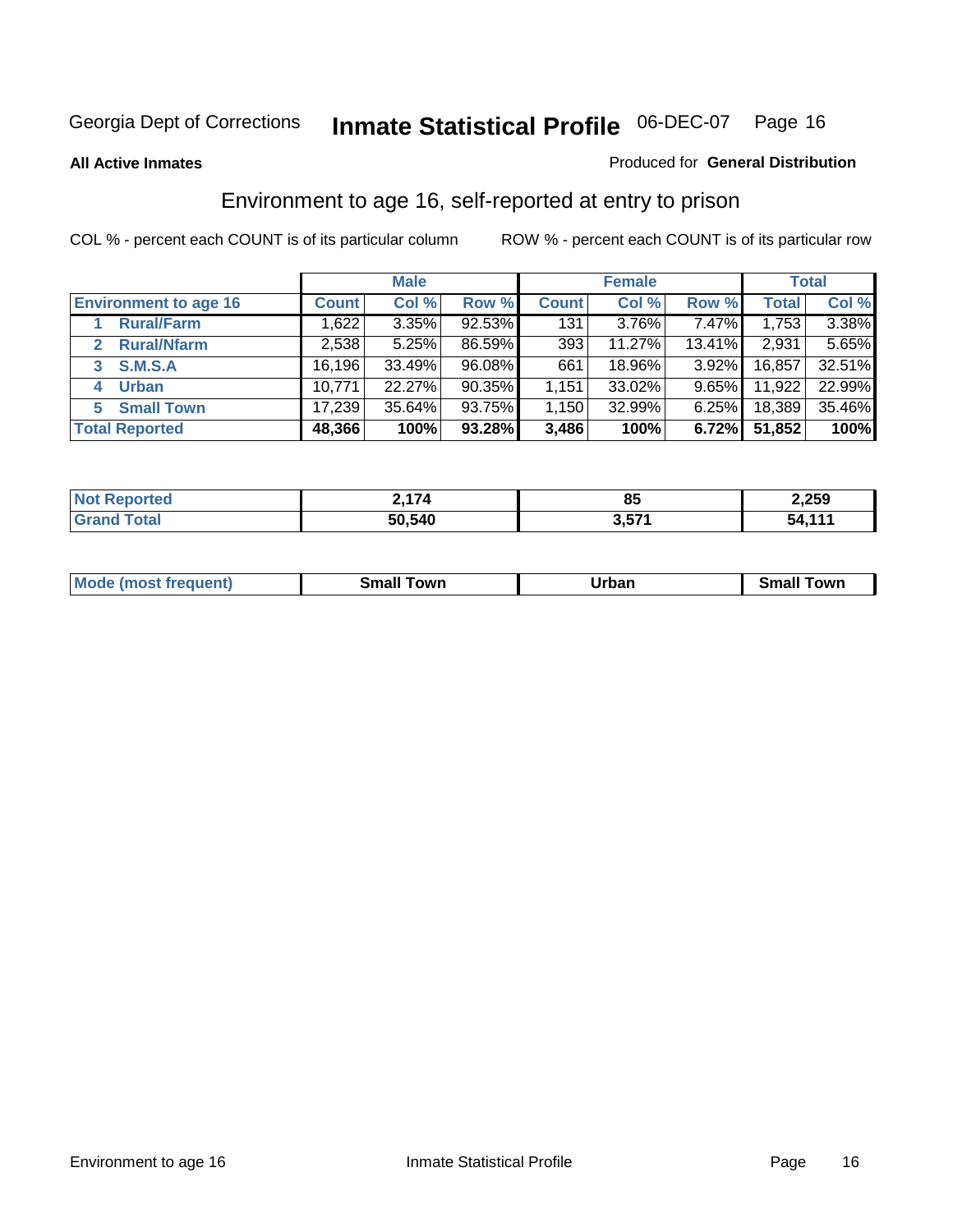**All Active Inmates**

#### Produced for **General Distribution**

# Environment to age 16, self-reported at entry to prison

|                                    | <b>Male</b>  |          | <b>Female</b> |              |        | <b>Total</b> |              |        |
|------------------------------------|--------------|----------|---------------|--------------|--------|--------------|--------------|--------|
| <b>Environment to age 16</b>       | <b>Count</b> | Col %    | Row %         | <b>Count</b> | Col %  | Row %        | <b>Total</b> | Col %  |
| <b>Rural/Farm</b>                  | 1,622        | $3.35\%$ | 92.53%        | 131          | 3.76%  | 7.47%        | 1,753        | 3.38%  |
| <b>Rural/Nfarm</b><br>$\mathbf{2}$ | 2,538        | 5.25%    | 86.59%        | 393          | 11.27% | 13.41%       | 2,931        | 5.65%  |
| <b>S.M.S.A</b><br>3                | 16,196       | 33.49%   | 96.08%        | 661          | 18.96% | $3.92\%$     | 16,857       | 32.51% |
| <b>Urban</b><br>4                  | 10,771       | 22.27%   | 90.35%        | 1,151        | 33.02% | $9.65\%$     | 11,922       | 22.99% |
| <b>Small Town</b><br>5.            | 17,239       | 35.64%   | 93.75%        | ا 150. ا     | 32.99% | 6.25%        | 18,389       | 35.46% |
| <b>Total Reported</b>              | 48,366       | 100%     | 93.28%        | 3,486        | 100%   | 6.72%        | 51,852       | 100%   |

| Reported<br><b>Not</b> | $\rightarrow$<br>l 74 | 85             | 2,259  |
|------------------------|-----------------------|----------------|--------|
| Total                  | 50,540                | 2571<br>י וטוט | 54 114 |

| Mo<br>. . | . owr | <u>'''' ''</u><br>roa<br>_____ | .0W <sub>r</sub> |
|-----------|-------|--------------------------------|------------------|
|           |       |                                |                  |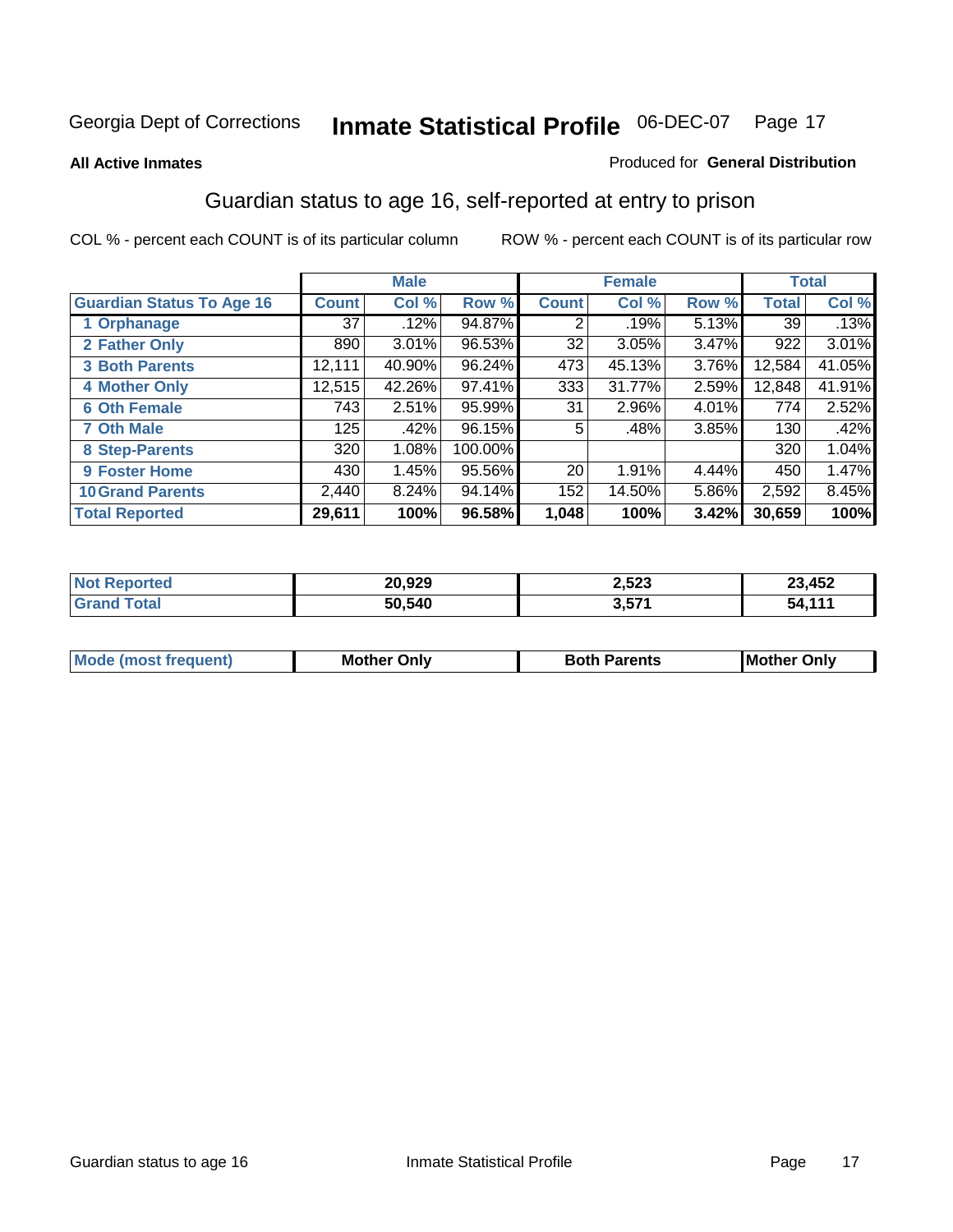#### **All Active Inmates**

#### Produced for **General Distribution**

# Guardian status to age 16, self-reported at entry to prison

|                                  |              | <b>Male</b> |         |                 | <b>Female</b> |       |              | <b>Total</b> |
|----------------------------------|--------------|-------------|---------|-----------------|---------------|-------|--------------|--------------|
| <b>Guardian Status To Age 16</b> | <b>Count</b> | Col %       | Row %   | <b>Count</b>    | Col %         | Row % | <b>Total</b> | Col %        |
| 1 Orphanage                      | 37           | .12%        | 94.87%  | 2               | .19%          | 5.13% | 39           | .13%         |
| 2 Father Only                    | 890          | 3.01%       | 96.53%  | 32              | 3.05%         | 3.47% | 922          | 3.01%        |
| <b>3 Both Parents</b>            | 12,111       | 40.90%      | 96.24%  | 473             | 45.13%        | 3.76% | 12,584       | 41.05%       |
| <b>4 Mother Only</b>             | 12,515       | 42.26%      | 97.41%  | 333             | 31.77%        | 2.59% | 12,848       | 41.91%       |
| <b>6 Oth Female</b>              | 743          | 2.51%       | 95.99%  | 31              | 2.96%         | 4.01% | 774          | 2.52%        |
| <b>7 Oth Male</b>                | 125          | .42%        | 96.15%  | 5               | .48%          | 3.85% | 130          | .42%         |
| 8 Step-Parents                   | 320          | 1.08%       | 100.00% |                 |               |       | 320          | 1.04%        |
| 9 Foster Home                    | 430          | 1.45%       | 95.56%  | 20 <sub>1</sub> | 1.91%         | 4.44% | 450          | 1.47%        |
| <b>10 Grand Parents</b>          | 2,440        | 8.24%       | 94.14%  | 152             | 14.50%        | 5.86% | 2,592        | 8.45%        |
| <b>Total Reported</b>            | 29,611       | 100%        | 96.58%  | 1,048           | 100%          | 3.42% | 30,659       | 100%         |

| Nt   | 20,929 | 2,523 | 23,452                                     |
|------|--------|-------|--------------------------------------------|
| . Gr | 50,540 | 3,571 | $\begin{array}{c} \n44 \end{array}$<br>-54 |

| Mode<br>(most frequent) | <b>Mother</b><br>Only | <b>Both Parents</b> | Mother Only |
|-------------------------|-----------------------|---------------------|-------------|
|                         |                       |                     |             |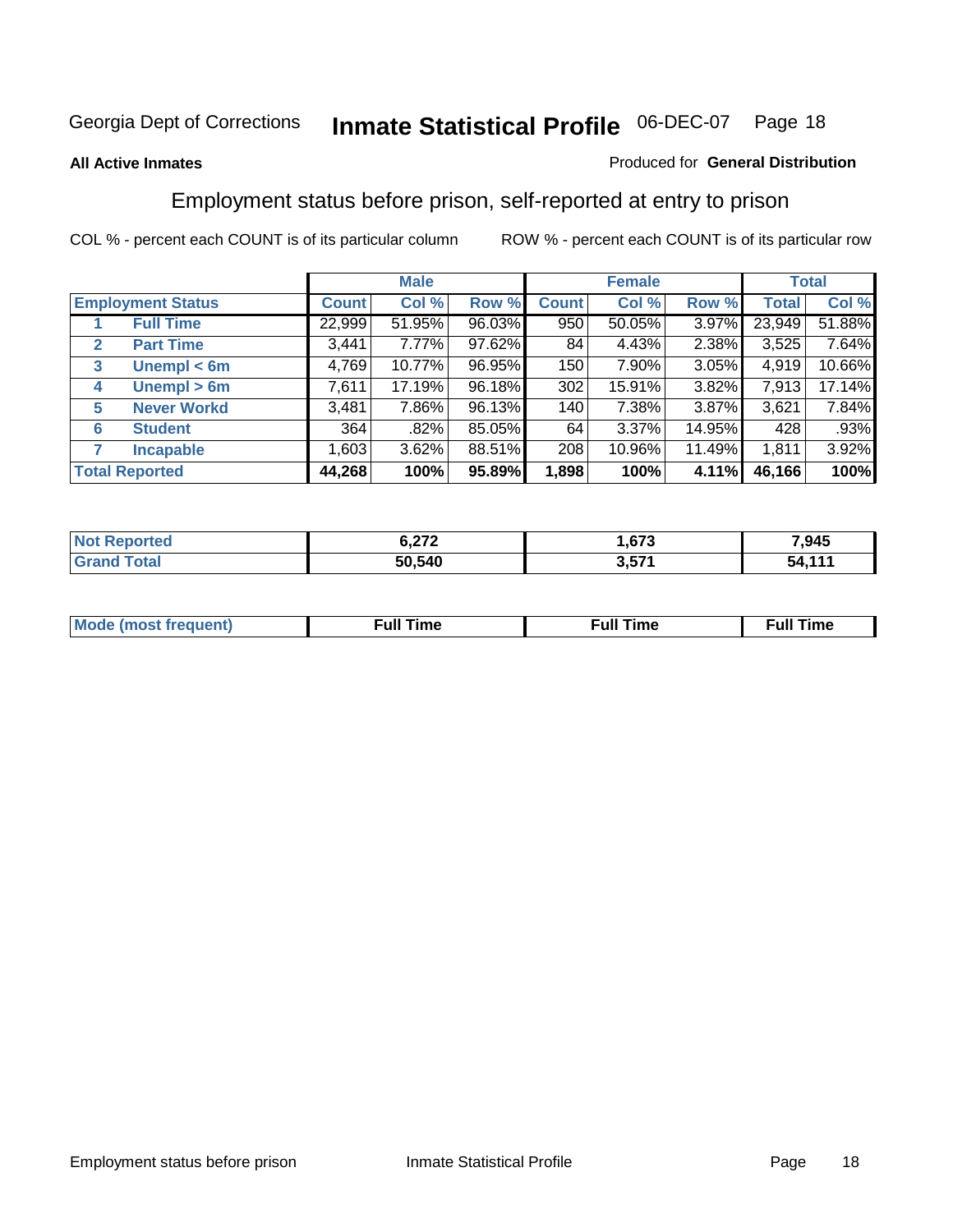#### **All Active Inmates**

#### Produced for **General Distribution**

# Employment status before prison, self-reported at entry to prison

|              |                          |              | <b>Male</b> |        |              | <b>Female</b> |        |        | <b>Total</b> |
|--------------|--------------------------|--------------|-------------|--------|--------------|---------------|--------|--------|--------------|
|              | <b>Employment Status</b> | <b>Count</b> | Col %       | Row %  | <b>Count</b> | Col %         | Row %  | Total  | Col %        |
|              | <b>Full Time</b>         | 22,999       | 51.95%      | 96.03% | 950          | 50.05%        | 3.97%  | 23,949 | 51.88%       |
| $\mathbf{2}$ | <b>Part Time</b>         | 3,441        | 7.77%       | 97.62% | 84           | 4.43%         | 2.38%  | 3,525  | 7.64%        |
| 3            | Unempl $<$ 6m            | 4,769        | 10.77%      | 96.95% | 150          | 7.90%         | 3.05%  | 4,919  | 10.66%       |
| 4            | Unempl > 6m              | 7,611        | 17.19%      | 96.18% | 302          | 15.91%        | 3.82%  | 7,913  | 17.14%       |
| 5            | <b>Never Workd</b>       | 3,481        | 7.86%       | 96.13% | 140          | 7.38%         | 3.87%  | 3,621  | 7.84%        |
| 6            | <b>Student</b>           | 364          | .82%        | 85.05% | 64           | 3.37%         | 14.95% | 428    | .93%         |
|              | <b>Incapable</b>         | 1,603        | 3.62%       | 88.51% | 208          | 10.96%        | 11.49% | 1,811  | 3.92%        |
|              | <b>Total Reported</b>    | 44,268       | 100%        | 95.89% | 1,898        | 100%          | 4.11%  | 46,166 | 100%         |

| n er | ית י<br>, <u>, , ,</u><br>--- | 673             | .945      |
|------|-------------------------------|-----------------|-----------|
|      | 50,540                        | O ETA<br>ו שוני | 44/<br>54 |

| <b>M</b> ດ | the contract of the contract of the contract of the contract of the contract of the contract of the contract of | the contract of the contract of the contract of the contract of the contract of the contract of the contract of | ----<br><b>Full Time</b> |
|------------|-----------------------------------------------------------------------------------------------------------------|-----------------------------------------------------------------------------------------------------------------|--------------------------|
|            |                                                                                                                 |                                                                                                                 |                          |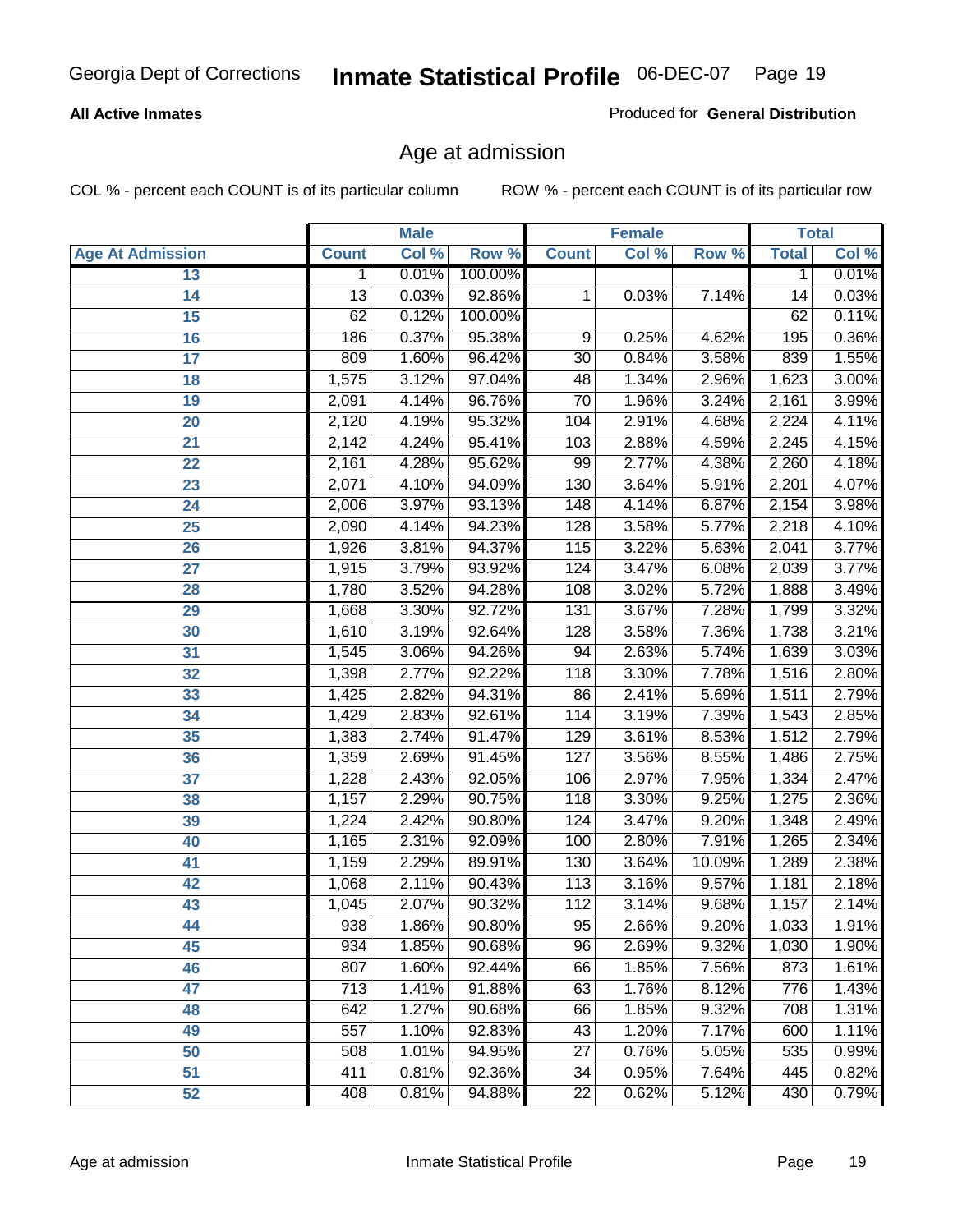#### **All Active Inmates**

Produced for **General Distribution**

# Age at admission

|                         | <b>Male</b>      |       | <b>Female</b> |                  |       | <b>Total</b> |              |       |
|-------------------------|------------------|-------|---------------|------------------|-------|--------------|--------------|-------|
| <b>Age At Admission</b> | <b>Count</b>     | Col % | Row %         | <b>Count</b>     | Col % | Row %        | <b>Total</b> | Col % |
| 13                      | 1                | 0.01% | 100.00%       |                  |       |              | 1            | 0.01% |
| 14                      | 13               | 0.03% | 92.86%        | 1                | 0.03% | 7.14%        | 14           | 0.03% |
| 15                      | 62               | 0.12% | 100.00%       |                  |       |              | 62           | 0.11% |
| 16                      | 186              | 0.37% | 95.38%        | 9                | 0.25% | 4.62%        | 195          | 0.36% |
| $\overline{17}$         | 809              | 1.60% | 96.42%        | $\overline{30}$  | 0.84% | 3.58%        | 839          | 1.55% |
| 18                      | 1,575            | 3.12% | 97.04%        | 48               | 1.34% | 2.96%        | 1,623        | 3.00% |
| 19                      | 2,091            | 4.14% | 96.76%        | $\overline{70}$  | 1.96% | 3.24%        | 2,161        | 3.99% |
| 20                      | 2,120            | 4.19% | 95.32%        | 104              | 2.91% | 4.68%        | 2,224        | 4.11% |
| 21                      | 2,142            | 4.24% | 95.41%        | 103              | 2.88% | 4.59%        | 2,245        | 4.15% |
| 22                      | 2,161            | 4.28% | 95.62%        | 99               | 2.77% | 4.38%        | 2,260        | 4.18% |
| 23                      | 2,071            | 4.10% | 94.09%        | 130              | 3.64% | 5.91%        | 2,201        | 4.07% |
| 24                      | 2,006            | 3.97% | 93.13%        | 148              | 4.14% | 6.87%        | 2,154        | 3.98% |
| 25                      | 2,090            | 4.14% | 94.23%        | 128              | 3.58% | 5.77%        | 2,218        | 4.10% |
| 26                      | 1,926            | 3.81% | 94.37%        | 115              | 3.22% | 5.63%        | 2,041        | 3.77% |
| 27                      | 1,915            | 3.79% | 93.92%        | 124              | 3.47% | 6.08%        | 2,039        | 3.77% |
| 28                      | 1,780            | 3.52% | 94.28%        | 108              | 3.02% | 5.72%        | 1,888        | 3.49% |
| 29                      | 1,668            | 3.30% | 92.72%        | $\overline{131}$ | 3.67% | 7.28%        | 1,799        | 3.32% |
| 30                      | 1,610            | 3.19% | 92.64%        | 128              | 3.58% | 7.36%        | 1,738        | 3.21% |
| 31                      | 1,545            | 3.06% | 94.26%        | 94               | 2.63% | 5.74%        | 1,639        | 3.03% |
| 32                      | 1,398            | 2.77% | 92.22%        | 118              | 3.30% | 7.78%        | 1,516        | 2.80% |
| 33                      | 1,425            | 2.82% | 94.31%        | 86               | 2.41% | 5.69%        | 1,511        | 2.79% |
| 34                      | 1,429            | 2.83% | 92.61%        | 114              | 3.19% | 7.39%        | 1,543        | 2.85% |
| 35                      | 1,383            | 2.74% | 91.47%        | 129              | 3.61% | 8.53%        | 1,512        | 2.79% |
| 36                      | 1,359            | 2.69% | 91.45%        | 127              | 3.56% | 8.55%        | 1,486        | 2.75% |
| 37                      | 1,228            | 2.43% | 92.05%        | 106              | 2.97% | 7.95%        | 1,334        | 2.47% |
| 38                      | 1,157            | 2.29% | 90.75%        | 118              | 3.30% | 9.25%        | 1,275        | 2.36% |
| 39                      | 1,224            | 2.42% | 90.80%        | 124              | 3.47% | 9.20%        | 1,348        | 2.49% |
| 40                      | 1,165            | 2.31% | 92.09%        | 100              | 2.80% | 7.91%        | 1,265        | 2.34% |
| 41                      | 1,159            | 2.29% | 89.91%        | 130              | 3.64% | 10.09%       | 1,289        | 2.38% |
| 42                      | 1,068            | 2.11% | 90.43%        | 113              | 3.16% | 9.57%        | 1,181        | 2.18% |
| 43                      | 1,045            | 2.07% | 90.32%        | 112              | 3.14% | 9.68%        | 1,157        | 2.14% |
| 44                      | 938              | 1.86% | 90.80%        | 95               | 2.66% | 9.20%        | 1,033        | 1.91% |
| 45                      | 934              | 1.85% | 90.68%        | 96               | 2.69% | 9.32%        | 1,030        | 1.90% |
| 46                      | 807              | 1.60% | 92.44%        | 66               | 1.85% | 7.56%        | 873          | 1.61% |
| 47                      | $\overline{713}$ | 1.41% | 91.88%        | 63               | 1.76% | 8.12%        | 776          | 1.43% |
| 48                      | 642              | 1.27% | 90.68%        | 66               | 1.85% | 9.32%        | 708          | 1.31% |
| 49                      | 557              | 1.10% | 92.83%        | 43               | 1.20% | 7.17%        | 600          | 1.11% |
| 50                      | 508              | 1.01% | 94.95%        | 27               | 0.76% | 5.05%        | 535          | 0.99% |
| 51                      | 411              | 0.81% | 92.36%        | 34               | 0.95% | 7.64%        | 445          | 0.82% |
| 52                      | 408              | 0.81% | 94.88%        | 22               | 0.62% | 5.12%        | 430          | 0.79% |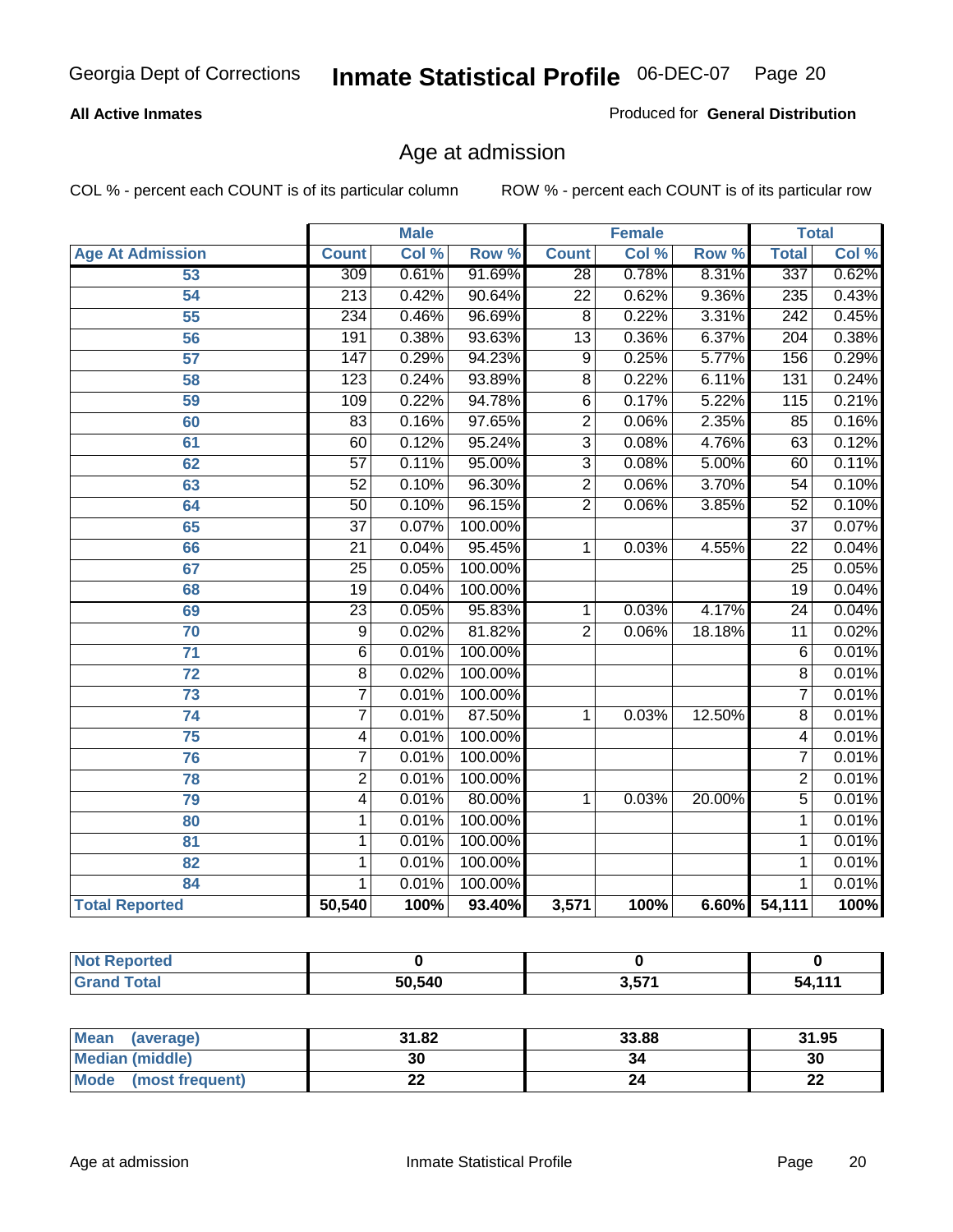#### **All Active Inmates**

Produced for **General Distribution**

# Age at admission

|                         | <b>Male</b>      |       | <b>Female</b> |                 |       | <b>Total</b> |                  |       |
|-------------------------|------------------|-------|---------------|-----------------|-------|--------------|------------------|-------|
| <b>Age At Admission</b> | <b>Count</b>     | Col % | Row %         | <b>Count</b>    | Col % | Row %        | <b>Total</b>     | Col % |
| 53                      | 309              | 0.61% | 91.69%        | $\overline{28}$ | 0.78% | 8.31%        | 337              | 0.62% |
| 54                      | $\overline{213}$ | 0.42% | 90.64%        | $\overline{22}$ | 0.62% | 9.36%        | 235              | 0.43% |
| $\overline{55}$         | 234              | 0.46% | 96.69%        | $\overline{8}$  | 0.22% | 3.31%        | $\overline{242}$ | 0.45% |
| $\overline{56}$         | 191              | 0.38% | 93.63%        | $\overline{13}$ | 0.36% | 6.37%        | $\overline{204}$ | 0.38% |
| $\overline{57}$         | $\overline{147}$ | 0.29% | 94.23%        | 9               | 0.25% | 5.77%        | 156              | 0.29% |
| 58                      | $\overline{123}$ | 0.24% | 93.89%        | $\overline{8}$  | 0.22% | 6.11%        | 131              | 0.24% |
| 59                      | 109              | 0.22% | 94.78%        | $\overline{6}$  | 0.17% | 5.22%        | 115              | 0.21% |
| 60                      | 83               | 0.16% | 97.65%        | $\overline{2}$  | 0.06% | 2.35%        | 85               | 0.16% |
| 61                      | 60               | 0.12% | 95.24%        | $\overline{3}$  | 0.08% | 4.76%        | 63               | 0.12% |
| 62                      | $\overline{57}$  | 0.11% | 95.00%        | $\overline{3}$  | 0.08% | 5.00%        | 60               | 0.11% |
| 63                      | $\overline{52}$  | 0.10% | 96.30%        | $\overline{2}$  | 0.06% | 3.70%        | 54               | 0.10% |
| 64                      | $\overline{50}$  | 0.10% | 96.15%        | $\overline{2}$  | 0.06% | 3.85%        | $\overline{52}$  | 0.10% |
| 65                      | $\overline{37}$  | 0.07% | 100.00%       |                 |       |              | $\overline{37}$  | 0.07% |
| 66                      | $\overline{21}$  | 0.04% | 95.45%        | 1               | 0.03% | 4.55%        | $\overline{22}$  | 0.04% |
| 67                      | $\overline{25}$  | 0.05% | 100.00%       |                 |       |              | $\overline{25}$  | 0.05% |
| 68                      | $\overline{19}$  | 0.04% | 100.00%       |                 |       |              | $\overline{19}$  | 0.04% |
| 69                      | $\overline{23}$  | 0.05% | 95.83%        | 1               | 0.03% | 4.17%        | $\overline{24}$  | 0.04% |
| 70                      | $\overline{9}$   | 0.02% | 81.82%        | $\overline{2}$  | 0.06% | 18.18%       | $\overline{11}$  | 0.02% |
| 71                      | $\overline{6}$   | 0.01% | 100.00%       |                 |       |              | 6                | 0.01% |
| $\overline{72}$         | $\overline{8}$   | 0.02% | 100.00%       |                 |       |              | $\overline{8}$   | 0.01% |
| $\overline{73}$         | $\overline{7}$   | 0.01% | 100.00%       |                 |       |              | 7                | 0.01% |
| $\overline{74}$         | $\overline{7}$   | 0.01% | 87.50%        | 1               | 0.03% | 12.50%       | $\overline{8}$   | 0.01% |
| $\overline{75}$         | 4                | 0.01% | 100.00%       |                 |       |              | 4                | 0.01% |
| 76                      | $\overline{7}$   | 0.01% | 100.00%       |                 |       |              | 7                | 0.01% |
| 78                      | $\overline{2}$   | 0.01% | 100.00%       |                 |       |              | $\overline{2}$   | 0.01% |
| 79                      | $\overline{4}$   | 0.01% | 80.00%        | $\overline{1}$  | 0.03% | 20.00%       | $\overline{5}$   | 0.01% |
| 80                      | $\mathbf{1}$     | 0.01% | 100.00%       |                 |       |              | 1                | 0.01% |
| $\overline{81}$         | $\mathbf{1}$     | 0.01% | 100.00%       |                 |       |              | 1                | 0.01% |
| 82                      | $\mathbf{1}$     | 0.01% | 100.00%       |                 |       |              | 1                | 0.01% |
| 84                      | 1                | 0.01% | 100.00%       |                 |       |              | 1                | 0.01% |
| <b>Total Reported</b>   | 50,540           | 100%  | 93.40%        | 3,571           | 100%  |              | 6.60% 54,111     | 100%  |

| <b>Not Reported</b> |        |              |        |
|---------------------|--------|--------------|--------|
| <b>Grand Total</b>  | 50,540 | 3571<br>J.JI | 54.11' |

| <b>Mean</b><br>(average) | 31.82 | 33.88 | 31.95    |
|--------------------------|-------|-------|----------|
| <b>Median (middle)</b>   | 30    | 34    | 30       |
| Mode<br>(most frequent)  | ∸∸    |       | n.<br>LL |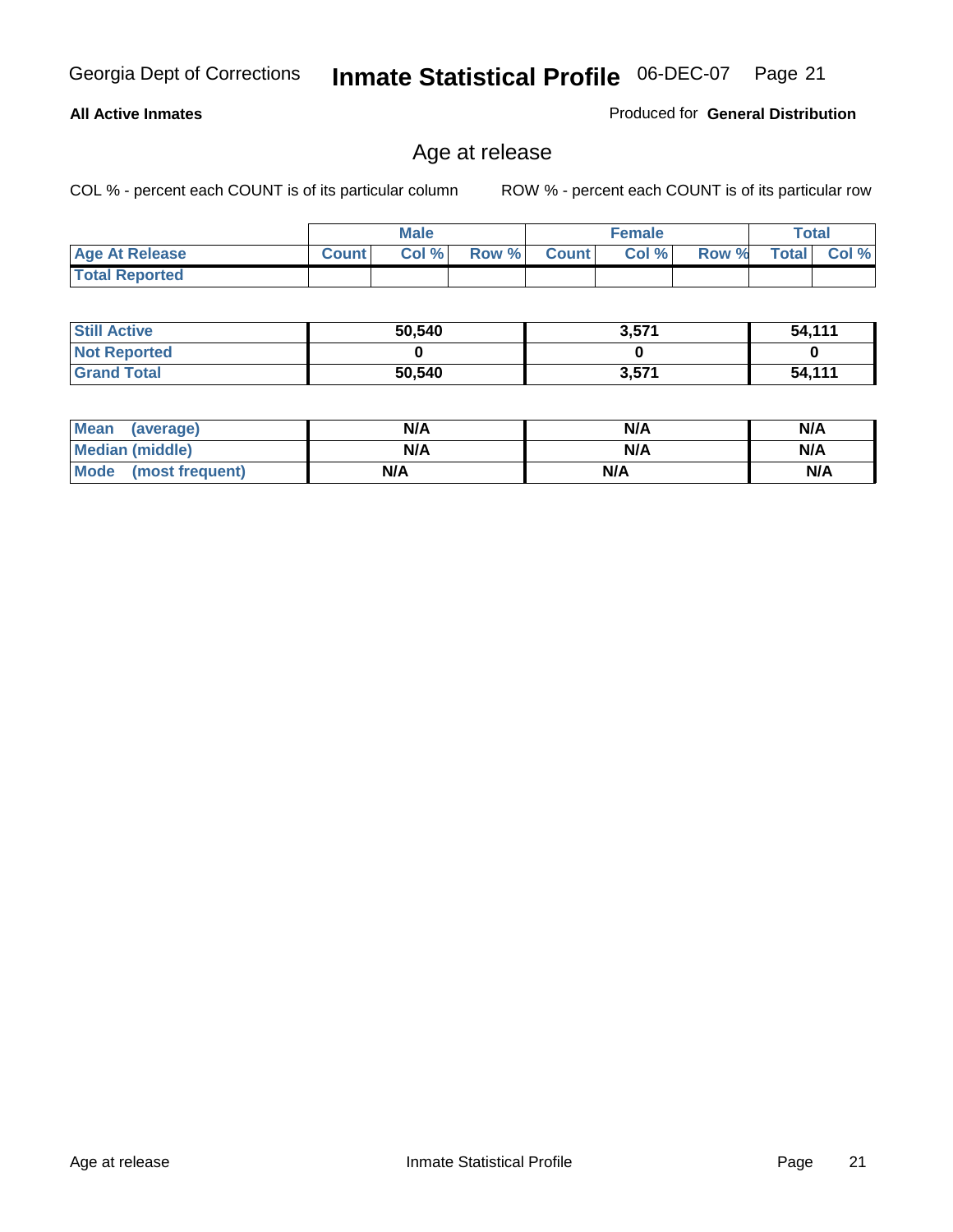#### **All Active Inmates**

Produced for **General Distribution**

# Age at release

|                       | <b>Male</b>  |      |       | <b>Female</b> |       |       | Total        |          |
|-----------------------|--------------|------|-------|---------------|-------|-------|--------------|----------|
| <b>Age At Release</b> | <b>Count</b> | Col% | Row % | <b>Count</b>  | Col % | Row % | <b>Total</b> | Col $\%$ |
| <b>Total Reported</b> |              |      |       |               |       |       |              |          |

| <b>Still Active</b> | 50,540 | 3,571 | 54,111 |
|---------------------|--------|-------|--------|
| <b>Not Reported</b> |        |       |        |
| <b>Grand Total</b>  | 50,540 | 3,571 | 54,111 |

| Mean (average)       | N/A | N/A | N/A |
|----------------------|-----|-----|-----|
| Median (middle)      | N/A | N/A | N/A |
| Mode (most frequent) | N/A | N/A | N/A |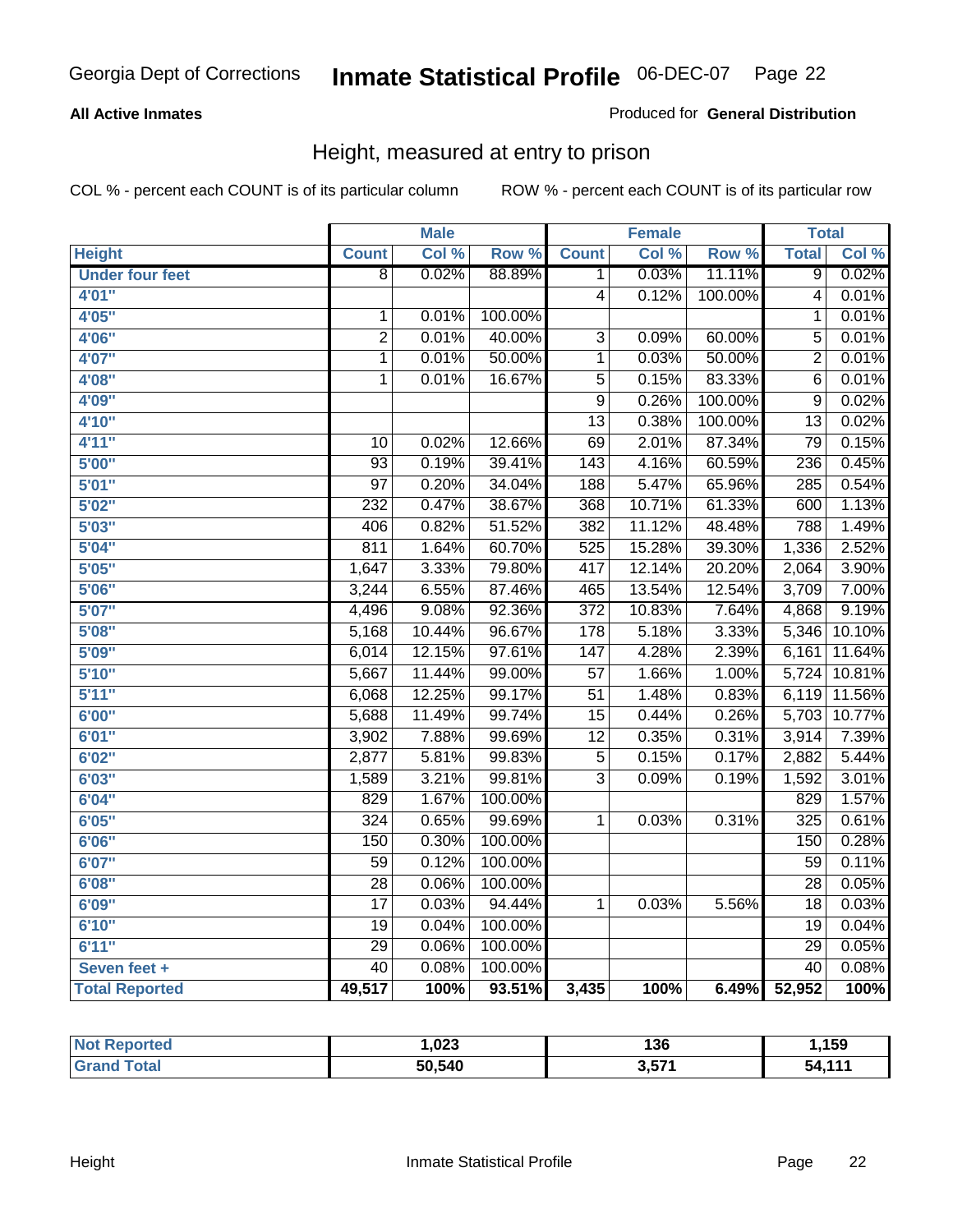#### **All Active Inmates**

#### Produced for **General Distribution**

# Height, measured at entry to prison

|                        |                 | <b>Male</b> |                  |                  | <b>Female</b> |                  | <b>Total</b>    |        |
|------------------------|-----------------|-------------|------------------|------------------|---------------|------------------|-----------------|--------|
| <b>Height</b>          | <b>Count</b>    | Col %       | Row <sup>%</sup> | <b>Count</b>     | Col %         | Row <sup>%</sup> | <b>Total</b>    | Col %  |
| <b>Under four feet</b> | $\overline{8}$  | 0.02%       | 88.89%           | 1                | 0.03%         | 11.11%           | $\overline{9}$  | 0.02%  |
| 4'01"                  |                 |             |                  | $\overline{4}$   | 0.12%         | 100.00%          | $\overline{4}$  | 0.01%  |
| 4'05''                 | 1               | 0.01%       | 100.00%          |                  |               |                  | 1               | 0.01%  |
| 4'06"                  | $\overline{2}$  | 0.01%       | 40.00%           | $\overline{3}$   | 0.09%         | 60.00%           | $\overline{5}$  | 0.01%  |
| 4'07"                  | 1               | 0.01%       | 50.00%           | $\mathbf{1}$     | 0.03%         | 50.00%           | $\overline{2}$  | 0.01%  |
| 4'08"                  | 1               | 0.01%       | 16.67%           | $\overline{5}$   | 0.15%         | 83.33%           | $\overline{6}$  | 0.01%  |
| 4'09"                  |                 |             |                  | 9                | 0.26%         | 100.00%          | 9               | 0.02%  |
| 4'10"                  |                 |             |                  | $\overline{13}$  | 0.38%         | 100.00%          | $\overline{13}$ | 0.02%  |
| 4'11''                 | $\overline{10}$ | 0.02%       | 12.66%           | $\overline{69}$  | 2.01%         | 87.34%           | $\overline{79}$ | 0.15%  |
| 5'00''                 | $\overline{93}$ | 0.19%       | 39.41%           | $\overline{143}$ | 4.16%         | 60.59%           | 236             | 0.45%  |
| 5'01''                 | $\overline{97}$ | 0.20%       | 34.04%           | 188              | 5.47%         | 65.96%           | 285             | 0.54%  |
| 5'02''                 | 232             | 0.47%       | 38.67%           | 368              | 10.71%        | 61.33%           | 600             | 1.13%  |
| 5'03''                 | 406             | 0.82%       | 51.52%           | 382              | 11.12%        | 48.48%           | 788             | 1.49%  |
| 5'04''                 | 811             | 1.64%       | 60.70%           | 525              | 15.28%        | 39.30%           | 1,336           | 2.52%  |
| 5'05''                 | 1,647           | 3.33%       | 79.80%           | 417              | 12.14%        | 20.20%           | 2,064           | 3.90%  |
| 5'06''                 | 3,244           | 6.55%       | 87.46%           | 465              | 13.54%        | 12.54%           | 3,709           | 7.00%  |
| 5'07''                 | 4,496           | 9.08%       | 92.36%           | $\overline{372}$ | 10.83%        | 7.64%            | 4,868           | 9.19%  |
| 5'08''                 | 5,168           | 10.44%      | 96.67%           | $\overline{178}$ | 5.18%         | 3.33%            | 5,346           | 10.10% |
| 5'09''                 | 6,014           | 12.15%      | 97.61%           | $\overline{147}$ | 4.28%         | 2.39%            | 6,161           | 11.64% |
| 5'10''                 | 5,667           | 11.44%      | 99.00%           | $\overline{57}$  | 1.66%         | 1.00%            | 5,724           | 10.81% |
| 5'11''                 | 6,068           | 12.25%      | 99.17%           | $\overline{51}$  | 1.48%         | 0.83%            | 6,119           | 11.56% |
| 6'00''                 | 5,688           | 11.49%      | 99.74%           | $\overline{15}$  | 0.44%         | 0.26%            | 5,703           | 10.77% |
| 6'01''                 | 3,902           | 7.88%       | 99.69%           | $\overline{12}$  | 0.35%         | 0.31%            | 3,914           | 7.39%  |
| 6'02''                 | 2,877           | 5.81%       | 99.83%           | $\overline{5}$   | 0.15%         | 0.17%            | 2,882           | 5.44%  |
| 6'03''                 | 1,589           | 3.21%       | 99.81%           | $\overline{3}$   | 0.09%         | 0.19%            | 1,592           | 3.01%  |
| 6'04''                 | 829             | 1.67%       | 100.00%          |                  |               |                  | 829             | 1.57%  |
| 6'05''                 | 324             | 0.65%       | 99.69%           | 1                | 0.03%         | 0.31%            | 325             | 0.61%  |
| 6'06''                 | 150             | 0.30%       | 100.00%          |                  |               |                  | 150             | 0.28%  |
| 6'07''                 | 59              | 0.12%       | 100.00%          |                  |               |                  | $\overline{59}$ | 0.11%  |
| 6'08''                 | $\overline{28}$ | 0.06%       | 100.00%          |                  |               |                  | $\overline{28}$ | 0.05%  |
| 6'09''                 | $\overline{17}$ | 0.03%       | 94.44%           | $\mathbf{1}$     | 0.03%         | 5.56%            | $\overline{18}$ | 0.03%  |
| 6'10''                 | $\overline{19}$ | 0.04%       | 100.00%          |                  |               |                  | $\overline{19}$ | 0.04%  |
| 6'11''                 | $\overline{29}$ | 0.06%       | 100.00%          |                  |               |                  | $\overline{29}$ | 0.05%  |
| Seven feet +           | $\overline{40}$ | 0.08%       | 100.00%          |                  |               |                  | $\overline{40}$ | 0.08%  |
| <b>Total Reported</b>  | 49,517          | 100%        | 93.51%           | 3,435            | 100%          | 6.49%            | 52,952          | 100%   |

| $^{\mathrm{H}}$ Not.<br>Reported | .023   | 136   | ,159   |
|----------------------------------|--------|-------|--------|
| <b>Total</b><br>'Grano           | 50,540 | 3,57' | 54.11' |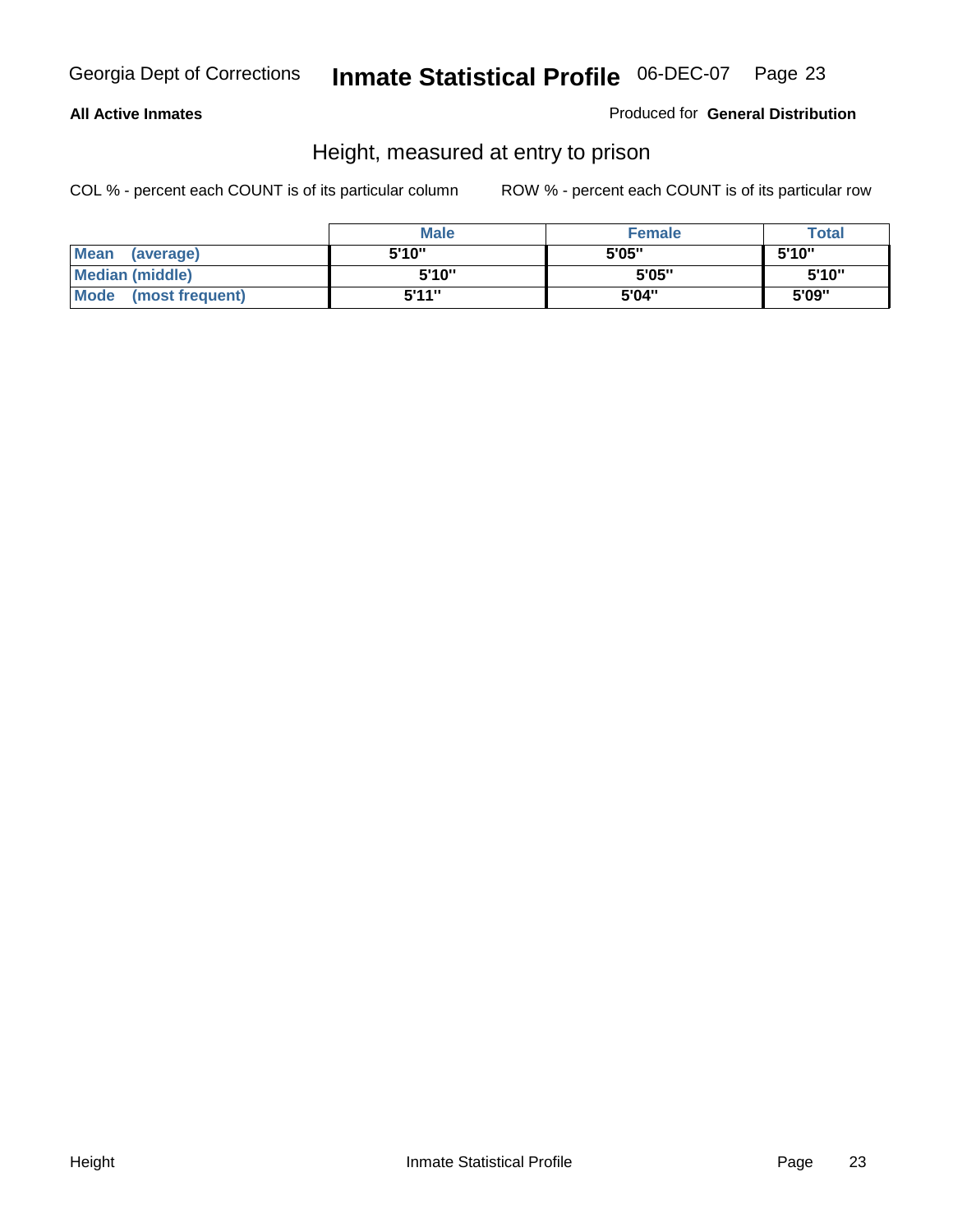#### **All Active Inmates**

Produced for **General Distribution**

# Height, measured at entry to prison

|                        | <b>Male</b> | <b>Female</b> | <b>Total</b> |
|------------------------|-------------|---------------|--------------|
| Mean (average)         | 5'10"       | 5'05"         | 5'10''       |
| <b>Median (middle)</b> | 5'10''      | 5'05"         | 5'10''       |
| Mode (most frequent)   | 5'11"       | 5'04"         | 5'09"        |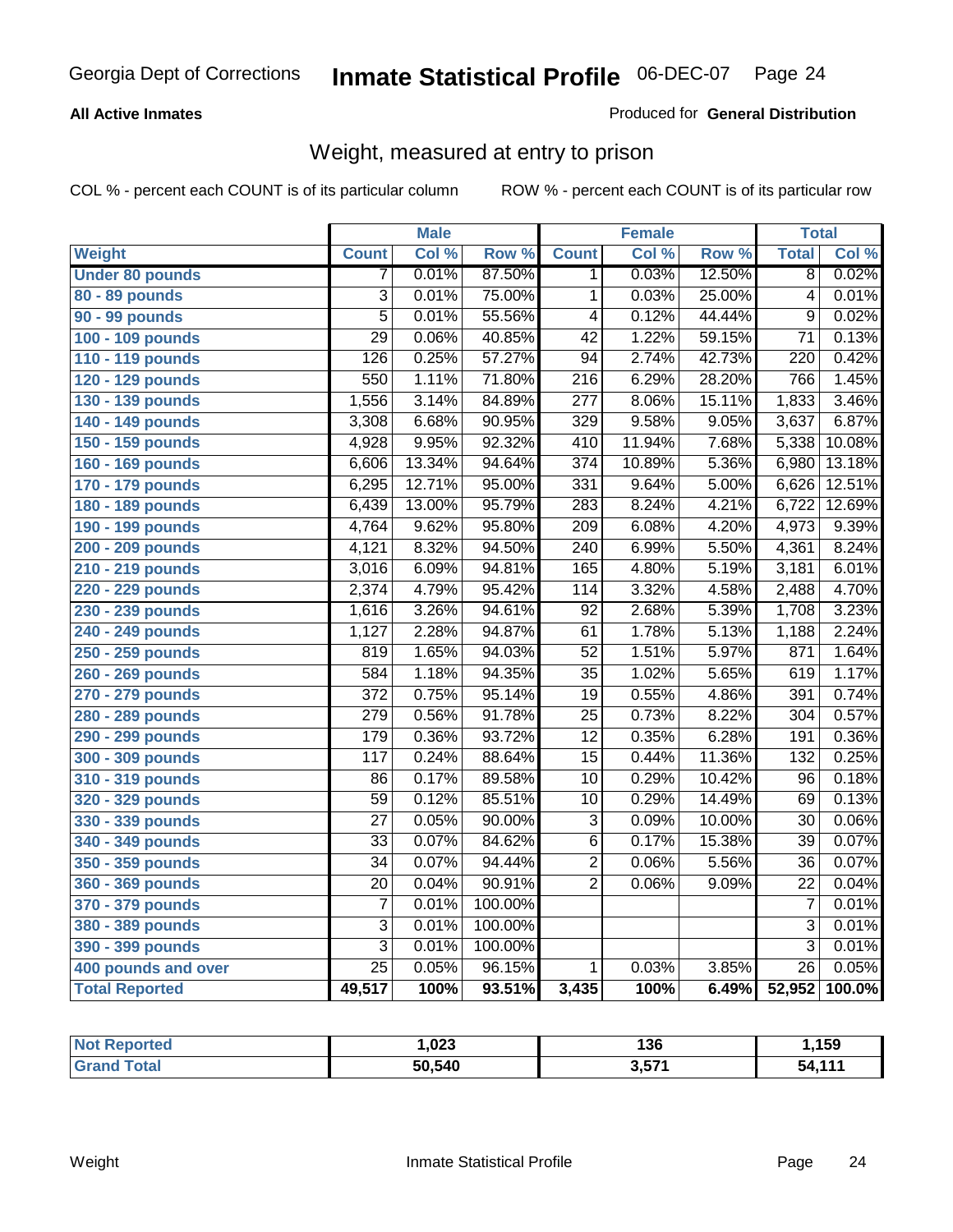#### **All Active Inmates**

#### Produced for **General Distribution**

# Weight, measured at entry to prison

|                        |                  | <b>Male</b> |         |                  | <b>Female</b> |        | <b>Total</b>    |        |
|------------------------|------------------|-------------|---------|------------------|---------------|--------|-----------------|--------|
| Weight                 | <b>Count</b>     | Col %       | Row %   | <b>Count</b>     | Col %         | Row %  | <b>Total</b>    | Col %  |
| <b>Under 80 pounds</b> | 7                | 0.01%       | 87.50%  | 1.               | 0.03%         | 12.50% | $\overline{8}$  | 0.02%  |
| 80 - 89 pounds         | $\overline{3}$   | 0.01%       | 75.00%  | 1                | 0.03%         | 25.00% | $\overline{4}$  | 0.01%  |
| 90 - 99 pounds         | $\overline{5}$   | 0.01%       | 55.56%  | $\overline{4}$   | 0.12%         | 44.44% | $\overline{9}$  | 0.02%  |
| 100 - 109 pounds       | $\overline{29}$  | 0.06%       | 40.85%  | $\overline{42}$  | 1.22%         | 59.15% | $\overline{71}$ | 0.13%  |
| 110 - 119 pounds       | $\overline{126}$ | 0.25%       | 57.27%  | $\overline{94}$  | 2.74%         | 42.73% | 220             | 0.42%  |
| 120 - 129 pounds       | 550              | 1.11%       | 71.80%  | $\overline{216}$ | 6.29%         | 28.20% | 766             | 1.45%  |
| 130 - 139 pounds       | 1,556            | 3.14%       | 84.89%  | $\overline{277}$ | 8.06%         | 15.11% | 1,833           | 3.46%  |
| 140 - 149 pounds       | 3,308            | 6.68%       | 90.95%  | $\overline{329}$ | 9.58%         | 9.05%  | 3,637           | 6.87%  |
| 150 - 159 pounds       | 4,928            | 9.95%       | 92.32%  | 410              | 11.94%        | 7.68%  | 5,338           | 10.08% |
| 160 - 169 pounds       | 6,606            | 13.34%      | 94.64%  | $\overline{374}$ | 10.89%        | 5.36%  | 6,980           | 13.18% |
| 170 - 179 pounds       | 6,295            | 12.71%      | 95.00%  | 331              | 9.64%         | 5.00%  | 6,626           | 12.51% |
| 180 - 189 pounds       | 6,439            | 13.00%      | 95.79%  | 283              | 8.24%         | 4.21%  | 6,722           | 12.69% |
| 190 - 199 pounds       | 4,764            | 9.62%       | 95.80%  | $\overline{209}$ | 6.08%         | 4.20%  | 4,973           | 9.39%  |
| 200 - 209 pounds       | 4,121            | 8.32%       | 94.50%  | 240              | 6.99%         | 5.50%  | 4,361           | 8.24%  |
| 210 - 219 pounds       | 3,016            | 6.09%       | 94.81%  | 165              | 4.80%         | 5.19%  | 3,181           | 6.01%  |
| 220 - 229 pounds       | 2,374            | 4.79%       | 95.42%  | 114              | 3.32%         | 4.58%  | 2,488           | 4.70%  |
| 230 - 239 pounds       | 1,616            | 3.26%       | 94.61%  | $\overline{92}$  | 2.68%         | 5.39%  | 1,708           | 3.23%  |
| 240 - 249 pounds       | 1,127            | 2.28%       | 94.87%  | 61               | 1.78%         | 5.13%  | 1,188           | 2.24%  |
| 250 - 259 pounds       | 819              | 1.65%       | 94.03%  | $\overline{52}$  | 1.51%         | 5.97%  | 871             | 1.64%  |
| 260 - 269 pounds       | 584              | 1.18%       | 94.35%  | $\overline{35}$  | 1.02%         | 5.65%  | 619             | 1.17%  |
| 270 - 279 pounds       | $\overline{372}$ | 0.75%       | 95.14%  | $\overline{19}$  | 0.55%         | 4.86%  | 391             | 0.74%  |
| 280 - 289 pounds       | 279              | 0.56%       | 91.78%  | $\overline{25}$  | 0.73%         | 8.22%  | 304             | 0.57%  |
| 290 - 299 pounds       | 179              | 0.36%       | 93.72%  | $\overline{12}$  | 0.35%         | 6.28%  | 191             | 0.36%  |
| 300 - 309 pounds       | $\overline{117}$ | 0.24%       | 88.64%  | $\overline{15}$  | 0.44%         | 11.36% | 132             | 0.25%  |
| 310 - 319 pounds       | 86               | 0.17%       | 89.58%  | $\overline{10}$  | 0.29%         | 10.42% | 96              | 0.18%  |
| 320 - 329 pounds       | $\overline{59}$  | 0.12%       | 85.51%  | $\overline{10}$  | 0.29%         | 14.49% | 69              | 0.13%  |
| 330 - 339 pounds       | $\overline{27}$  | 0.05%       | 90.00%  | $\overline{3}$   | 0.09%         | 10.00% | $\overline{30}$ | 0.06%  |
| 340 - 349 pounds       | $\overline{33}$  | 0.07%       | 84.62%  | $\overline{6}$   | 0.17%         | 15.38% | $\overline{39}$ | 0.07%  |
| 350 - 359 pounds       | $\overline{34}$  | 0.07%       | 94.44%  | $\overline{2}$   | 0.06%         | 5.56%  | $\overline{36}$ | 0.07%  |
| 360 - 369 pounds       | 20               | 0.04%       | 90.91%  | $\overline{2}$   | 0.06%         | 9.09%  | $\overline{22}$ | 0.04%  |
| 370 - 379 pounds       | $\overline{7}$   | 0.01%       | 100.00% |                  |               |        | $\overline{7}$  | 0.01%  |
| 380 - 389 pounds       | 3                | 0.01%       | 100.00% |                  |               |        | $\overline{3}$  | 0.01%  |
| 390 - 399 pounds       | $\overline{3}$   | 0.01%       | 100.00% |                  |               |        | $\overline{3}$  | 0.01%  |
| 400 pounds and over    | $\overline{25}$  | 0.05%       | 96.15%  | $\mathbf{1}$     | 0.03%         | 3.85%  | $\overline{26}$ | 0.05%  |
| <b>Total Reported</b>  | 49,517           | 100%        | 93.51%  | 3,435            | 100%          | 6.49%  | 52,952          | 100.0% |

| <b>Not</b><br><b>Reported</b> | ,023   | 136       | ,159   |
|-------------------------------|--------|-----------|--------|
| <b>Total</b>                  | 50,540 | 2571<br>. | 54 111 |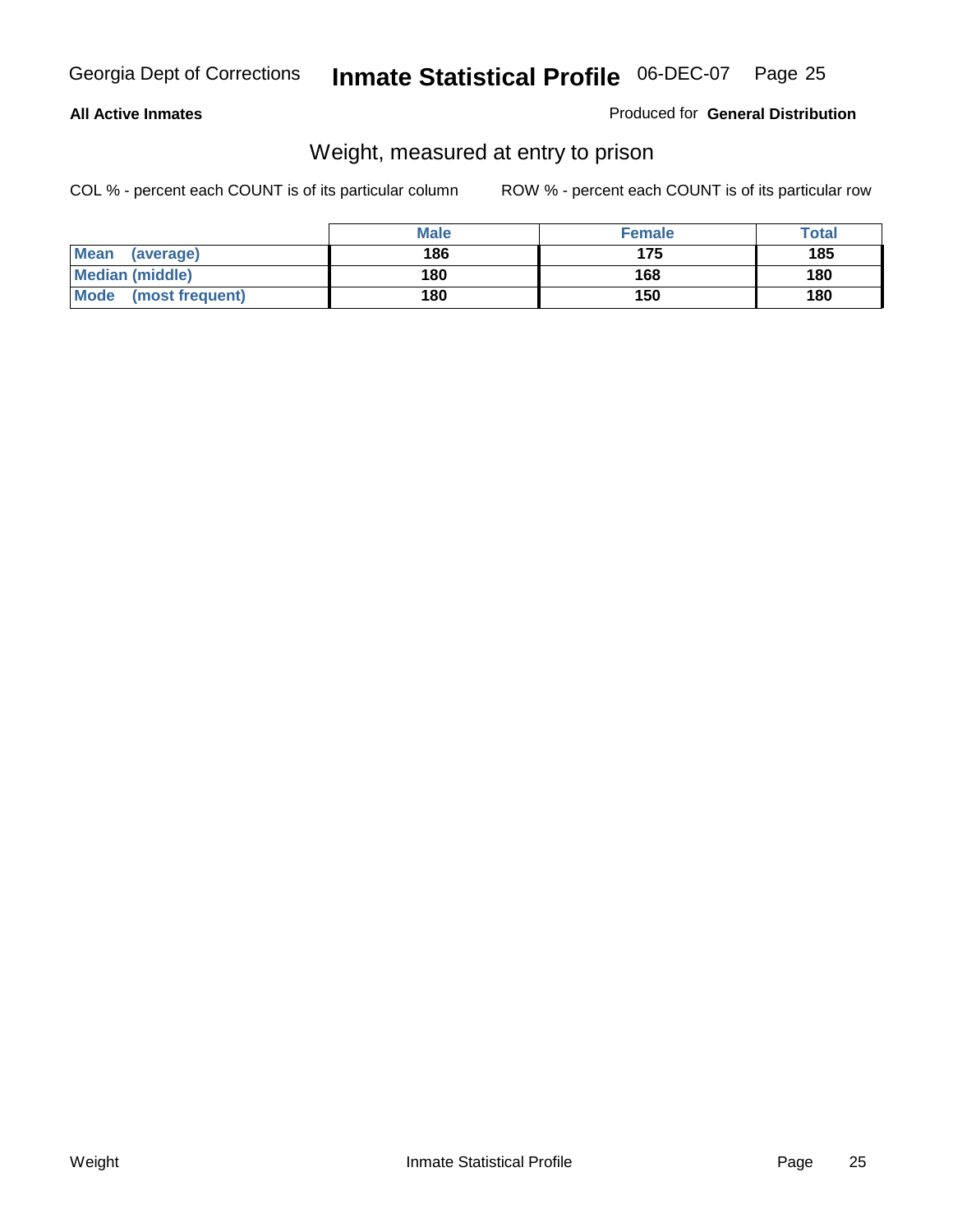#### **All Active Inmates**

#### Produced for **General Distribution**

# Weight, measured at entry to prison

|                          | <b>Male</b> | <b>Female</b> | Total |
|--------------------------|-------------|---------------|-------|
| <b>Mean</b><br>(average) | 186         | 175           | 185   |
| <b>Median (middle)</b>   | 180         | 168           | 180   |
| Mode<br>(most frequent)  | 180         | 150           | 180   |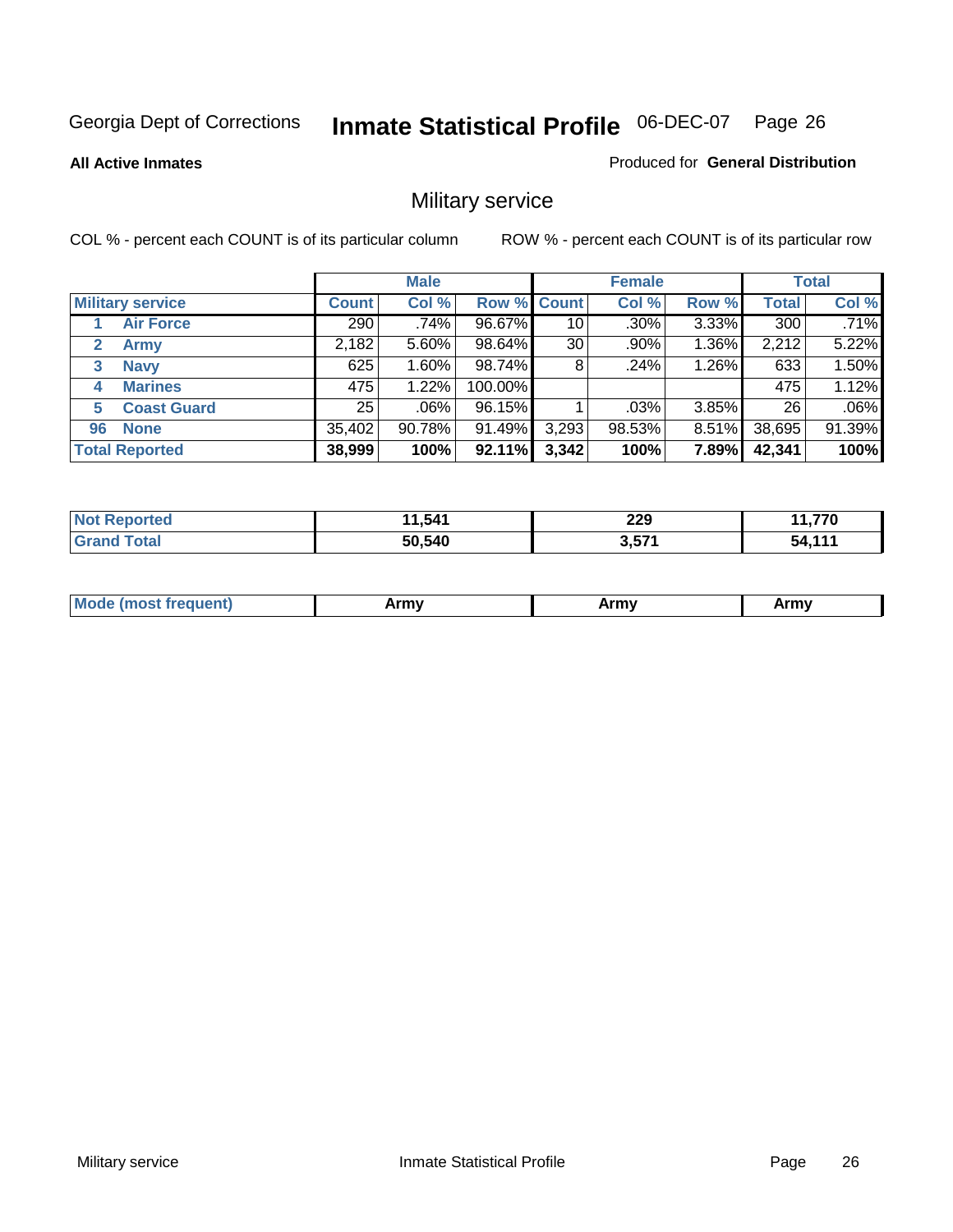**All Active Inmates**

#### Produced for **General Distribution**

# Military service

|                             |              | <b>Male</b> |                    |       | <b>Female</b> |          |              | <b>Total</b> |
|-----------------------------|--------------|-------------|--------------------|-------|---------------|----------|--------------|--------------|
| <b>Military service</b>     | <b>Count</b> | Col %       | <b>Row % Count</b> |       | Col %         | Row %    | <b>Total</b> | Col %        |
| <b>Air Force</b>            | 290          | .74%        | 96.67%             | 10    | $.30\%$       | 3.33%    | 300          | .71%         |
| $\mathbf{2}$<br><b>Army</b> | 2,182        | 5.60%       | 98.64%             | 30    | .90%          | 1.36%    | 2,212        | 5.22%        |
| <b>Navy</b><br>3            | 625          | 1.60%       | 98.74%             | 8     | .24%          | 1.26%    | 633          | 1.50%        |
| <b>Marines</b><br>4         | 475          | 1.22%       | 100.00%            |       |               |          | 475          | 1.12%        |
| <b>Coast Guard</b><br>5     | 25           | $.06\%$     | 96.15%             |       | .03%          | 3.85%    | 26           | .06%         |
| <b>None</b><br>96           | 35,402       | 90.78%      | 91.49%             | 3,293 | 98.53%        | $8.51\%$ | 38,695       | 91.39%       |
| <b>Total Reported</b>       | 38,999       | 100%        | 92.11%             | 3,342 | 100%          | 7.89%    | 42,341       | 100%         |

| orted                   | 11,541 | 229    | フフハ    |
|-------------------------|--------|--------|--------|
| NO.                     |        | $\sim$ | 7 U    |
| <b>Total</b><br>' Grand | 50,540 | 3,571  | 51 111 |

|  | <b>Mode</b><br>reauent)<br>.ost if | Army | Army | Army |
|--|------------------------------------|------|------|------|
|--|------------------------------------|------|------|------|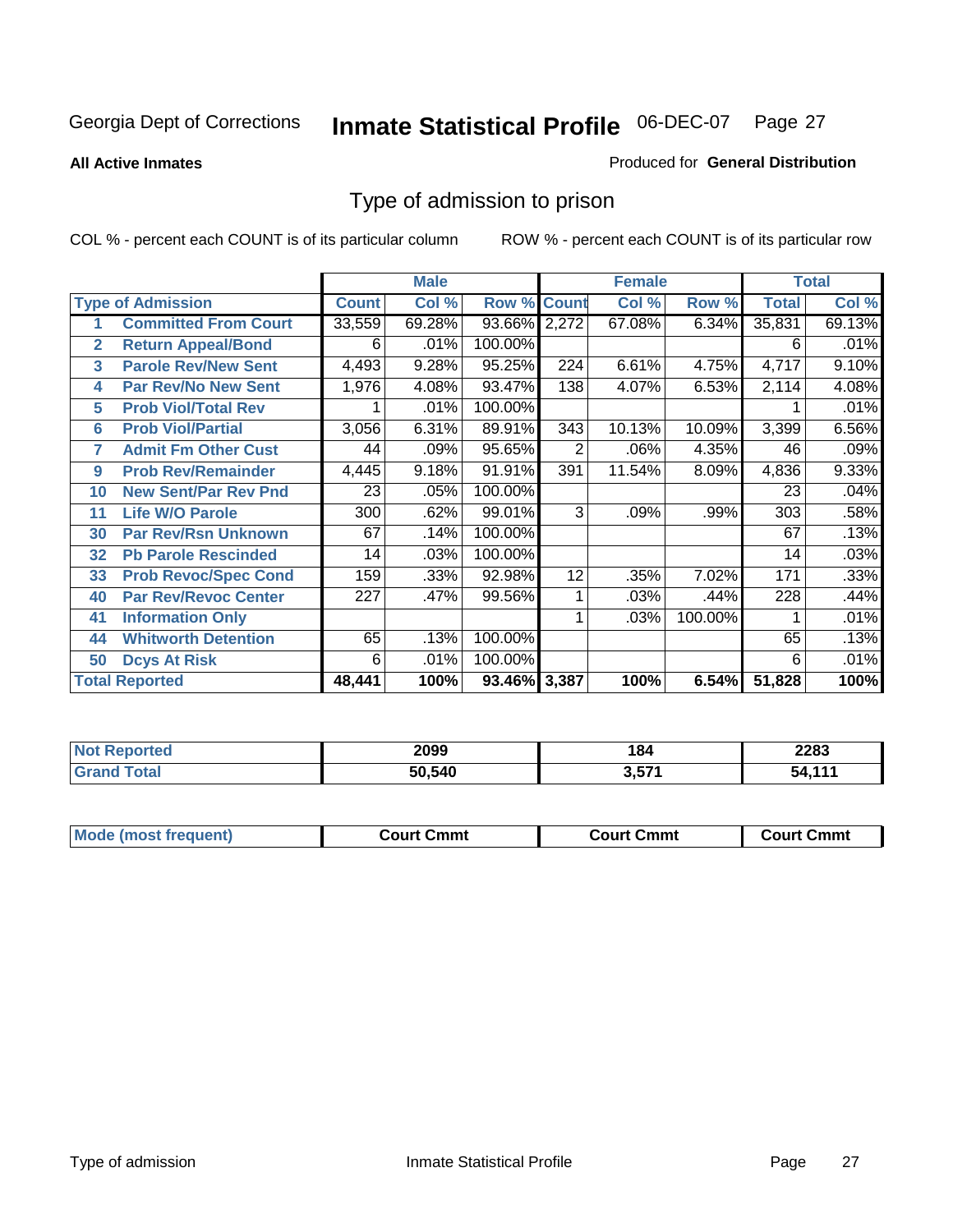#### **All Active Inmates**

#### Produced for **General Distribution**

# Type of admission to prison

|                |                             |              | <b>Male</b> |                    |     | <b>Female</b> |         |              | <b>Total</b> |
|----------------|-----------------------------|--------------|-------------|--------------------|-----|---------------|---------|--------------|--------------|
|                | <b>Type of Admission</b>    | <b>Count</b> | Col %       | <b>Row % Count</b> |     | Col %         | Row %   | <b>Total</b> | Col %        |
|                | <b>Committed From Court</b> | 33,559       | 69.28%      | 93.66% 2,272       |     | 67.08%        | 6.34%   | 35,831       | 69.13%       |
| $\overline{2}$ | <b>Return Appeal/Bond</b>   | 6            | .01%        | 100.00%            |     |               |         | 6            | .01%         |
| 3              | <b>Parole Rev/New Sent</b>  | 4,493        | 9.28%       | 95.25%             | 224 | 6.61%         | 4.75%   | 4,717        | 9.10%        |
| 4              | <b>Par Rev/No New Sent</b>  | 1,976        | 4.08%       | 93.47%             | 138 | 4.07%         | 6.53%   | 2,114        | 4.08%        |
| 5              | <b>Prob Viol/Total Rev</b>  |              | .01%        | 100.00%            |     |               |         |              | .01%         |
| 6              | <b>Prob Viol/Partial</b>    | 3,056        | 6.31%       | 89.91%             | 343 | 10.13%        | 10.09%  | 3,399        | 6.56%        |
| 7              | <b>Admit Fm Other Cust</b>  | 44           | .09%        | 95.65%             | 2   | .06%          | 4.35%   | 46           | .09%         |
| 9              | <b>Prob Rev/Remainder</b>   | 4,445        | 9.18%       | 91.91%             | 391 | 11.54%        | 8.09%   | 4,836        | 9.33%        |
| 10             | <b>New Sent/Par Rev Pnd</b> | 23           | .05%        | 100.00%            |     |               |         | 23           | .04%         |
| 11             | <b>Life W/O Parole</b>      | 300          | .62%        | 99.01%             | 3   | .09%          | .99%    | 303          | .58%         |
| 30             | <b>Par Rev/Rsn Unknown</b>  | 67           | .14%        | 100.00%            |     |               |         | 67           | .13%         |
| 32             | <b>Pb Parole Rescinded</b>  | 14           | .03%        | 100.00%            |     |               |         | 14           | .03%         |
| 33             | <b>Prob Revoc/Spec Cond</b> | 159          | .33%        | 92.98%             | 12  | .35%          | 7.02%   | 171          | .33%         |
| 40             | <b>Par Rev/Revoc Center</b> | 227          | .47%        | 99.56%             |     | .03%          | .44%    | 228          | .44%         |
| 41             | <b>Information Only</b>     |              |             |                    |     | .03%          | 100.00% |              | .01%         |
| 44             | <b>Whitworth Detention</b>  | 65           | .13%        | 100.00%            |     |               |         | 65           | .13%         |
| 50             | <b>Dcys At Risk</b>         | 6            | .01%        | 100.00%            |     |               |         | 6            | .01%         |
|                | <b>Total Reported</b>       | 48,441       | 100%        | 93.46% 3,387       |     | 100%          | 6.54%   | 51,828       | 100%         |

| 'Not<br>rtea<br>NGI | 2099   | 184            | 2283 |
|---------------------|--------|----------------|------|
| otal                | 50,540 | ・ヒライ<br>י כ. כ |      |

| <b>Mode (most frequent)</b> | Court Cmmt | <b>Court Cmmt</b> | <b>Court Cmmt</b> |
|-----------------------------|------------|-------------------|-------------------|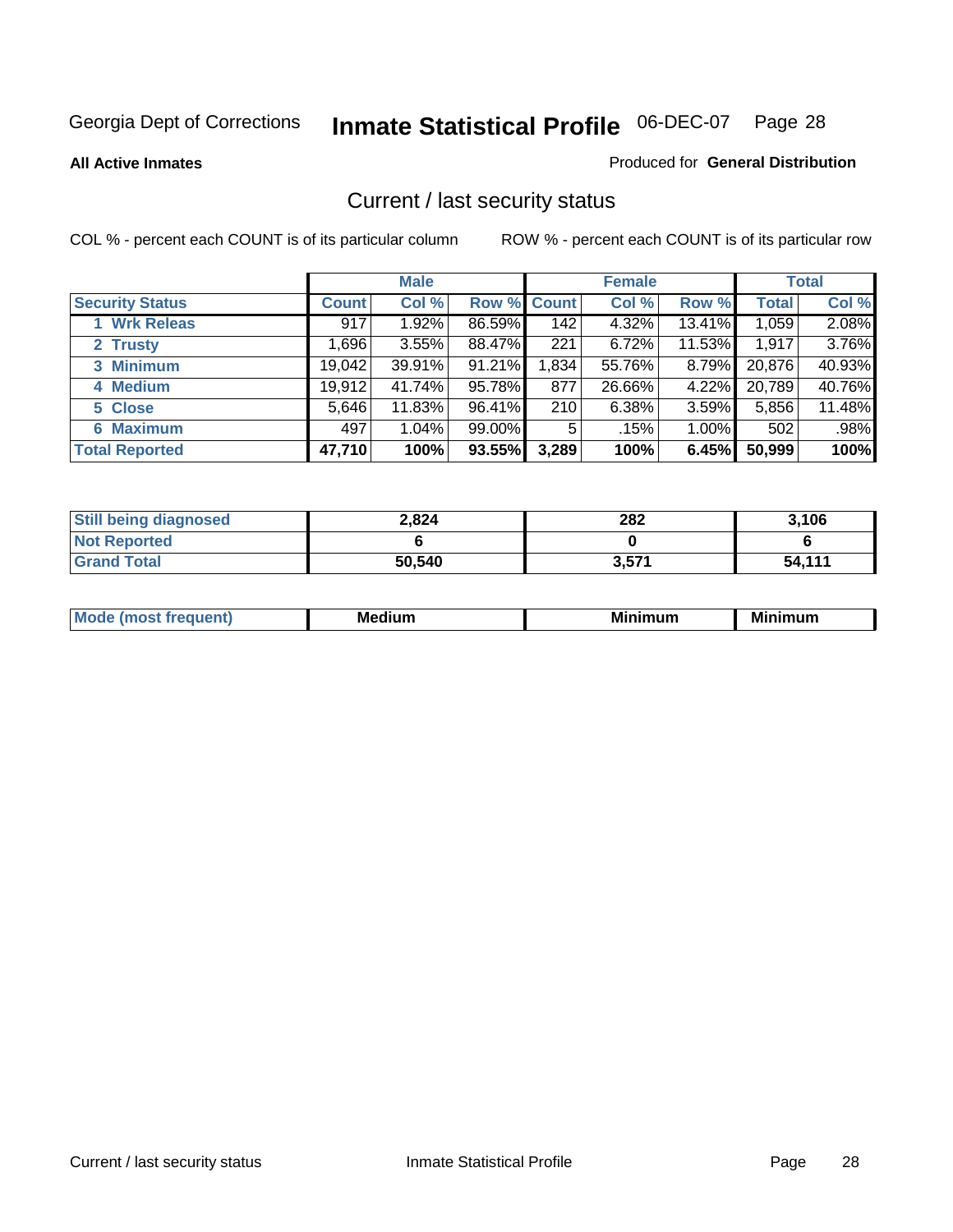**All Active Inmates**

#### Produced for **General Distribution**

# Current / last security status

|                        |              | <b>Male</b> |             |       | <b>Female</b> |          |              | <b>Total</b> |
|------------------------|--------------|-------------|-------------|-------|---------------|----------|--------------|--------------|
| <b>Security Status</b> | <b>Count</b> | Col %       | Row % Count |       | Col %         | Row %    | <b>Total</b> | Col %        |
| 1 Wrk Releas           | 917          | 1.92%       | 86.59%      | 142   | 4.32%         | 13.41%   | 1,059        | 2.08%        |
| 2 Trusty               | ا 696.       | 3.55%       | 88.47%      | 221   | 6.72%         | 11.53%   | 1,917        | 3.76%        |
| 3 Minimum              | 19,042       | 39.91%      | 91.21%      | 1,834 | 55.76%        | $8.79\%$ | 20,876       | 40.93%       |
| 4 Medium               | 19,912       | 41.74%      | 95.78%      | 877   | 26.66%        | 4.22%    | 20,789       | 40.76%       |
| 5 Close                | 5,646        | 11.83%      | 96.41%      | 210   | 6.38%         | 3.59%    | 5,856        | 11.48%       |
| 6 Maximum              | 497          | 1.04%       | 99.00%      | 5     | .15%          | 1.00%    | 502          | .98%         |
| <b>Total Reported</b>  | 47,710       | 100%        | 93.55%      | 3,289 | 100%          | 6.45%    | 50,999       | 100%         |

| <b>Still being diagnosed</b> | 2.824  | 282   | 3,106  |
|------------------------------|--------|-------|--------|
| <b>Not Reported</b>          |        |       |        |
| <b>Grand Total</b>           | 50,540 | 3,571 | 54,111 |

| M | <br><br> | ALLAST |
|---|----------|--------|
|   |          |        |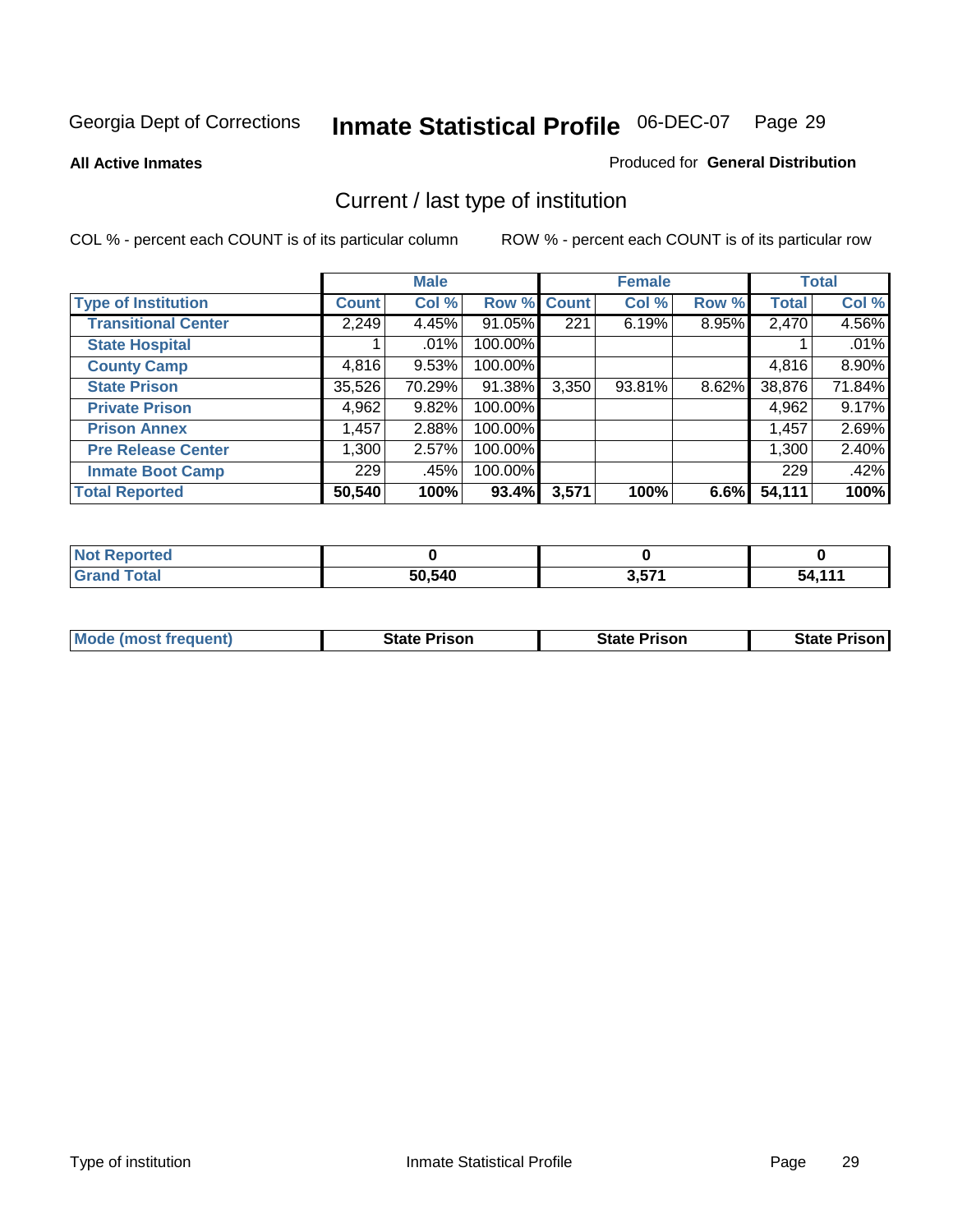**All Active Inmates**

#### Produced for **General Distribution**

# Current / last type of institution

|                            |              | <b>Male</b> |             |       | <b>Female</b> |          |              | <b>Total</b> |
|----------------------------|--------------|-------------|-------------|-------|---------------|----------|--------------|--------------|
| <b>Type of Institution</b> | <b>Count</b> | Col %       | Row % Count |       | Col %         | Row %    | <b>Total</b> | Col %        |
| <b>Transitional Center</b> | 2,249        | 4.45%       | 91.05%      | 221   | 6.19%         | 8.95%    | 2,470        | 4.56%        |
| <b>State Hospital</b>      |              | $.01\%$     | 100.00%     |       |               |          |              | .01%         |
| <b>County Camp</b>         | 4,816        | 9.53%       | 100.00%     |       |               |          | 4,816        | 8.90%        |
| <b>State Prison</b>        | 35,526       | 70.29%      | 91.38%      | 3,350 | 93.81%        | $8.62\%$ | 38,876       | 71.84%       |
| <b>Private Prison</b>      | 4,962        | 9.82%       | 100.00%     |       |               |          | 4,962        | 9.17%        |
| <b>Prison Annex</b>        | 1,457        | 2.88%       | 100.00%     |       |               |          | 1,457        | 2.69%        |
| <b>Pre Release Center</b>  | 1,300        | 2.57%       | 100.00%     |       |               |          | 1,300        | 2.40%        |
| <b>Inmate Boot Camp</b>    | 229          | .45%        | 100.00%     |       |               |          | 229          | .42%         |
| <b>Total Reported</b>      | 50,540       | 100%        | 93.4%       | 3,571 | 100%          | 6.6%     | 54,111       | 100%         |

| <b>Not</b><br>Reported |        |       |              |
|------------------------|--------|-------|--------------|
| <b>Grand Total</b>     | 50,540 | 3,571 | $-111$<br>54 |

| <b>Mode (most frequent)</b> | State Prison | <b>State Prison</b> | <b>State Prison I</b> |
|-----------------------------|--------------|---------------------|-----------------------|
|                             |              |                     |                       |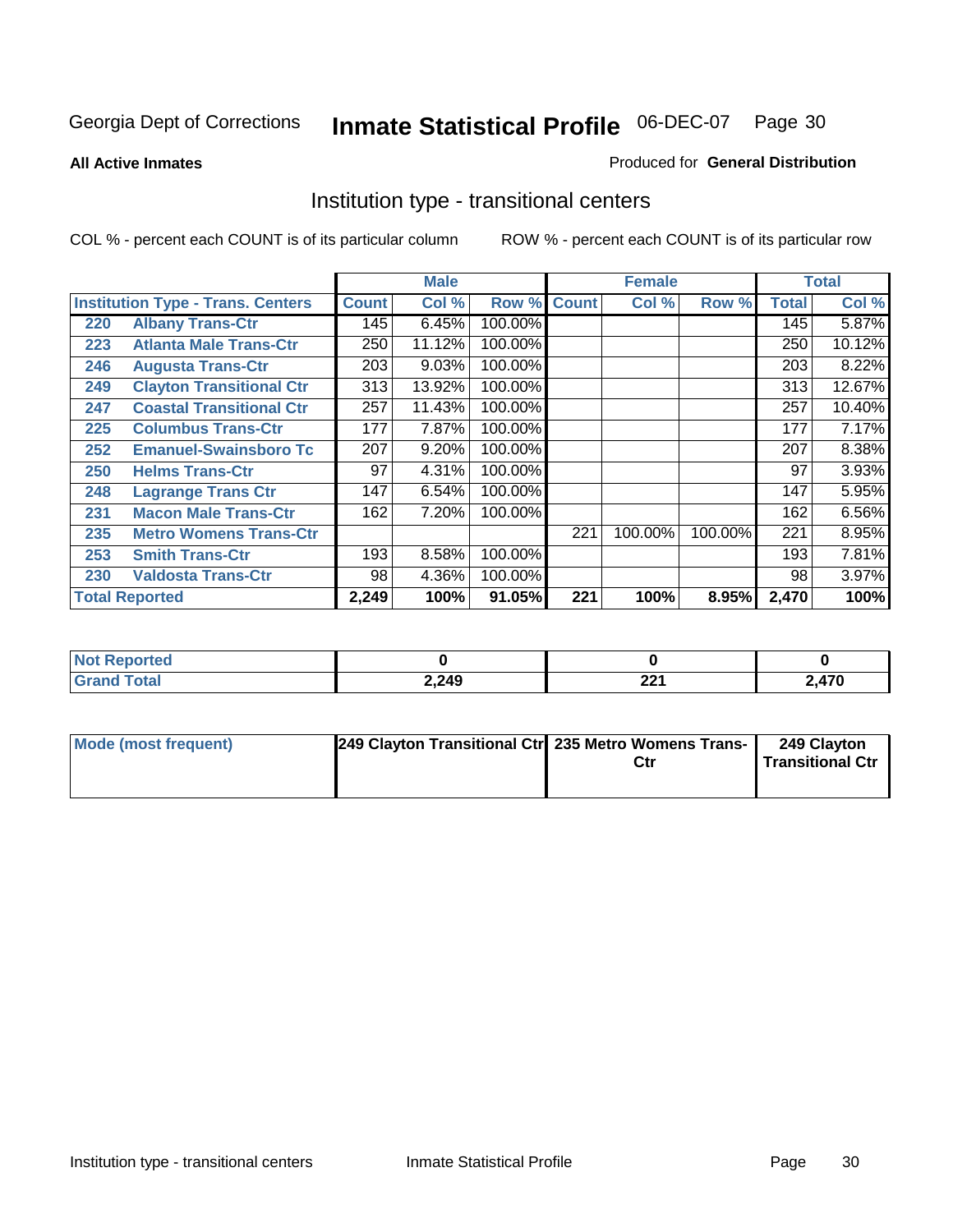**All Active Inmates**

#### Produced for **General Distribution**

# Institution type - transitional centers

|     |                                          |              | <b>Male</b> |         |              | <b>Female</b> |         |              | <b>Total</b> |
|-----|------------------------------------------|--------------|-------------|---------|--------------|---------------|---------|--------------|--------------|
|     | <b>Institution Type - Trans. Centers</b> | <b>Count</b> | Col %       | Row %   | <b>Count</b> | Col %         | Row %   | <b>Total</b> | Col %        |
| 220 | <b>Albany Trans-Ctr</b>                  | 145          | 6.45%       | 100.00% |              |               |         | 145          | 5.87%        |
| 223 | <b>Atlanta Male Trans-Ctr</b>            | 250          | 11.12%      | 100.00% |              |               |         | 250          | 10.12%       |
| 246 | <b>Augusta Trans-Ctr</b>                 | 203          | 9.03%       | 100.00% |              |               |         | 203          | 8.22%        |
| 249 | <b>Clayton Transitional Ctr</b>          | 313          | 13.92%      | 100.00% |              |               |         | 313          | 12.67%       |
| 247 | <b>Coastal Transitional Ctr</b>          | 257          | 11.43%      | 100.00% |              |               |         | 257          | 10.40%       |
| 225 | <b>Columbus Trans-Ctr</b>                | 177          | 7.87%       | 100.00% |              |               |         | 177          | 7.17%        |
| 252 | <b>Emanuel-Swainsboro Tc</b>             | 207          | 9.20%       | 100.00% |              |               |         | 207          | 8.38%        |
| 250 | <b>Helms Trans-Ctr</b>                   | 97           | 4.31%       | 100.00% |              |               |         | 97           | 3.93%        |
| 248 | <b>Lagrange Trans Ctr</b>                | 147          | 6.54%       | 100.00% |              |               |         | 147          | 5.95%        |
| 231 | <b>Macon Male Trans-Ctr</b>              | 162          | 7.20%       | 100.00% |              |               |         | 162          | 6.56%        |
| 235 | <b>Metro Womens Trans-Ctr</b>            |              |             |         | 221          | 100.00%       | 100.00% | 221          | 8.95%        |
| 253 | <b>Smith Trans-Ctr</b>                   | 193          | 8.58%       | 100.00% |              |               |         | 193          | 7.81%        |
| 230 | <b>Valdosta Trans-Ctr</b>                | 98           | 4.36%       | 100.00% |              |               |         | 98           | 3.97%        |
|     | <b>Total Reported</b>                    | 2,249        | 100%        | 91.05%  | 221          | 100%          | 8.95%   | 2,470        | 100%         |

| N<br>portea |       |                  |                       |
|-------------|-------|------------------|-----------------------|
| <b>otal</b> | 2,249 | nn.<br><u>__</u> | 2 <sub>17</sub><br>-- |

| Mode (most frequent) | 249 Clayton Transitional Ctr 235 Metro Womens Trans- | Ctr | 249 Clayton<br>Transitional Ctr |
|----------------------|------------------------------------------------------|-----|---------------------------------|
|                      |                                                      |     |                                 |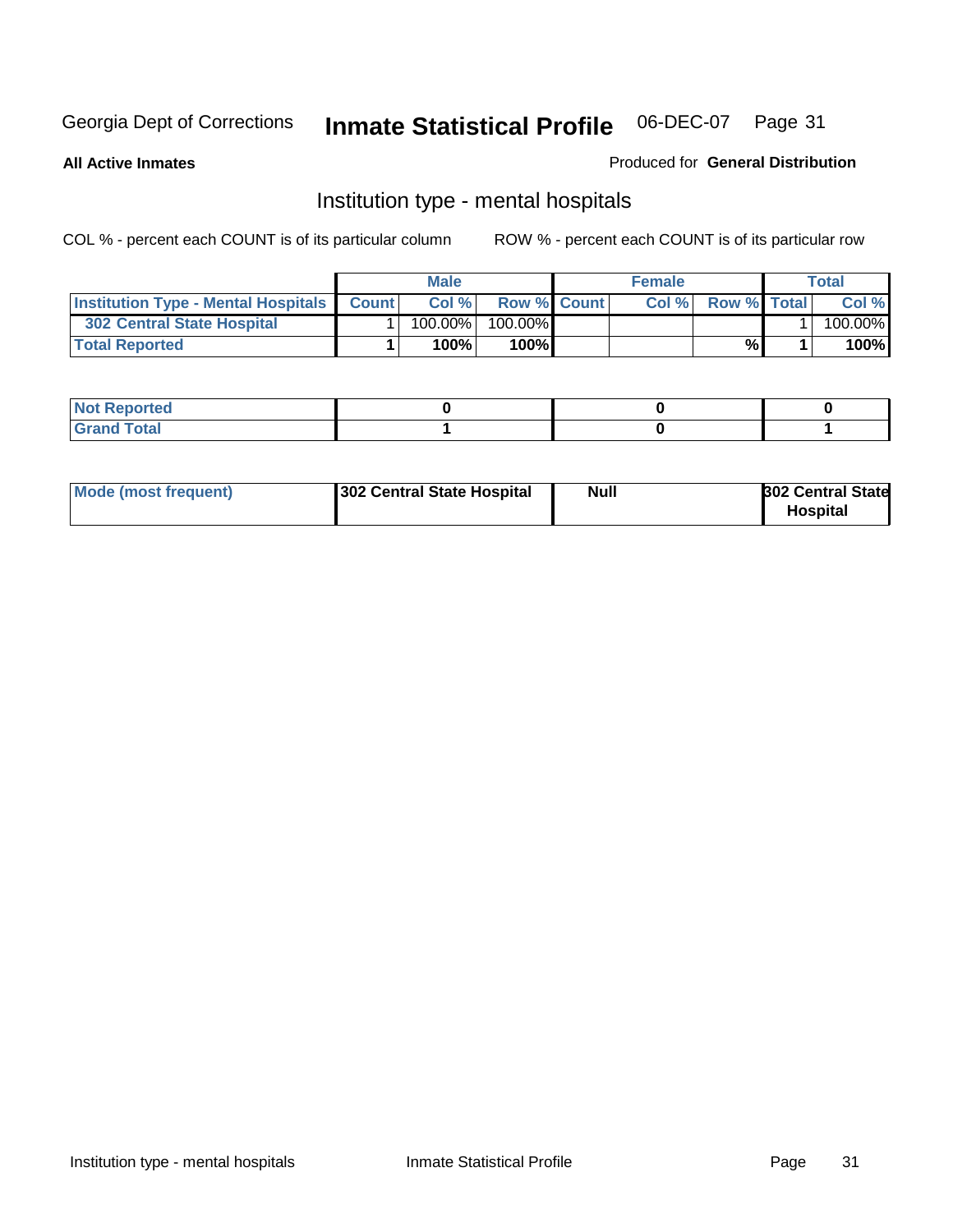**All Active Inmates**

#### Produced for **General Distribution**

# Institution type - mental hospitals

|                                                  | <b>Male</b> |                    | <b>Female</b> |                    | Total   |
|--------------------------------------------------|-------------|--------------------|---------------|--------------------|---------|
| <b>Institution Type - Mental Hospitals Count</b> | Col%        | <b>Row % Count</b> | Col%          | <b>Row % Total</b> | Col %   |
| 302 Central State Hospital                       | $100.00\%$  | 100.00%            |               |                    | 100.00% |
| <b>Total Reported</b>                            | 100%        | 100%               |               | %                  | 100%    |

| Not Reported |  |  |
|--------------|--|--|
| <b>otal</b>  |  |  |

| Mode (most frequent)<br>302 Central State Hospital | Null | <b>302 Central State</b><br><b>Hospital</b> |
|----------------------------------------------------|------|---------------------------------------------|
|----------------------------------------------------|------|---------------------------------------------|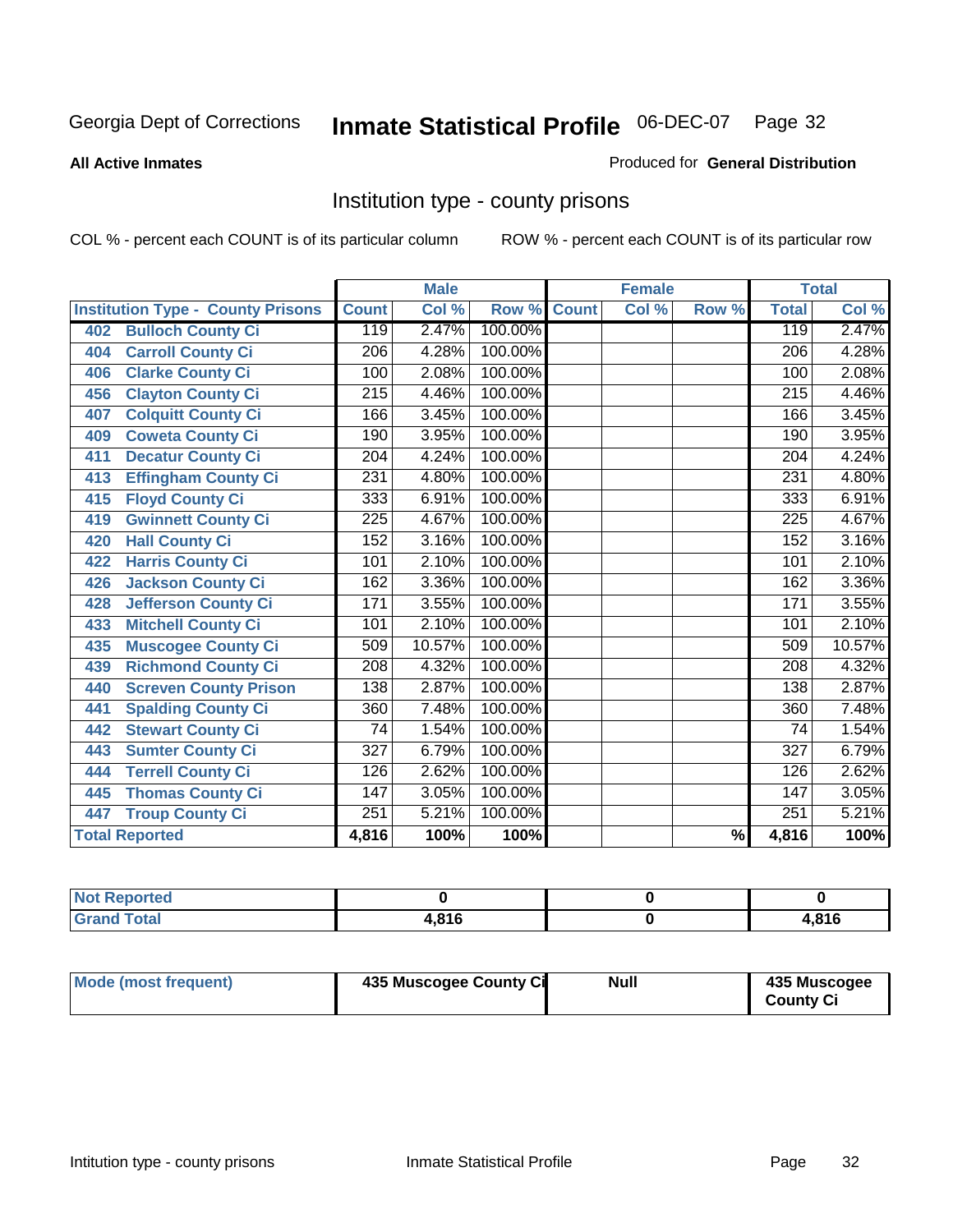#### **All Active Inmates**

#### Produced for **General Distribution**

# Institution type - county prisons

|                                          |                  | <b>Male</b> |         |              | <b>Female</b>             |                          |                  | <b>Total</b> |
|------------------------------------------|------------------|-------------|---------|--------------|---------------------------|--------------------------|------------------|--------------|
| <b>Institution Type - County Prisons</b> | <b>Count</b>     | Col %       | Row %   | <b>Count</b> | $\overline{\text{Col}}$ % | Row %                    | <b>Total</b>     | Col %        |
| <b>Bulloch County Ci</b><br>402          | 119              | 2.47%       | 100.00% |              |                           |                          | 119              | 2.47%        |
| <b>Carroll County Ci</b><br>404          | $\overline{206}$ | 4.28%       | 100.00% |              |                           |                          | $\overline{206}$ | 4.28%        |
| <b>Clarke County Ci</b><br>406           | 100              | 2.08%       | 100.00% |              |                           |                          | 100              | 2.08%        |
| <b>Clayton County Ci</b><br>456          | 215              | 4.46%       | 100.00% |              |                           |                          | $\overline{215}$ | 4.46%        |
| <b>Colquitt County Ci</b><br>407         | 166              | 3.45%       | 100.00% |              |                           |                          | 166              | 3.45%        |
| <b>Coweta County Ci</b><br>409           | 190              | 3.95%       | 100.00% |              |                           |                          | 190              | 3.95%        |
| <b>Decatur County Ci</b><br>411          | 204              | 4.24%       | 100.00% |              |                           |                          | 204              | 4.24%        |
| <b>Effingham County Ci</b><br>413        | 231              | 4.80%       | 100.00% |              |                           |                          | 231              | 4.80%        |
| <b>Floyd County Ci</b><br>415            | 333              | 6.91%       | 100.00% |              |                           |                          | 333              | 6.91%        |
| <b>Gwinnett County Ci</b><br>419         | $\overline{225}$ | 4.67%       | 100.00% |              |                           |                          | 225              | 4.67%        |
| <b>Hall County Ci</b><br>420             | 152              | 3.16%       | 100.00% |              |                           |                          | 152              | 3.16%        |
| <b>Harris County Ci</b><br>422           | 101              | 2.10%       | 100.00% |              |                           |                          | 101              | 2.10%        |
| <b>Jackson County Ci</b><br>426          | 162              | 3.36%       | 100.00% |              |                           |                          | 162              | 3.36%        |
| <b>Jefferson County Ci</b><br>428        | 171              | 3.55%       | 100.00% |              |                           |                          | 171              | 3.55%        |
| <b>Mitchell County Ci</b><br>433         | 101              | 2.10%       | 100.00% |              |                           |                          | 101              | 2.10%        |
| <b>Muscogee County Ci</b><br>435         | 509              | 10.57%      | 100.00% |              |                           |                          | 509              | 10.57%       |
| <b>Richmond County Ci</b><br>439         | 208              | 4.32%       | 100.00% |              |                           |                          | 208              | 4.32%        |
| <b>Screven County Prison</b><br>440      | 138              | 2.87%       | 100.00% |              |                           |                          | 138              | 2.87%        |
| <b>Spalding County Ci</b><br>441         | 360              | 7.48%       | 100.00% |              |                           |                          | 360              | 7.48%        |
| <b>Stewart County Ci</b><br>442          | 74               | 1.54%       | 100.00% |              |                           |                          | 74               | 1.54%        |
| <b>Sumter County Ci</b><br>443           | $\overline{327}$ | 6.79%       | 100.00% |              |                           |                          | $\overline{327}$ | 6.79%        |
| <b>Terrell County Ci</b><br>444          | 126              | 2.62%       | 100.00% |              |                           |                          | 126              | 2.62%        |
| <b>Thomas County Ci</b><br>445           | 147              | 3.05%       | 100.00% |              |                           |                          | $\overline{147}$ | 3.05%        |
| <b>Troup County Ci</b><br>447            | 251              | 5.21%       | 100.00% |              |                           |                          | 251              | 5.21%        |
| <b>Total Reported</b>                    | 4,816            | 100%        | 100%    |              |                           | $\overline{\frac{9}{6}}$ | 4,816            | 100%         |

| τeα                                |     |      |
|------------------------------------|-----|------|
| $\sim$ $\sim$ $\sim$ $\sim$ $\sim$ | 91C | ,816 |

| Mode (most frequent) | 435 Muscogee County Ci | <b>Null</b> | 435 Muscogee     |
|----------------------|------------------------|-------------|------------------|
|                      |                        |             | <b>County Ci</b> |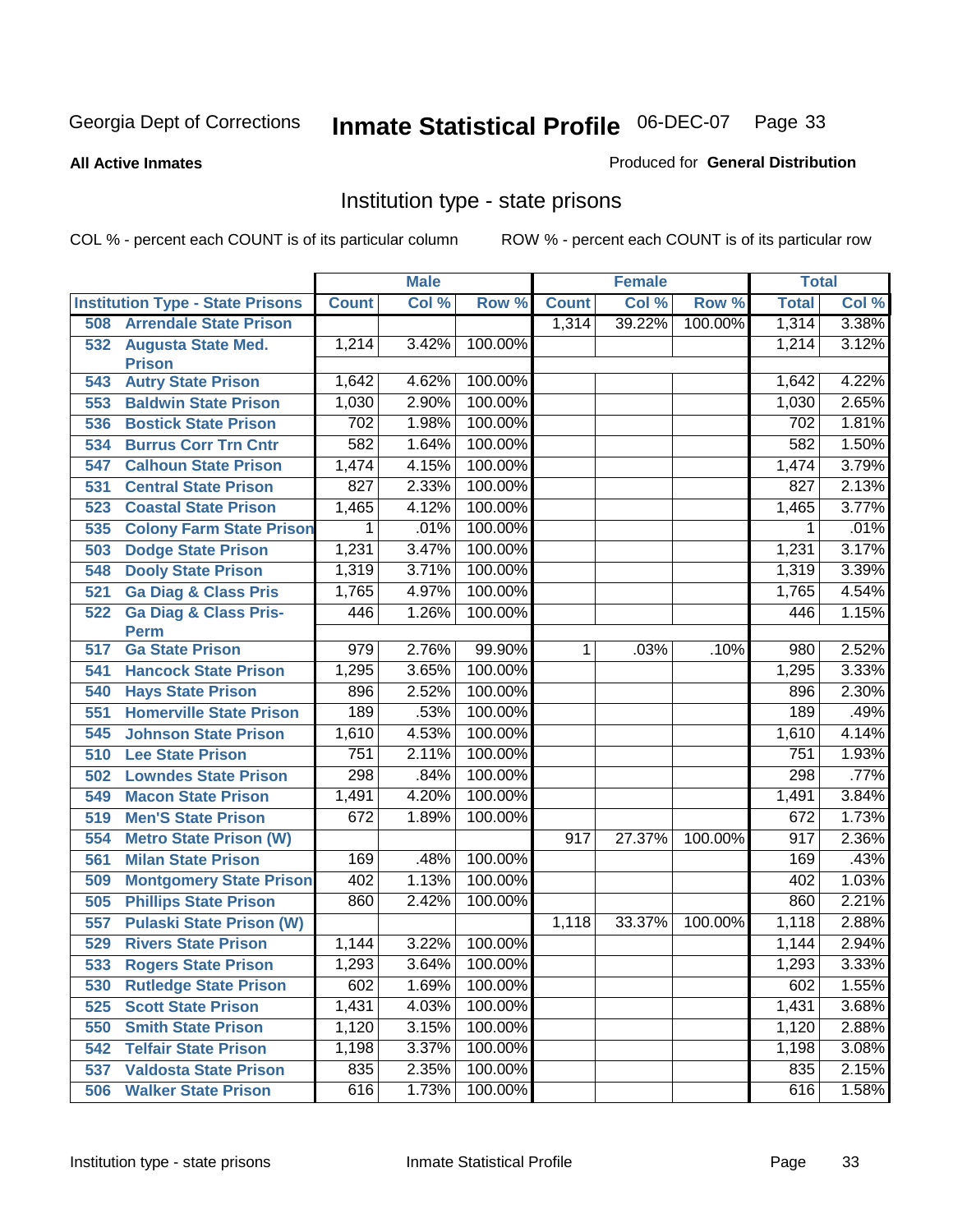**All Active Inmates**

#### Produced for **General Distribution**

# Institution type - state prisons

|     |                                            |              | <b>Male</b> |               |              | <b>Female</b> |         | <b>Total</b>     |       |
|-----|--------------------------------------------|--------------|-------------|---------------|--------------|---------------|---------|------------------|-------|
|     | <b>Institution Type - State Prisons</b>    | <b>Count</b> | Col %       | Row %         | <b>Count</b> | Col %         | Row %   | <b>Total</b>     | Col % |
| 508 | <b>Arrendale State Prison</b>              |              |             |               | 1,314        | 39.22%        | 100.00% | 1,314            | 3.38% |
| 532 | <b>Augusta State Med.</b><br><b>Prison</b> | 1,214        | 3.42%       | 100.00%       |              |               |         | 1,214            | 3.12% |
| 543 | <b>Autry State Prison</b>                  | 1,642        | 4.62%       | 100.00%       |              |               |         | 1,642            | 4.22% |
| 553 | <b>Baldwin State Prison</b>                | 1,030        | 2.90%       | 100.00%       |              |               |         | 1,030            | 2.65% |
| 536 | <b>Bostick State Prison</b>                | 702          | 1.98%       | 100.00%       |              |               |         | 702              | 1.81% |
| 534 | <b>Burrus Corr Trn Cntr</b>                | 582          | 1.64%       | 100.00%       |              |               |         | 582              | 1.50% |
| 547 | <b>Calhoun State Prison</b>                | 1,474        | 4.15%       | 100.00%       |              |               |         | 1,474            | 3.79% |
| 531 | <b>Central State Prison</b>                | 827          | 2.33%       | 100.00%       |              |               |         | $\overline{827}$ | 2.13% |
| 523 | <b>Coastal State Prison</b>                | 1,465        | 4.12%       | 100.00%       |              |               |         | 1,465            | 3.77% |
| 535 | <b>Colony Farm State Prison</b>            | 1            | .01%        | 100.00%       |              |               |         | 1                | .01%  |
| 503 | <b>Dodge State Prison</b>                  | 1,231        | 3.47%       | 100.00%       |              |               |         | 1,231            | 3.17% |
| 548 | <b>Dooly State Prison</b>                  | 1,319        | 3.71%       | 100.00%       |              |               |         | 1,319            | 3.39% |
| 521 | <b>Ga Diag &amp; Class Pris</b>            | 1,765        | 4.97%       | 100.00%       |              |               |         | 1,765            | 4.54% |
| 522 | <b>Ga Diag &amp; Class Pris-</b>           | 446          | 1.26%       | 100.00%       |              |               |         | 446              | 1.15% |
|     | <b>Perm</b>                                |              |             |               |              |               |         |                  |       |
| 517 | <b>Ga State Prison</b>                     | 979          | 2.76%       | 99.90%        | $\mathbf 1$  | .03%          | .10%    | 980              | 2.52% |
| 541 | <b>Hancock State Prison</b>                | 1,295        | 3.65%       | 100.00%       |              |               |         | 1,295            | 3.33% |
| 540 | <b>Hays State Prison</b>                   | 896          | 2.52%       | 100.00%       |              |               |         | 896              | 2.30% |
| 551 | <b>Homerville State Prison</b>             | 189          | .53%        | 100.00%       |              |               |         | 189              | .49%  |
| 545 | <b>Johnson State Prison</b>                | 1,610        | 4.53%       | 100.00%       |              |               |         | 1,610            | 4.14% |
| 510 | <b>Lee State Prison</b>                    | 751          | 2.11%       | 100.00%       |              |               |         | 751              | 1.93% |
| 502 | <b>Lowndes State Prison</b>                | 298          | .84%        | 100.00%       |              |               |         | 298              | .77%  |
| 549 | <b>Macon State Prison</b>                  | 1,491        | 4.20%       | 100.00%       |              |               |         | 1,491            | 3.84% |
| 519 | <b>Men'S State Prison</b>                  | 672          | 1.89%       | 100.00%       |              |               |         | 672              | 1.73% |
| 554 | <b>Metro State Prison (W)</b>              |              |             |               | 917          | 27.37%        | 100.00% | 917              | 2.36% |
| 561 | <b>Milan State Prison</b>                  | 169          | .48%        | 100.00%       |              |               |         | 169              | .43%  |
| 509 | <b>Montgomery State Prison</b>             | 402          | 1.13%       | 100.00%       |              |               |         | 402              | 1.03% |
| 505 | <b>Phillips State Prison</b>               | 860          | 2.42%       | 100.00%       |              |               |         | 860              | 2.21% |
| 557 | <b>Pulaski State Prison (W)</b>            |              |             |               | 1,118        | 33.37%        | 100.00% | 1,118            | 2.88% |
| 529 | <b>Rivers State Prison</b>                 | 1,144        | 3.22%       | 100.00%       |              |               |         | 1,144            | 2.94% |
|     | 533 Rogers State Prison                    | 1,293        | 3.64%       | 100.00%       |              |               |         | 1,293            | 3.33% |
|     | 530 Rutledge State Prison                  | 602          |             | 1.69% 100.00% |              |               |         | 602              | 1.55% |
| 525 | <b>Scott State Prison</b>                  | 1,431        | 4.03%       | 100.00%       |              |               |         | 1,431            | 3.68% |
| 550 | <b>Smith State Prison</b>                  | 1,120        | 3.15%       | 100.00%       |              |               |         | 1,120            | 2.88% |
| 542 | <b>Telfair State Prison</b>                | 1,198        | 3.37%       | 100.00%       |              |               |         | 1,198            | 3.08% |
| 537 | <b>Valdosta State Prison</b>               | 835          | 2.35%       | 100.00%       |              |               |         | 835              | 2.15% |
| 506 | <b>Walker State Prison</b>                 | 616          | 1.73%       | 100.00%       |              |               |         | 616              | 1.58% |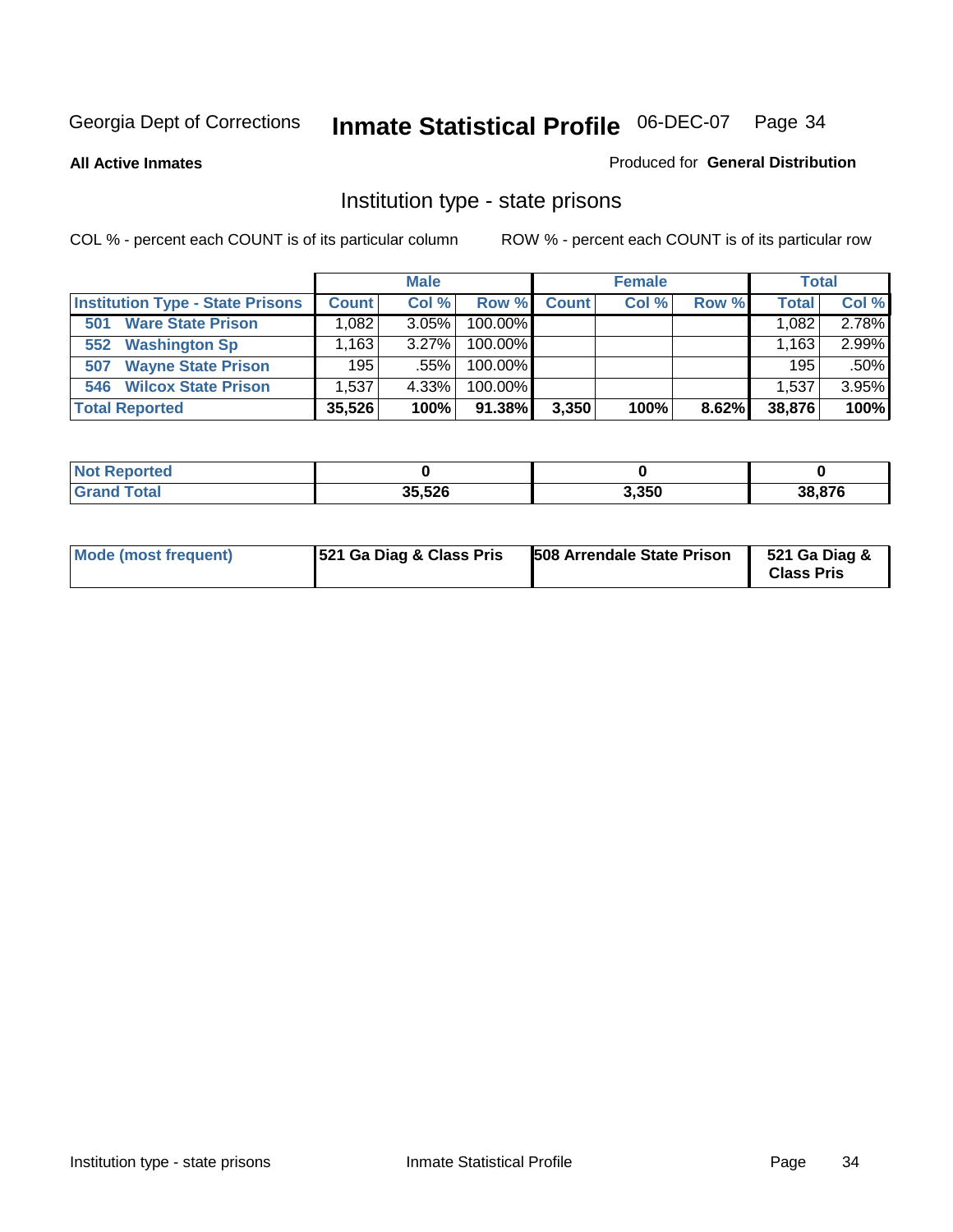**All Active Inmates**

#### Produced for **General Distribution**

# Institution type - state prisons

|                                         |              | <b>Male</b> |            |              | <b>Female</b> |       | <b>Total</b> |       |
|-----------------------------------------|--------------|-------------|------------|--------------|---------------|-------|--------------|-------|
| <b>Institution Type - State Prisons</b> | <b>Count</b> | Col %       | Row %      | <b>Count</b> | Col %         | Row % | <b>Total</b> | Col % |
| <b>Ware State Prison</b><br>501         | .082         | $3.05\%$    | 100.00%    |              |               |       | 1,082        | 2.78% |
| <b>Washington Sp</b><br>552             | .163         | $3.27\%$    | $100.00\%$ |              |               |       | 1,163        | 2.99% |
| <b>Wayne State Prison</b><br>507        | 195          | .55%        | $100.00\%$ |              |               |       | 195          | .50%  |
| <b>Wilcox State Prison</b><br>546       | 1,537        | 4.33%       | $100.00\%$ |              |               |       | 1,537        | 3.95% |
| <b>Total Reported</b>                   | 35,526       | 100%        | 91.38%     | 3,350        | 100%          | 8.62% | 38,876       | 100%  |

| <b>Not</b><br><b>Reported</b> |        |       |        |
|-------------------------------|--------|-------|--------|
| <b>Total</b>                  | 35,526 | 3,350 | 38.876 |

| <b>Mode (most frequent)</b> | <b>521 Ga Diag &amp; Class Pris</b> | 508 Arrendale State Prison | 521 Ga Diag &<br><b>Class Pris</b> |
|-----------------------------|-------------------------------------|----------------------------|------------------------------------|
|-----------------------------|-------------------------------------|----------------------------|------------------------------------|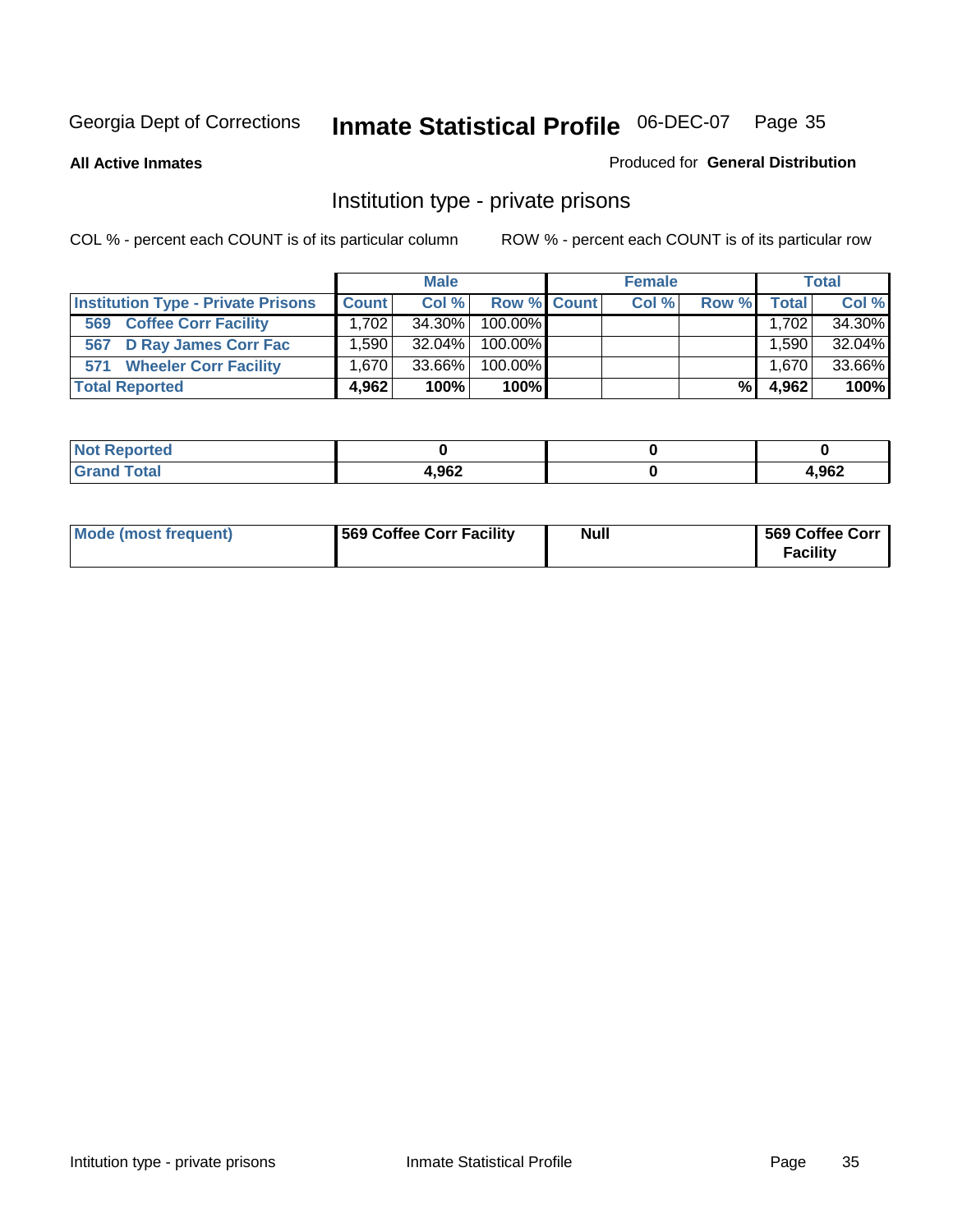**All Active Inmates**

#### Produced for **General Distribution**

# Institution type - private prisons

|                                           |              | <b>Male</b> |             | <b>Female</b> |       |       | <b>Total</b> |
|-------------------------------------------|--------------|-------------|-------------|---------------|-------|-------|--------------|
| <b>Institution Type - Private Prisons</b> | <b>Count</b> | Col %       | Row % Count | Col %         | Row % | Total | Col %        |
| <b>Coffee Corr Facility</b><br>569        | 1.702        | 34.30%      | 100.00%     |               |       | 1,702 | 34.30%       |
| 567 D Ray James Corr Fac                  | ا 590. ا     | $32.04\%$   | 100.00%     |               |       | .590  | 32.04%       |
| <b>Wheeler Corr Facility</b><br>571       | ا 670. ا     | 33.66%      | 100.00%     |               |       | 1,670 | 33.66%       |
| <b>Total Reported</b>                     | 4.962        | 100%        | 100%        |               | %     | 4,962 | 100%         |

| rted<br><b>Not</b>       |       |      |
|--------------------------|-------|------|
| <b>Total</b><br>$\sim$ . | 1,962 | ,962 |

| <b>Mode (most frequent)</b> | 569 Coffee Corr Facility | <b>Null</b> | 569 Coffee Corr<br><b>Facility</b> |
|-----------------------------|--------------------------|-------------|------------------------------------|
|-----------------------------|--------------------------|-------------|------------------------------------|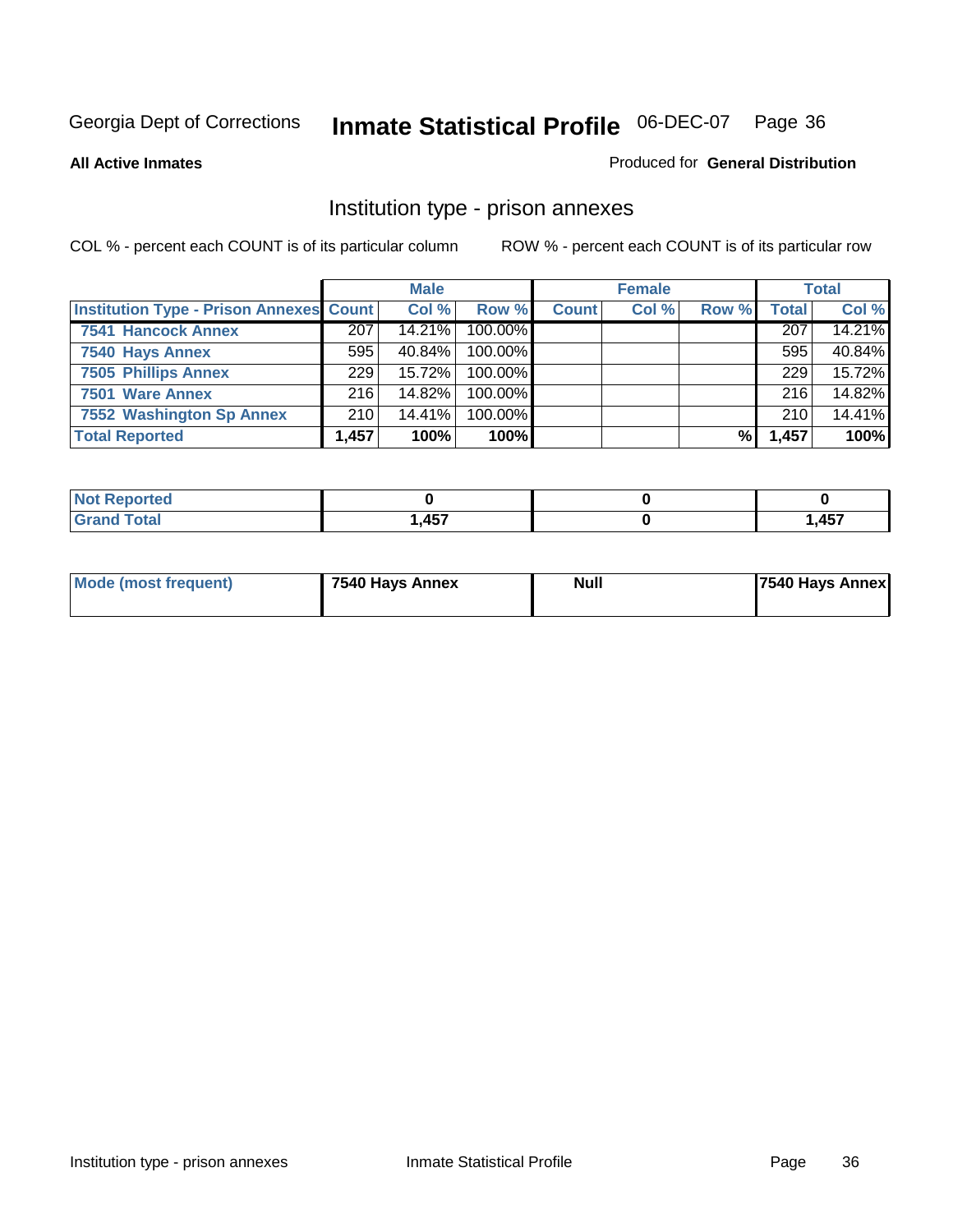#### **All Active Inmates**

#### Produced for **General Distribution**

# Institution type - prison annexes

|                                                |       | <b>Male</b> |            |              | <b>Female</b> |       |              | <b>Total</b> |
|------------------------------------------------|-------|-------------|------------|--------------|---------------|-------|--------------|--------------|
| <b>Institution Type - Prison Annexes Count</b> |       | Col %       | Row %      | <b>Count</b> | Col %         | Row % | <b>Total</b> | Col %        |
| <b>7541 Hancock Annex</b>                      | 207   | 14.21%      | 100.00%    |              |               |       | 207          | 14.21%       |
| 7540 Hays Annex                                | 595   | 40.84%      | 100.00%    |              |               |       | 595          | 40.84%       |
| <b>7505 Phillips Annex</b>                     | 229   | 15.72%      | $100.00\%$ |              |               |       | 229          | 15.72%       |
| 7501 Ware Annex                                | 216   | 14.82%      | $100.00\%$ |              |               |       | 216          | 14.82%       |
| 7552 Washington Sp Annex                       | 210   | 14.41%      | 100.00%    |              |               |       | 210          | 14.41%       |
| <b>Total Reported</b>                          | 1,457 | 100%        | 100%       |              |               | %     | 1,457        | 100%         |

| Reported              |                   |       |
|-----------------------|-------------------|-------|
| <b>Total</b><br>Grand | <b>A57</b><br>וטד | 1,457 |

| <b>Mode (most frequent)</b> | 7540 Hays Annex | <b>Null</b> | 7540 Hays Annex |
|-----------------------------|-----------------|-------------|-----------------|
|                             |                 |             |                 |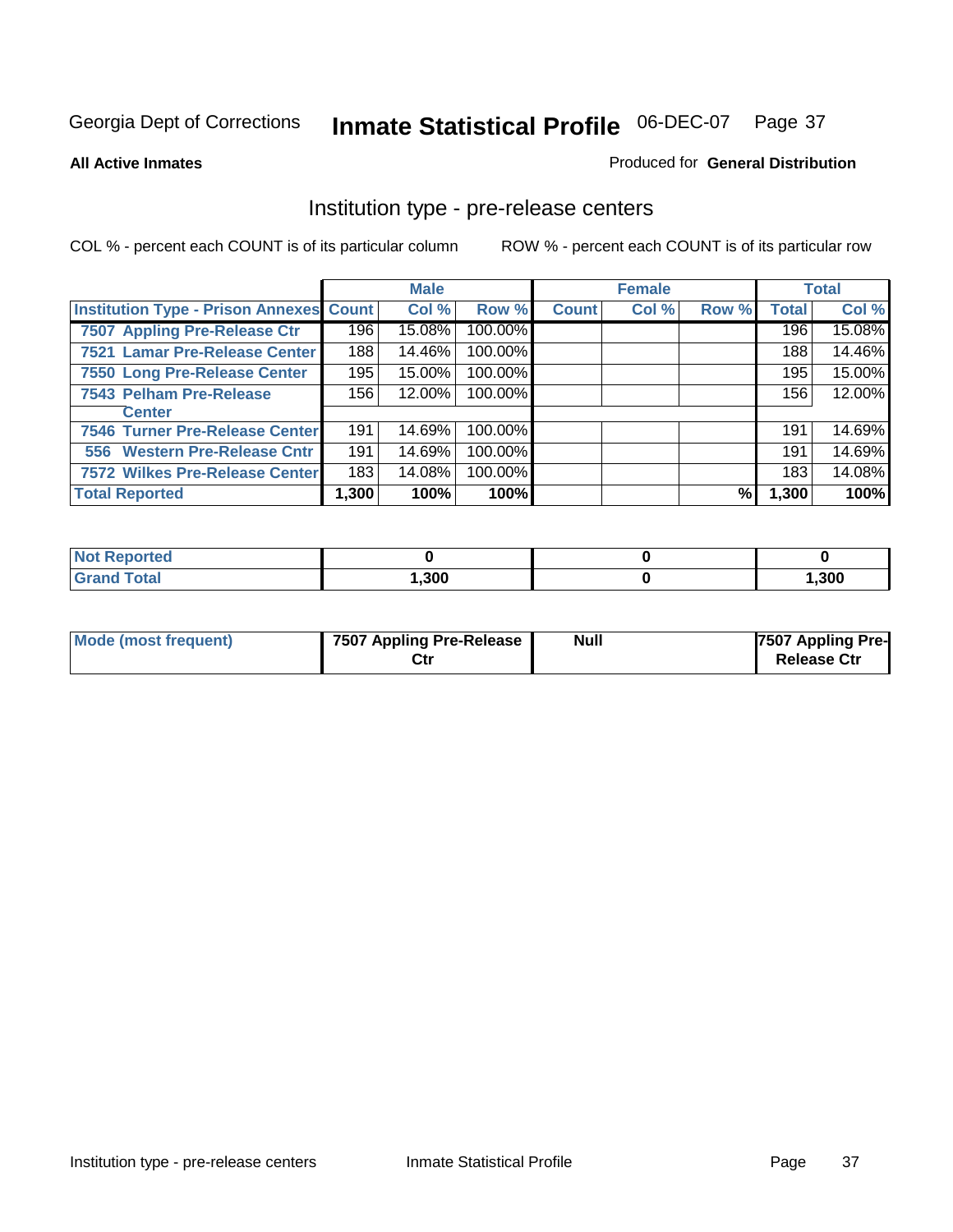#### **All Active Inmates**

#### Produced for **General Distribution**

### Institution type - pre-release centers

|                                                |       | <b>Male</b> |         |              | <b>Female</b> |       |              | <b>Total</b> |
|------------------------------------------------|-------|-------------|---------|--------------|---------------|-------|--------------|--------------|
| <b>Institution Type - Prison Annexes Count</b> |       | Col %       | Row %   | <b>Count</b> | Col %         | Row % | <b>Total</b> | Col %        |
| 7507 Appling Pre-Release Ctr                   | 196   | 15.08%      | 100.00% |              |               |       | 196          | 15.08%       |
| 7521 Lamar Pre-Release Center                  | 188   | 14.46%      | 100.00% |              |               |       | 188          | 14.46%       |
| 7550 Long Pre-Release Center                   | 195   | 15.00%      | 100.00% |              |               |       | 195          | 15.00%       |
| 7543 Pelham Pre-Release                        | 156   | 12.00%      | 100.00% |              |               |       | 156          | 12.00%       |
| <b>Center</b>                                  |       |             |         |              |               |       |              |              |
| 7546 Turner Pre-Release Center                 | 191   | 14.69%      | 100.00% |              |               |       | 191          | 14.69%       |
| 556 Western Pre-Release Cntr                   | 191   | 14.69%      | 100.00% |              |               |       | 191          | 14.69%       |
| 7572 Wilkes Pre-Release Center                 | 183   | 14.08%      | 100.00% |              |               |       | 183          | 14.08%       |
| <b>Total Reported</b>                          | 1,300 | 100%        | 100%    |              |               | %     | 1,300        | 100%         |

| eported<br><b>NOT</b> |      |        |
|-----------------------|------|--------|
| <b>Total</b>          | ,300 | 300, ا |

| Mode (most frequent) | 7507 Appling Pre-Release<br>Ctr | <b>Null</b> | 7507 Appling Pre-<br><b>Release Ctr</b> |
|----------------------|---------------------------------|-------------|-----------------------------------------|
|----------------------|---------------------------------|-------------|-----------------------------------------|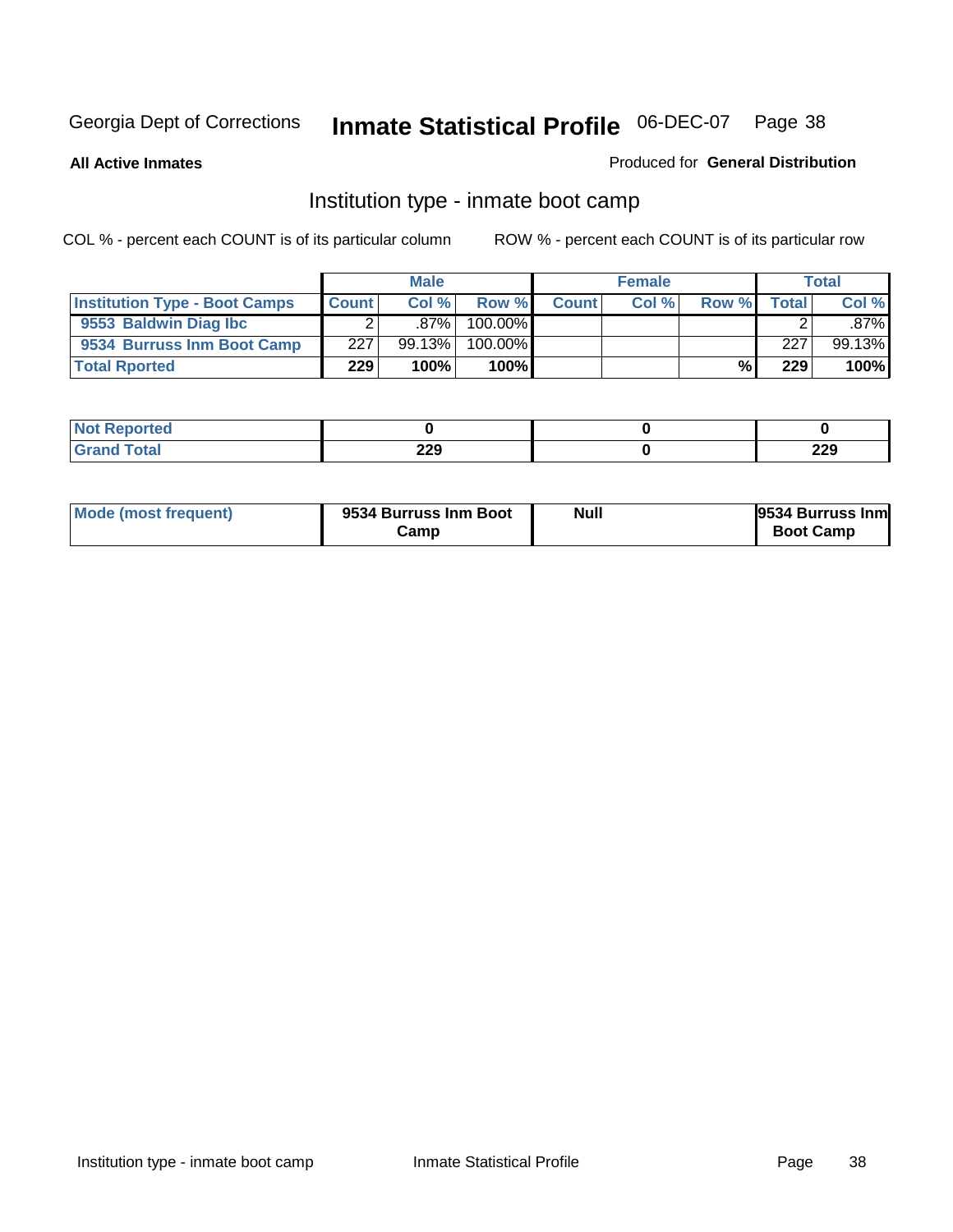**All Active Inmates**

### Produced for **General Distribution**

### Institution type - inmate boot camp

|                                      |              | <b>Male</b> |               |              | <b>Female</b> |       |        | <b>Total</b> |
|--------------------------------------|--------------|-------------|---------------|--------------|---------------|-------|--------|--------------|
| <b>Institution Type - Boot Camps</b> | <b>Count</b> | Col%        | Row %         | <b>Count</b> | Col %         | Row % | Totall | Col %        |
| 9553 Baldwin Diag Ibc                |              | $.87\%$     | 100.00%       |              |               |       |        | $.87\%$      |
| 9534 Burruss Inm Boot Camp           | 227          | 99.13%      | 100.00%       |              |               |       | 227    | 99.13%       |
| <b>Total Rported</b>                 | 229          | 100%        | 100% <b>I</b> |              |               | %     | 229    | 100%         |

| rtea         |                   |            |
|--------------|-------------------|------------|
| intal<br>--- | つつロ<br>LLJ<br>___ | חרר<br>ZZY |

| Mode (most frequent) | 9534 Burruss Inm Boot<br>Camp | <b>Null</b> | 9534 Burruss Inm<br><b>Boot Camp</b> |
|----------------------|-------------------------------|-------------|--------------------------------------|
|----------------------|-------------------------------|-------------|--------------------------------------|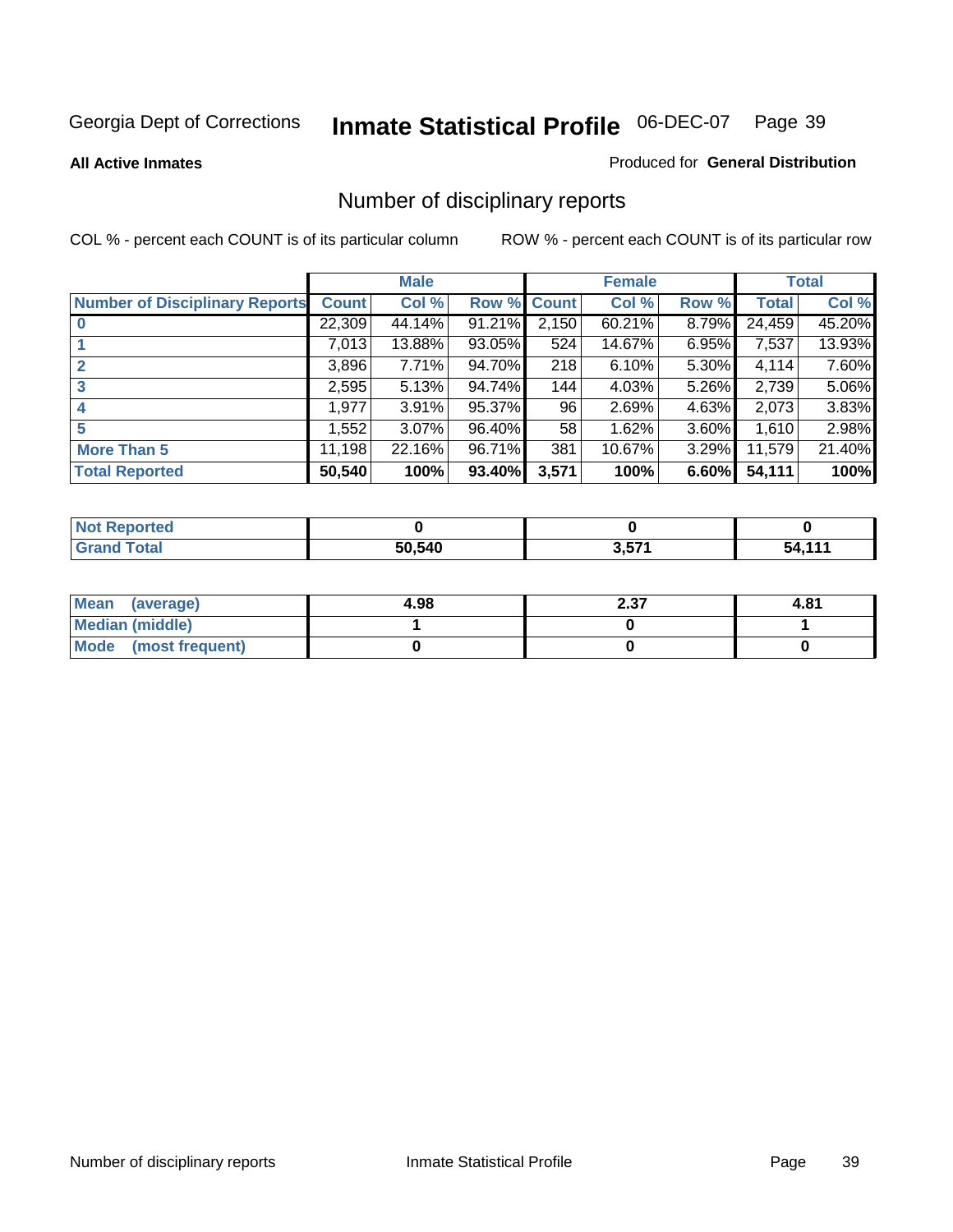**All Active Inmates**

#### Produced for **General Distribution**

# Number of disciplinary reports

|                                       |              | <b>Male</b> |        |              | <b>Female</b> |          |              | <b>Total</b> |
|---------------------------------------|--------------|-------------|--------|--------------|---------------|----------|--------------|--------------|
| <b>Number of Disciplinary Reports</b> | <b>Count</b> | Col %       | Row %  | <b>Count</b> | Col %         | Row %    | <b>Total</b> | Col %        |
|                                       | 22,309       | 44.14%      | 91.21% | 2,150        | 60.21%        | 8.79%    | 24,459       | 45.20%       |
|                                       | 7,013        | 13.88%      | 93.05% | 524          | 14.67%        | 6.95%    | 7,537        | 13.93%       |
| 2                                     | 3,896        | 7.71%       | 94.70% | 218          | 6.10%         | 5.30%    | 4,114        | 7.60%        |
| 3                                     | 2,595        | 5.13%       | 94.74% | 144          | 4.03%         | 5.26%    | 2,739        | 5.06%        |
|                                       | .977         | 3.91%       | 95.37% | 96           | 2.69%         | $4.63\%$ | 2,073        | 3.83%        |
| 5                                     | ,552         | $3.07\%$    | 96.40% | 58           | 1.62%         | 3.60%    | 1,610        | 2.98%        |
| <b>More Than 5</b>                    | 11,198       | 22.16%      | 96.71% | 381          | 10.67%        | 3.29%    | 11,579       | 21.40%       |
| <b>Total Reported</b>                 | 50,540       | 100%        | 93.40% | 3,571        | 100%          | 6.60%    | 54,111       | 100%         |

| N                     |        |       |       |
|-----------------------|--------|-------|-------|
| $f \wedge f \wedge f$ | 50.540 | D E74 | - - - |

| Mean (average)       | 4.98 | 2.37 | 4.81 |
|----------------------|------|------|------|
| Median (middle)      |      |      |      |
| Mode (most frequent) |      |      |      |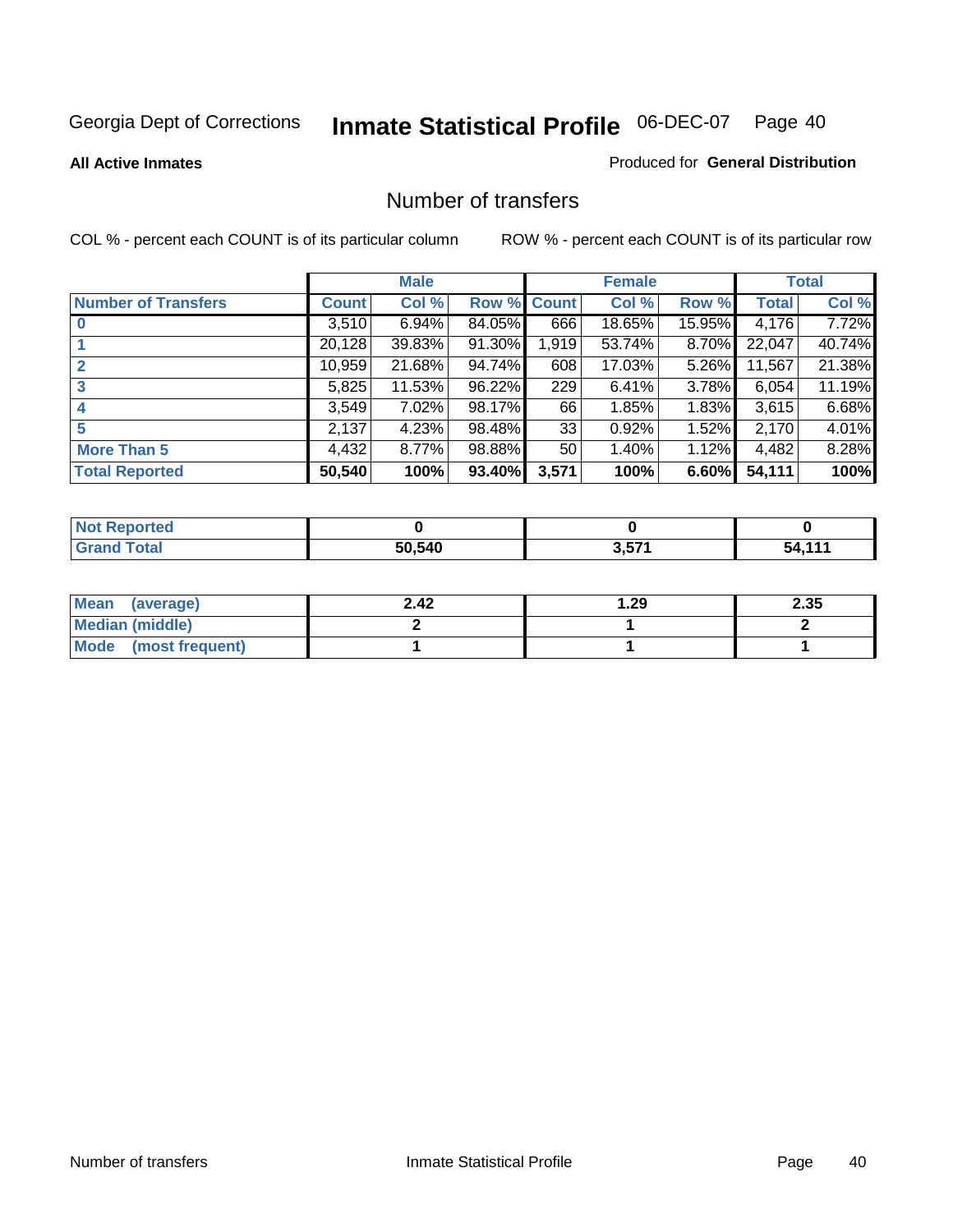#### **All Active Inmates**

#### Produced for **General Distribution**

### Number of transfers

|                            |              | <b>Male</b> |        |                 | <b>Female</b> |          |              | <b>Total</b> |
|----------------------------|--------------|-------------|--------|-----------------|---------------|----------|--------------|--------------|
| <b>Number of Transfers</b> | <b>Count</b> | Col %       | Row %  | <b>Count</b>    | Col %         | Row %    | <b>Total</b> | Col %        |
|                            | 3,510        | 6.94%       | 84.05% | 666             | 18.65%        | 15.95%   | 4,176        | 7.72%        |
|                            | 20,128       | 39.83%      | 91.30% | 1,919           | 53.74%        | 8.70%    | 22,047       | 40.74%       |
|                            | 10,959       | 21.68%      | 94.74% | 608             | 17.03%        | 5.26%    | 11,567       | 21.38%       |
| 3                          | 5,825        | 11.53%      | 96.22% | 229             | 6.41%         | 3.78%    | 6,054        | 11.19%       |
|                            | 3,549        | $7.02\%$    | 98.17% | 66              | 1.85%         | $1.83\%$ | 3,615        | 6.68%        |
| 5                          | 2,137        | 4.23%       | 98.48% | 33              | 0.92%         | 1.52%    | 2,170        | 4.01%        |
| <b>More Than 5</b>         | 4,432        | $8.77\%$    | 98.88% | 50 <sup>1</sup> | 1.40%         | $1.12\%$ | 4,482        | 8.28%        |
| <b>Total Reported</b>      | 50,540       | 100%        | 93.40% | 3,571           | 100%          | 6.60%    | 54,111       | 100%         |

| N                     |        |       |       |
|-----------------------|--------|-------|-------|
| $f \wedge f \wedge f$ | 50.540 | D E74 | - - - |

| Mean (average)       | 2.42 | ∣.29 | 2.35 |
|----------------------|------|------|------|
| Median (middle)      |      |      |      |
| Mode (most frequent) |      |      |      |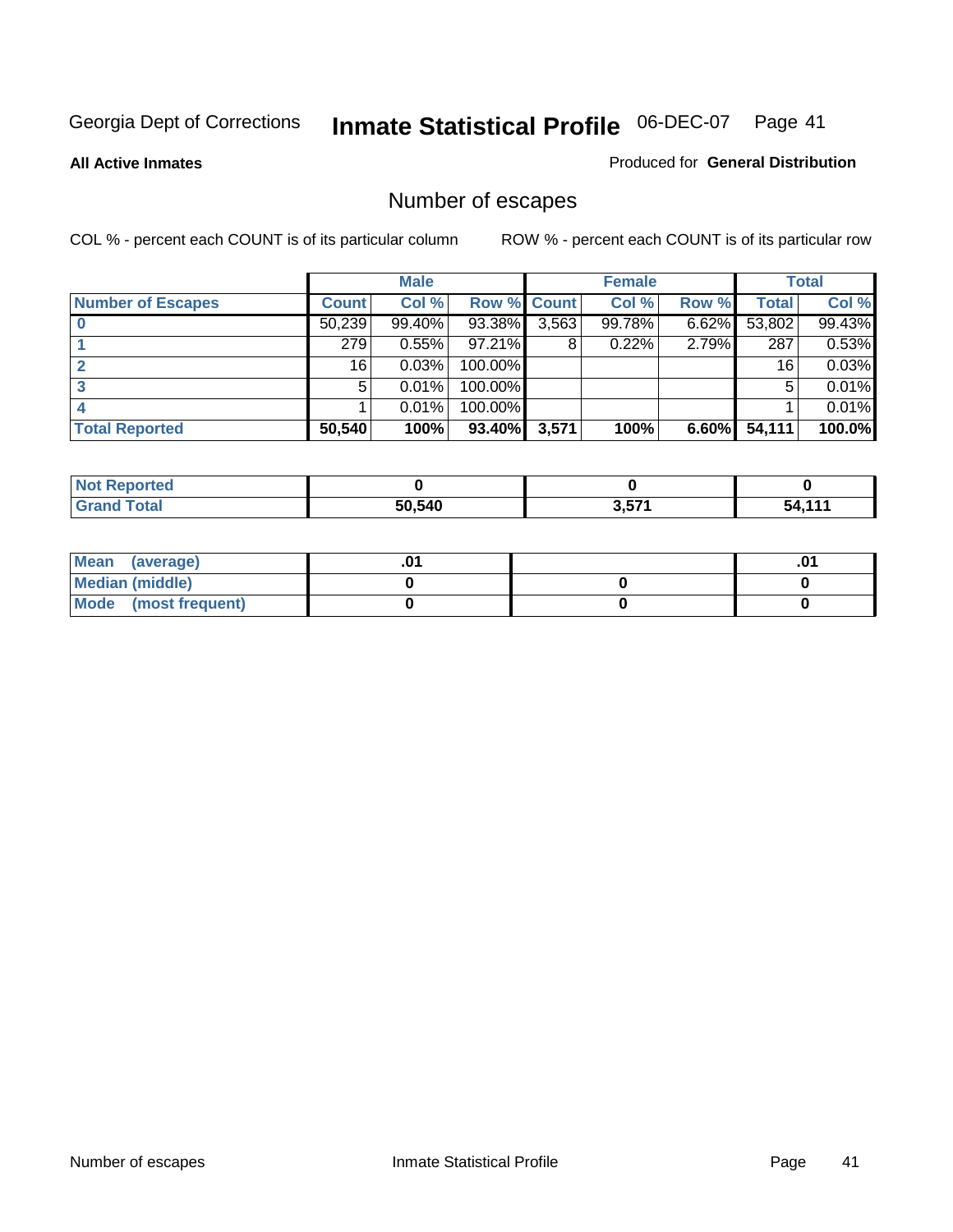**All Active Inmates**

### Produced for **General Distribution**

# Number of escapes

|                          |         | <b>Male</b> |                    |       | <b>Female</b> |       |        | <b>Total</b> |
|--------------------------|---------|-------------|--------------------|-------|---------------|-------|--------|--------------|
| <b>Number of Escapes</b> | Count l | Col %       | <b>Row % Count</b> |       | Col %         | Row % | Total  | Col %        |
|                          | 50,239  | $99.40\%$   | 93.38%             | 3,563 | 99.78%        | 6.62% | 53,802 | 99.43%       |
|                          | 279     | 0.55%       | 97.21%             | 8     | 0.22%         | 2.79% | 287    | 0.53%        |
|                          | 16      | 0.03%       | 100.00%            |       |               |       | 16     | 0.03%        |
|                          | 5.      | 0.01%       | 100.00%            |       |               |       | 5      | 0.01%        |
|                          |         | 0.01%       | 100.00%            |       |               |       |        | 0.01%        |
| <b>Total Reported</b>    | 50,540  | 100%        | 93.40%             | 3,571 | 100%          | 6.60% | 54,111 | 100.0%       |

| NO:<br>тео |        |      |        |
|------------|--------|------|--------|
| ______     | 50.540 | 2571 | .<br>. |

| Mean<br>(average)    |  | 0. |
|----------------------|--|----|
| Median (middle)      |  |    |
| Mode (most frequent) |  |    |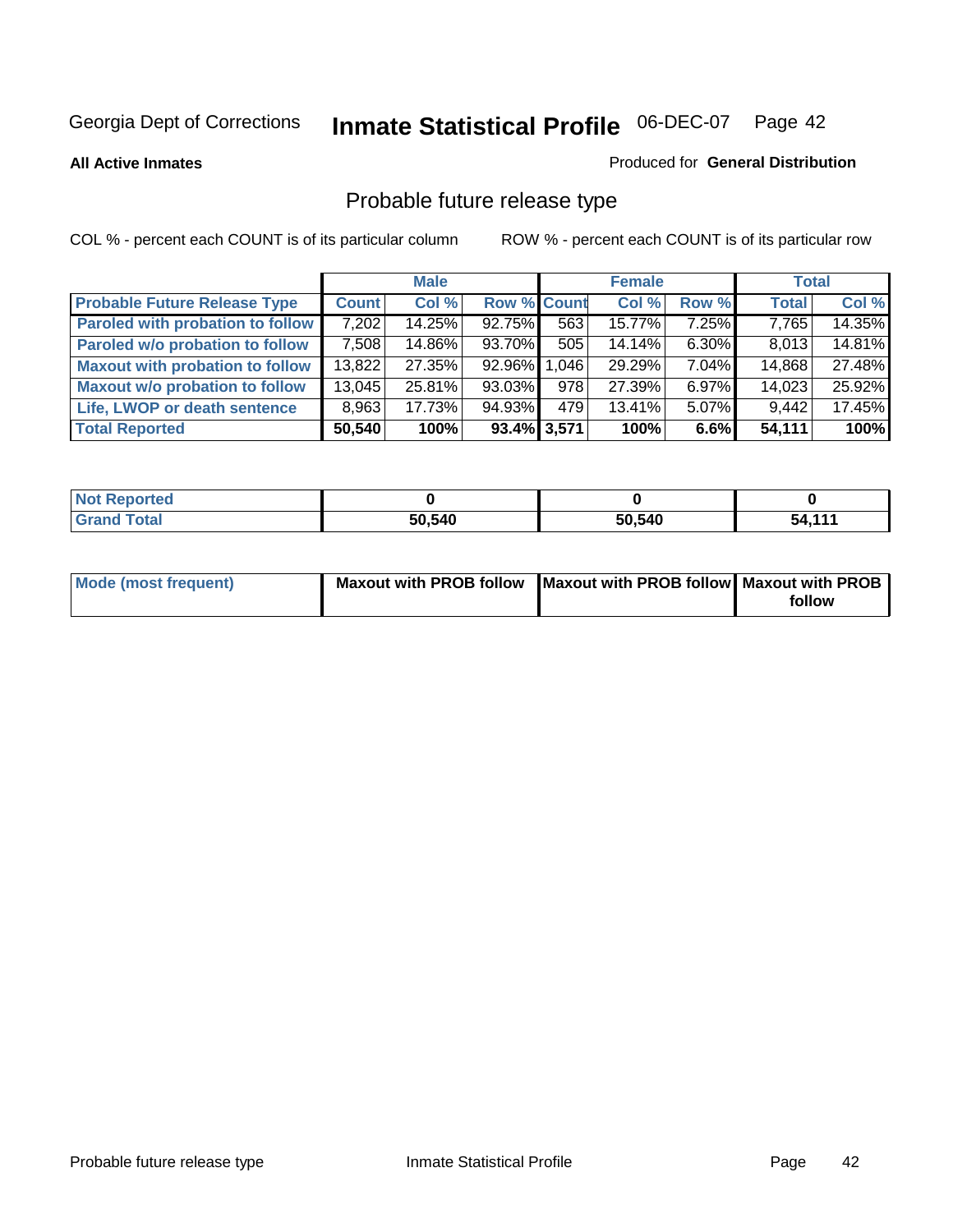**All Active Inmates**

#### Produced for **General Distribution**

# Probable future release type

|                                         |        | <b>Male</b> |                    |       | <b>Female</b> |          | <b>Total</b> |        |
|-----------------------------------------|--------|-------------|--------------------|-------|---------------|----------|--------------|--------|
| <b>Probable Future Release Type</b>     | Count  | Col%        | <b>Row % Count</b> |       | Col %         | Row %    | <b>Total</b> | Col %  |
| <b>Paroled with probation to follow</b> | 7,202  | 14.25%      | 92.75%             | 563   | 15.77%        | $7.25\%$ | 7,765        | 14.35% |
| Paroled w/o probation to follow         | 7,508  | 14.86%      | 93.70%             | 505   | 14.14%        | $6.30\%$ | 8,013        | 14.81% |
| <b>Maxout with probation to follow</b>  | 13,822 | 27.35%      | 92.96%             | 1,046 | 29.29%        | 7.04%    | 14,868       | 27.48% |
| <b>Maxout w/o probation to follow</b>   | 13,045 | 25.81%      | 93.03%             | 978   | 27.39%        | $6.97\%$ | 14,023       | 25.92% |
| Life, LWOP or death sentence            | 8,963  | 17.73%      | 94.93%             | 479   | 13.41%        | $5.07\%$ | 9,442        | 17.45% |
| <b>Total Reported</b>                   | 50,540 | 100%        | $93.4\%$ 3,571     |       | 100%          | $6.6\%$  | 54,111       | 100%   |

| $^{\dagger}$ Not $\cdot$<br>Reported |        |        |        |
|--------------------------------------|--------|--------|--------|
| Total<br>l Grand                     | 50,540 | 50,540 | 54,111 |

| Mode (most frequent) | Maxout with PROB follow   Maxout with PROB follow   Maxout with PROB |        |
|----------------------|----------------------------------------------------------------------|--------|
|                      |                                                                      | follow |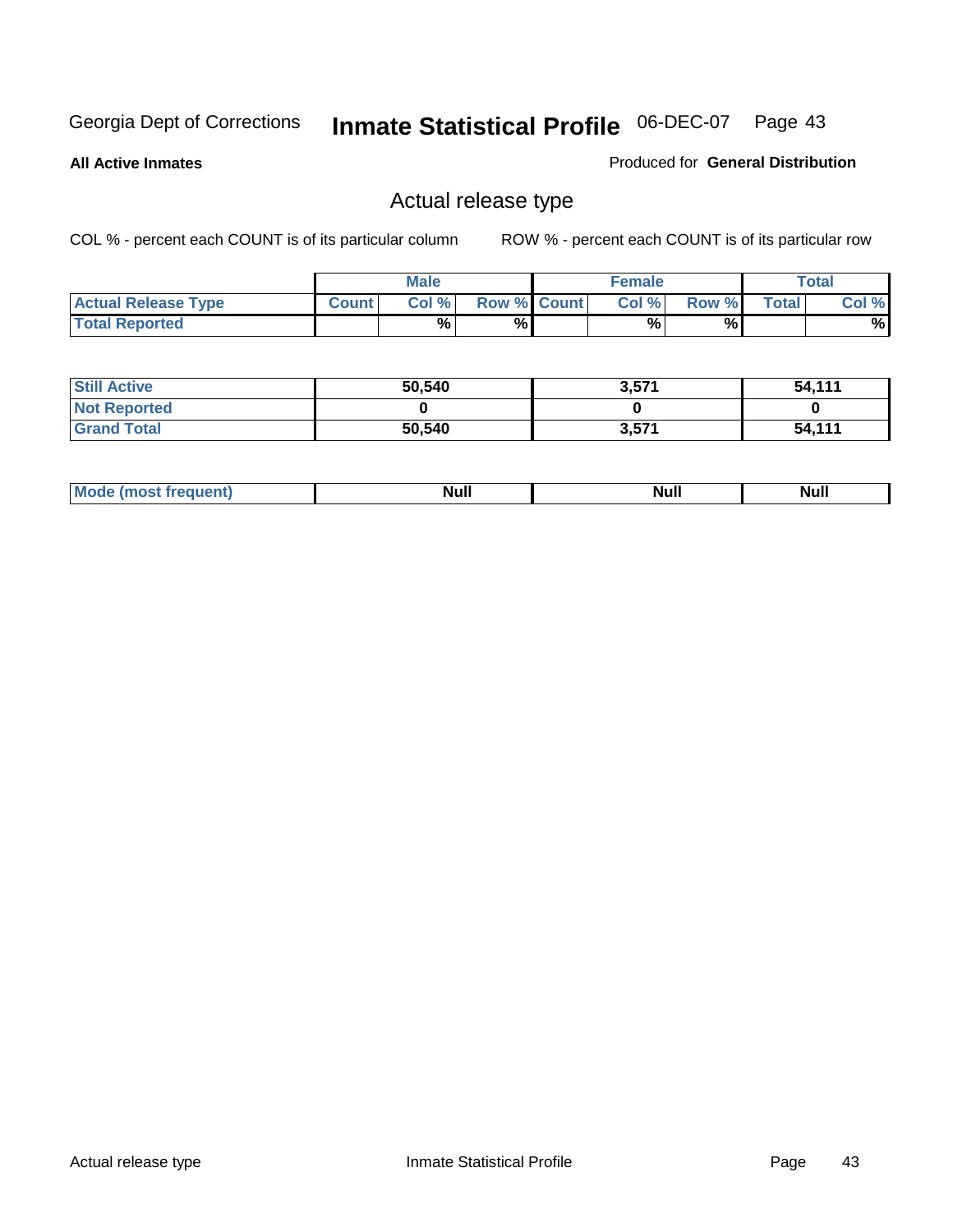**All Active Inmates**

### Produced for **General Distribution**

### Actual release type

|                            |              | <b>Male</b> |                    | <b>Female</b> |       |       | Total |
|----------------------------|--------------|-------------|--------------------|---------------|-------|-------|-------|
| <b>Actual Release Type</b> | <b>Count</b> | Col %       | <b>Row % Count</b> | Col %1        | Row % | Total | Col % |
| <b>Total Reported</b>      |              | %           | %                  | %             | %     |       | %     |

| <b>Still Active</b> | 50,540 | 3,571 | 54,111 |
|---------------------|--------|-------|--------|
| <b>Not Reported</b> |        |       |        |
| <b>Grand Total</b>  | 50,540 | 3,571 | 54,111 |

| M | м. | <b>Null</b> | $\cdots$ |
|---|----|-------------|----------|
|---|----|-------------|----------|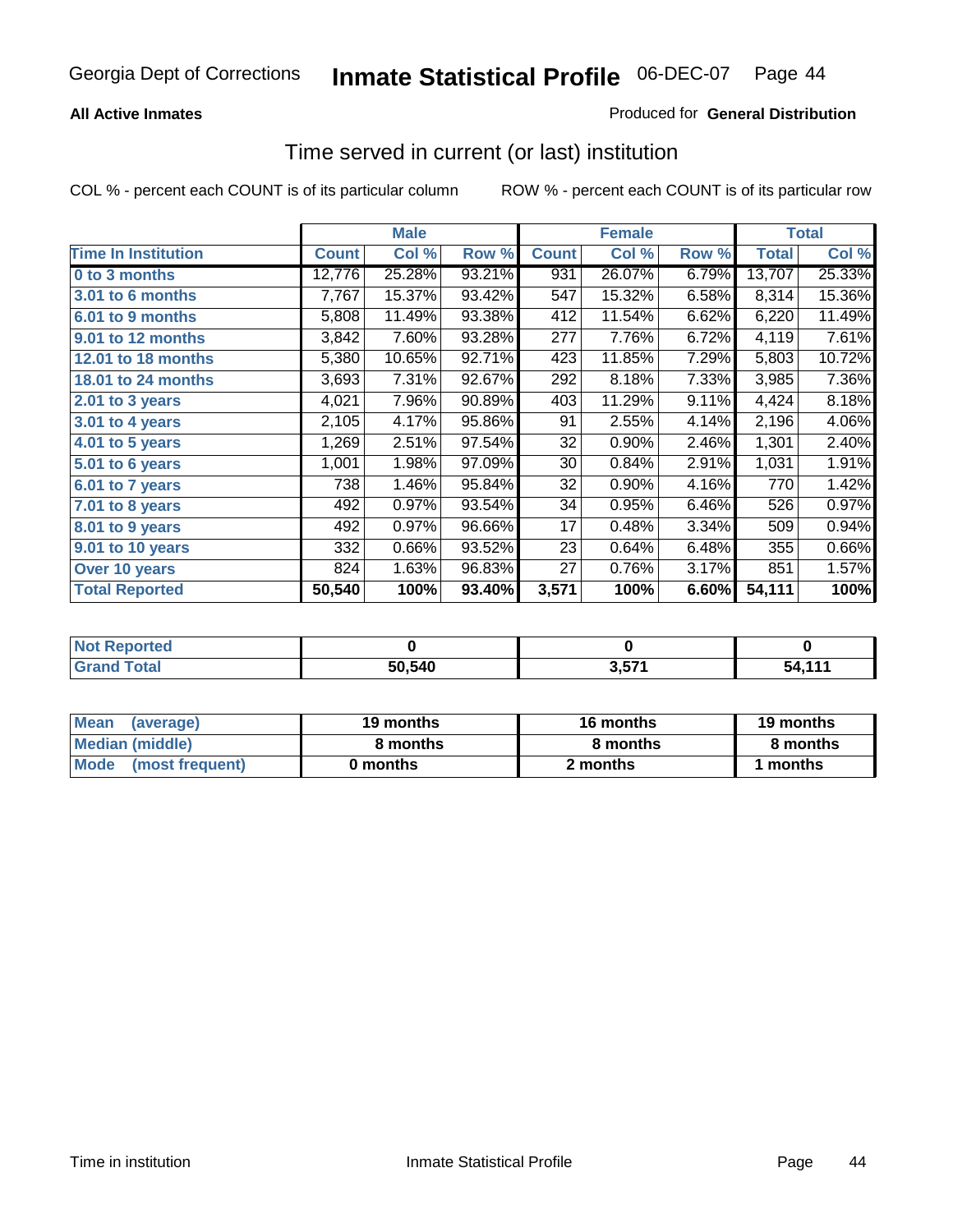### **All Active Inmates**

### Produced for **General Distribution**

### Time served in current (or last) institution

|                            |              | <b>Male</b> |        |              | <b>Female</b> |       |              | <b>Total</b> |
|----------------------------|--------------|-------------|--------|--------------|---------------|-------|--------------|--------------|
| <b>Time In Institution</b> | <b>Count</b> | Col %       | Row %  | <b>Count</b> | Col %         | Row % | <b>Total</b> | Col %        |
| 0 to 3 months              | 12,776       | 25.28%      | 93.21% | 931          | 26.07%        | 6.79% | 13,707       | 25.33%       |
| 3.01 to 6 months           | 7,767        | 15.37%      | 93.42% | 547          | 15.32%        | 6.58% | 8,314        | 15.36%       |
| 6.01 to 9 months           | 5,808        | 11.49%      | 93.38% | 412          | 11.54%        | 6.62% | 6,220        | 11.49%       |
| 9.01 to 12 months          | 3,842        | 7.60%       | 93.28% | 277          | 7.76%         | 6.72% | 4,119        | 7.61%        |
| 12.01 to 18 months         | 5,380        | 10.65%      | 92.71% | 423          | 11.85%        | 7.29% | 5,803        | 10.72%       |
| <b>18.01 to 24 months</b>  | 3,693        | 7.31%       | 92.67% | 292          | 8.18%         | 7.33% | 3,985        | 7.36%        |
| 2.01 to 3 years            | 4,021        | 7.96%       | 90.89% | 403          | 11.29%        | 9.11% | 4,424        | 8.18%        |
| 3.01 to 4 years            | 2,105        | 4.17%       | 95.86% | 91           | 2.55%         | 4.14% | 2,196        | 4.06%        |
| 4.01 to 5 years            | 1,269        | 2.51%       | 97.54% | 32           | 0.90%         | 2.46% | 1,301        | 2.40%        |
| 5.01 to 6 years            | 1,001        | 1.98%       | 97.09% | 30           | 0.84%         | 2.91% | 1,031        | 1.91%        |
| 6.01 to 7 years            | 738          | 1.46%       | 95.84% | 32           | 0.90%         | 4.16% | 770          | 1.42%        |
| 7.01 to 8 years            | 492          | 0.97%       | 93.54% | 34           | 0.95%         | 6.46% | 526          | 0.97%        |
| 8.01 to 9 years            | 492          | 0.97%       | 96.66% | 17           | 0.48%         | 3.34% | 509          | 0.94%        |
| 9.01 to 10 years           | 332          | 0.66%       | 93.52% | 23           | 0.64%         | 6.48% | 355          | 0.66%        |
| Over 10 years              | 824          | 1.63%       | 96.83% | 27           | 0.76%         | 3.17% | 851          | 1.57%        |
| <b>Total Reported</b>      | 50,540       | 100%        | 93.40% | 3,571        | 100%          | 6.60% | 54,111       | 100%         |

| วrted<br>N     |        |     |         |
|----------------|--------|-----|---------|
| `ofai<br>_____ | 50.540 | ニフィ | .<br>50 |

| <b>Mean</b><br>(average) | 19 months | 16 months | 19 months |  |
|--------------------------|-----------|-----------|-----------|--|
| Median (middle)          | 8 months  | 8 months  | 8 months  |  |
| Mode<br>(most frequent)  | 0 months  | 2 months  | months    |  |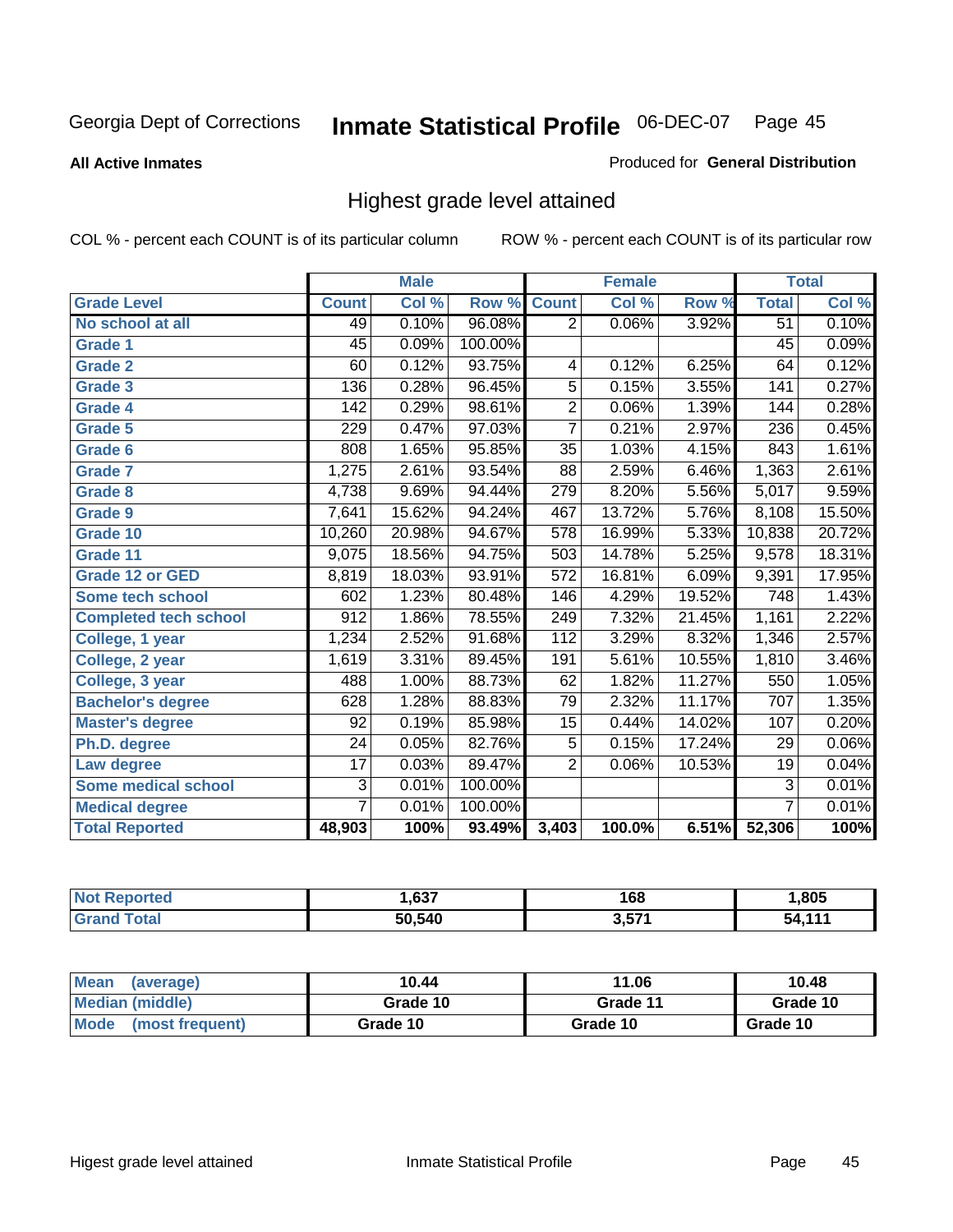**All Active Inmates**

### Produced for **General Distribution**

### Highest grade level attained

|                              |                  | <b>Male</b> |         |                  | <b>Female</b> |        |                 | <b>Total</b> |
|------------------------------|------------------|-------------|---------|------------------|---------------|--------|-----------------|--------------|
| <b>Grade Level</b>           | <b>Count</b>     | Col %       | Row %   | <b>Count</b>     | Col %         | Row %  | <b>Total</b>    | Col %        |
| No school at all             | 49               | 0.10%       | 96.08%  | $\overline{2}$   | 0.06%         | 3.92%  | $\overline{51}$ | 0.10%        |
| Grade 1                      | $\overline{45}$  | 0.09%       | 100.00% |                  |               |        | $\overline{45}$ | 0.09%        |
| <b>Grade 2</b>               | 60               | 0.12%       | 93.75%  | 4                | 0.12%         | 6.25%  | 64              | 0.12%        |
| <b>Grade 3</b>               | 136              | 0.28%       | 96.45%  | 5                | 0.15%         | 3.55%  | 141             | 0.27%        |
| Grade 4                      | $\overline{142}$ | 0.29%       | 98.61%  | $\overline{2}$   | 0.06%         | 1.39%  | 144             | 0.28%        |
| Grade 5                      | 229              | 0.47%       | 97.03%  | $\overline{7}$   | 0.21%         | 2.97%  | 236             | 0.45%        |
| <b>Grade 6</b>               | 808              | 1.65%       | 95.85%  | $\overline{35}$  | 1.03%         | 4.15%  | 843             | 1.61%        |
| <b>Grade 7</b>               | 1,275            | 2.61%       | 93.54%  | 88               | 2.59%         | 6.46%  | 1,363           | 2.61%        |
| <b>Grade 8</b>               | 4,738            | 9.69%       | 94.44%  | 279              | 8.20%         | 5.56%  | 5,017           | 9.59%        |
| Grade 9                      | 7,641            | 15.62%      | 94.24%  | 467              | 13.72%        | 5.76%  | 8,108           | 15.50%       |
| Grade 10                     | 10,260           | 20.98%      | 94.67%  | 578              | 16.99%        | 5.33%  | 10,838          | 20.72%       |
| Grade 11                     | 9,075            | 18.56%      | 94.75%  | 503              | 14.78%        | 5.25%  | 9,578           | 18.31%       |
| Grade 12 or GED              | 8,819            | 18.03%      | 93.91%  | $\overline{572}$ | 16.81%        | 6.09%  | 9,391           | 17.95%       |
| <b>Some tech school</b>      | 602              | 1.23%       | 80.48%  | 146              | 4.29%         | 19.52% | 748             | 1.43%        |
| <b>Completed tech school</b> | 912              | 1.86%       | 78.55%  | 249              | 7.32%         | 21.45% | 1,161           | 2.22%        |
| College, 1 year              | 1,234            | 2.52%       | 91.68%  | 112              | 3.29%         | 8.32%  | 1,346           | 2.57%        |
| College, 2 year              | 1,619            | 3.31%       | 89.45%  | 191              | 5.61%         | 10.55% | 1,810           | 3.46%        |
| College, 3 year              | 488              | 1.00%       | 88.73%  | 62               | 1.82%         | 11.27% | 550             | 1.05%        |
| <b>Bachelor's degree</b>     | 628              | 1.28%       | 88.83%  | 79               | 2.32%         | 11.17% | 707             | 1.35%        |
| <b>Master's degree</b>       | 92               | 0.19%       | 85.98%  | 15               | 0.44%         | 14.02% | 107             | 0.20%        |
| Ph.D. degree                 | $\overline{24}$  | 0.05%       | 82.76%  | 5                | 0.15%         | 17.24% | 29              | $0.06\%$     |
| Law degree                   | $\overline{17}$  | 0.03%       | 89.47%  | $\overline{2}$   | 0.06%         | 10.53% | 19              | 0.04%        |
| <b>Some medical school</b>   | $\overline{3}$   | 0.01%       | 100.00% |                  |               |        | $\overline{3}$  | 0.01%        |
| <b>Medical degree</b>        | $\overline{7}$   | 0.01%       | 100.00% |                  |               |        | $\overline{7}$  | 0.01%        |
| <b>Total Reported</b>        | 48,903           | 100%        | 93.49%  | 3,403            | 100.0%        | 6.51%  | 52,306          | 100%         |

| .637   | 168   | ,805     |
|--------|-------|----------|
| 50.540 | ) E74 | 444<br>л |

| <b>Mean</b><br>(average) | 10.44    | 11.06    | 10.48    |
|--------------------------|----------|----------|----------|
| Median (middle)          | Grade 10 | Grade 11 | Grade 10 |
| Mode<br>(most frequent)  | Grade 10 | Grade 10 | Grade 10 |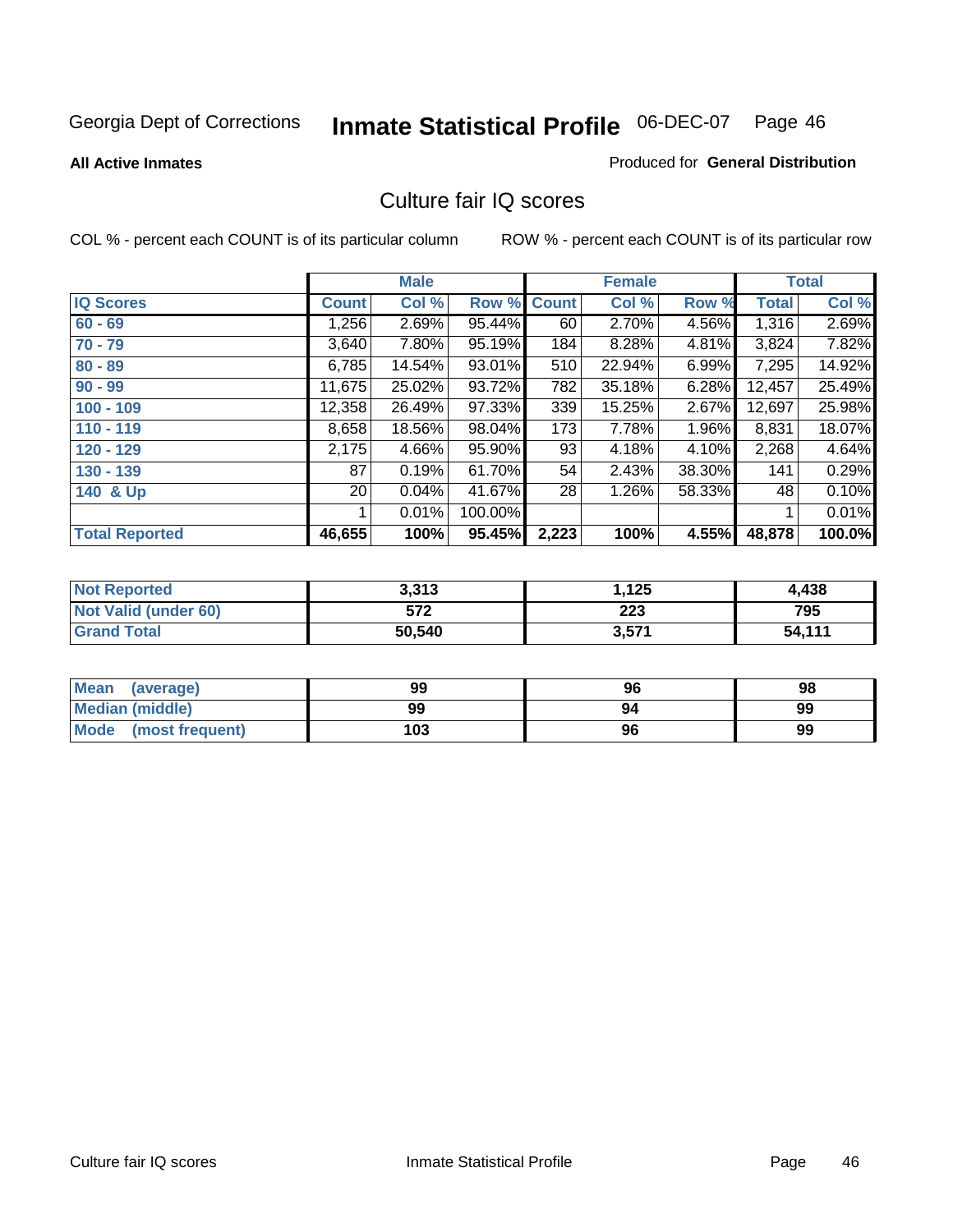Produced for **General Distribution**

#### **All Active Inmates**

# Culture fair IQ scores

|                       |                 | <b>Male</b> |         |              | <b>Female</b> |          |              | <b>Total</b> |
|-----------------------|-----------------|-------------|---------|--------------|---------------|----------|--------------|--------------|
| <b>IQ Scores</b>      | <b>Count</b>    | Col %       | Row %   | <b>Count</b> | Col %         | Row %    | <b>Total</b> | Col %        |
| $60 - 69$             | .256            | 2.69%       | 95.44%  | 60           | 2.70%         | 4.56%    | 1,316        | 2.69%        |
| $70 - 79$             | 3,640           | 7.80%       | 95.19%  | 184          | 8.28%         | 4.81%    | 3,824        | 7.82%        |
| $80 - 89$             | 6,785           | 14.54%      | 93.01%  | 510          | 22.94%        | 6.99%    | 7,295        | 14.92%       |
| $90 - 99$             | 11,675          | 25.02%      | 93.72%  | 782          | 35.18%        | 6.28%    | 12,457       | 25.49%       |
| $100 - 109$           | 12,358          | 26.49%      | 97.33%  | 339          | 15.25%        | 2.67%    | 12,697       | 25.98%       |
| $110 - 119$           | 8,658           | 18.56%      | 98.04%  | 173          | 7.78%         | $1.96\%$ | 8,831        | 18.07%       |
| 120 - 129             | 2,175           | 4.66%       | 95.90%  | 93           | 4.18%         | 4.10%    | 2,268        | 4.64%        |
| 130 - 139             | 87              | 0.19%       | 61.70%  | 54           | 2.43%         | 38.30%   | 141          | 0.29%        |
| 140 & Up              | 20 <sub>1</sub> | 0.04%       | 41.67%  | 28           | 1.26%         | 58.33%   | 48           | 0.10%        |
|                       |                 | 0.01%       | 100.00% |              |               |          | 1            | 0.01%        |
| <b>Total Reported</b> | 46,655          | 100%        | 95.45%  | 2,223        | 100%          | 4.55%    | 48,878       | 100.0%       |

| <b>Not Reported</b>  | 3.313  | .125  | 4.438  |
|----------------------|--------|-------|--------|
| Not Valid (under 60) | 572    | 223   | 795    |
| <b>Grand Total</b>   | 50,540 | 3,571 | 54,111 |

| <b>Mean</b><br>(average) | 99  | 96 | 98 |
|--------------------------|-----|----|----|
| <b>Median (middle)</b>   | 99  | 94 | 99 |
| Mode (most frequent)     | 103 | 96 | 99 |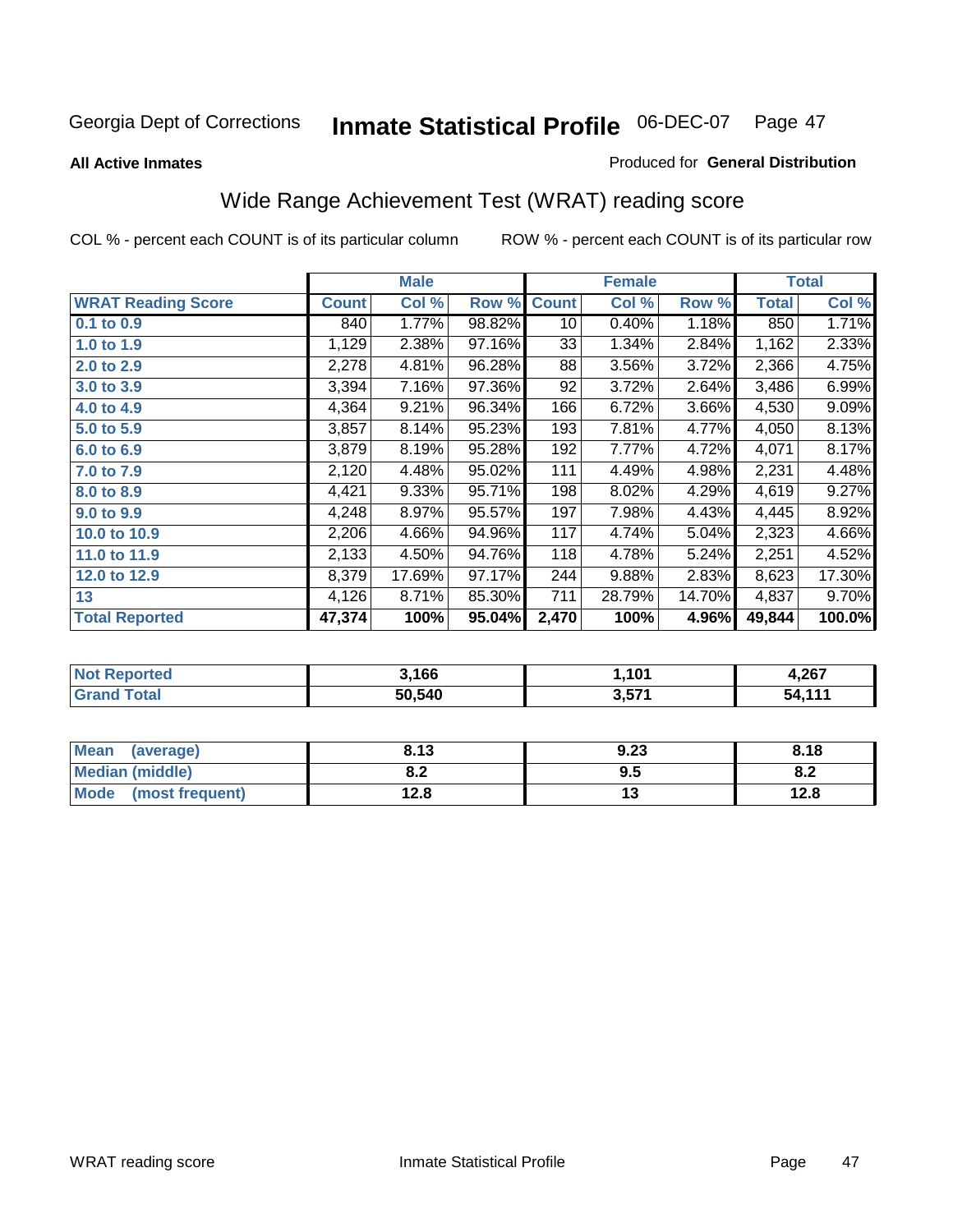#### **All Active Inmates**

### Produced for **General Distribution**

# Wide Range Achievement Test (WRAT) reading score

| <b>WRAT Reading Score</b><br><b>Count</b><br>$0.1$ to 0.9<br>1,129<br>1.0 to 1.9<br>2,278<br>2.0 to 2.9<br>3,394<br>3.0 to 3.9 | Col %<br>1.77%<br>840<br>2.38%<br>4.81%<br>7.16% | Row %<br>98.82%<br>97.16%<br>96.28% | <b>Count</b><br>10<br>33<br>88 | Col %<br>0.40%<br>1.34% | Row %<br>1.18%<br>2.84% | <b>Total</b><br>850<br>1,162 | Col %<br>1.71%<br>2.33% |
|--------------------------------------------------------------------------------------------------------------------------------|--------------------------------------------------|-------------------------------------|--------------------------------|-------------------------|-------------------------|------------------------------|-------------------------|
|                                                                                                                                |                                                  |                                     |                                |                         |                         |                              |                         |
|                                                                                                                                |                                                  |                                     |                                |                         |                         |                              |                         |
|                                                                                                                                |                                                  |                                     |                                |                         |                         |                              |                         |
|                                                                                                                                |                                                  |                                     |                                | 3.56%                   | 3.72%                   | 2,366                        | 4.75%                   |
|                                                                                                                                |                                                  | 97.36%                              | 92                             | 3.72%                   | 2.64%                   | 3,486                        | 6.99%                   |
| 4,364<br>4.0 to 4.9                                                                                                            | 9.21%                                            | 96.34%                              | 166                            | 6.72%                   | 3.66%                   | 4,530                        | 9.09%                   |
| 3,857<br>5.0 to 5.9                                                                                                            | 8.14%                                            | 95.23%                              | 193                            | 7.81%                   | 4.77%                   | 4,050                        | 8.13%                   |
| 3,879<br>6.0 to 6.9                                                                                                            | 8.19%                                            | 95.28%                              | 192                            | 7.77%                   | 4.72%                   | 4,071                        | 8.17%                   |
| 2,120<br>7.0 to 7.9                                                                                                            | 4.48%                                            | 95.02%                              | 111                            | 4.49%                   | 4.98%                   | 2,231                        | 4.48%                   |
| 4,421<br>8.0 to 8.9                                                                                                            | 9.33%                                            | 95.71%                              | 198                            | 8.02%                   | 4.29%                   | 4,619                        | 9.27%                   |
| 4,248<br>9.0 to 9.9                                                                                                            | 8.97%                                            | 95.57%                              | 197                            | 7.98%                   | 4.43%                   | 4,445                        | 8.92%                   |
| 2,206<br>10.0 to 10.9                                                                                                          | 4.66%                                            | 94.96%                              | 117                            | 4.74%                   | 5.04%                   | 2,323                        | 4.66%                   |
| 2,133<br>11.0 to 11.9                                                                                                          | 4.50%                                            | 94.76%                              | 118                            | 4.78%                   | 5.24%                   | 2,251                        | 4.52%                   |
| 8,379<br>12.0 to 12.9                                                                                                          | 17.69%                                           | 97.17%                              | 244                            | 9.88%                   | 2.83%                   | 8,623                        | 17.30%                  |
| 4,126<br>13                                                                                                                    | 8.71%                                            | 85.30%                              | 711                            | 28.79%                  | 14.70%                  | 4,837                        | 9.70%                   |
| <b>Total Reported</b><br>47,374                                                                                                | 100%                                             | 95.04%                              | 2,470                          | 100%                    | 4.96%                   | 49,844                       | 100.0%                  |

| <b>Not Reported</b> | 3,166  | 1,101 | 4,267  |
|---------------------|--------|-------|--------|
| <b>Grand Total</b>  | 50,540 | 3,571 | 54,111 |

| Mean (average)       | 8.13       | 9.23 | 8.18      |
|----------------------|------------|------|-----------|
| Median (middle)      | י ס<br>o.z | 9.5  | ററ<br>o.z |
| Mode (most frequent) | 12.8       | ں ו  | 12.8      |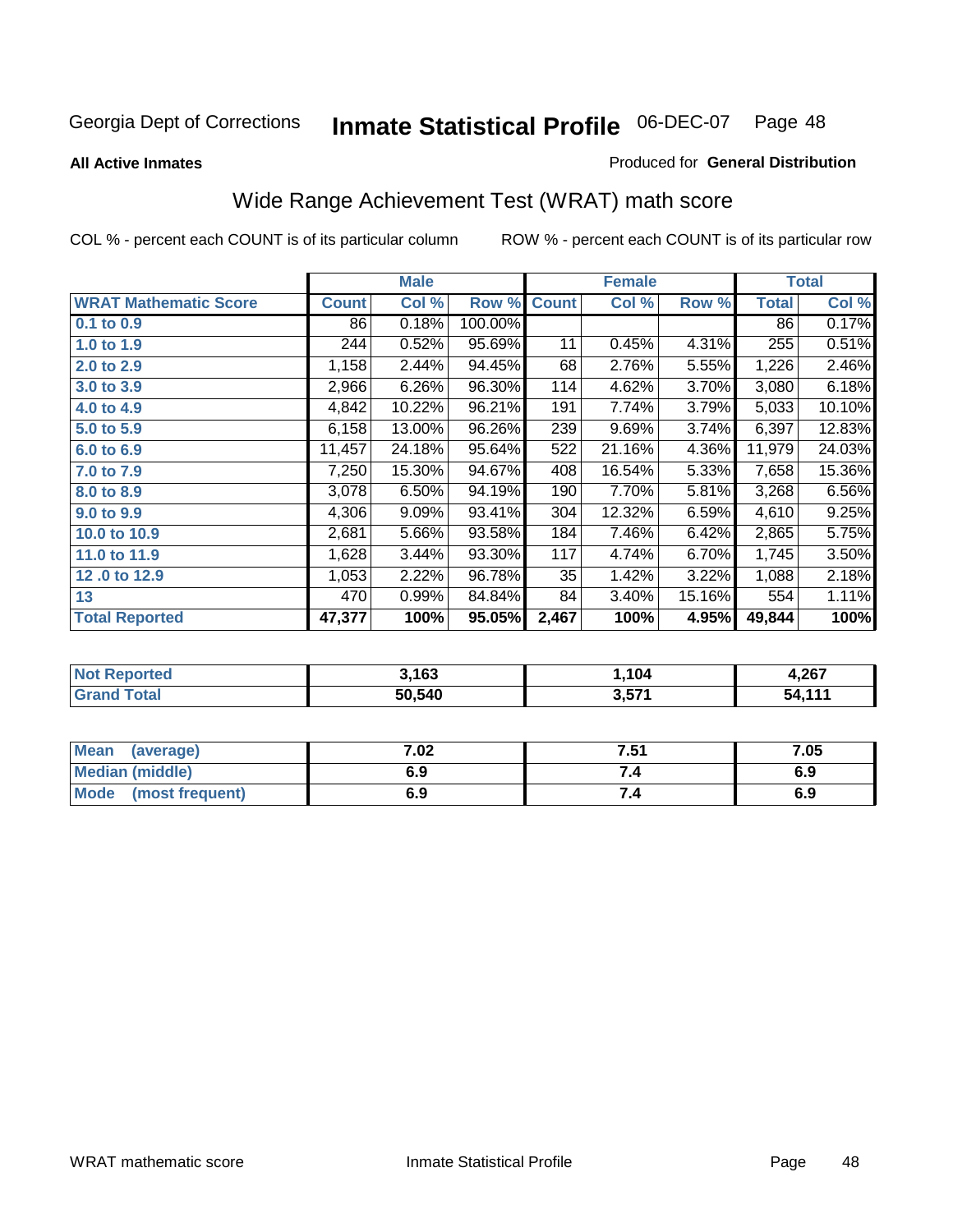**All Active Inmates**

#### Produced for **General Distribution**

# Wide Range Achievement Test (WRAT) math score

|                              |              | <b>Male</b> |         |              | <b>Female</b> |        |              | <b>Total</b> |
|------------------------------|--------------|-------------|---------|--------------|---------------|--------|--------------|--------------|
| <b>WRAT Mathematic Score</b> | <b>Count</b> | Col %       | Row %   | <b>Count</b> | Col %         | Row %  | <b>Total</b> | Col %        |
| 0.1 to 0.9                   | 86           | 0.18%       | 100.00% |              |               |        | 86           | 0.17%        |
| 1.0 to 1.9                   | 244          | 0.52%       | 95.69%  | 11           | 0.45%         | 4.31%  | 255          | 0.51%        |
| 2.0 to 2.9                   | 1,158        | 2.44%       | 94.45%  | 68           | 2.76%         | 5.55%  | 1,226        | 2.46%        |
| 3.0 to 3.9                   | 2,966        | 6.26%       | 96.30%  | 114          | 4.62%         | 3.70%  | 3,080        | 6.18%        |
| 4.0 to 4.9                   | 4,842        | 10.22%      | 96.21%  | 191          | 7.74%         | 3.79%  | 5,033        | 10.10%       |
| 5.0 to 5.9                   | 6,158        | 13.00%      | 96.26%  | 239          | 9.69%         | 3.74%  | 6,397        | 12.83%       |
| 6.0 to 6.9                   | 11,457       | 24.18%      | 95.64%  | 522          | 21.16%        | 4.36%  | 11,979       | 24.03%       |
| 7.0 to 7.9                   | 7,250        | 15.30%      | 94.67%  | 408          | 16.54%        | 5.33%  | 7,658        | 15.36%       |
| 8.0 to 8.9                   | 3,078        | 6.50%       | 94.19%  | 190          | 7.70%         | 5.81%  | 3,268        | 6.56%        |
| 9.0 to 9.9                   | 4,306        | 9.09%       | 93.41%  | 304          | 12.32%        | 6.59%  | 4,610        | 9.25%        |
| 10.0 to 10.9                 | 2,681        | 5.66%       | 93.58%  | 184          | 7.46%         | 6.42%  | 2,865        | 5.75%        |
| 11.0 to 11.9                 | 1,628        | 3.44%       | 93.30%  | 117          | 4.74%         | 6.70%  | 1,745        | 3.50%        |
| 12.0 to 12.9                 | 1,053        | 2.22%       | 96.78%  | 35           | 1.42%         | 3.22%  | 1,088        | 2.18%        |
| 13                           | 470          | 0.99%       | 84.84%  | 84           | 3.40%         | 15.16% | 554          | 1.11%        |
| <b>Total Reported</b>        | 47,377       | 100%        | 95.05%  | 2,467        | 100%          | 4.95%  | 49,844       | 100%         |

| <b>Not Reported</b> | 3,163  | 1,104 | 4,267  |
|---------------------|--------|-------|--------|
| <b>Grand Total</b>  | 50,540 | 3,571 | 54,111 |

| <b>Mean</b><br>(average)       | 7.02 | 7.51 | 7.05 |
|--------------------------------|------|------|------|
| Median (middle)                | 6.9  |      | 6.9  |
| <b>Mode</b><br>(most frequent) | 6.9  | 7.4  | 6.9  |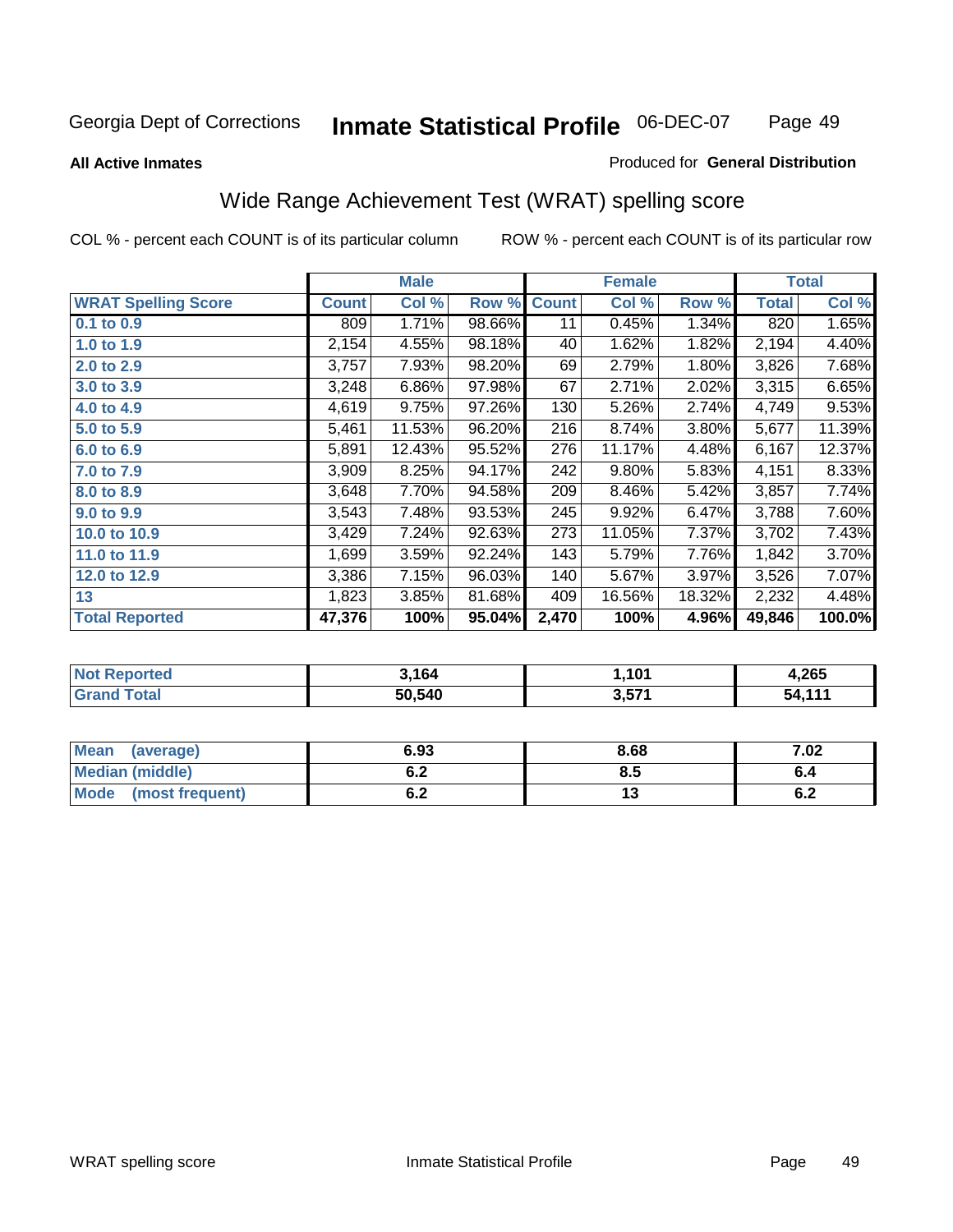#### **All Active Inmates**

### Produced for **General Distribution**

### Wide Range Achievement Test (WRAT) spelling score

|                            |              | <b>Male</b> |        |              | <b>Female</b> |        |              | <b>Total</b> |
|----------------------------|--------------|-------------|--------|--------------|---------------|--------|--------------|--------------|
| <b>WRAT Spelling Score</b> | <b>Count</b> | Col %       | Row %  | <b>Count</b> | Col %         | Row %  | <b>Total</b> | Col %        |
| $0.1$ to $0.9$             | 809          | 1.71%       | 98.66% | 11           | 0.45%         | 1.34%  | 820          | 1.65%        |
| 1.0 to 1.9                 | 2,154        | 4.55%       | 98.18% | 40           | 1.62%         | 1.82%  | 2,194        | 4.40%        |
| 2.0 to 2.9                 | 3,757        | 7.93%       | 98.20% | 69           | 2.79%         | 1.80%  | 3,826        | 7.68%        |
| 3.0 to 3.9                 | 3,248        | 6.86%       | 97.98% | 67           | 2.71%         | 2.02%  | 3,315        | 6.65%        |
| 4.0 to 4.9                 | 4,619        | 9.75%       | 97.26% | 130          | 5.26%         | 2.74%  | 4,749        | 9.53%        |
| 5.0 to 5.9                 | 5,461        | 11.53%      | 96.20% | 216          | 8.74%         | 3.80%  | 5,677        | 11.39%       |
| 6.0 to 6.9                 | 5,891        | 12.43%      | 95.52% | 276          | 11.17%        | 4.48%  | 6,167        | 12.37%       |
| 7.0 to 7.9                 | 3,909        | 8.25%       | 94.17% | 242          | 9.80%         | 5.83%  | 4,151        | 8.33%        |
| 8.0 to 8.9                 | 3,648        | 7.70%       | 94.58% | 209          | 8.46%         | 5.42%  | 3,857        | 7.74%        |
| 9.0 to 9.9                 | 3,543        | 7.48%       | 93.53% | 245          | 9.92%         | 6.47%  | 3,788        | 7.60%        |
| 10.0 to 10.9               | 3,429        | 7.24%       | 92.63% | 273          | 11.05%        | 7.37%  | 3,702        | 7.43%        |
| 11.0 to 11.9               | 1,699        | 3.59%       | 92.24% | 143          | 5.79%         | 7.76%  | 1,842        | 3.70%        |
| 12.0 to 12.9               | 3,386        | 7.15%       | 96.03% | 140          | 5.67%         | 3.97%  | 3,526        | 7.07%        |
| 13                         | 1,823        | 3.85%       | 81.68% | 409          | 16.56%        | 18.32% | 2,232        | 4.48%        |
| <b>Total Reported</b>      | 47,376       | 100%        | 95.04% | 2,470        | 100%          | 4.96%  | 49,846       | 100.0%       |

| <b>Not Reported</b> | 3.164  | 1,101 | 4,265  |
|---------------------|--------|-------|--------|
| <b>Grand Total</b>  | 50,540 | 3,571 | 54,111 |

| Mean (average)         | 6.93       | 8.68 | 7.02 |
|------------------------|------------|------|------|
| <b>Median (middle)</b> | ^ ^<br>0.Z | 8.5  |      |
| Mode (most frequent)   | ^ ^<br>ο.Ζ | ıJ   | 0.Z  |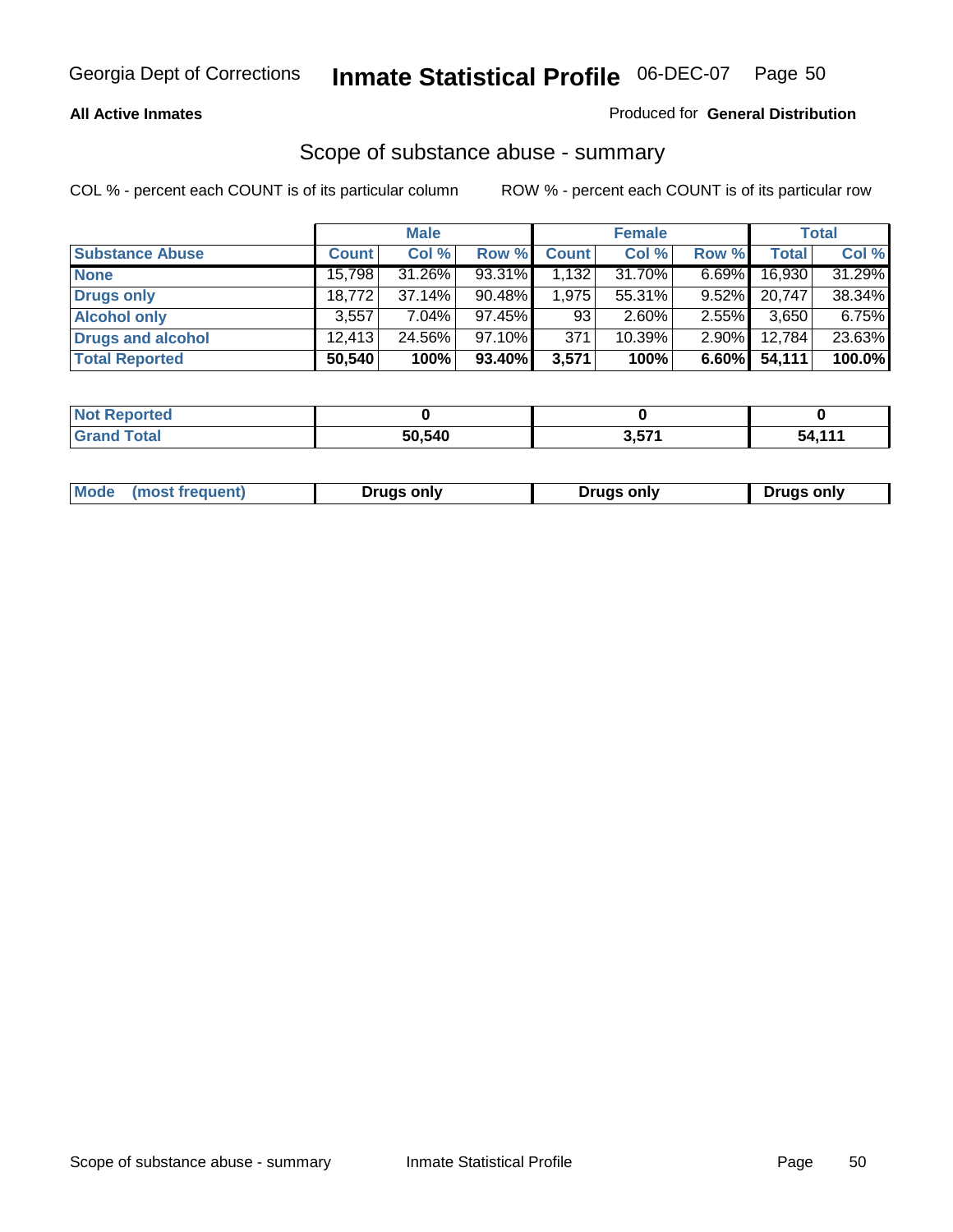### **All Active Inmates**

### Produced for **General Distribution**

### Scope of substance abuse - summary

|                        |        | <b>Male</b> |           |              | <b>Female</b> |          |        | <b>Total</b> |
|------------------------|--------|-------------|-----------|--------------|---------------|----------|--------|--------------|
| <b>Substance Abuse</b> | Count  | Col %       | Row %     | <b>Count</b> | Col %         | Row %    | Total  | Col %        |
| <b>None</b>            | 15,798 | 31.26%      | $93.31\%$ | 1.1321       | 31.70%        | $6.69\%$ | 16,930 | 31.29%       |
| Drugs only             | 18,772 | $37.14\%$   | 90.48%    | 1,975        | 55.31%        | $9.52\%$ | 20,747 | 38.34%       |
| <b>Alcohol only</b>    | 3,557  | $7.04\%$    | 97.45%    | 93           | $2.60\%$      | $2.55\%$ | 3,650  | 6.75%        |
| Drugs and alcohol      | 12.413 | 24.56%      | 97.10%    | 371          | 10.39%        | $2.90\%$ | 12,784 | 23.63%       |
| <b>Total Reported</b>  | 50,540 | 100%        | 93.40%    | 3,571        | 100%          | 6.60%    | 54,111 | 100.0%       |

| <b>Not Reported</b>          |        |                 |        |
|------------------------------|--------|-----------------|--------|
| <b>Total</b><br><b>Grand</b> | 50.540 | 3 571<br>י וטוע | $-111$ |

|  | Mode<br>(most frequent) | Drugs only | <b>Drugs only</b> | <b>Drugs only</b> |
|--|-------------------------|------------|-------------------|-------------------|
|--|-------------------------|------------|-------------------|-------------------|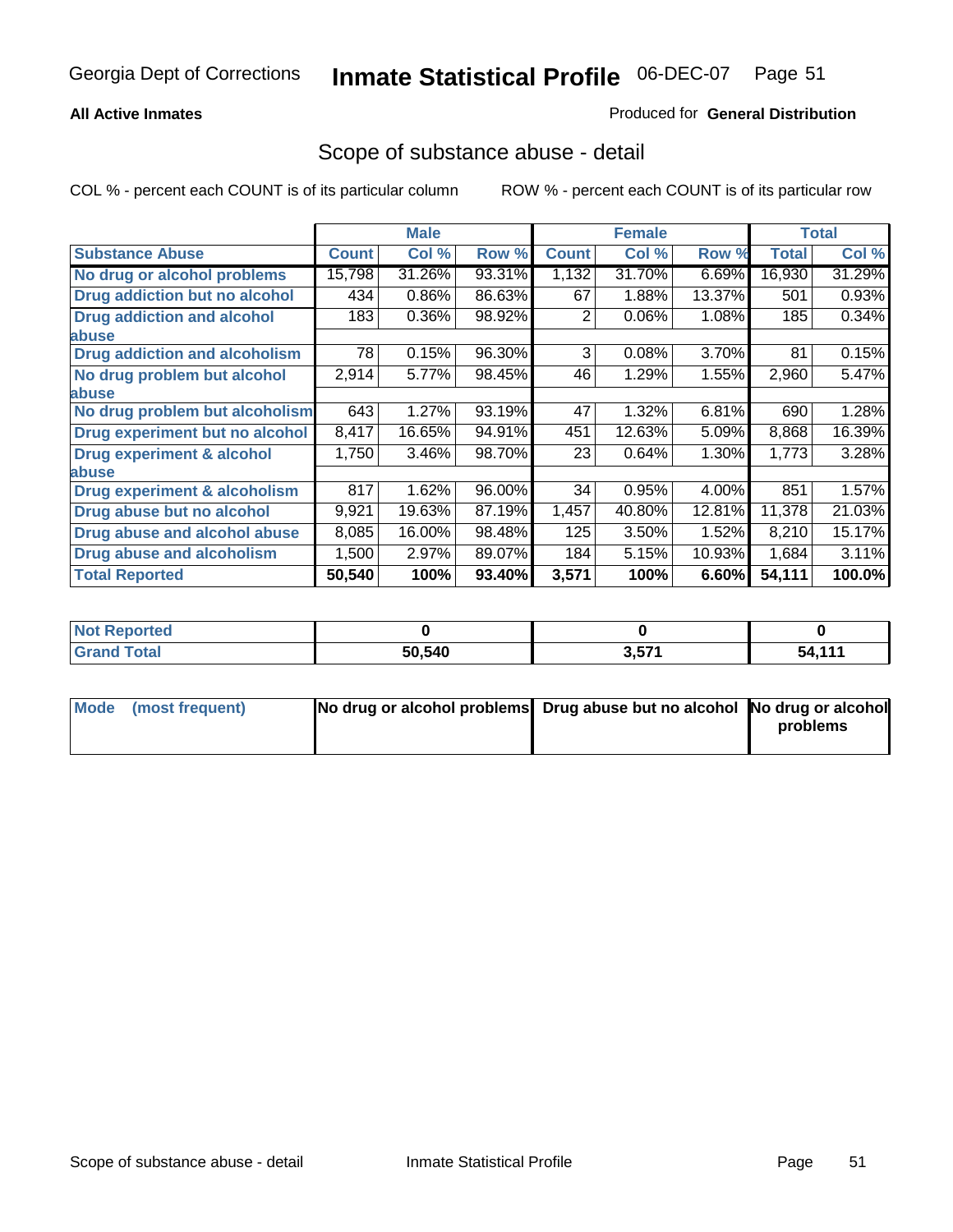### **All Active Inmates**

### Produced for **General Distribution**

### Scope of substance abuse - detail

|                                      |              | <b>Male</b> |        |              | <b>Female</b> |        |              | Total  |
|--------------------------------------|--------------|-------------|--------|--------------|---------------|--------|--------------|--------|
| <b>Substance Abuse</b>               | <b>Count</b> | Col %       | Row %  | <b>Count</b> | Col %         | Row %  | <b>Total</b> | Col %  |
| No drug or alcohol problems          | 15,798       | 31.26%      | 93.31% | 1,132        | 31.70%        | 6.69%  | 16,930       | 31.29% |
| Drug addiction but no alcohol        | 434          | 0.86%       | 86.63% | 67           | 1.88%         | 13.37% | 501          | 0.93%  |
| <b>Drug addiction and alcohol</b>    | 183          | 0.36%       | 98.92% | 2            | 0.06%         | 1.08%  | 185          | 0.34%  |
| <b>labuse</b>                        |              |             |        |              |               |        |              |        |
| <b>Drug addiction and alcoholism</b> | 78           | 0.15%       | 96.30% | 3            | 0.08%         | 3.70%  | 81           | 0.15%  |
| No drug problem but alcohol          | 2,914        | 5.77%       | 98.45% | 46           | 1.29%         | 1.55%  | 2,960        | 5.47%  |
| <b>labuse</b>                        |              |             |        |              |               |        |              |        |
| No drug problem but alcoholism       | 643          | 1.27%       | 93.19% | 47           | 1.32%         | 6.81%  | 690          | 1.28%  |
| Drug experiment but no alcohol       | 8,417        | 16.65%      | 94.91% | 451          | 12.63%        | 5.09%  | 8,868        | 16.39% |
| <b>Drug experiment &amp; alcohol</b> | 1,750        | 3.46%       | 98.70% | 23           | 0.64%         | 1.30%  | 1,773        | 3.28%  |
| <b>labuse</b>                        |              |             |        |              |               |        |              |        |
| Drug experiment & alcoholism         | 817          | 1.62%       | 96.00% | 34           | 0.95%         | 4.00%  | 851          | 1.57%  |
| Drug abuse but no alcohol            | 9,921        | 19.63%      | 87.19% | 1,457        | 40.80%        | 12.81% | 11,378       | 21.03% |
| Drug abuse and alcohol abuse         | 8,085        | 16.00%      | 98.48% | 125          | 3.50%         | 1.52%  | 8,210        | 15.17% |
| Drug abuse and alcoholism            | 1,500        | 2.97%       | 89.07% | 184          | 5.15%         | 10.93% | 1,684        | 3.11%  |
| <b>Total Reported</b>                | 50,540       | 100%        | 93.40% | 3,571        | 100%          | 6.60%  | 54,111       | 100.0% |

| <b>Not Reported</b> |        |             |           |
|---------------------|--------|-------------|-----------|
| <b>cotal</b>        | 50.540 | 2571<br>J.J | 444<br>54 |

| Mode (most frequent) | No drug or alcohol problems Drug abuse but no alcohol No drug or alcohol |          |
|----------------------|--------------------------------------------------------------------------|----------|
|                      |                                                                          | problems |
|                      |                                                                          |          |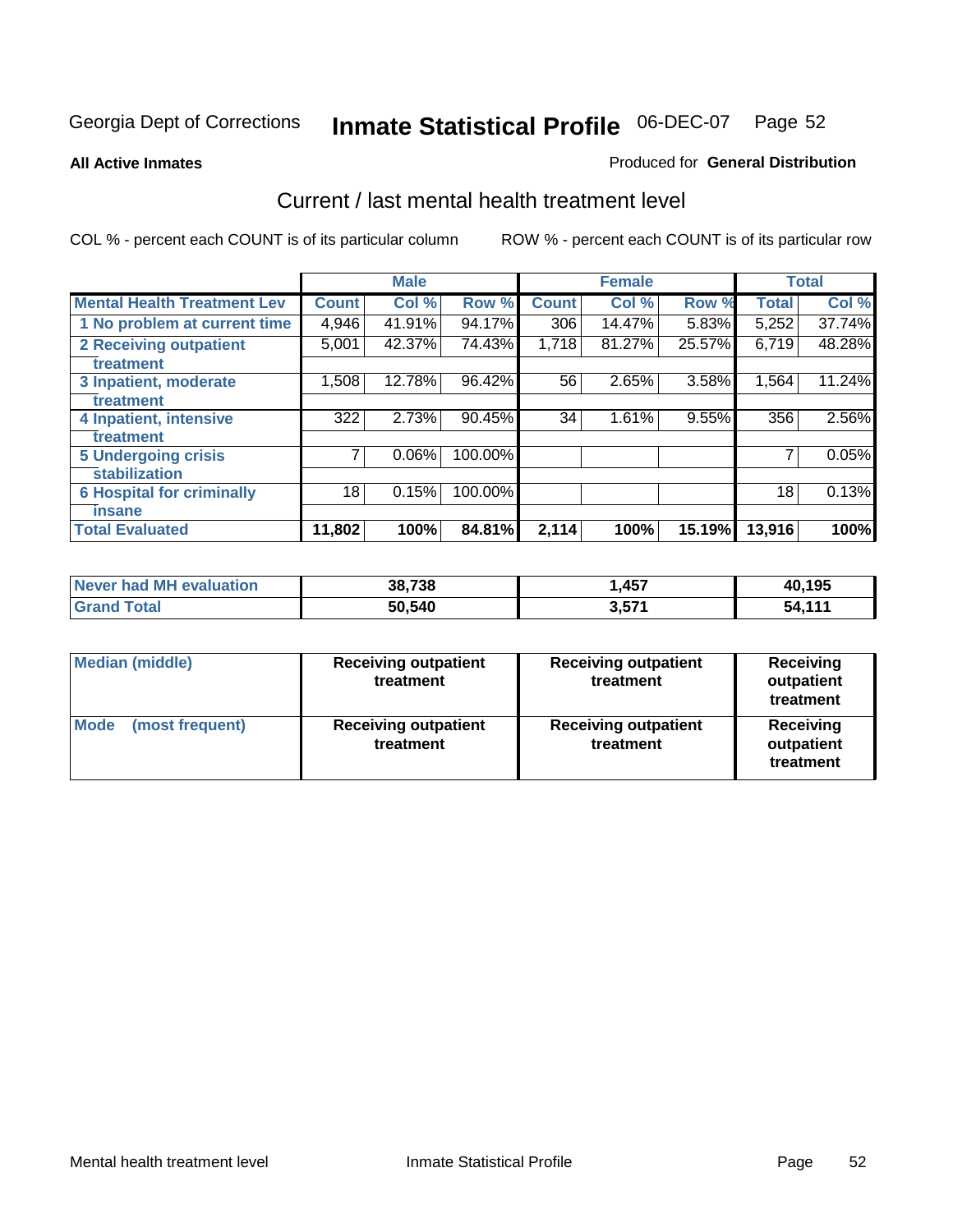#### **All Active Inmates**

#### Produced for **General Distribution**

### Current / last mental health treatment level

|                                    |                 | <b>Male</b> |         |              | <b>Female</b> |        |              | <b>Total</b> |
|------------------------------------|-----------------|-------------|---------|--------------|---------------|--------|--------------|--------------|
| <b>Mental Health Treatment Lev</b> | <b>Count</b>    | Col%        | Row %   | <b>Count</b> | Col%          | Row %  | <b>Total</b> | Col %        |
| 1 No problem at current time       | 4,946           | 41.91%      | 94.17%  | 306          | 14.47%        | 5.83%  | 5,252        | 37.74%       |
| <b>2 Receiving outpatient</b>      | 5,001           | 42.37%      | 74.43%  | 1,718        | 81.27%        | 25.57% | 6,719        | 48.28%       |
| treatment                          |                 |             |         |              |               |        |              |              |
| 3 Inpatient, moderate              | 1,508           | 12.78%      | 96.42%  | 56           | 2.65%         | 3.58%  | 1,564        | 11.24%       |
| treatment                          |                 |             |         |              |               |        |              |              |
| 4 Inpatient, intensive             | 322             | 2.73%       | 90.45%  | 34           | 1.61%         | 9.55%  | 356          | 2.56%        |
| treatment                          |                 |             |         |              |               |        |              |              |
| <b>5 Undergoing crisis</b>         | 7               | 0.06%       | 100.00% |              |               |        | 7            | 0.05%        |
| stabilization                      |                 |             |         |              |               |        |              |              |
| <b>6 Hospital for criminally</b>   | 18 <sub>1</sub> | 0.15%       | 100.00% |              |               |        | 18           | 0.13%        |
| insane                             |                 |             |         |              |               |        |              |              |
| <b>Total Evaluated</b>             | 11,802          | 100%        | 84.81%  | 2,114        | 100%          | 15.19% | 13,916       | 100%         |

| Never had MH evaluation          | 38,738 | 1,457 | 40,195 |
|----------------------------------|--------|-------|--------|
| <b>Total</b><br><b>ˈGrand ˈ.</b> | 50,540 | 3,57' | 54,111 |

| Median (middle)         | <b>Receiving outpatient</b><br>treatment | <b>Receiving outpatient</b><br>treatment | <b>Receiving</b><br>outpatient<br>treatment |  |
|-------------------------|------------------------------------------|------------------------------------------|---------------------------------------------|--|
| Mode<br>(most frequent) | <b>Receiving outpatient</b><br>treatment | <b>Receiving outpatient</b><br>treatment | <b>Receiving</b><br>outpatient<br>treatment |  |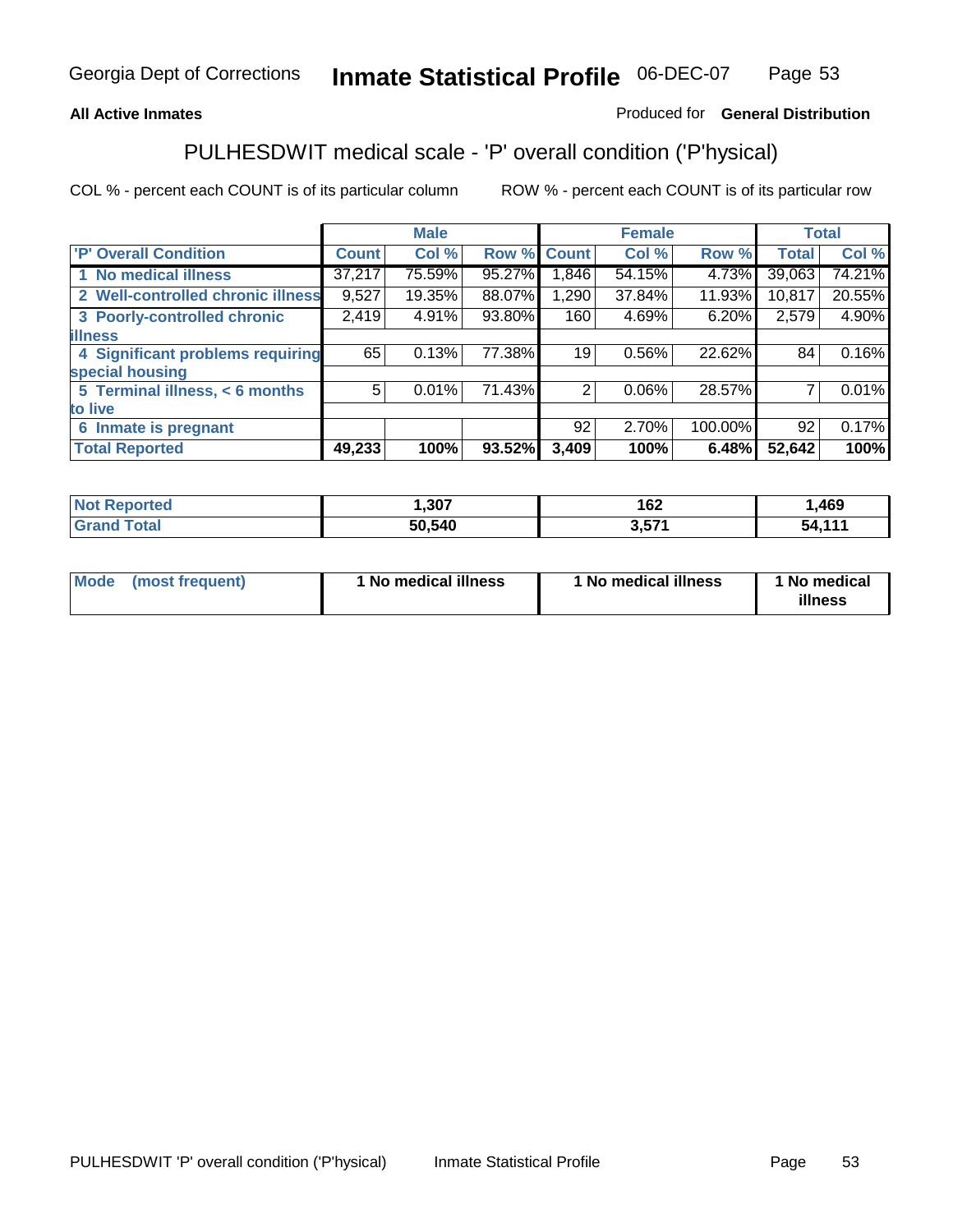### **All Active Inmates**

### Produced for **General Distribution**

# PULHESDWIT medical scale - 'P' overall condition ('P'hysical)

|                                   |              | <b>Male</b> |        |              | <b>Female</b> |         |              | <b>Total</b> |
|-----------------------------------|--------------|-------------|--------|--------------|---------------|---------|--------------|--------------|
| 'P' Overall Condition             | <b>Count</b> | Col %       | Row %  | <b>Count</b> | Col %         | Row %   | <b>Total</b> | Col %        |
| 1 No medical illness              | 37,217       | 75.59%      | 95.27% | ,846         | 54.15%        | 4.73%   | 39,063       | 74.21%       |
| 2 Well-controlled chronic illness | 9,527        | 19.35%      | 88.07% | 1,290        | 37.84%        | 11.93%  | 10,817       | 20.55%       |
| 3 Poorly-controlled chronic       | 2,419        | 4.91%       | 93.80% | 160          | 4.69%         | 6.20%   | 2,579        | 4.90%        |
| <b>illness</b>                    |              |             |        |              |               |         |              |              |
| 4 Significant problems requiring  | 65           | 0.13%       | 77.38% | 19           | 0.56%         | 22.62%  | 84           | 0.16%        |
| special housing                   |              |             |        |              |               |         |              |              |
| 5 Terminal illness, < 6 months    | 5            | 0.01%       | 71.43% | 2            | 0.06%         | 28.57%  |              | 0.01%        |
| to live                           |              |             |        |              |               |         |              |              |
| Inmate is pregnant<br>6           |              |             |        | 92           | 2.70%         | 100.00% | 92           | 0.17%        |
| <b>Total Reported</b>             | 49,233       | 100%        | 93.52% | 3,409        | 100%          | 6.48%   | 52,642       | 100%         |

| <b>Not</b><br>Reported         | ,307   | 162                | ,469   |
|--------------------------------|--------|--------------------|--------|
| <b>Total</b><br><b>I</b> Grand | 50,540 | <b>E74</b><br>ა.აი | 54 111 |

| Mode (most frequent) | 1 No medical illness | 1 No medical illness | 1 No medical |
|----------------------|----------------------|----------------------|--------------|
|                      |                      |                      | illness      |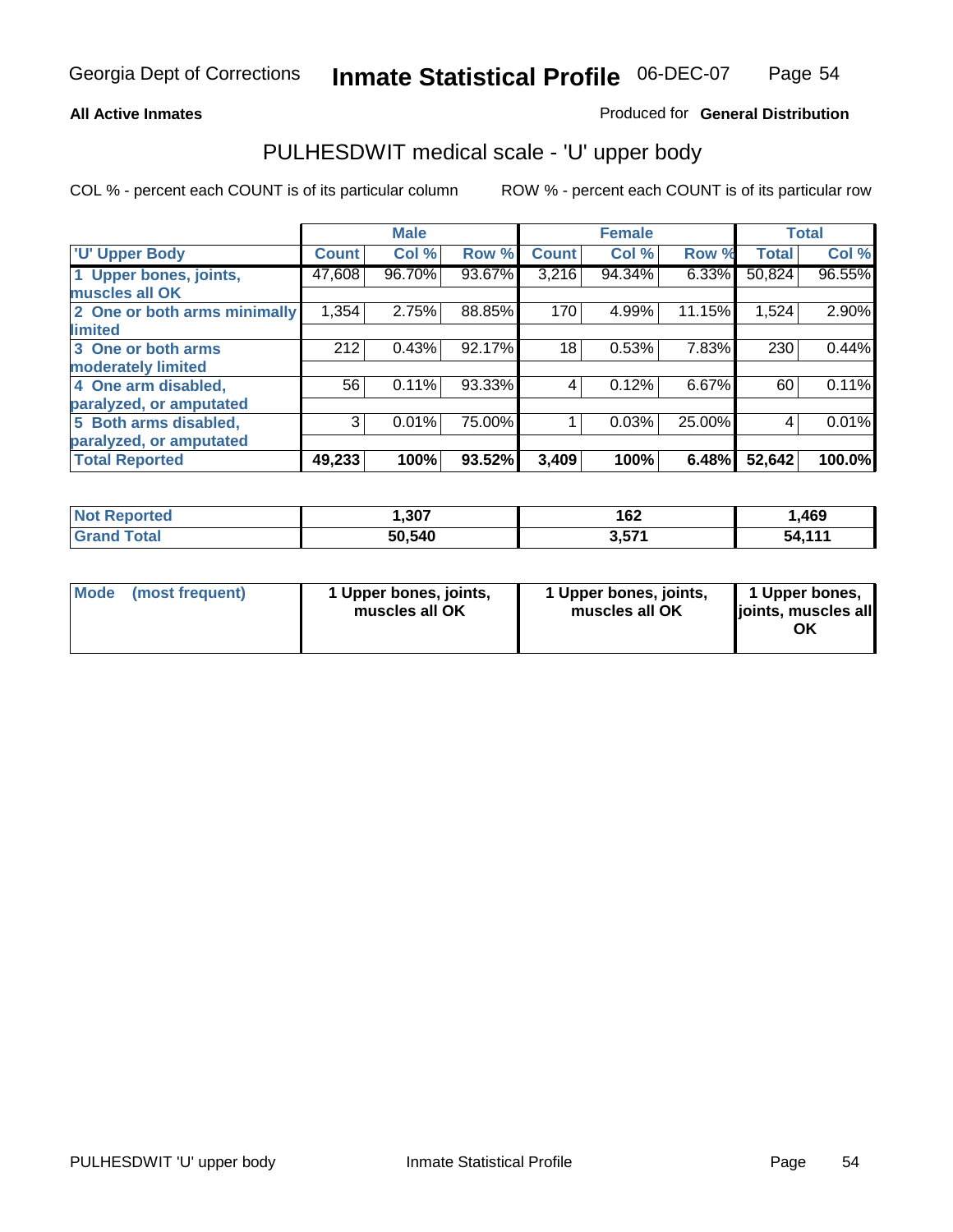### **All Active Inmates**

### Produced for **General Distribution**

### PULHESDWIT medical scale - 'U' upper body

|                              |                    | <b>Male</b> |        |              | <b>Female</b> |          |              | <b>Total</b> |
|------------------------------|--------------------|-------------|--------|--------------|---------------|----------|--------------|--------------|
| <b>U' Upper Body</b>         | Count <sup>1</sup> | Col %       | Row %  | <b>Count</b> | Col %         | Row %    | <b>Total</b> | Col %        |
| 1 Upper bones, joints,       | 47,608             | 96.70%      | 93.67% | 3,216        | 94.34%        | $6.33\%$ | 50,824       | 96.55%       |
| muscles all OK               |                    |             |        |              |               |          |              |              |
| 2 One or both arms minimally | 1,354              | 2.75%       | 88.85% | 170          | 4.99%         | 11.15%   | 1,524        | 2.90%        |
| limited                      |                    |             |        |              |               |          |              |              |
| 3 One or both arms           | 212                | 0.43%       | 92.17% | 18           | 0.53%         | 7.83%    | 230          | 0.44%        |
| moderately limited           |                    |             |        |              |               |          |              |              |
| 4 One arm disabled,          | 56                 | 0.11%       | 93.33% | 4            | 0.12%         | 6.67%    | 60           | 0.11%        |
| paralyzed, or amputated      |                    |             |        |              |               |          |              |              |
| 5 Both arms disabled,        | 3                  | 0.01%       | 75.00% |              | 0.03%         | 25.00%   | 4            | 0.01%        |
| paralyzed, or amputated      |                    |             |        |              |               |          |              |              |
| <b>Total Reported</b>        | 49,233             | 100%        | 93.52% | 3,409        | 100%          | 6.48%    | 52,642       | 100.0%       |

| <b>Not Reported</b>  | ,307   | 162   | ,469             |
|----------------------|--------|-------|------------------|
| $\tau$ otal<br>Grand | 50,540 | 3,57' | $-111$<br>54.111 |

| <b>Mode</b> | (most frequent) | 1 Upper bones, joints,<br>muscles all OK | 1 Upper bones, joints,<br>muscles all OK | 1 Upper bones,<br>joints, muscles all<br>ΟK |
|-------------|-----------------|------------------------------------------|------------------------------------------|---------------------------------------------|
|-------------|-----------------|------------------------------------------|------------------------------------------|---------------------------------------------|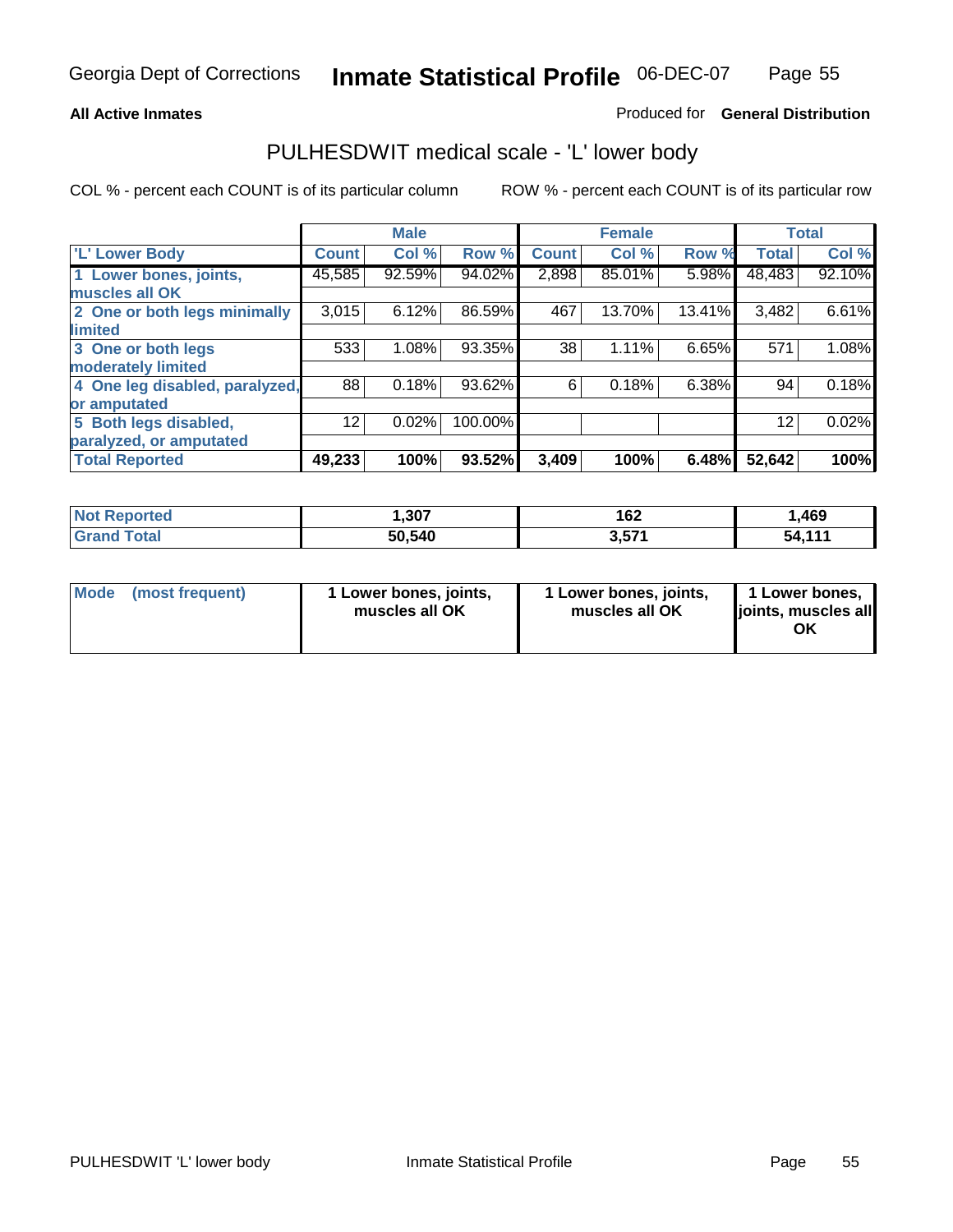### **All Active Inmates**

### Produced for **General Distribution**

### PULHESDWIT medical scale - 'L' lower body

|                                |                 | <b>Male</b> |         |              | <b>Female</b> |        |                 | <b>Total</b> |
|--------------------------------|-----------------|-------------|---------|--------------|---------------|--------|-----------------|--------------|
| <b>L' Lower Body</b>           | <b>Count</b>    | Col %       | Row %   | <b>Count</b> | Col %         | Row %  | <b>Total</b>    | Col %        |
| 1 Lower bones, joints,         | 45,585          | 92.59%      | 94.02%  | 2,898        | 85.01%        | 5.98%  | 48,483          | 92.10%       |
| muscles all OK                 |                 |             |         |              |               |        |                 |              |
| 2 One or both legs minimally   | 3,015           | 6.12%       | 86.59%  | 467          | 13.70%        | 13.41% | 3,482           | 6.61%        |
| limited                        |                 |             |         |              |               |        |                 |              |
| 3 One or both legs             | 533             | 1.08%       | 93.35%  | 38           | 1.11%         | 6.65%  | 571             | 1.08%        |
| moderately limited             |                 |             |         |              |               |        |                 |              |
| 4 One leg disabled, paralyzed, | 88              | 0.18%       | 93.62%  | 6            | 0.18%         | 6.38%  | 94              | 0.18%        |
| or amputated                   |                 |             |         |              |               |        |                 |              |
| 5 Both legs disabled,          | 12 <sup>°</sup> | 0.02%       | 100.00% |              |               |        | 12 <sup>2</sup> | 0.02%        |
| paralyzed, or amputated        |                 |             |         |              |               |        |                 |              |
| <b>Total Reported</b>          | 49,233          | 100%        | 93.52%  | 3,409        | 100%          | 6.48%  | 52,642          | 100%         |

| <b>Not Reported</b> | ,307   | 162   | ,469                 |
|---------------------|--------|-------|----------------------|
| $\tau$ otal<br>Gran | 50,540 | 3,571 | <i>A A A A</i><br>54 |

| Mode | (most frequent) | 1 Lower bones, joints,<br>muscles all OK | 1 Lower bones, joints,<br>muscles all OK | 1 Lower bones,<br>joints, muscles all<br>ΟK |
|------|-----------------|------------------------------------------|------------------------------------------|---------------------------------------------|
|------|-----------------|------------------------------------------|------------------------------------------|---------------------------------------------|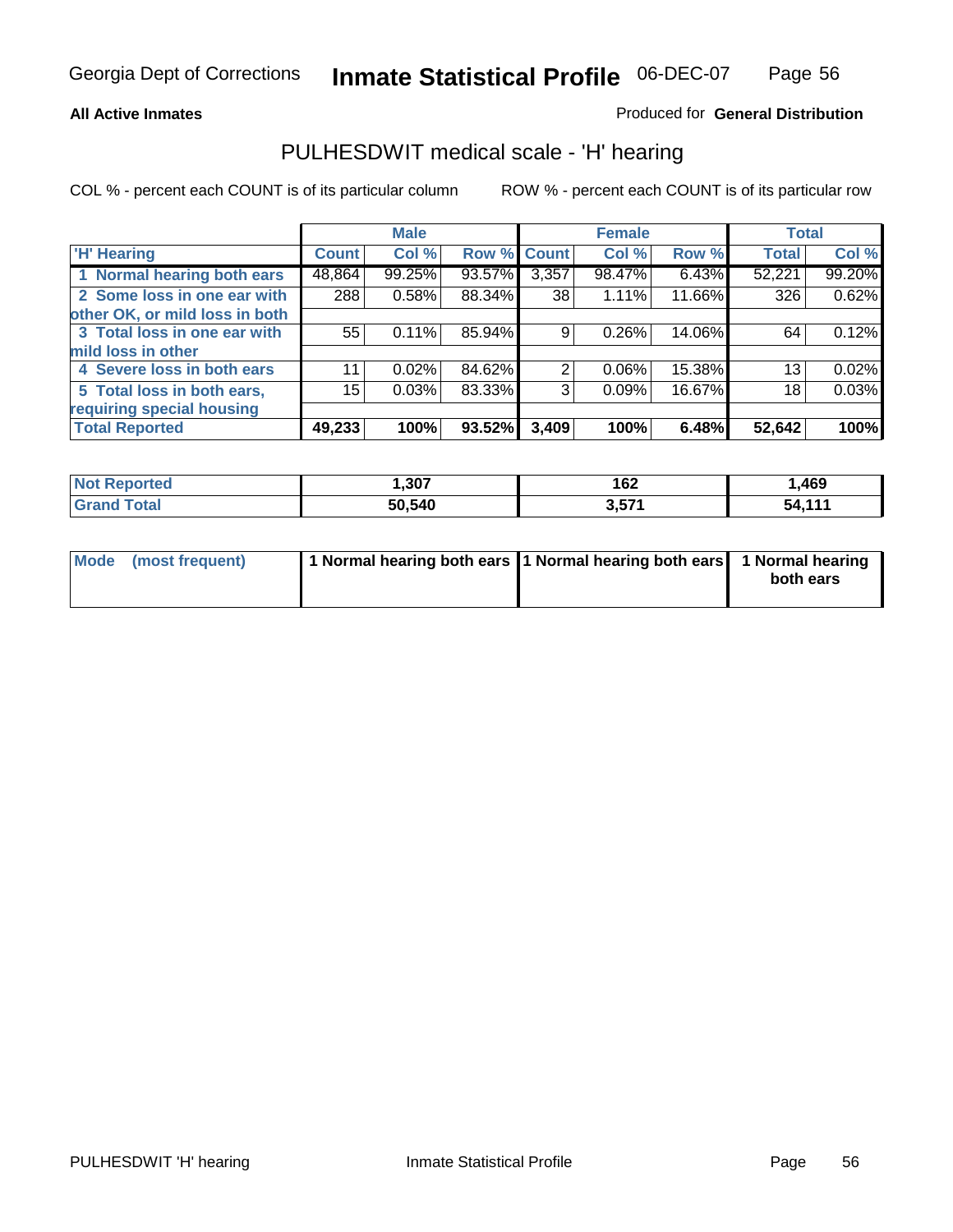### **All Active Inmates**

### Produced for **General Distribution**

### PULHESDWIT medical scale - 'H' hearing

|                                |        | <b>Male</b> |             |       | <b>Female</b> |        | <b>Total</b> |        |
|--------------------------------|--------|-------------|-------------|-------|---------------|--------|--------------|--------|
| <b>H'</b> Hearing              | Count  | Col %       | Row % Count |       | Col %         | Row %  | <b>Total</b> | Col %  |
| 1 Normal hearing both ears     | 48,864 | 99.25%      | 93.57%      | 3,357 | 98.47%        | 6.43%  | 52,221       | 99.20% |
| 2 Some loss in one ear with    | 288    | 0.58%       | 88.34%      | 38    | 1.11%         | 11.66% | 326          | 0.62%  |
| other OK, or mild loss in both |        |             |             |       |               |        |              |        |
| 3 Total loss in one ear with   | 55     | 0.11%       | 85.94%      | 9     | 0.26%         | 14.06% | 64           | 0.12%  |
| mild loss in other             |        |             |             |       |               |        |              |        |
| 4 Severe loss in both ears     | 11     | $0.02\%$    | 84.62%      | 2     | $0.06\%$      | 15.38% | 13           | 0.02%  |
| 5 Total loss in both ears,     | 15     | 0.03%       | 83.33%      | 3     | 0.09%         | 16.67% | 18           | 0.03%  |
| requiring special housing      |        |             |             |       |               |        |              |        |
| <b>Total Reported</b>          | 49,233 | 100%        | 93.52%      | 3,409 | 100%          | 6.48%  | 52,642       | 100%   |

| rteo | 1.20   | 167<br>I OZ          | ,469      |
|------|--------|----------------------|-----------|
| 540  | 50,540 | ) E74<br>. .<br>וט ט | 444<br>54 |

| Mode (most frequent) | 1 Normal hearing both ears 11 Normal hearing both ears | 1 Normal hearing |
|----------------------|--------------------------------------------------------|------------------|
|                      |                                                        | both ears        |
|                      |                                                        |                  |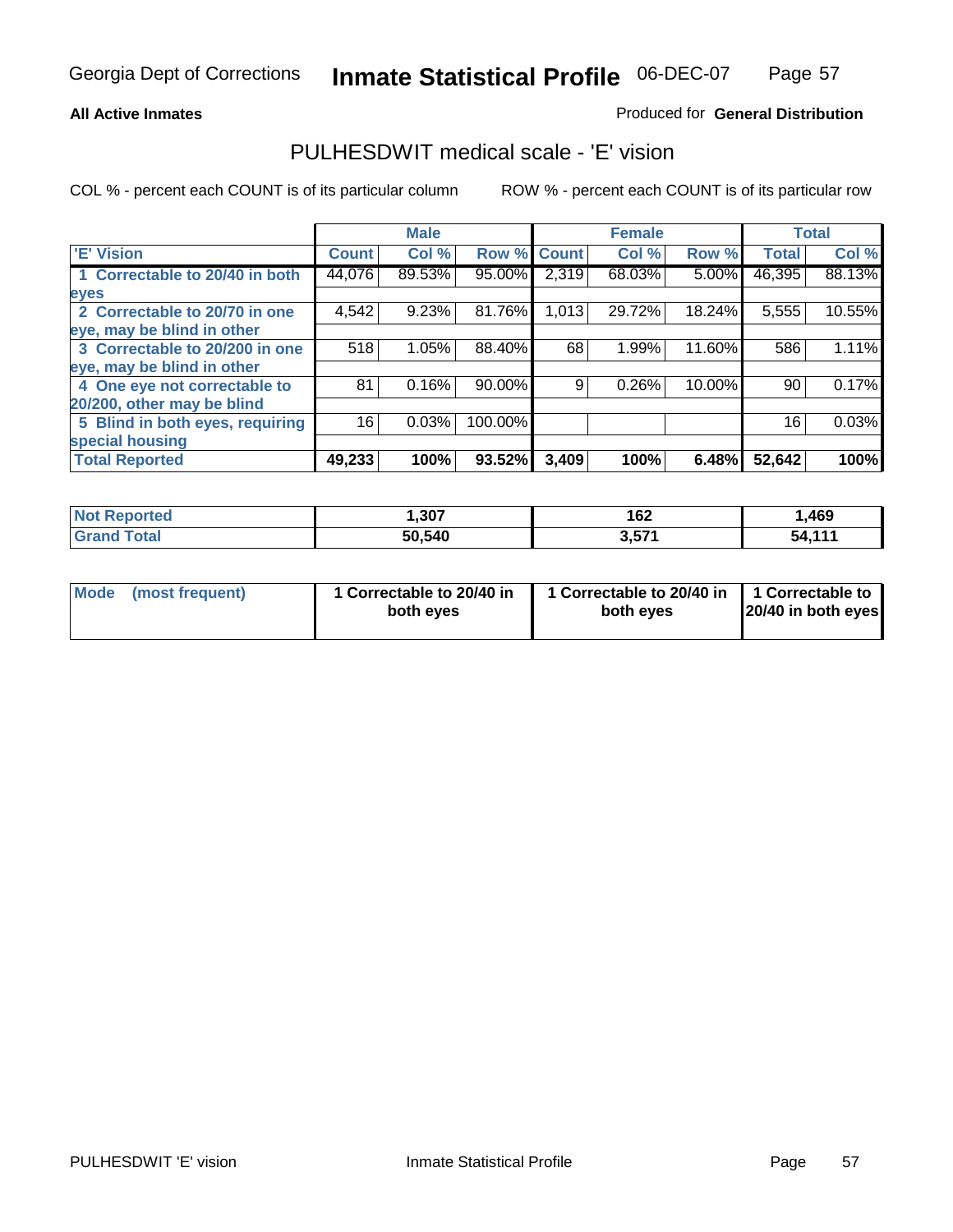### **All Active Inmates**

### Produced for **General Distribution**

### PULHESDWIT medical scale - 'E' vision

|                                 |              | <b>Male</b> |             |       | <b>Female</b> |        |              | <b>Total</b> |
|---------------------------------|--------------|-------------|-------------|-------|---------------|--------|--------------|--------------|
| 'E' Vision                      | <b>Count</b> | Col %       | Row % Count |       | Col %         | Row %  | <b>Total</b> | Col %        |
| 1 Correctable to 20/40 in both  | 44,076       | 89.53%      | 95.00%      | 2,319 | 68.03%        | 5.00%  | 46,395       | 88.13%       |
| eyes                            |              |             |             |       |               |        |              |              |
| 2 Correctable to 20/70 in one   | 4,542        | 9.23%       | 81.76%      | 1,013 | 29.72%        | 18.24% | 5,555        | 10.55%       |
| eye, may be blind in other      |              |             |             |       |               |        |              |              |
| 3 Correctable to 20/200 in one  | 518          | 1.05%       | 88.40%      | 68    | 1.99%         | 11.60% | 586          | 1.11%        |
| eye, may be blind in other      |              |             |             |       |               |        |              |              |
| 4 One eye not correctable to    | 81           | 0.16%       | 90.00%      | 9     | 0.26%         | 10.00% | 90           | 0.17%        |
| 20/200, other may be blind      |              |             |             |       |               |        |              |              |
| 5 Blind in both eyes, requiring | 16           | 0.03%       | 100.00%     |       |               |        | 16           | 0.03%        |
| special housing                 |              |             |             |       |               |        |              |              |
| <b>Total Reported</b>           | 49,233       | 100%        | 93.52%      | 3,409 | 100%          | 6.48%  | 52,642       | 100%         |

| <b>Not Reported</b> | ,307   | 162   | ,469  |
|---------------------|--------|-------|-------|
| Total<br>Gra        | 50,540 | 3,571 | 51111 |

| Mode | (most frequent) | 1 Correctable to 20/40 in<br>both eves | 1 Correctable to 20/40 in   1 Correctable to<br>both eves | 20/40 in both eyes |
|------|-----------------|----------------------------------------|-----------------------------------------------------------|--------------------|
|      |                 |                                        |                                                           |                    |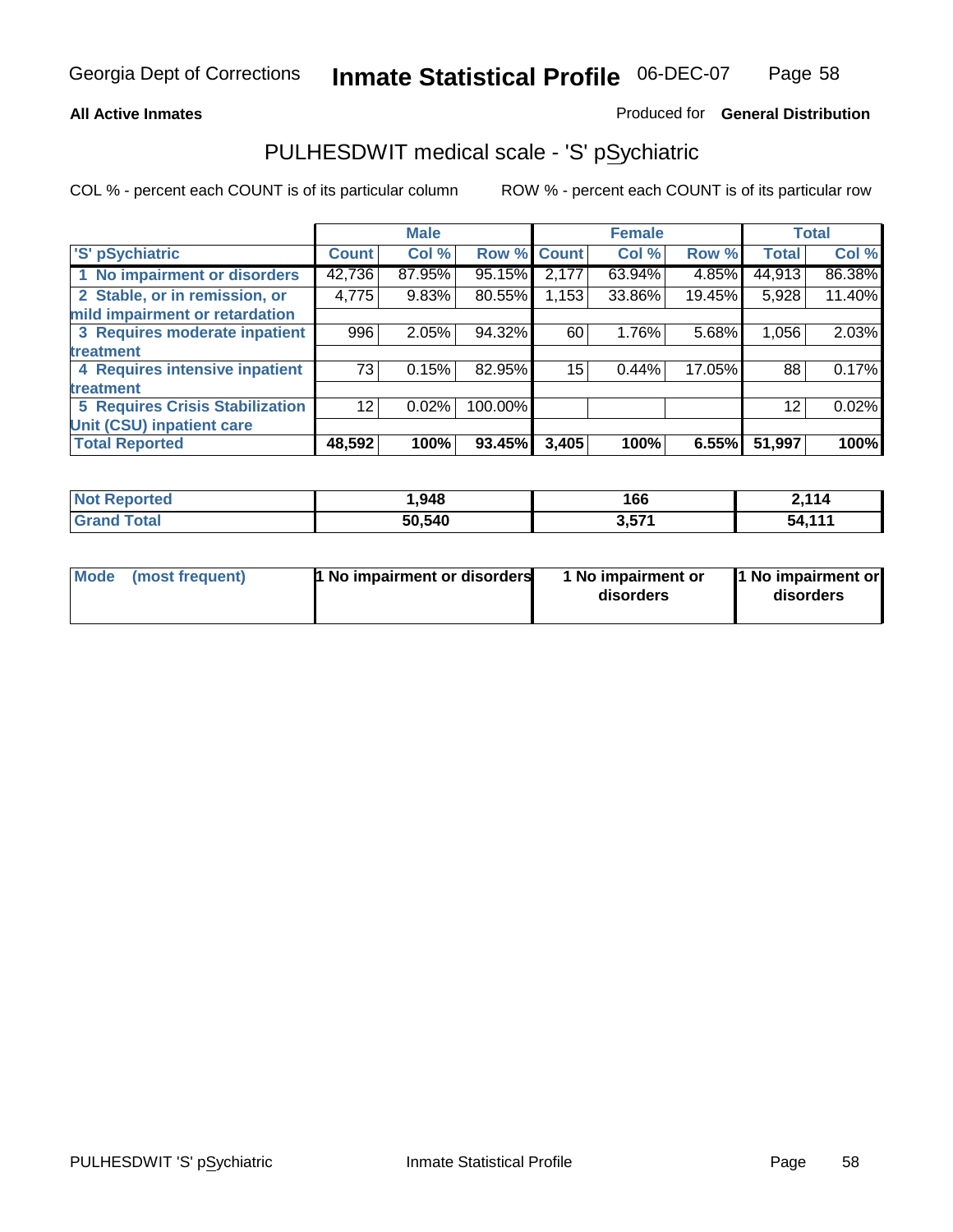### **All Active Inmates**

### Produced for **General Distribution**

### PULHESDWIT medical scale - 'S' pSychiatric

|                                        |              | <b>Male</b> |         |              | <b>Female</b> |        |              | <b>Total</b> |
|----------------------------------------|--------------|-------------|---------|--------------|---------------|--------|--------------|--------------|
| 'S' pSychiatric                        | <b>Count</b> | Col %       | Row %   | <b>Count</b> | Col %         | Row %  | <b>Total</b> | Col %        |
| 1 No impairment or disorders           | 42,736       | 87.95%      | 95.15%  | 2,177        | 63.94%        | 4.85%  | 44,913       | 86.38%       |
| 2 Stable, or in remission, or          | 4,775        | 9.83%       | 80.55%  | ,153         | 33.86%        | 19.45% | 5,928        | 11.40%       |
| mild impairment or retardation         |              |             |         |              |               |        |              |              |
| 3 Requires moderate inpatient          | 996          | 2.05%       | 94.32%  | 60           | 1.76%         | 5.68%  | 1,056        | 2.03%        |
| treatment                              |              |             |         |              |               |        |              |              |
| 4 Requires intensive inpatient         | 73           | 0.15%       | 82.95%  | 15           | 0.44%         | 17.05% | 88           | 0.17%        |
| treatment                              |              |             |         |              |               |        |              |              |
| <b>5 Requires Crisis Stabilization</b> | 12           | 0.02%       | 100.00% |              |               |        | 12           | 0.02%        |
| Unit (CSU) inpatient care              |              |             |         |              |               |        |              |              |
| <b>Total Reported</b>                  | 48,592       | 100%        | 93.45%  | 3,405        | 100%          | 6.55%  | 51,997       | 100%         |

| <b>Not Reported</b>      | 948, ا | 166   | 2,114  |
|--------------------------|--------|-------|--------|
| <b>Total</b><br>ˈGrand ˈ | 50,540 | 3,571 | 54,111 |

| Mode (most frequent) | <b>1 No impairment or disorders</b> | 1 No impairment or<br>disorders | 1 No impairment or<br>disorders |
|----------------------|-------------------------------------|---------------------------------|---------------------------------|
|                      |                                     |                                 |                                 |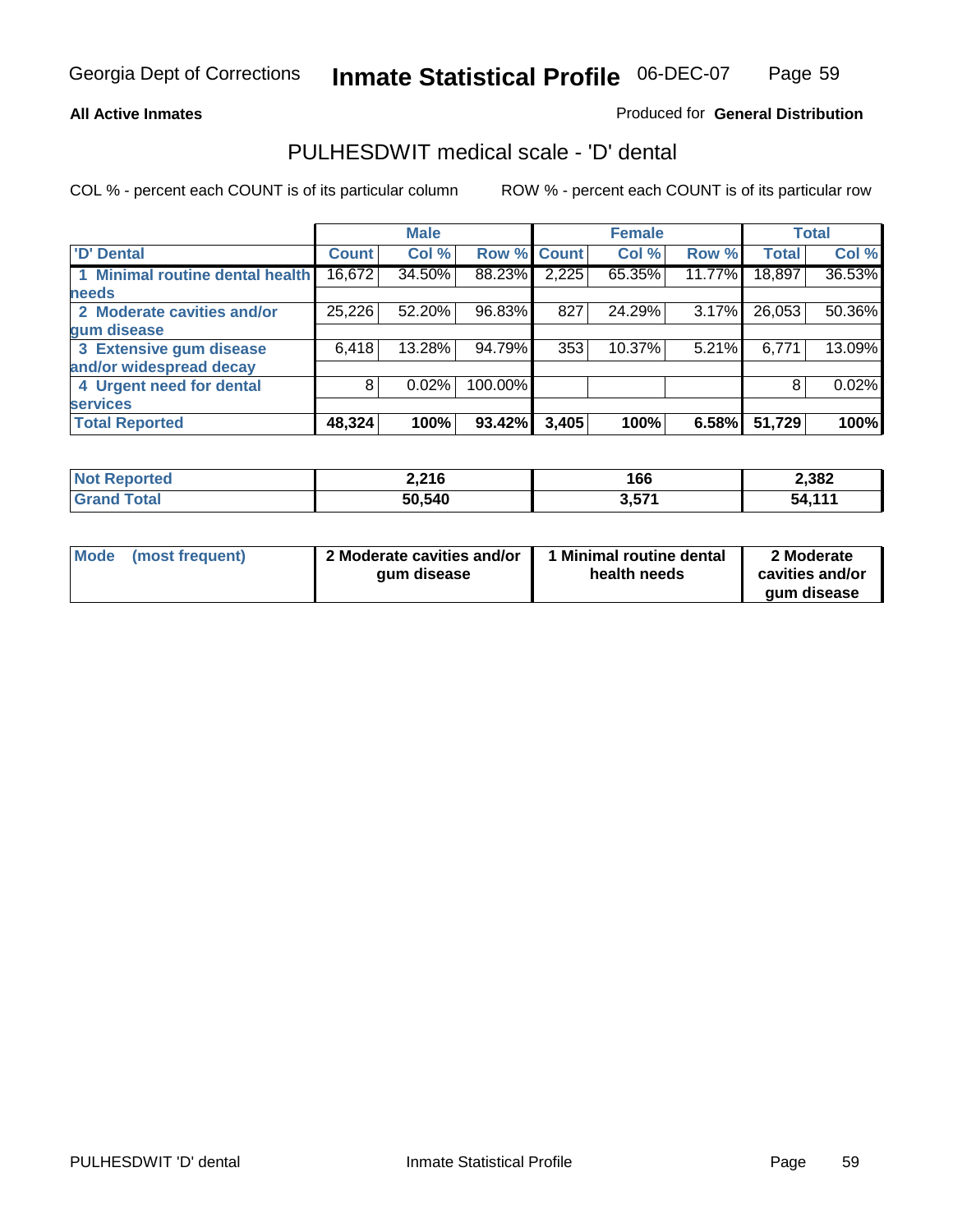### **All Active Inmates**

### Produced for **General Distribution**

### PULHESDWIT medical scale - 'D' dental

|                                 |              | <b>Male</b> |             |       | <b>Female</b> |        |              | <b>Total</b> |
|---------------------------------|--------------|-------------|-------------|-------|---------------|--------|--------------|--------------|
| <b>D' Dental</b>                | <b>Count</b> | Col %       | Row % Count |       | Col %         | Row %  | <b>Total</b> | Col %        |
| 1 Minimal routine dental health | 16,672       | 34.50%      | 88.23%      | 2,225 | 65.35%        | 11.77% | 18,897       | 36.53%       |
| <b>needs</b>                    |              |             |             |       |               |        |              |              |
| 2 Moderate cavities and/or      | 25,226       | 52.20%      | 96.83%      | 827   | 24.29%        | 3.17%  | 26,053       | 50.36%       |
| gum disease                     |              |             |             |       |               |        |              |              |
| 3 Extensive gum disease         | 6,418        | 13.28%      | 94.79%      | 353   | 10.37%        | 5.21%  | 6,771        | 13.09%       |
| and/or widespread decay         |              |             |             |       |               |        |              |              |
| 4 Urgent need for dental        | 8            | 0.02%       | 100.00%     |       |               |        | 8            | 0.02%        |
| <b>services</b>                 |              |             |             |       |               |        |              |              |
| <b>Total Reported</b>           | 48,324       | 100%        | 93.42%      | 3,405 | 100%          | 6.58%  | 51,729       | 100%         |

| <b>Not</b><br><b>ported</b> | 2,216  | 166   | 2,382  |
|-----------------------------|--------|-------|--------|
| <b>Total</b><br>Gra         | 50,540 | 3,571 | 54.111 |

| <b>Mode</b><br>(most frequent) | 2 Moderate cavities and/or<br>qum disease | Minimal routine dental<br>health needs | 2 Moderate<br>cavities and/or<br>qum disease |
|--------------------------------|-------------------------------------------|----------------------------------------|----------------------------------------------|
|                                |                                           |                                        |                                              |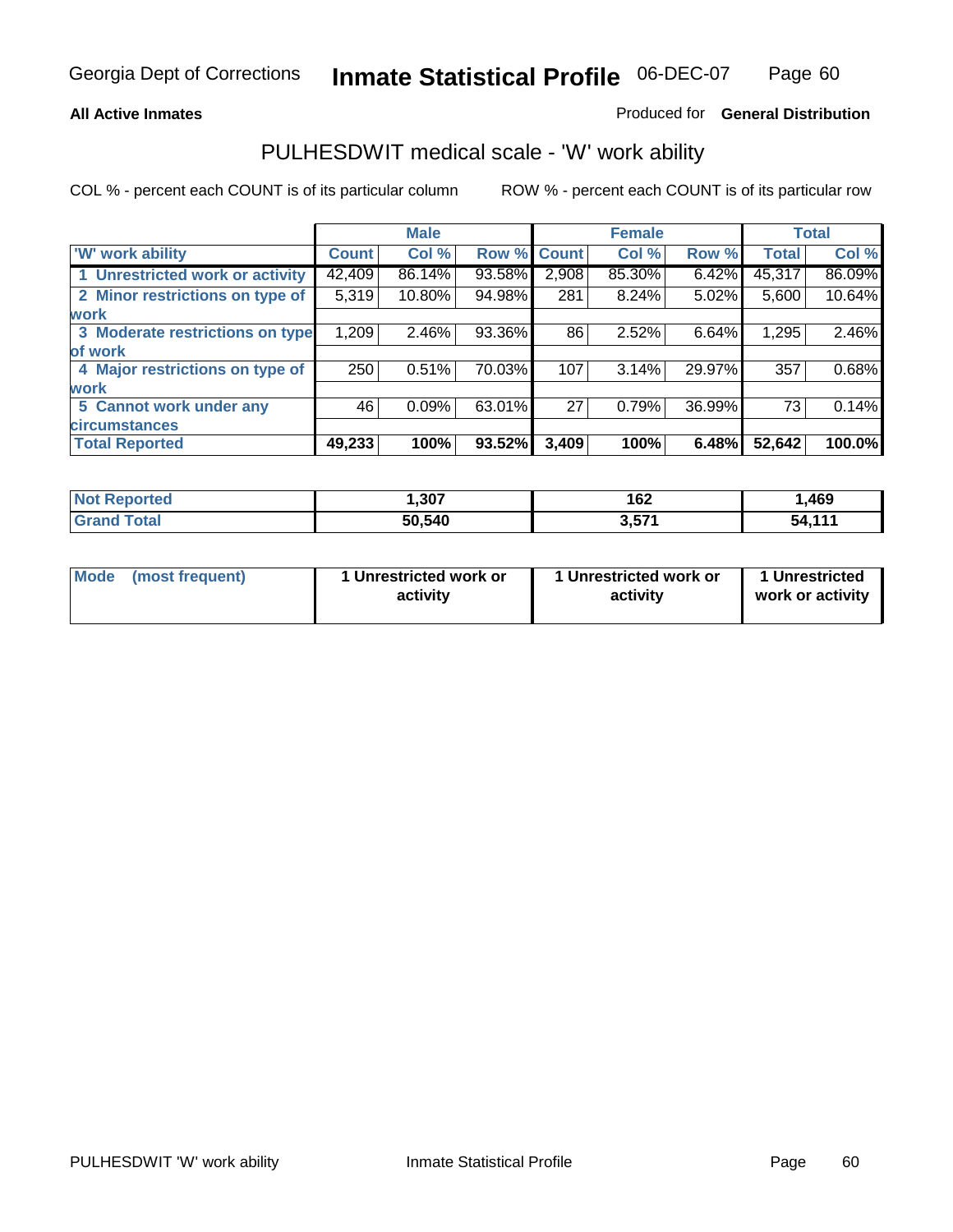### **All Active Inmates**

### Produced for **General Distribution**

### PULHESDWIT medical scale - 'W' work ability

|                                 |              | <b>Male</b> |        |              | <b>Female</b> |        |              | <b>Total</b> |
|---------------------------------|--------------|-------------|--------|--------------|---------------|--------|--------------|--------------|
| W' work ability                 | <b>Count</b> | Col %       | Row %  | <b>Count</b> | Col %         | Row %  | <b>Total</b> | Col %        |
| 1 Unrestricted work or activity | 42,409       | 86.14%      | 93.58% | 2,908        | 85.30%        | 6.42%  | 45,317       | 86.09%       |
| 2 Minor restrictions on type of | 5,319        | 10.80%      | 94.98% | 281          | $8.24\%$      | 5.02%  | 5,600        | 10.64%       |
| <b>work</b>                     |              |             |        |              |               |        |              |              |
| 3 Moderate restrictions on type | 1,209        | $2.46\%$    | 93.36% | 86           | 2.52%         | 6.64%  | 1,295        | 2.46%        |
| of work                         |              |             |        |              |               |        |              |              |
| 4 Major restrictions on type of | 250          | 0.51%       | 70.03% | 107          | 3.14%         | 29.97% | 357          | 0.68%        |
| work                            |              |             |        |              |               |        |              |              |
| 5 Cannot work under any         | 46           | 0.09%       | 63.01% | 27           | 0.79%         | 36.99% | 73           | 0.14%        |
| <b>circumstances</b>            |              |             |        |              |               |        |              |              |
| <b>Total Reported</b>           | 49,233       | 100%        | 93.52% | 3,409        | 100%          | 6.48%  | 52,642       | 100.0%       |

| <b>Not Reported</b>      | ,307   | 162   | ,469   |
|--------------------------|--------|-------|--------|
| <b>Total</b><br>ˈGrand . | 50,540 | 3,571 | 54,111 |

| Mode            | 1 Unrestricted work or | 1 Unrestricted work or | 1 Unrestricted   |
|-----------------|------------------------|------------------------|------------------|
| (most frequent) | activity               | activity               | work or activity |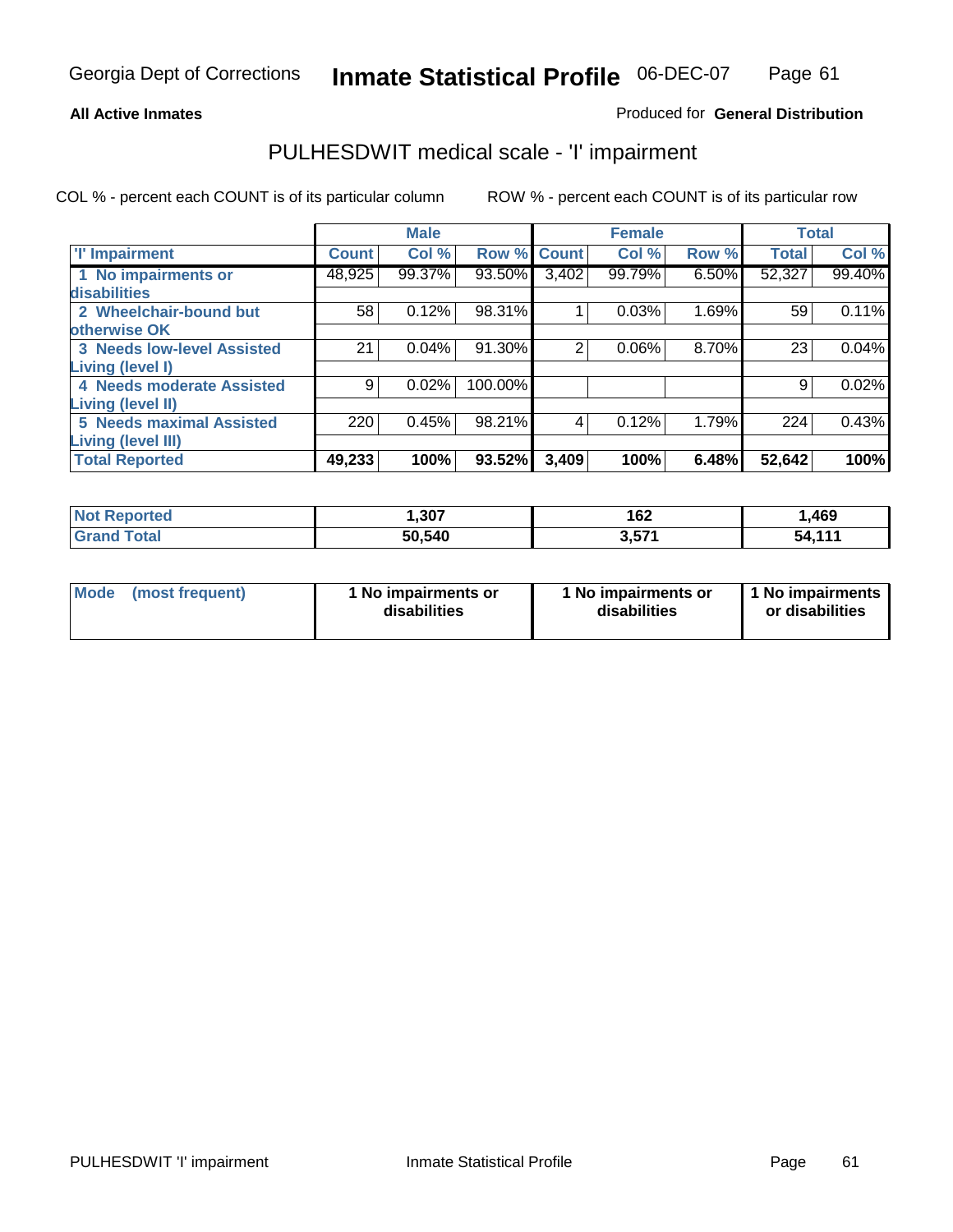#### **All Active Inmates**

### Produced for **General Distribution**

### PULHESDWIT medical scale - 'I' impairment

|                                   |              | <b>Male</b> |         |             | <b>Female</b> |       |              | <b>Total</b> |
|-----------------------------------|--------------|-------------|---------|-------------|---------------|-------|--------------|--------------|
| <b>T' Impairment</b>              | <b>Count</b> | Col %       |         | Row % Count | Col %         | Row % | <b>Total</b> | Col %        |
| 1 No impairments or               | 48,925       | 99.37%      | 93.50%  | 3,402       | 99.79%        | 6.50% | 52,327       | 99.40%       |
| disabilities                      |              |             |         |             |               |       |              |              |
| 2 Wheelchair-bound but            | 58           | 0.12%       | 98.31%  |             | 0.03%         | 1.69% | 59           | 0.11%        |
| otherwise OK                      |              |             |         |             |               |       |              |              |
| <b>3 Needs low-level Assisted</b> | 21           | 0.04%       | 91.30%  | 2           | 0.06%         | 8.70% | 23           | 0.04%        |
| Living (level I)                  |              |             |         |             |               |       |              |              |
| 4 Needs moderate Assisted         | 9            | 0.02%       | 100.00% |             |               |       | 9            | 0.02%        |
| <b>Living (level II)</b>          |              |             |         |             |               |       |              |              |
| <b>5 Needs maximal Assisted</b>   | 220          | 0.45%       | 98.21%  | 4           | 0.12%         | 1.79% | 224          | 0.43%        |
| <b>Living (level III)</b>         |              |             |         |             |               |       |              |              |
| <b>Total Reported</b>             | 49,233       | 100%        | 93.52%  | 3,409       | 100%          | 6.48% | 52,642       | 100%         |

| <b>Not</b><br>keported.      | ,307   | 162<br>$\sim$ $\sim$ | 469, ا |
|------------------------------|--------|----------------------|--------|
| <b>Total</b><br><b>Grand</b> | 50,540 | 3,571                | 54,111 |

| <b>Mode</b> | (most frequent) | 1 No impairments or<br>disabilities | 1 No impairments or<br>disabilities | 1 1 No impairments<br>or disabilities |
|-------------|-----------------|-------------------------------------|-------------------------------------|---------------------------------------|
|-------------|-----------------|-------------------------------------|-------------------------------------|---------------------------------------|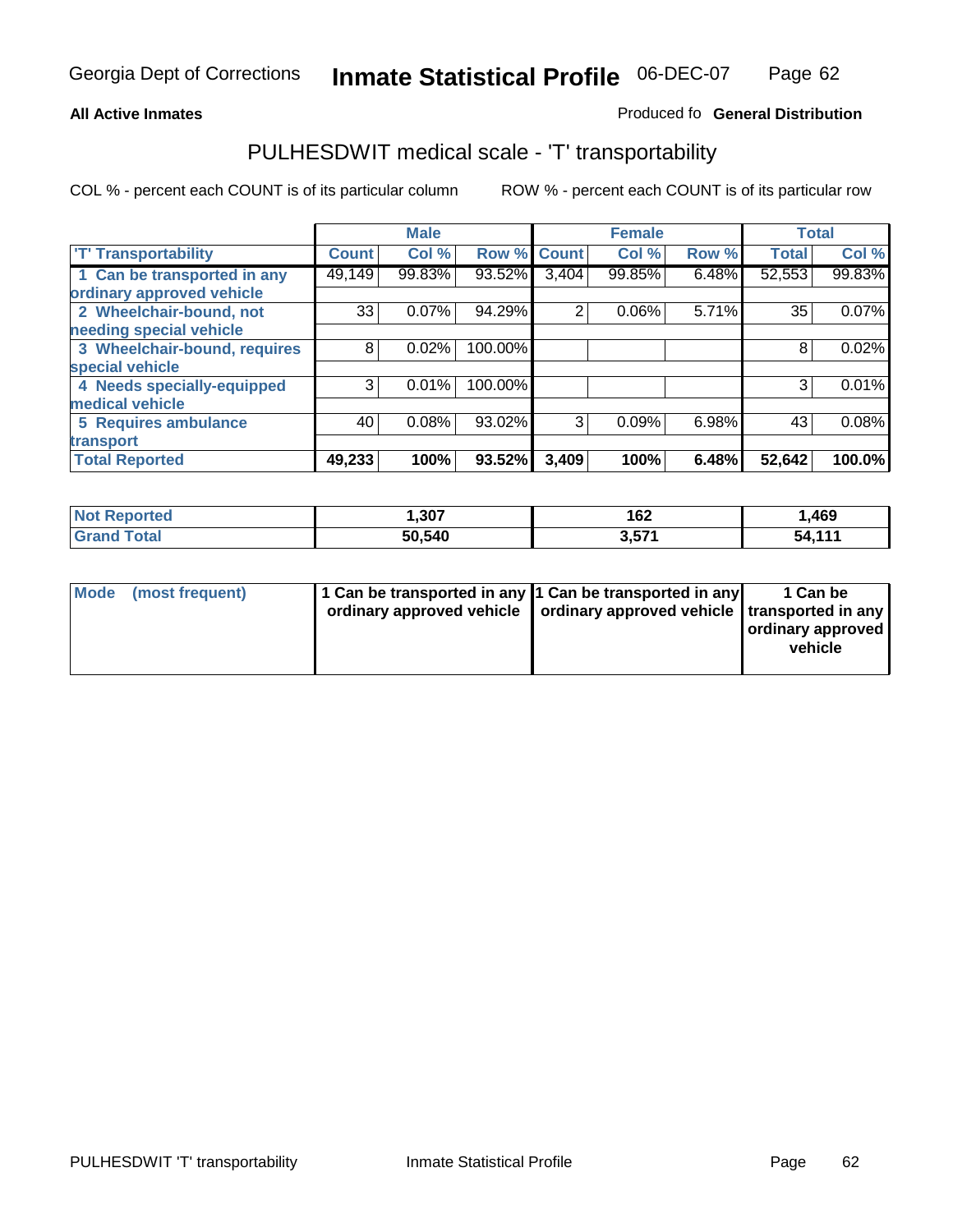#### **Inmate Statistical Profile** 06-DEC-07 Page Page 62

### **All Active Inmates Allowski** Produced fo **General Distribution**

### PULHESDWIT medical scale - 'T' transportability

|                              |              | <b>Male</b> |             |       | <b>Female</b> |       | <b>Total</b> |        |
|------------------------------|--------------|-------------|-------------|-------|---------------|-------|--------------|--------|
| <b>T' Transportability</b>   | <b>Count</b> | Col %       | Row % Count |       | Col %         | Row % | <b>Total</b> | Col %  |
| 1 Can be transported in any  | 49,149       | 99.83%      | 93.52%      | 3,404 | 99.85%        | 6.48% | 52,553       | 99.83% |
| ordinary approved vehicle    |              |             |             |       |               |       |              |        |
| 2 Wheelchair-bound, not      | 33           | 0.07%       | 94.29%      | 2     | 0.06%         | 5.71% | 35           | 0.07%  |
| needing special vehicle      |              |             |             |       |               |       |              |        |
| 3 Wheelchair-bound, requires | 8            | 0.02%       | 100.00%     |       |               |       | 8            | 0.02%  |
| special vehicle              |              |             |             |       |               |       |              |        |
| 4 Needs specially-equipped   | 3            | 0.01%       | 100.00%     |       |               |       | 3            | 0.01%  |
| medical vehicle              |              |             |             |       |               |       |              |        |
| <b>5 Requires ambulance</b>  | 40           | 0.08%       | 93.02%      | 3     | 0.09%         | 6.98% | 43           | 0.08%  |
| transport                    |              |             |             |       |               |       |              |        |
| <b>Total Reported</b>        | 49,233       | 100%        | 93.52%      | 3,409 | 100%          | 6.48% | 52,642       | 100.0% |

| Not i<br>Reported  | ,307   | 162   | 469, ا |
|--------------------|--------|-------|--------|
| <b>Grand Total</b> | 50,540 | 3,571 | 54,111 |

| Mode (most frequent) | 1 Can be transported in any 1 Can be transported in any | ordinary approved vehicle   ordinary approved vehicle   transported in any | 1 Can be<br>  ordinary approved  <br>vehicle |
|----------------------|---------------------------------------------------------|----------------------------------------------------------------------------|----------------------------------------------|
|                      |                                                         |                                                                            |                                              |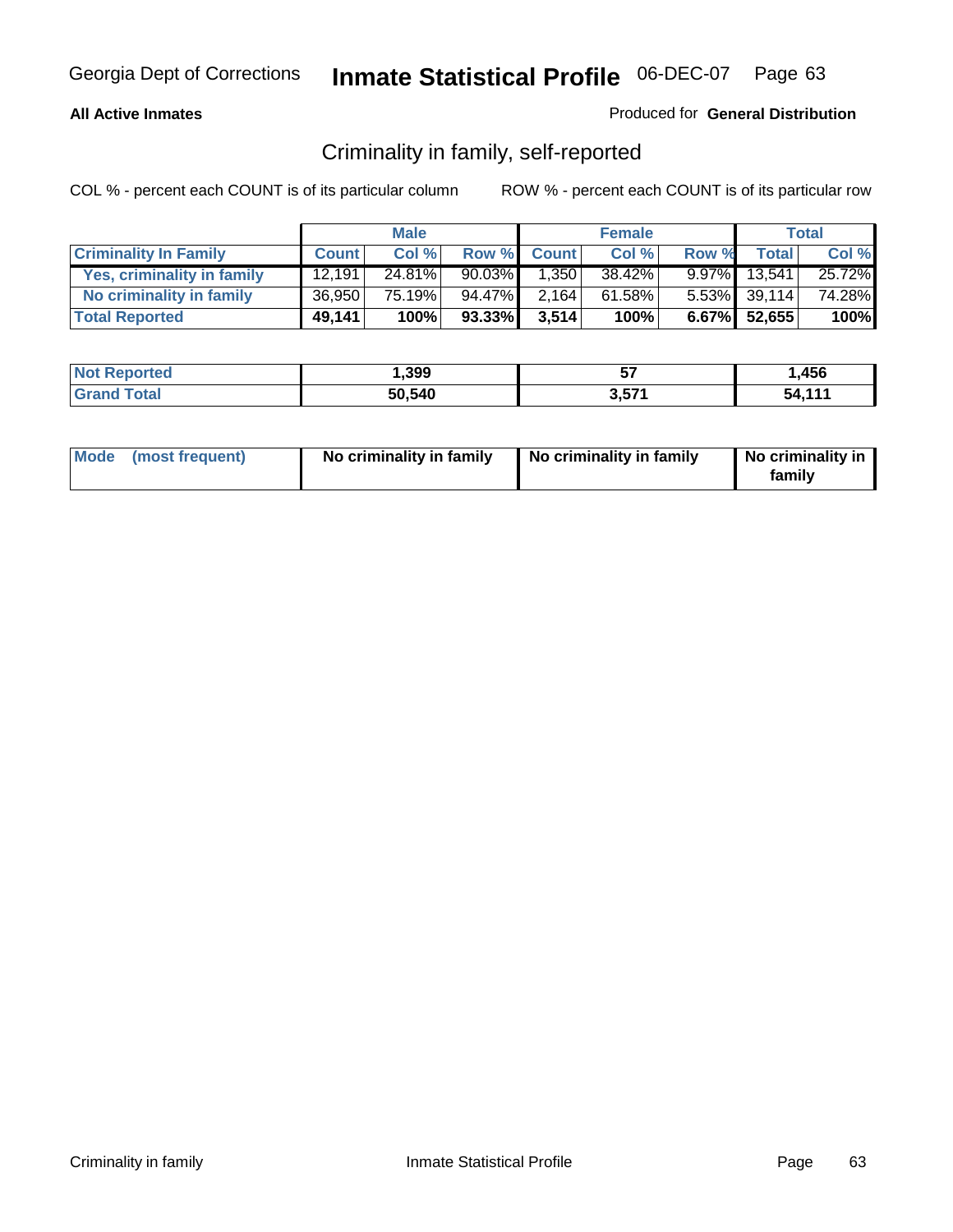### **All Active Inmates**

### Produced for **General Distribution**

### Criminality in family, self-reported

|                              |              | <b>Male</b> |           |              | <b>Female</b> |       |                 | <b>Total</b> |
|------------------------------|--------------|-------------|-----------|--------------|---------------|-------|-----------------|--------------|
| <b>Criminality In Family</b> | <b>Count</b> | Col %       | Row %     | <b>Count</b> | Col %         | Row % | <b>Total</b>    | Col %        |
| Yes, criminality in family   | 12.191       | 24.81%      | $90.03\%$ | 1.350        | 38.42%        |       | 9.97% 13.541    | 25.72%       |
| No criminality in family     | 36,950       | 75.19%      | 94.47%    | 2,164        | 61.58%        |       | $5.53\%$ 39,114 | 74.28%       |
| <b>Total Reported</b>        | 49,141       | 100%        | 93.33%    | 3,514        | 100%          |       | 6.67% 52,655    | 100%         |

| <b>Not Reported</b> | 399, ا | --    | ,456   |
|---------------------|--------|-------|--------|
| Total               | 50,540 | 3,57' | 54.111 |

| Mode (most frequent) |  | No criminality in family | No criminality in family | No criminality in<br>family |
|----------------------|--|--------------------------|--------------------------|-----------------------------|
|----------------------|--|--------------------------|--------------------------|-----------------------------|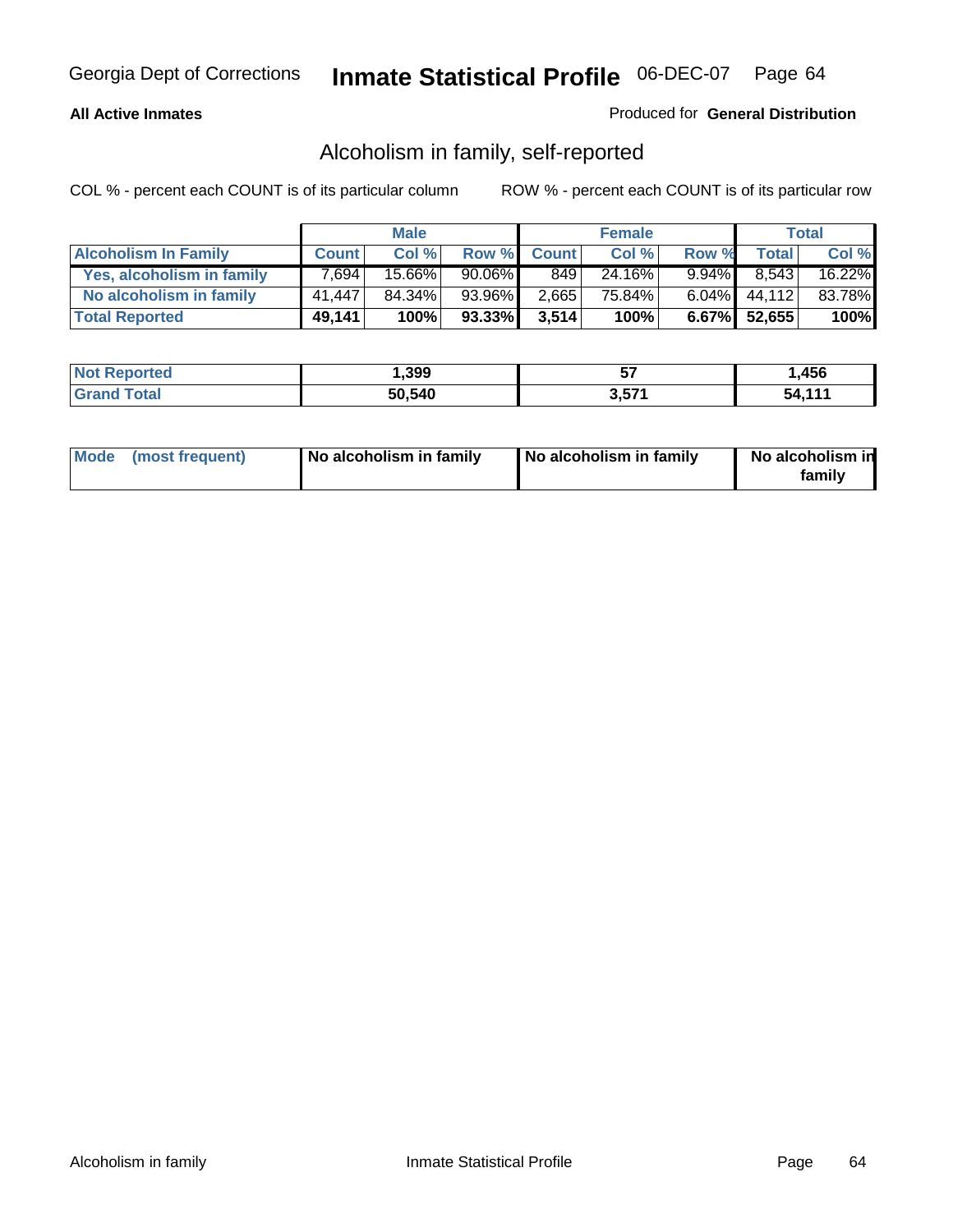### **All Active Inmates**

### Produced for **General Distribution**

### Alcoholism in family, self-reported

|                             |              | <b>Male</b> |           |              | <b>Female</b> |          |              | <b>Total</b> |
|-----------------------------|--------------|-------------|-----------|--------------|---------------|----------|--------------|--------------|
| <b>Alcoholism In Family</b> | <b>Count</b> | Col %       | Row %     | <b>Count</b> | Col %         | Row %    | <b>Total</b> | Col %        |
| Yes, alcoholism in family   | 7,694        | 15.66%      | $90.06\%$ | 849          | 24.16%        | $9.94\%$ | 8.543        | 16.22%       |
| No alcoholism in family     | 41,447       | 84.34%      | 93.96%    | 2,665        | 75.84%        | $6.04\%$ | 44,112       | 83.78%       |
| <b>Total Reported</b>       | 49,141       | 100%        | 93.33%    | 3,514        | 100%          |          | 6.67% 52,655 | 100%         |

| <b>Not Reported</b>   | 399, ا | --          | ,456   |
|-----------------------|--------|-------------|--------|
| Total<br><b>Grand</b> | 50,540 | ドフィ<br>ง.งเ | $-111$ |

|  | Mode (most frequent) | No alcoholism in family | No alcoholism in family | No alcoholism in<br>familv |
|--|----------------------|-------------------------|-------------------------|----------------------------|
|--|----------------------|-------------------------|-------------------------|----------------------------|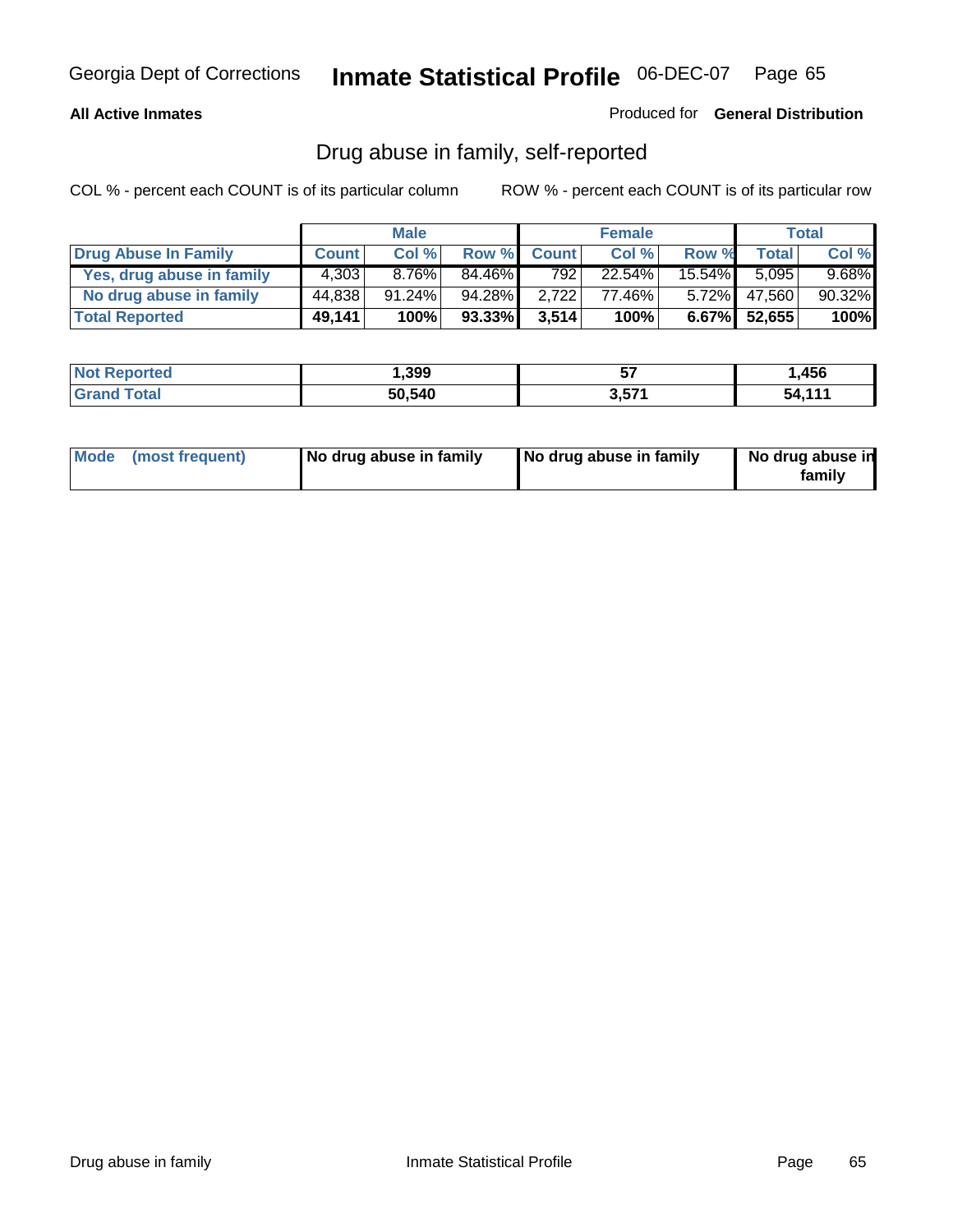### **All Active Inmates**

Produced for **General Distribution**

### Drug abuse in family, self-reported

|                           |              | <b>Male</b> |        |              | <b>Female</b> |           |                 | <b>Total</b> |
|---------------------------|--------------|-------------|--------|--------------|---------------|-----------|-----------------|--------------|
| Drug Abuse In Family      | <b>Count</b> | Col %       | Row %  | <b>Count</b> | Col %         | Row %     | <b>Total</b>    | Col %        |
| Yes, drug abuse in family | 4,303        | 8.76%       | 84.46% | 792 l        | 22.54%        | $15.54\%$ | 5,095           | $9.68\%$     |
| No drug abuse in family   | 44,838       | $91.24\%$   | 94.28% | 2.722        | 77.46%        | $5.72\%$  | 47,560          | 90.32%       |
| <b>Total Reported</b>     | 49,141       | 100%        | 93.33% | 3,514        | 100%          |           | $6.67\%$ 52,655 | 100%         |

| <b>Not Reported</b> | 399, ا | --                 | ,456   |
|---------------------|--------|--------------------|--------|
| <b>Grand Total</b>  | 50,540 | <b>E74</b><br>ა.ა7 | 54.111 |

|  | Mode (most frequent) | No drug abuse in family | No drug abuse in family | No drug abuse in<br>family |
|--|----------------------|-------------------------|-------------------------|----------------------------|
|--|----------------------|-------------------------|-------------------------|----------------------------|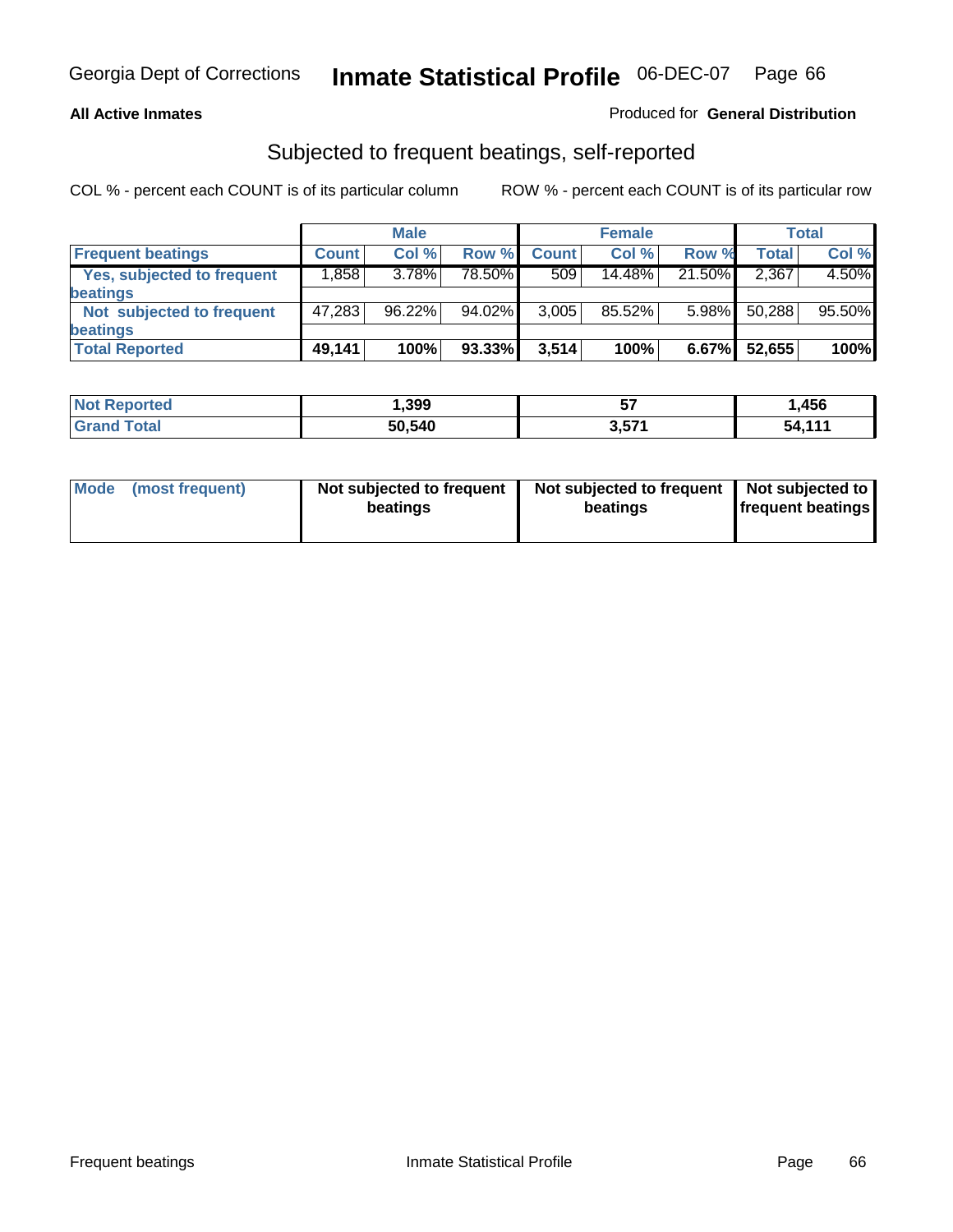### **All Active Inmates**

### Produced for **General Distribution**

### Subjected to frequent beatings, self-reported

|                                   |              | <b>Male</b> |        |              | <b>Female</b> |          |        | Total  |
|-----------------------------------|--------------|-------------|--------|--------------|---------------|----------|--------|--------|
| <b>Frequent beatings</b>          | <b>Count</b> | Col %       | Row %  | <b>Count</b> | Col %         | Row %    | Total  | Col %  |
| <b>Yes, subjected to frequent</b> | ا 858. ا     | 3.78%       | 78.50% | 509          | 14.48%        | 21.50%   | 2,367  | 4.50%  |
| <b>beatings</b>                   |              |             |        |              |               |          |        |        |
| Not subjected to frequent         | 47,283       | 96.22%      | 94.02% | 3,005        | 85.52%        | $5.98\%$ | 50,288 | 95.50% |
| <b>beatings</b>                   |              |             |        |              |               |          |        |        |
| <b>Total Reported</b>             | 49,141       | 100%        | 93.33% | 3,514        | 100%          | 6.67%    | 52,655 | 100%   |

| <b>Not Reported</b> | ,399   | --<br>v, | ,456   |
|---------------------|--------|----------|--------|
| <b>Total</b>        | 50,540 | 3,571    | 54 111 |

| <b>Mode</b><br>(most frequent) | Not subjected to frequent<br>beatings | Not subjected to frequent   Not subjected to  <br>beatings | <b>frequent beatings</b> |  |
|--------------------------------|---------------------------------------|------------------------------------------------------------|--------------------------|--|
|                                |                                       |                                                            |                          |  |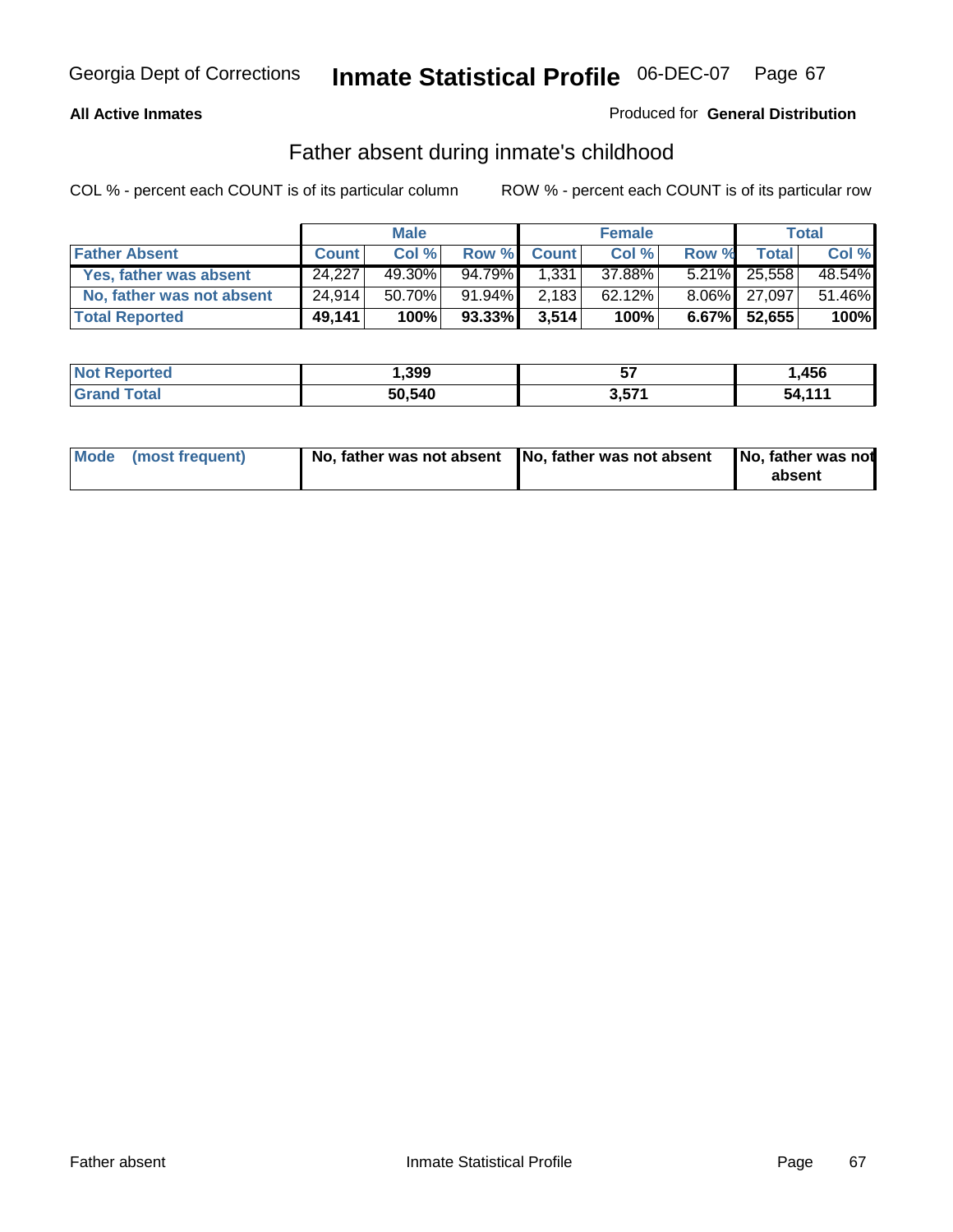### **All Active Inmates**

### Produced for **General Distribution**

### Father absent during inmate's childhood

|                           |              | <b>Male</b> |        |              | <b>Female</b> |       |                    | Total  |
|---------------------------|--------------|-------------|--------|--------------|---------------|-------|--------------------|--------|
| <b>Father Absent</b>      | <b>Count</b> | Col %       | Row %  | <b>Count</b> | Col %         | Row % | Total <sub>1</sub> | Col %  |
| Yes, father was absent    | 24.227       | 49.30%      | 94.79% | 1,331        | 37.88%        |       | 5.21% 25,558       | 48.54% |
| No, father was not absent | 24,914       | 50.70%      | 91.94% | 2,183        | 62.12%        |       | 8.06% 27,097       | 51.46% |
| <b>Total Reported</b>     | 49,141       | 100%        | 93.33% | 3,514        | 100%          |       | $6.67\%$ 52,655    | 100%   |

| <b>Not Reported</b> | 399, ا | --    | ,456   |
|---------------------|--------|-------|--------|
| <b>Grand Total</b>  | 50,540 | 3,571 | 51.11' |

| Mode (most frequent) |  | 「No, father was not absent ┃No, father was not absent ┃No, father was not | absent |
|----------------------|--|---------------------------------------------------------------------------|--------|
|----------------------|--|---------------------------------------------------------------------------|--------|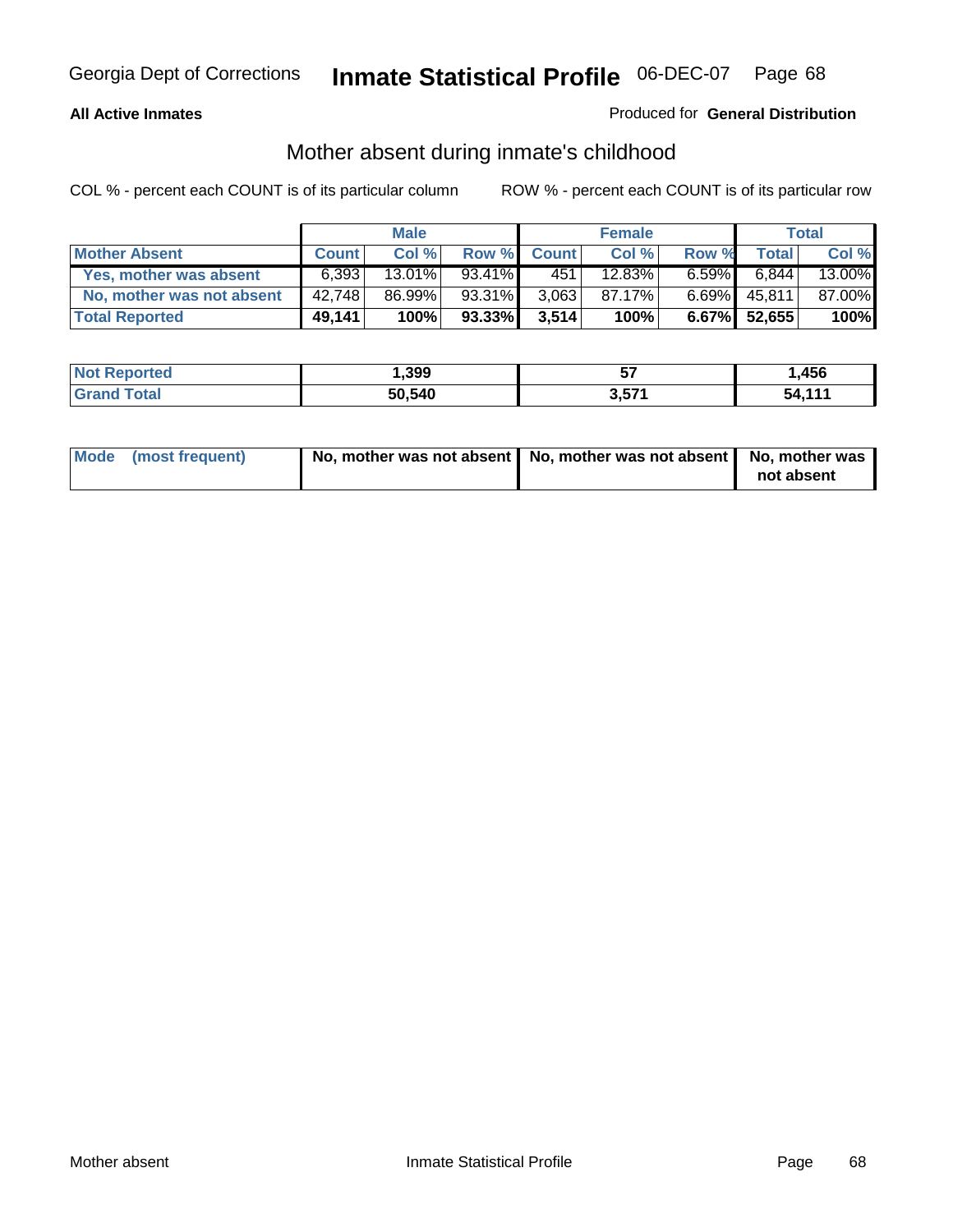### **All Active Inmates**

### Produced for **General Distribution**

### Mother absent during inmate's childhood

|                           |              | <b>Male</b> |        |              | <b>Female</b> |          |              | Total  |
|---------------------------|--------------|-------------|--------|--------------|---------------|----------|--------------|--------|
| <b>Mother Absent</b>      | <b>Count</b> | Col %       | Row %  | <b>Count</b> | Col %         | Row %    | <b>Total</b> | Col %  |
| Yes, mother was absent    | 6.393        | 13.01%      | 93.41% | 451          | 12.83%        | $6.59\%$ | 6.844        | 13.00% |
| No, mother was not absent | 42,748       | 86.99%      | 93.31% | 3,063        | 87.17%        | $6.69\%$ | 45,811       | 87.00% |
| <b>Total Reported</b>     | 49,141       | 100%        | 93.33% | 3,514        | 100%          |          | 6.67% 52,655 | 100%   |

| <b>Not Reported</b> | 399, ا | --    | ,456   |
|---------------------|--------|-------|--------|
| <b>Grand Total</b>  | 50,540 | 3,571 | 5A 111 |

| Mode (most frequent) | No, mother was not absent   No, mother was not absent   No, mother was | not absent |
|----------------------|------------------------------------------------------------------------|------------|
|----------------------|------------------------------------------------------------------------|------------|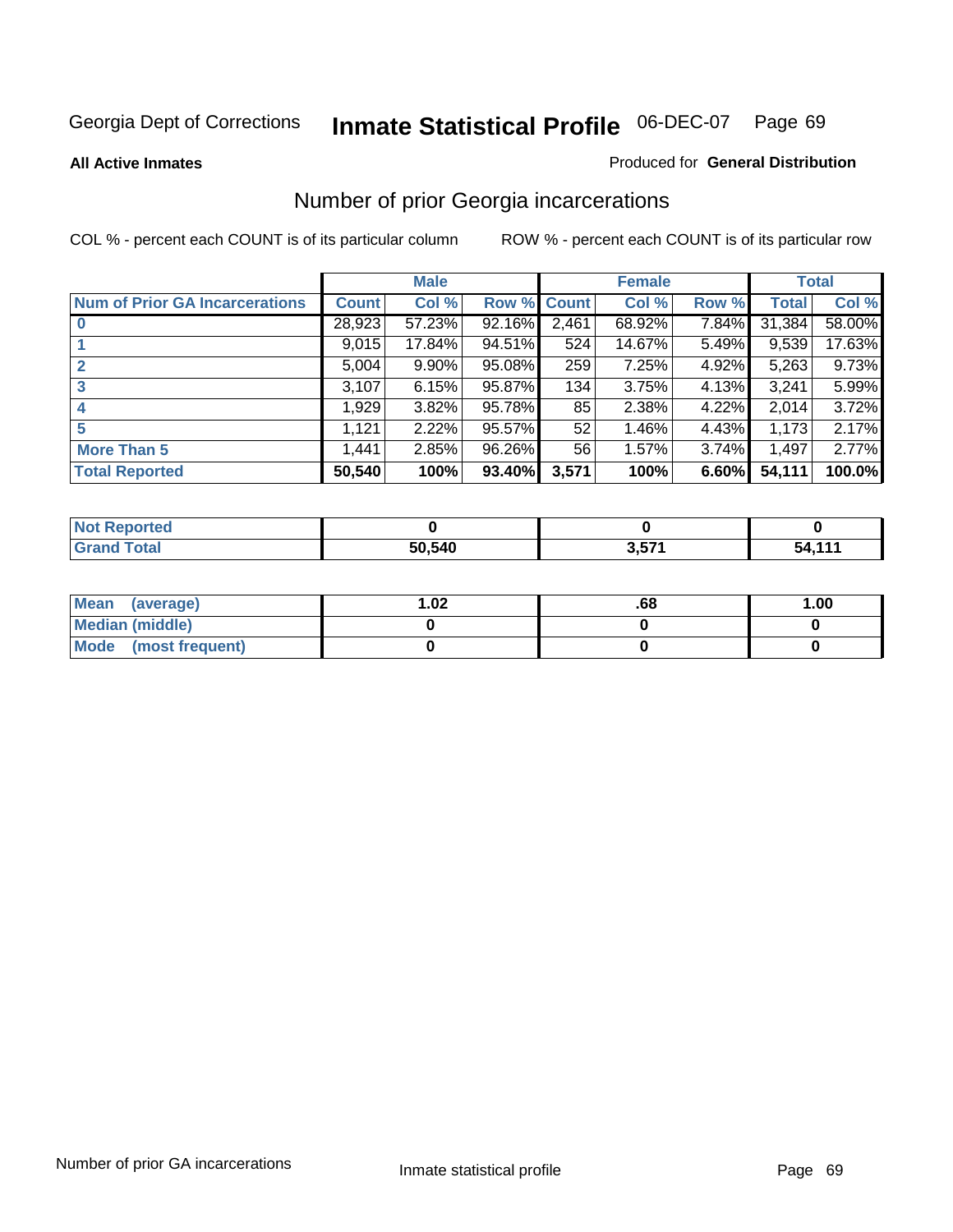#### **All Active Inmates**

#### Produced for **General Distribution**

# Number of prior Georgia incarcerations

|                                       |              | <b>Male</b> |             |       | <b>Female</b> |       |        | <b>Total</b> |
|---------------------------------------|--------------|-------------|-------------|-------|---------------|-------|--------|--------------|
| <b>Num of Prior GA Incarcerations</b> | <b>Count</b> | Col %       | Row % Count |       | Col %         | Row % | Total  | Col %        |
| $\bf{0}$                              | 28,923       | 57.23%      | 92.16%      | 2,461 | 68.92%        | 7.84% | 31,384 | 58.00%       |
|                                       | 9,015        | 17.84%      | 94.51%      | 524   | 14.67%        | 5.49% | 9,539  | 17.63%       |
|                                       | 5,004        | 9.90%       | 95.08%      | 259   | 7.25%         | 4.92% | 5,263  | 9.73%        |
| 3                                     | 3,107        | 6.15%       | 95.87%      | 134   | 3.75%         | 4.13% | 3.241  | 5.99%        |
|                                       | 1,929        | 3.82%       | 95.78%      | 85    | 2.38%         | 4.22% | 2,014  | 3.72%        |
| 5                                     | 1,121        | 2.22%       | 95.57%      | 52    | 1.46%         | 4.43% | 1,173  | 2.17%        |
| <b>More Than 5</b>                    | 1.441        | 2.85%       | 96.26%      | 56    | 1.57%         | 3.74% | 1,497  | 2.77%        |
| <b>Total Reported</b>                 | 50,540       | 100%        | 93.40%      | 3,571 | 100%          | 6.60% | 54,111 | 100.0%       |

| Reported<br>' N∩f      |        |                        |        |
|------------------------|--------|------------------------|--------|
| <b>Fotal</b><br>'Grand | 50,540 | <b>F74</b><br>$3,5/$ . | 54.11' |

| Mean (average)       | .02 | .00 | 1.00 |
|----------------------|-----|-----|------|
| Median (middle)      |     |     |      |
| Mode (most frequent) |     |     |      |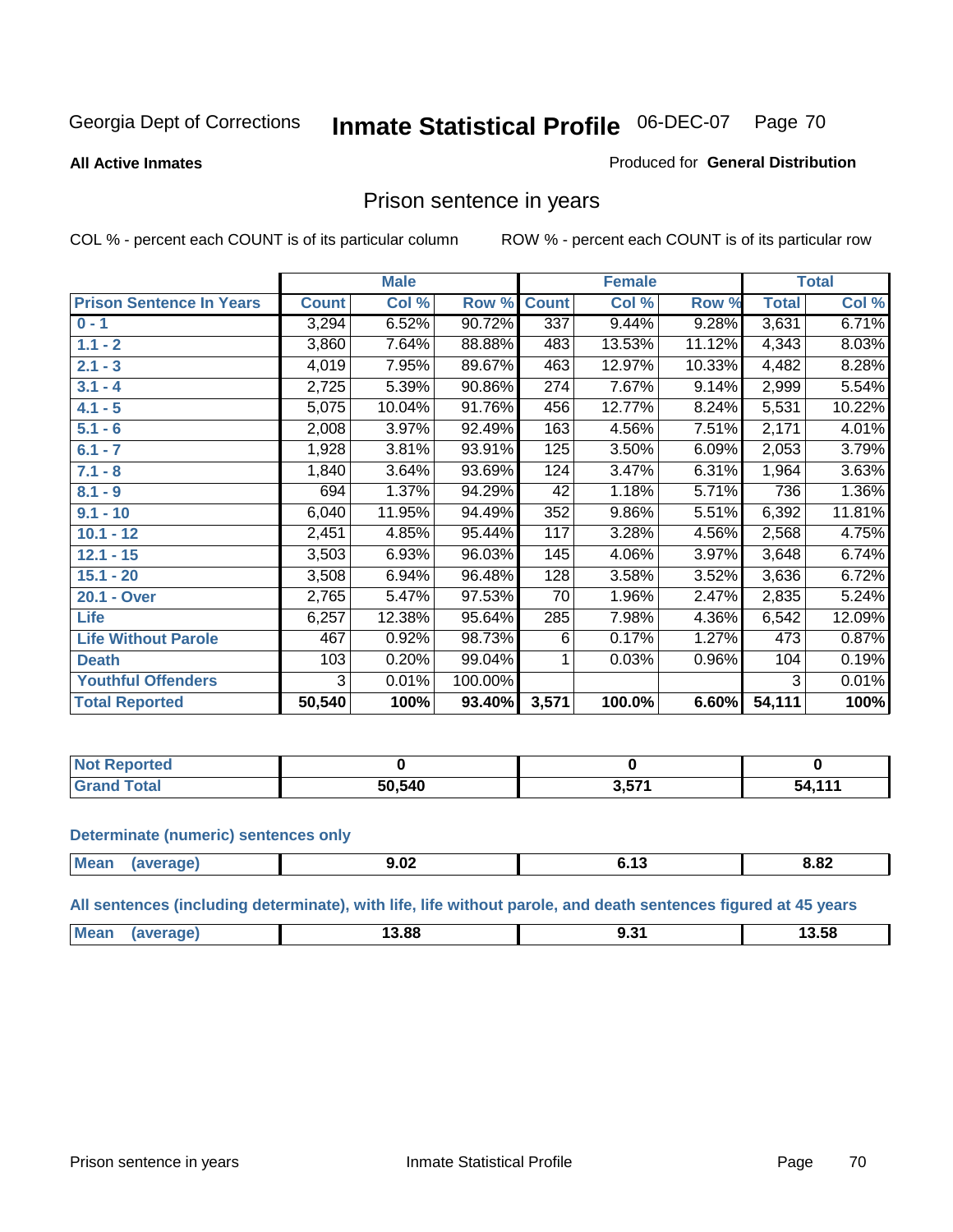#### **All Active Inmates**

#### Produced for **General Distribution**

### Prison sentence in years

COL % - percent each COUNT is of its particular column ROW % - percent each COUNT is of its particular row

|                                 |              | <b>Male</b> |         |              | <b>Female</b> |        |              | <b>Total</b> |
|---------------------------------|--------------|-------------|---------|--------------|---------------|--------|--------------|--------------|
| <b>Prison Sentence In Years</b> | <b>Count</b> | Col %       | Row %   | <b>Count</b> | Col %         | Row %  | <b>Total</b> | Col %        |
| $0 - 1$                         | 3,294        | 6.52%       | 90.72%  | 337          | 9.44%         | 9.28%  | 3,631        | 6.71%        |
| $1.1 - 2$                       | 3,860        | 7.64%       | 88.88%  | 483          | 13.53%        | 11.12% | 4,343        | 8.03%        |
| $2.1 - 3$                       | 4,019        | 7.95%       | 89.67%  | 463          | 12.97%        | 10.33% | 4,482        | 8.28%        |
| $3.1 - 4$                       | 2,725        | 5.39%       | 90.86%  | 274          | 7.67%         | 9.14%  | 2,999        | 5.54%        |
| $4.1 - 5$                       | 5,075        | 10.04%      | 91.76%  | 456          | 12.77%        | 8.24%  | 5,531        | 10.22%       |
| $5.1 - 6$                       | 2,008        | 3.97%       | 92.49%  | 163          | 4.56%         | 7.51%  | 2,171        | 4.01%        |
| $6.1 - 7$                       | 1,928        | 3.81%       | 93.91%  | 125          | 3.50%         | 6.09%  | 2,053        | 3.79%        |
| $7.1 - 8$                       | 1,840        | 3.64%       | 93.69%  | 124          | 3.47%         | 6.31%  | 1,964        | 3.63%        |
| $8.1 - 9$                       | 694          | 1.37%       | 94.29%  | 42           | 1.18%         | 5.71%  | 736          | 1.36%        |
| $9.1 - 10$                      | 6,040        | 11.95%      | 94.49%  | 352          | 9.86%         | 5.51%  | 6,392        | 11.81%       |
| $10.1 - 12$                     | 2,451        | 4.85%       | 95.44%  | 117          | 3.28%         | 4.56%  | 2,568        | 4.75%        |
| $12.1 - 15$                     | 3,503        | 6.93%       | 96.03%  | 145          | 4.06%         | 3.97%  | 3,648        | 6.74%        |
| $15.1 - 20$                     | 3,508        | 6.94%       | 96.48%  | 128          | 3.58%         | 3.52%  | 3,636        | 6.72%        |
| 20.1 - Over                     | 2,765        | 5.47%       | 97.53%  | 70           | 1.96%         | 2.47%  | 2,835        | 5.24%        |
| <b>Life</b>                     | 6,257        | 12.38%      | 95.64%  | 285          | 7.98%         | 4.36%  | 6,542        | 12.09%       |
| <b>Life Without Parole</b>      | 467          | 0.92%       | 98.73%  | 6            | 0.17%         | 1.27%  | 473          | 0.87%        |
| <b>Death</b>                    | 103          | 0.20%       | 99.04%  |              | 0.03%         | 0.96%  | 104          | 0.19%        |
| <b>Youthful Offenders</b>       | 3            | 0.01%       | 100.00% |              |               |        | 3            | 0.01%        |
| <b>Total Reported</b>           | 50,540       | 100%        | 93.40%  | 3,571        | 100.0%        | 6.60%  | 54,111       | 100%         |

| <b>Not</b><br>Reported |        |       |           |
|------------------------|--------|-------|-----------|
| <b>Total</b>           | 50,540 | 3,571 | 444<br>54 |

#### **Determinate (numeric) sentences only**

| Mean | 'апе | $\sim$<br>9.UZ | . | 8.82 |
|------|------|----------------|---|------|
|      |      |                |   |      |

**All sentences (including determinate), with life, life without parole, and death sentences figured at 45 years**

| <b>Mea</b> |  |       |     |              |
|------------|--|-------|-----|--------------|
|            |  | 13.88 | ___ | 3.58<br>____ |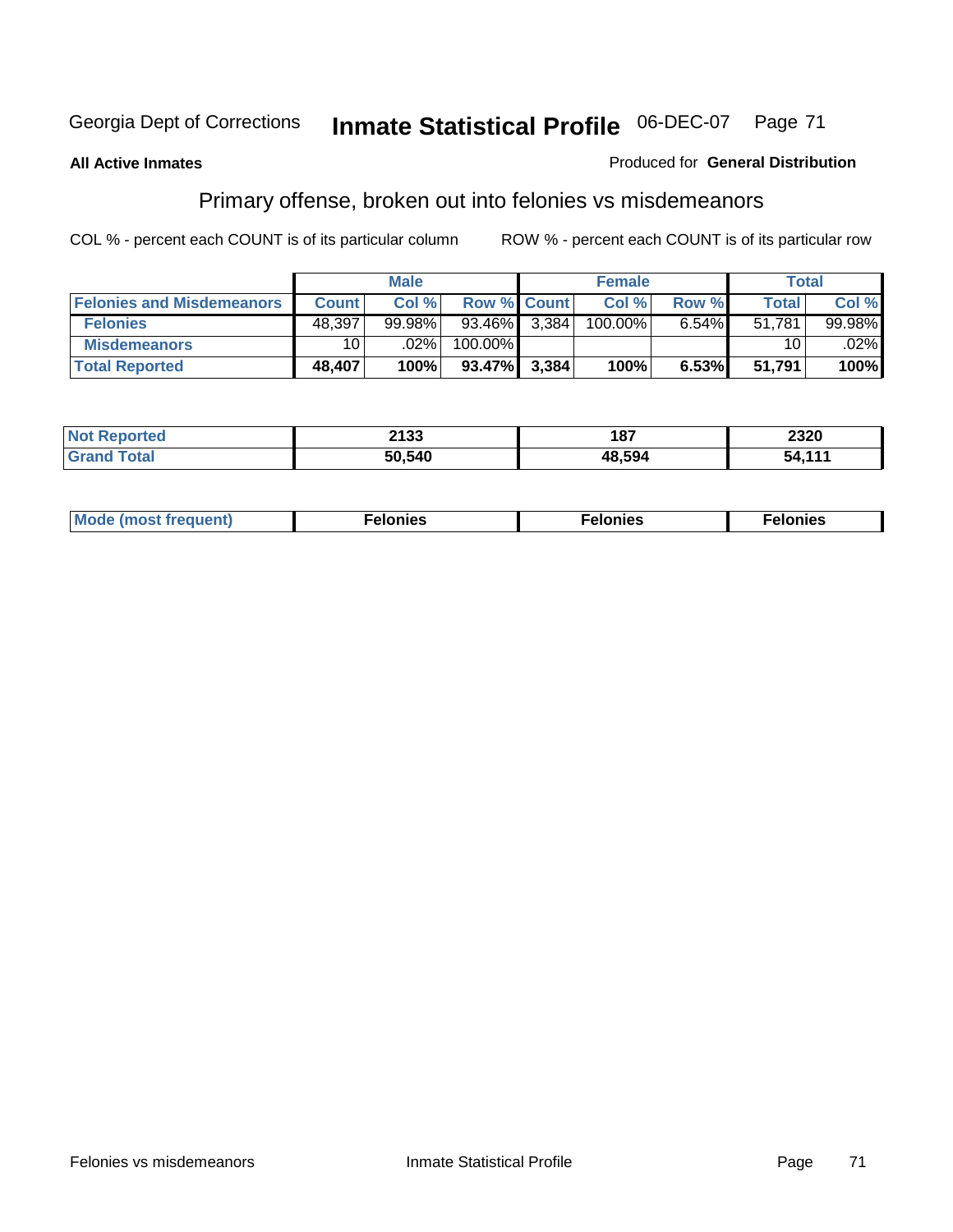### **All Active Inmates**

### Produced for **General Distribution**

# Primary offense, broken out into felonies vs misdemeanors

|                                  |                 | <b>Male</b> |                 |       | <b>Female</b> |          | Total        |           |
|----------------------------------|-----------------|-------------|-----------------|-------|---------------|----------|--------------|-----------|
| <b>Felonies and Misdemeanors</b> | <b>Count</b>    | Col%        | Row % Count     |       | Col %1        | Row %    | <b>Total</b> | Col%      |
| <b>Felonies</b>                  | 48,397          | $99.98\%$   | $93.46\%$ 3,384 |       | 100.00%       | $6.54\%$ | 51.781       | $99.98\%$ |
| <b>Misdemeanors</b>              | 10 <sup>1</sup> | $.02\%$     | 100.00%         |       |               |          | 10           | $.02\%$   |
| <b>Total Reported</b>            | 48,407          | 100%        | 93.47%          | 3.384 | 100%          | 6.53%    | 51.791       | 100%      |

| rted.<br>Not<br>. | 2133   | 187    | 2320                                                 |
|-------------------|--------|--------|------------------------------------------------------|
|                   | 50.540 | 48.594 | $\begin{array}{c} 4 & 4 \\ 4 & 4 \end{array}$<br>54. |

| Mode (most frequent) | elonies | elonies | onies<br>-е к |
|----------------------|---------|---------|---------------|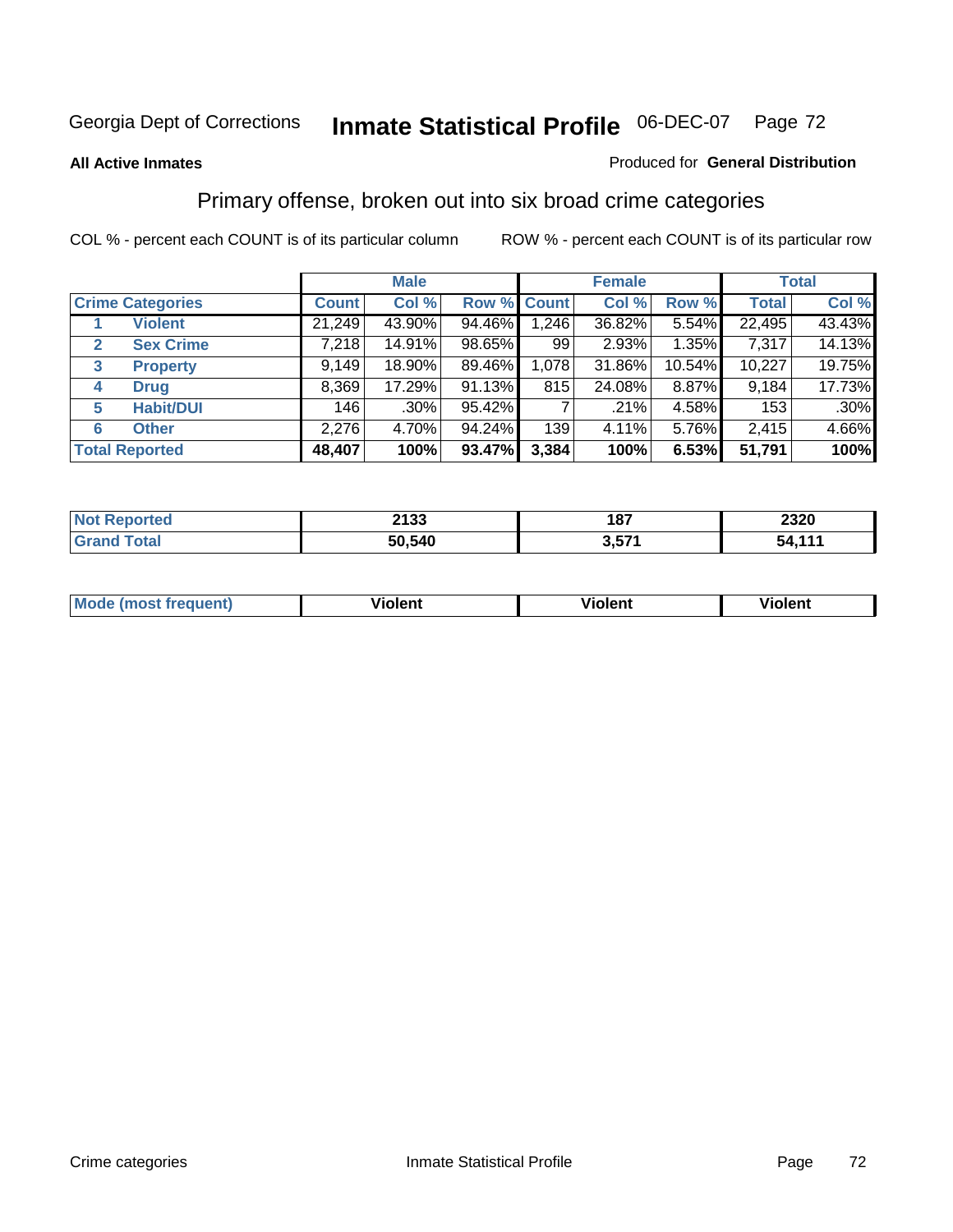### **All Active Inmates**

### Produced for **General Distribution**

### Primary offense, broken out into six broad crime categories

|              |                         |              | <b>Male</b> |                    |       | <b>Female</b> |        |              | <b>Total</b> |
|--------------|-------------------------|--------------|-------------|--------------------|-------|---------------|--------|--------------|--------------|
|              | <b>Crime Categories</b> | <b>Count</b> | Col %       | <b>Row % Count</b> |       | Col %         | Row %  | <b>Total</b> | Col %        |
|              | <b>Violent</b>          | 21,249       | 43.90%      | 94.46%             | 1,246 | 36.82%        | 5.54%  | 22,495       | 43.43%       |
| $\mathbf{2}$ | <b>Sex Crime</b>        | 7,218        | 14.91%      | 98.65%             | 99    | 2.93%         | 1.35%  | 7,317        | 14.13%       |
| 3            | <b>Property</b>         | 9,149        | 18.90%      | 89.46%             | 1,078 | 31.86%        | 10.54% | 10,227       | 19.75%       |
| 4            | <b>Drug</b>             | 8,369        | 17.29%      | 91.13%             | 815   | 24.08%        | 8.87%  | 9,184        | 17.73%       |
| 5            | <b>Habit/DUI</b>        | 146          | $.30\%$     | 95.42%             |       | .21%          | 4.58%  | 153          | $.30\%$      |
| 6            | <b>Other</b>            | 2,276        | 4.70%       | 94.24%             | 139   | 4.11%         | 5.76%  | 2,415        | 4.66%        |
|              | <b>Total Reported</b>   | 48,407       | 100%        | 93.47%             | 3,384 | 100%          | 6.53%  | 51,791       | 100%         |

| <b>0499</b><br>21 JJ | 4.07<br>10 I<br>$  -$ | 2320      |
|----------------------|-----------------------|-----------|
| 50,540               | <b>E74</b>            | 44/<br>51 |

| <b>Mc</b><br>чт. | .<br>วlent | $- -$<br>olent | .<br><b>Tiolent</b> |
|------------------|------------|----------------|---------------------|
|                  |            |                |                     |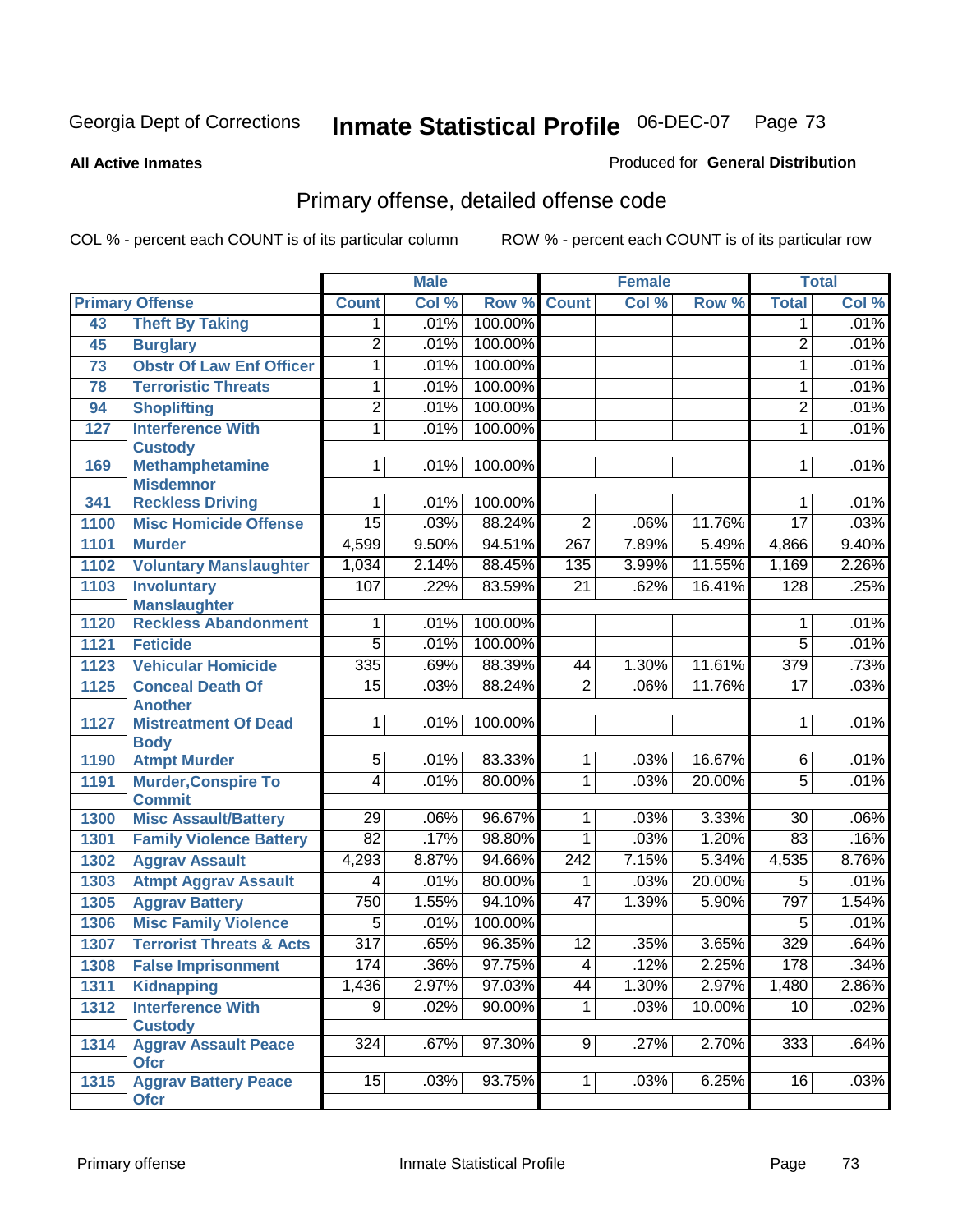#### **All Active Inmates**

#### Produced for **General Distribution**

## Primary offense, detailed offense code

|      |                                            |                  | <b>Male</b> |         |                  | <b>Female</b> |        |                  | <b>Total</b> |
|------|--------------------------------------------|------------------|-------------|---------|------------------|---------------|--------|------------------|--------------|
|      | <b>Primary Offense</b>                     | <b>Count</b>     | Col %       | Row %   | <b>Count</b>     | Col %         | Row %  | <b>Total</b>     | Col %        |
| 43   | <b>Theft By Taking</b>                     | $\mathbf{1}$     | .01%        | 100.00% |                  |               |        | $\mathbf 1$      | .01%         |
| 45   | <b>Burglary</b>                            | $\overline{2}$   | .01%        | 100.00% |                  |               |        | 2                | .01%         |
| 73   | <b>Obstr Of Law Enf Officer</b>            | 1                | .01%        | 100.00% |                  |               |        | 1                | .01%         |
| 78   | <b>Terroristic Threats</b>                 | 1                | .01%        | 100.00% |                  |               |        | 1                | .01%         |
| 94   | <b>Shoplifting</b>                         | $\overline{2}$   | .01%        | 100.00% |                  |               |        | $\overline{2}$   | .01%         |
| 127  | <b>Interference With</b>                   | 1                | .01%        | 100.00% |                  |               |        | 1                | .01%         |
|      | <b>Custody</b>                             |                  |             |         |                  |               |        |                  |              |
| 169  | <b>Methamphetamine</b><br><b>Misdemnor</b> | 1                | .01%        | 100.00% |                  |               |        | 1                | .01%         |
| 341  | <b>Reckless Driving</b>                    | 1                | .01%        | 100.00% |                  |               |        | 1                | .01%         |
| 1100 | <b>Misc Homicide Offense</b>               | $\overline{15}$  | .03%        | 88.24%  | $\overline{2}$   | .06%          | 11.76% | $\overline{17}$  | .03%         |
| 1101 | <b>Murder</b>                              | 4,599            | 9.50%       | 94.51%  | $\overline{267}$ | 7.89%         | 5.49%  | 4,866            | 9.40%        |
| 1102 | <b>Voluntary Manslaughter</b>              | 1,034            | 2.14%       | 88.45%  | 135              | 3.99%         | 11.55% | 1,169            | 2.26%        |
| 1103 | <b>Involuntary</b>                         | 107              | .22%        | 83.59%  | $\overline{21}$  | .62%          | 16.41% | 128              | .25%         |
|      | <b>Manslaughter</b>                        |                  |             |         |                  |               |        |                  |              |
| 1120 | <b>Reckless Abandonment</b>                | 1                | .01%        | 100.00% |                  |               |        | 1                | .01%         |
| 1121 | <b>Feticide</b>                            | $\overline{5}$   | .01%        | 100.00% |                  |               |        | $\overline{5}$   | .01%         |
| 1123 | <b>Vehicular Homicide</b>                  | 335              | .69%        | 88.39%  | 44               | 1.30%         | 11.61% | $\overline{379}$ | .73%         |
| 1125 | <b>Conceal Death Of</b>                    | 15               | .03%        | 88.24%  | $\overline{2}$   | .06%          | 11.76% | $\overline{17}$  | .03%         |
|      | <b>Another</b>                             |                  |             |         |                  |               |        |                  |              |
| 1127 | <b>Mistreatment Of Dead</b>                | 1                | .01%        | 100.00% |                  |               |        | 1                | .01%         |
| 1190 | <b>Body</b><br><b>Atmpt Murder</b>         | $\overline{5}$   | .01%        | 83.33%  | $\overline{1}$   | .03%          | 16.67% | 6                | .01%         |
| 1191 | <b>Murder, Conspire To</b>                 | $\overline{4}$   | .01%        | 80.00%  | $\mathbf{1}$     | .03%          | 20.00% | $\overline{5}$   | .01%         |
|      | <b>Commit</b>                              |                  |             |         |                  |               |        |                  |              |
| 1300 | <b>Misc Assault/Battery</b>                | $\overline{29}$  | .06%        | 96.67%  | $\overline{1}$   | .03%          | 3.33%  | $\overline{30}$  | .06%         |
| 1301 | <b>Family Violence Battery</b>             | $\overline{82}$  | .17%        | 98.80%  | 1                | .03%          | 1.20%  | 83               | .16%         |
| 1302 | <b>Aggrav Assault</b>                      | 4,293            | 8.87%       | 94.66%  | 242              | 7.15%         | 5.34%  | 4,535            | 8.76%        |
| 1303 | <b>Atmpt Aggrav Assault</b>                | $\overline{4}$   | .01%        | 80.00%  | 1                | .03%          | 20.00% | $\overline{5}$   | .01%         |
| 1305 | <b>Aggrav Battery</b>                      | 750              | 1.55%       | 94.10%  | 47               | 1.39%         | 5.90%  | 797              | 1.54%        |
| 1306 | <b>Misc Family Violence</b>                | $\overline{5}$   | .01%        | 100.00% |                  |               |        | $\overline{5}$   | .01%         |
| 1307 | <b>Terrorist Threats &amp; Acts</b>        | $\overline{317}$ | .65%        | 96.35%  | $\overline{12}$  | .35%          | 3.65%  | 329              | .64%         |
|      | 1308 False Imprisonment                    | 174              | .36%        | 97.75%  | $\overline{4}$   | .12%          | 2.25%  | 178              | .34%         |
| 1311 | Kidnapping                                 | 1,436            | 2.97%       | 97.03%  | 44               | 1.30%         | 2.97%  | 1,480            | 2.86%        |
| 1312 | <b>Interference With</b>                   | $\overline{9}$   | .02%        | 90.00%  | 1                | .03%          | 10.00% | 10               | .02%         |
|      | <b>Custody</b>                             |                  |             |         |                  |               |        |                  |              |
| 1314 | <b>Aggrav Assault Peace</b><br><b>Ofcr</b> | 324              | .67%        | 97.30%  | 9                | .27%          | 2.70%  | 333              | .64%         |
| 1315 | <b>Aggrav Battery Peace</b><br><b>Ofcr</b> | 15               | .03%        | 93.75%  | 1 <sup>1</sup>   | .03%          | 6.25%  | 16               | .03%         |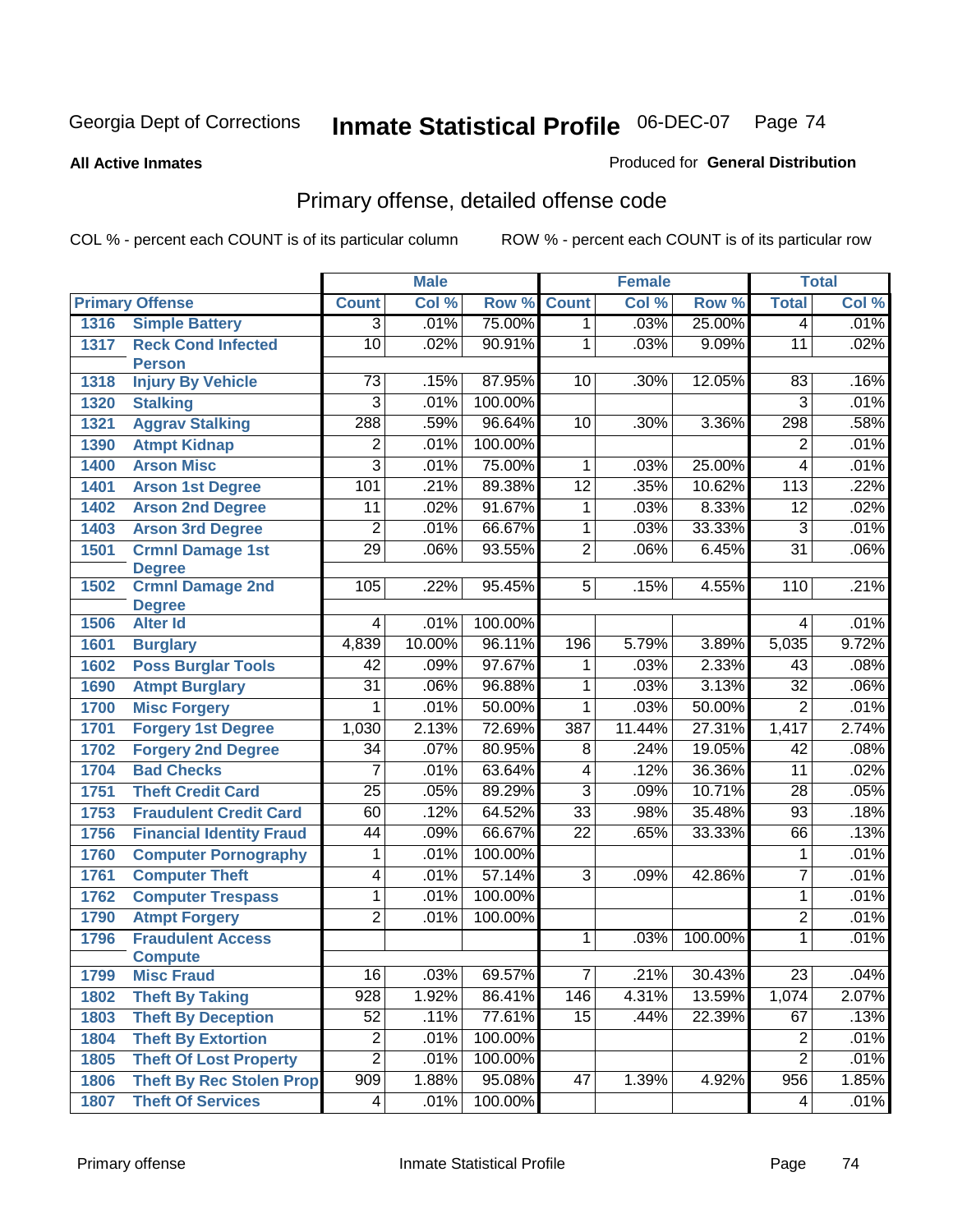#### **All Active Inmates**

#### Produced for **General Distribution**

## Primary offense, detailed offense code

|      |                                  |                  | <b>Male</b> |         |                 | <b>Female</b> |         |                 | <b>Total</b> |
|------|----------------------------------|------------------|-------------|---------|-----------------|---------------|---------|-----------------|--------------|
|      | <b>Primary Offense</b>           | <b>Count</b>     | Col %       | Row %   | <b>Count</b>    | Col %         | Row %   | <b>Total</b>    | Col %        |
| 1316 | <b>Simple Battery</b>            | $\overline{3}$   | .01%        | 75.00%  | $\overline{1}$  | .03%          | 25.00%  | $\overline{4}$  | .01%         |
| 1317 | <b>Reck Cond Infected</b>        | 10               | .02%        | 90.91%  | 1               | .03%          | 9.09%   | $\overline{11}$ | .02%         |
|      | <b>Person</b>                    |                  |             |         |                 |               |         |                 |              |
| 1318 | <b>Injury By Vehicle</b>         | $\overline{73}$  | .15%        | 87.95%  | 10              | .30%          | 12.05%  | 83              | .16%         |
| 1320 | <b>Stalking</b>                  | $\overline{3}$   | .01%        | 100.00% |                 |               |         | $\overline{3}$  | .01%         |
| 1321 | <b>Aggrav Stalking</b>           | 288              | .59%        | 96.64%  | 10              | .30%          | 3.36%   | 298             | .58%         |
| 1390 | <b>Atmpt Kidnap</b>              | $\overline{2}$   | .01%        | 100.00% |                 |               |         | $\overline{2}$  | .01%         |
| 1400 | <b>Arson Misc</b>                | $\overline{3}$   | .01%        | 75.00%  | 1               | .03%          | 25.00%  | 4               | .01%         |
| 1401 | <b>Arson 1st Degree</b>          | 101              | .21%        | 89.38%  | $\overline{12}$ | .35%          | 10.62%  | 113             | .22%         |
| 1402 | <b>Arson 2nd Degree</b>          | $\overline{11}$  | .02%        | 91.67%  | $\overline{1}$  | .03%          | 8.33%   | $\overline{12}$ | .02%         |
| 1403 | <b>Arson 3rd Degree</b>          | $\overline{2}$   | .01%        | 66.67%  | 1               | .03%          | 33.33%  | $\overline{3}$  | .01%         |
| 1501 | <b>Crmnl Damage 1st</b>          | $\overline{29}$  | .06%        | 93.55%  | $\overline{2}$  | .06%          | 6.45%   | $\overline{31}$ | .06%         |
|      | <b>Degree</b>                    |                  |             |         |                 |               |         |                 |              |
| 1502 | <b>Crmnl Damage 2nd</b>          | 105              | .22%        | 95.45%  | $\overline{5}$  | .15%          | 4.55%   | 110             | .21%         |
| 1506 | <b>Degree</b><br><b>Alter Id</b> | 4                | .01%        | 100.00% |                 |               |         | 4               | .01%         |
| 1601 | <b>Burglary</b>                  | 4,839            | 10.00%      | 96.11%  | 196             | 5.79%         | 3.89%   | 5,035           | 9.72%        |
| 1602 | <b>Poss Burglar Tools</b>        | 42               | .09%        | 97.67%  | 1               | .03%          | 2.33%   | 43              | .08%         |
| 1690 | <b>Atmpt Burglary</b>            | $\overline{31}$  | .06%        | 96.88%  | $\overline{1}$  | .03%          | 3.13%   | $\overline{32}$ | .06%         |
| 1700 | <b>Misc Forgery</b>              | 1                | .01%        | 50.00%  | 1               | .03%          | 50.00%  | $\overline{2}$  | .01%         |
| 1701 | <b>Forgery 1st Degree</b>        | 1,030            | 2.13%       | 72.69%  | 387             | 11.44%        | 27.31%  | 1,417           | 2.74%        |
| 1702 | <b>Forgery 2nd Degree</b>        | $\overline{34}$  | .07%        | 80.95%  | 8               | .24%          | 19.05%  | 42              | .08%         |
| 1704 | <b>Bad Checks</b>                | $\overline{7}$   | .01%        | 63.64%  | $\overline{4}$  | .12%          | 36.36%  | 11              | .02%         |
| 1751 | <b>Theft Credit Card</b>         | $\overline{25}$  | .05%        | 89.29%  | $\overline{3}$  | .09%          | 10.71%  | $\overline{28}$ | .05%         |
| 1753 | <b>Fraudulent Credit Card</b>    | 60               | .12%        | 64.52%  | $\overline{33}$ | .98%          | 35.48%  | $\overline{93}$ | .18%         |
| 1756 | <b>Financial Identity Fraud</b>  | 44               | .09%        | 66.67%  | $\overline{22}$ | .65%          | 33.33%  | 66              | .13%         |
| 1760 | <b>Computer Pornography</b>      | 1                | .01%        | 100.00% |                 |               |         | 1               | .01%         |
| 1761 | <b>Computer Theft</b>            | 4                | .01%        | 57.14%  | $\overline{3}$  | .09%          | 42.86%  | $\overline{7}$  | .01%         |
| 1762 | <b>Computer Trespass</b>         | 1                | .01%        | 100.00% |                 |               |         | 1               | .01%         |
| 1790 | <b>Atmpt Forgery</b>             | $\overline{2}$   | .01%        | 100.00% |                 |               |         | 2               | .01%         |
| 1796 | <b>Fraudulent Access</b>         |                  |             |         | 1               | .03%          | 100.00% | $\overline{1}$  | .01%         |
|      | <b>Compute</b>                   |                  |             |         |                 |               |         |                 |              |
| 1799 | <b>Misc Fraud</b>                | 16               | .03%        | 69.57%  | 7 <sup>1</sup>  | .21%          | 30.43%  | 23              | .04%         |
| 1802 | <b>Theft By Taking</b>           | $\overline{928}$ | 1.92%       | 86.41%  | 146             | 4.31%         | 13.59%  | 1,074           | 2.07%        |
| 1803 | <b>Theft By Deception</b>        | 52               | .11%        | 77.61%  | 15              | .44%          | 22.39%  | 67              | .13%         |
| 1804 | <b>Theft By Extortion</b>        | 2                | .01%        | 100.00% |                 |               |         | 2               | .01%         |
| 1805 | <b>Theft Of Lost Property</b>    | $\overline{2}$   | .01%        | 100.00% |                 |               |         | $\overline{2}$  | .01%         |
| 1806 | <b>Theft By Rec Stolen Prop</b>  | $\overline{909}$ | 1.88%       | 95.08%  | 47              | 1.39%         | 4.92%   | 956             | 1.85%        |
| 1807 | <b>Theft Of Services</b>         | 4 <sup>1</sup>   | .01%        | 100.00% |                 |               |         | 4               | .01%         |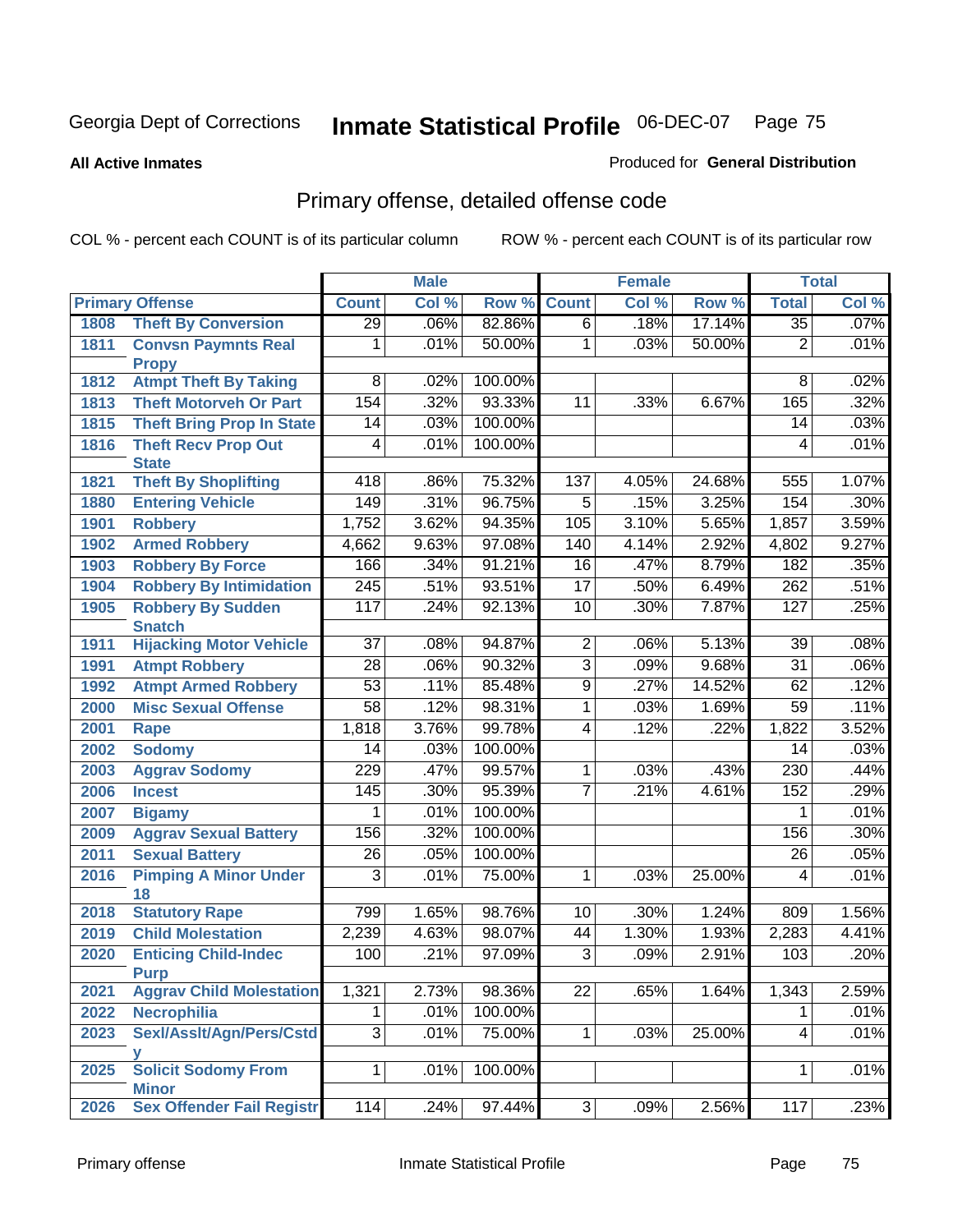#### **All Active Inmates**

#### Produced for **General Distribution**

## Primary offense, detailed offense code

|      |                                            | <b>Male</b>      |       | <b>Female</b> |                 |       | <b>Total</b> |                 |       |
|------|--------------------------------------------|------------------|-------|---------------|-----------------|-------|--------------|-----------------|-------|
|      | <b>Primary Offense</b>                     | <b>Count</b>     | Col % | Row %         | <b>Count</b>    | Col % | Row %        | <b>Total</b>    | Col % |
| 1808 | <b>Theft By Conversion</b>                 | $\overline{29}$  | .06%  | 82.86%        | $\overline{6}$  | .18%  | 17.14%       | $\overline{35}$ | .07%  |
| 1811 | <b>Convsn Paymnts Real</b><br><b>Propy</b> | 1                | .01%  | 50.00%        | $\overline{1}$  | .03%  | 50.00%       | $\overline{2}$  | .01%  |
| 1812 | <b>Atmpt Theft By Taking</b>               | $\overline{8}$   | .02%  | 100.00%       |                 |       |              | 8               | .02%  |
| 1813 | <b>Theft Motorveh Or Part</b>              | 154              | .32%  | 93.33%        | 11              | .33%  | 6.67%        | 165             | .32%  |
| 1815 | <b>Theft Bring Prop In State</b>           | 14               | .03%  | 100.00%       |                 |       |              | 14              | .03%  |
| 1816 | <b>Theft Recv Prop Out</b>                 | 4                | .01%  | 100.00%       |                 |       |              | $\overline{4}$  | .01%  |
|      | <b>State</b>                               |                  |       |               |                 |       |              |                 |       |
| 1821 | <b>Theft By Shoplifting</b>                | $\overline{418}$ | .86%  | 75.32%        | 137             | 4.05% | 24.68%       | 555             | 1.07% |
| 1880 | <b>Entering Vehicle</b>                    | 149              | .31%  | 96.75%        | $\overline{5}$  | .15%  | 3.25%        | 154             | .30%  |
| 1901 | <b>Robbery</b>                             | 1,752            | 3.62% | 94.35%        | 105             | 3.10% | 5.65%        | 1,857           | 3.59% |
| 1902 | <b>Armed Robbery</b>                       | 4,662            | 9.63% | 97.08%        | 140             | 4.14% | 2.92%        | 4,802           | 9.27% |
| 1903 | <b>Robbery By Force</b>                    | 166              | .34%  | 91.21%        | $\overline{16}$ | .47%  | 8.79%        | 182             | .35%  |
| 1904 | <b>Robbery By Intimidation</b>             | $\overline{245}$ | .51%  | 93.51%        | $\overline{17}$ | .50%  | 6.49%        | 262             | .51%  |
| 1905 | <b>Robbery By Sudden</b>                   | 117              | .24%  | 92.13%        | $\overline{10}$ | .30%  | 7.87%        | 127             | .25%  |
|      | <b>Snatch</b>                              |                  |       |               |                 |       |              |                 |       |
| 1911 | <b>Hijacking Motor Vehicle</b>             | $\overline{37}$  | .08%  | 94.87%        | $\overline{2}$  | .06%  | 5.13%        | $\overline{39}$ | .08%  |
| 1991 | <b>Atmpt Robbery</b>                       | $\overline{28}$  | .06%  | 90.32%        | $\overline{3}$  | .09%  | 9.68%        | $\overline{31}$ | .06%  |
| 1992 | <b>Atmpt Armed Robbery</b>                 | $\overline{53}$  | .11%  | 85.48%        | $\overline{9}$  | .27%  | 14.52%       | 62              | .12%  |
| 2000 | <b>Misc Sexual Offense</b>                 | $\overline{58}$  | .12%  | 98.31%        | 1               | .03%  | 1.69%        | $\overline{59}$ | .11%  |
| 2001 | Rape                                       | 1,818            | 3.76% | 99.78%        | $\overline{4}$  | .12%  | .22%         | 1,822           | 3.52% |
| 2002 | <b>Sodomy</b>                              | 14               | .03%  | 100.00%       |                 |       |              | 14              | .03%  |
| 2003 | <b>Aggrav Sodomy</b>                       | 229              | .47%  | 99.57%        | $\overline{1}$  | .03%  | .43%         | 230             | .44%  |
| 2006 | <b>Incest</b>                              | $\overline{145}$ | .30%  | 95.39%        | $\overline{7}$  | .21%  | 4.61%        | 152             | .29%  |
| 2007 | <b>Bigamy</b>                              | 1                | .01%  | 100.00%       |                 |       |              | 1               | .01%  |
| 2009 | <b>Aggrav Sexual Battery</b>               | 156              | .32%  | 100.00%       |                 |       |              | 156             | .30%  |
| 2011 | <b>Sexual Battery</b>                      | $\overline{26}$  | .05%  | 100.00%       |                 |       |              | $\overline{26}$ | .05%  |
| 2016 | <b>Pimping A Minor Under</b>               | 3                | .01%  | 75.00%        | 1               | .03%  | 25.00%       | 4               | .01%  |
|      | 18                                         |                  |       |               |                 |       |              |                 |       |
| 2018 | <b>Statutory Rape</b>                      | 799              | 1.65% | 98.76%        | 10              | .30%  | 1.24%        | 809             | 1.56% |
| 2019 | <b>Child Molestation</b>                   | 2,239            | 4.63% | 98.07%        | 44              | 1.30% | 1.93%        | 2,283           | 4.41% |
| 2020 | <b>Enticing Child-Indec</b><br><b>Purp</b> | 100              | .21%  | 97.09%        | $\overline{3}$  | .09%  | 2.91%        | 103             | .20%  |
| 2021 | <b>Aggrav Child Molestation</b>            | 1,321            | 2.73% | 98.36%        | $\overline{22}$ | .65%  | 1.64%        | 1,343           | 2.59% |
| 2022 | <b>Necrophilia</b>                         | $\mathbf{1}$     | .01%  | 100.00%       |                 |       |              | $\mathbf 1$     | .01%  |
| 2023 | Sexl/Asslt/Agn/Pers/Cstd                   | $\overline{3}$   | .01%  | 75.00%        | 1               | .03%  | 25.00%       | 4               | .01%  |
|      |                                            |                  |       |               |                 |       |              |                 |       |
| 2025 | <b>Solicit Sodomy From</b><br><b>Minor</b> | $\overline{1}$   | .01%  | 100.00%       |                 |       |              | 1               | .01%  |
| 2026 | <b>Sex Offender Fail Registr</b>           | 114              | .24%  | 97.44%        | $\overline{3}$  | .09%  | 2.56%        | 117             | .23%  |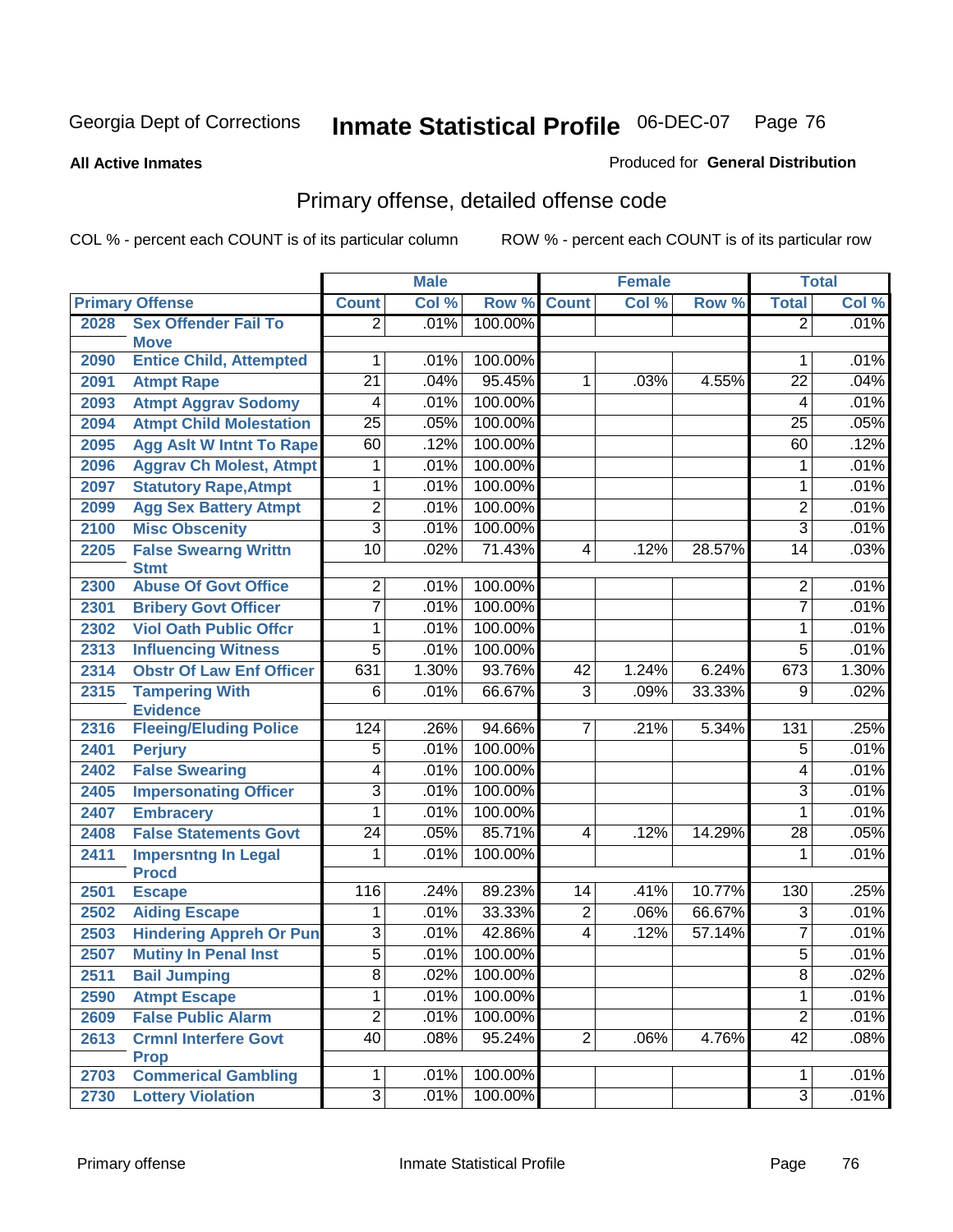**All Active Inmates**

#### Produced for **General Distribution**

## Primary offense, detailed offense code

|      |                                                  |                 | <b>Male</b> |         |                | <b>Female</b> |        |                 | <b>Total</b> |
|------|--------------------------------------------------|-----------------|-------------|---------|----------------|---------------|--------|-----------------|--------------|
|      | <b>Primary Offense</b>                           | <b>Count</b>    | Col %       | Row %   | <b>Count</b>   | Col %         | Row %  | <b>Total</b>    | Col %        |
| 2028 | <b>Sex Offender Fail To</b><br><b>Move</b>       | $\overline{2}$  | .01%        | 100.00% |                |               |        | $\overline{2}$  | .01%         |
| 2090 | <b>Entice Child, Attempted</b>                   | 1               | .01%        | 100.00% |                |               |        | 1               | .01%         |
| 2091 | <b>Atmpt Rape</b>                                | $\overline{21}$ | .04%        | 95.45%  | 1              | .03%          | 4.55%  | $\overline{22}$ | .04%         |
| 2093 | <b>Atmpt Aggrav Sodomy</b>                       | $\overline{4}$  | .01%        | 100.00% |                |               |        | 4               | .01%         |
| 2094 | <b>Atmpt Child Molestation</b>                   | $\overline{25}$ | .05%        | 100.00% |                |               |        | 25              | .05%         |
| 2095 | <b>Agg Aslt W Intnt To Rape</b>                  | 60              | .12%        | 100.00% |                |               |        | 60              | .12%         |
| 2096 | <b>Aggrav Ch Molest, Atmpt</b>                   | 1               | .01%        | 100.00% |                |               |        | 1               | .01%         |
| 2097 | <b>Statutory Rape, Atmpt</b>                     | 1               | .01%        | 100.00% |                |               |        | 1               | .01%         |
| 2099 | <b>Agg Sex Battery Atmpt</b>                     | $\overline{2}$  | .01%        | 100.00% |                |               |        | $\overline{2}$  | .01%         |
| 2100 | <b>Misc Obscenity</b>                            | $\overline{3}$  | .01%        | 100.00% |                |               |        | 3               | .01%         |
| 2205 | <b>False Swearng Writtn</b>                      | $\overline{10}$ | .02%        | 71.43%  | 4              | .12%          | 28.57% | 14              | .03%         |
|      | <b>Stmt</b>                                      |                 |             |         |                |               |        |                 |              |
| 2300 | <b>Abuse Of Govt Office</b>                      | $\overline{2}$  | .01%        | 100.00% |                |               |        | $\overline{2}$  | .01%         |
| 2301 | <b>Bribery Govt Officer</b>                      | $\overline{7}$  | .01%        | 100.00% |                |               |        | $\overline{7}$  | .01%         |
| 2302 | <b>Viol Oath Public Offcr</b>                    | 1               | .01%        | 100.00% |                |               |        | 1               | .01%         |
| 2313 | <b>Influencing Witness</b>                       | $\overline{5}$  | .01%        | 100.00% |                |               |        | $\overline{5}$  | .01%         |
| 2314 | <b>Obstr Of Law Enf Officer</b>                  | 631             | 1.30%       | 93.76%  | 42             | 1.24%         | 6.24%  | 673             | 1.30%        |
| 2315 | <b>Tampering With</b>                            | 6               | .01%        | 66.67%  | $\overline{3}$ | .09%          | 33.33% | 9               | .02%         |
| 2316 | <b>Evidence</b><br><b>Fleeing/Eluding Police</b> | 124             | .26%        | 94.66%  | 7              | .21%          | 5.34%  | 131             | .25%         |
| 2401 | <b>Perjury</b>                                   | $\overline{5}$  | .01%        | 100.00% |                |               |        | $\overline{5}$  | .01%         |
| 2402 | <b>False Swearing</b>                            | $\overline{4}$  | .01%        | 100.00% |                |               |        | 4               | .01%         |
| 2405 | <b>Impersonating Officer</b>                     | $\overline{3}$  | .01%        | 100.00% |                |               |        | $\overline{3}$  | .01%         |
| 2407 | <b>Embracery</b>                                 | $\overline{1}$  | .01%        | 100.00% |                |               |        | 1               | .01%         |
| 2408 | <b>False Statements Govt</b>                     | $\overline{24}$ | .05%        | 85.71%  | 4              | .12%          | 14.29% | 28              | .05%         |
| 2411 | <b>Impersntng In Legal</b>                       | 1               | .01%        | 100.00% |                |               |        | 1               | .01%         |
|      | <b>Procd</b>                                     |                 |             |         |                |               |        |                 |              |
| 2501 | <b>Escape</b>                                    | 116             | .24%        | 89.23%  | 14             | .41%          | 10.77% | 130             | .25%         |
| 2502 | <b>Aiding Escape</b>                             | $\mathbf{1}$    | .01%        | 33.33%  | $\overline{2}$ | .06%          | 66.67% | 3               | .01%         |
| 2503 | <b>Hindering Appreh Or Pun</b>                   | $\overline{3}$  | .01%        | 42.86%  | 4              | .12%          | 57.14% | $\overline{7}$  | .01%         |
| 2507 | <b>Mutiny In Penal Inst</b>                      | $\overline{5}$  | .01%        | 100.00% |                |               |        | $\overline{5}$  | .01%         |
| 2511 | <b>Bail Jumping</b>                              | 8               | .02%        | 100.00% |                |               |        | 8               | .02%         |
| 2590 | <b>Atmpt Escape</b>                              | $\overline{1}$  | .01%        | 100.00% |                |               |        | $\mathbf{1}$    | .01%         |
| 2609 | <b>False Public Alarm</b>                        | $\overline{2}$  | .01%        | 100.00% |                |               |        | $\overline{2}$  | .01%         |
| 2613 | <b>Crmnl Interfere Govt</b>                      | 40              | .08%        | 95.24%  | $\overline{2}$ | .06%          | 4.76%  | $\overline{42}$ | .08%         |
|      | <b>Prop</b>                                      |                 |             |         |                |               |        |                 |              |
| 2703 | <b>Commerical Gambling</b>                       | $\overline{1}$  | .01%        | 100.00% |                |               |        | $\mathbf{1}$    | .01%         |
| 2730 | <b>Lottery Violation</b>                         | $\overline{3}$  | .01%        | 100.00% |                |               |        | $\overline{3}$  | .01%         |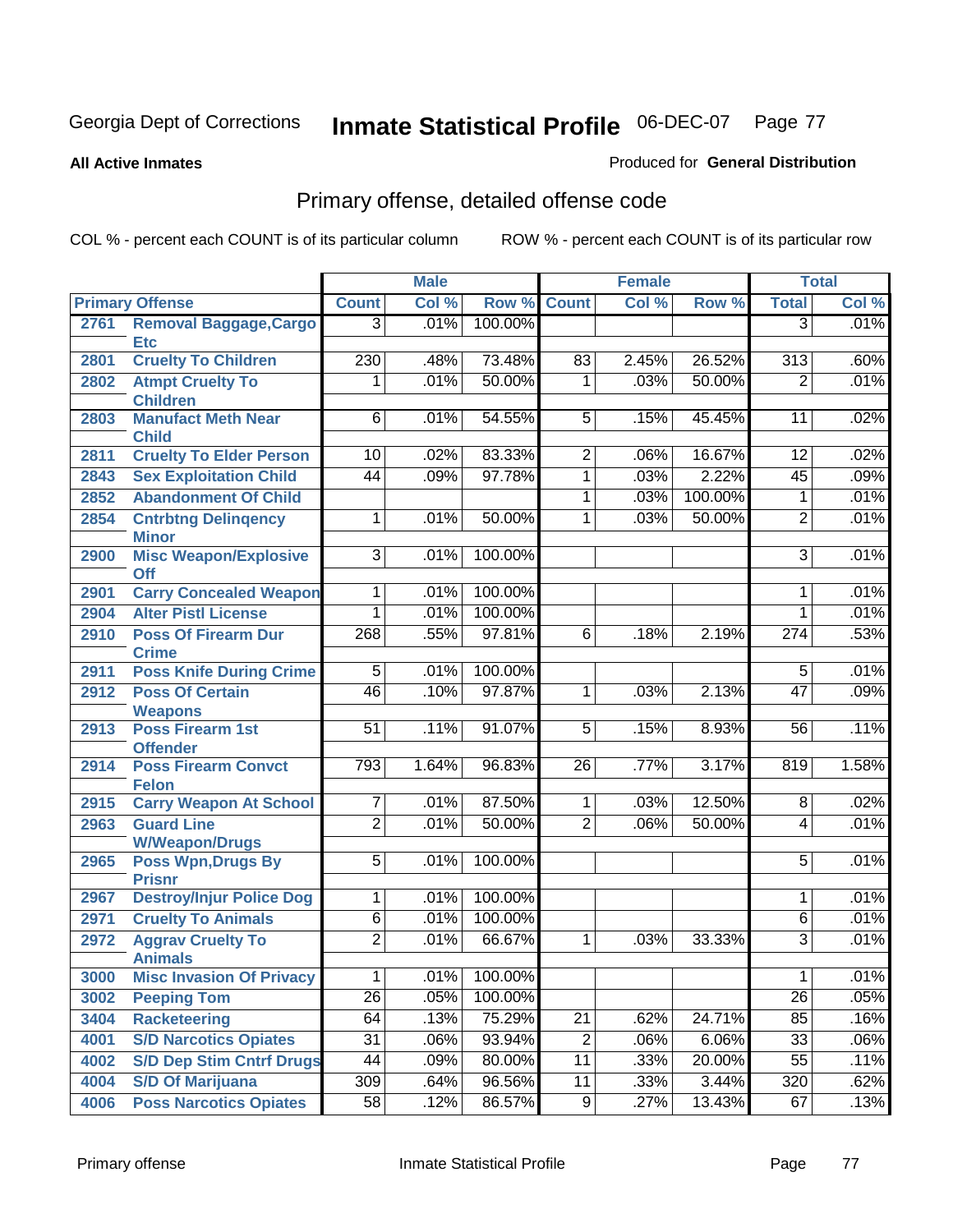Produced for **General Distribution**

#### **All Active Inmates**

# Primary offense, detailed offense code

|      |                                            |                     | <b>Male</b> |         |                 | <b>Female</b> |         |                  | <b>Total</b> |
|------|--------------------------------------------|---------------------|-------------|---------|-----------------|---------------|---------|------------------|--------------|
|      | <b>Primary Offense</b>                     | <b>Count</b>        | Col %       | Row %   | <b>Count</b>    | Col %         | Row %   | <b>Total</b>     | Col %        |
| 2761 | <b>Removal Baggage, Cargo</b>              | $\overline{3}$      | .01%        | 100.00% |                 |               |         | $\overline{3}$   | .01%         |
|      | <b>Etc</b>                                 |                     |             |         |                 |               |         |                  |              |
| 2801 | <b>Cruelty To Children</b>                 | 230                 | .48%        | 73.48%  | 83              | 2.45%         | 26.52%  | $\overline{313}$ | .60%         |
| 2802 | <b>Atmpt Cruelty To</b><br><b>Children</b> | 1                   | .01%        | 50.00%  | $\mathbf{1}$    | .03%          | 50.00%  | $\overline{2}$   | .01%         |
| 2803 | <b>Manufact Meth Near</b>                  | $\overline{6}$      | .01%        | 54.55%  | $5\overline{)}$ | .15%          | 45.45%  | 11               | .02%         |
|      | <b>Child</b>                               |                     |             |         |                 |               |         |                  |              |
| 2811 | <b>Cruelty To Elder Person</b>             | 10                  | .02%        | 83.33%  | $\overline{2}$  | .06%          | 16.67%  | 12               | .02%         |
| 2843 | <b>Sex Exploitation Child</b>              | 44                  | .09%        | 97.78%  | $\overline{1}$  | .03%          | 2.22%   | 45               | .09%         |
| 2852 | <b>Abandonment Of Child</b>                |                     |             |         | $\mathbf{1}$    | .03%          | 100.00% | 1                | .01%         |
| 2854 | <b>Cntrbtng Delingency</b><br><b>Minor</b> | 1                   | .01%        | 50.00%  | 1               | .03%          | 50.00%  | $\overline{2}$   | .01%         |
| 2900 | <b>Misc Weapon/Explosive</b>               | $\overline{\omega}$ | .01%        | 100.00% |                 |               |         | $\overline{3}$   | .01%         |
|      | <b>Off</b>                                 |                     |             |         |                 |               |         |                  |              |
| 2901 | <b>Carry Concealed Weapon</b>              | 1                   | .01%        | 100.00% |                 |               |         | 1                | .01%         |
| 2904 | <b>Alter Pistl License</b>                 | 1                   | .01%        | 100.00% |                 |               |         | 1                | .01%         |
| 2910 | <b>Poss Of Firearm Dur</b>                 | 268                 | .55%        | 97.81%  | $\overline{6}$  | .18%          | 2.19%   | $\overline{274}$ | .53%         |
|      | <b>Crime</b>                               |                     |             |         |                 |               |         |                  |              |
| 2911 | <b>Poss Knife During Crime</b>             | $\overline{5}$      | .01%        | 100.00% |                 |               |         | $\overline{5}$   | .01%         |
| 2912 | <b>Poss Of Certain</b>                     | $\overline{46}$     | .10%        | 97.87%  | $\mathbf{1}$    | .03%          | 2.13%   | $\overline{47}$  | .09%         |
|      | <b>Weapons</b>                             |                     |             |         | $\overline{5}$  |               |         |                  |              |
| 2913 | <b>Poss Firearm 1st</b><br><b>Offender</b> | 51                  | .11%        | 91.07%  |                 | .15%          | 8.93%   | 56               | .11%         |
| 2914 | <b>Poss Firearm Convct</b>                 | 793                 | 1.64%       | 96.83%  | $\overline{26}$ | .77%          | 3.17%   | 819              | 1.58%        |
|      | <b>Felon</b>                               |                     |             |         |                 |               |         |                  |              |
| 2915 | <b>Carry Weapon At School</b>              | $\overline{7}$      | .01%        | 87.50%  | $\mathbf{1}$    | .03%          | 12.50%  | 8                | .02%         |
| 2963 | <b>Guard Line</b>                          | $\overline{2}$      | .01%        | 50.00%  | $\overline{2}$  | .06%          | 50.00%  | $\overline{4}$   | .01%         |
|      | <b>W/Weapon/Drugs</b>                      |                     |             |         |                 |               |         |                  |              |
| 2965 | <b>Poss Wpn, Drugs By</b><br><b>Prisnr</b> | $\overline{5}$      | .01%        | 100.00% |                 |               |         | $\overline{5}$   | .01%         |
| 2967 | <b>Destroy/Injur Police Dog</b>            | 1                   | .01%        | 100.00% |                 |               |         | 1                | .01%         |
| 2971 | <b>Cruelty To Animals</b>                  | $\overline{6}$      | .01%        | 100.00% |                 |               |         | 6                | .01%         |
| 2972 | <b>Aggrav Cruelty To</b>                   | $\overline{2}$      | .01%        | 66.67%  | $\mathbf{1}$    | .03%          | 33.33%  | 3                | .01%         |
|      | <b>Animals</b>                             |                     |             |         |                 |               |         |                  |              |
| 3000 | <b>Misc Invasion Of Privacy</b>            | $\mathbf{1}$        | .01%        | 100.00% |                 |               |         | 1                | .01%         |
| 3002 | <b>Peeping Tom</b>                         | $\overline{26}$     | .05%        | 100.00% |                 |               |         | $\overline{26}$  | .05%         |
| 3404 | <b>Racketeering</b>                        | 64                  | .13%        | 75.29%  | $\overline{21}$ | .62%          | 24.71%  | 85               | .16%         |
| 4001 | <b>S/D Narcotics Opiates</b>               | $\overline{31}$     | .06%        | 93.94%  | $\overline{2}$  | .06%          | 6.06%   | 33               | .06%         |
| 4002 | <b>S/D Dep Stim Cntrf Drugs</b>            | 44                  | .09%        | 80.00%  | 11              | .33%          | 20.00%  | $\overline{55}$  | .11%         |
| 4004 | <b>S/D Of Marijuana</b>                    | 309                 | .64%        | 96.56%  | 11              | .33%          | 3.44%   | 320              | .62%         |
| 4006 | <b>Poss Narcotics Opiates</b>              | 58                  | .12%        | 86.57%  | $\overline{9}$  | .27%          | 13.43%  | 67               | .13%         |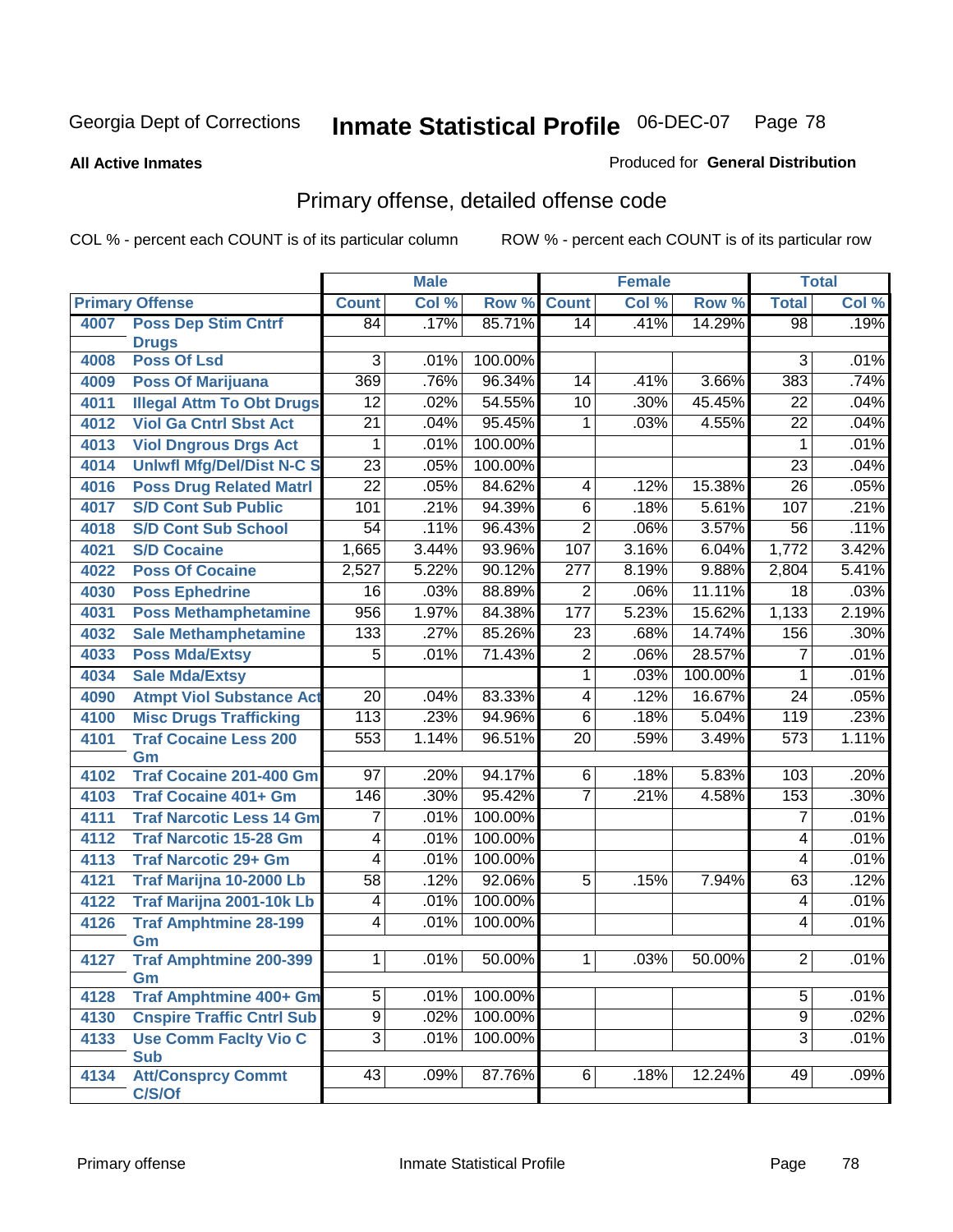**All Active Inmates**

#### Produced for **General Distribution**

## Primary offense, detailed offense code

|      |                                            |                  | <b>Male</b> |         |                  | <b>Female</b> |         |                 | <b>Total</b> |
|------|--------------------------------------------|------------------|-------------|---------|------------------|---------------|---------|-----------------|--------------|
|      | <b>Primary Offense</b>                     | <b>Count</b>     | Col %       | Row %   | <b>Count</b>     | Col %         | Row %   | <b>Total</b>    | Col %        |
| 4007 | <b>Poss Dep Stim Cntrf</b>                 | 84               | .17%        | 85.71%  | 14               | .41%          | 14.29%  | $\overline{98}$ | .19%         |
|      | <b>Drugs</b>                               |                  |             |         |                  |               |         |                 |              |
| 4008 | <b>Poss Of Lsd</b>                         | $\overline{3}$   | .01%        | 100.00% |                  |               |         | 3               | .01%         |
| 4009 | <b>Poss Of Marijuana</b>                   | 369              | .76%        | 96.34%  | 14               | .41%          | 3.66%   | 383             | .74%         |
| 4011 | <b>Illegal Attm To Obt Drugs</b>           | $\overline{12}$  | .02%        | 54.55%  | $\overline{10}$  | .30%          | 45.45%  | $\overline{22}$ | .04%         |
| 4012 | <b>Viol Ga Cntrl Sbst Act</b>              | $\overline{21}$  | .04%        | 95.45%  | $\mathbf 1$      | .03%          | 4.55%   | $\overline{22}$ | .04%         |
| 4013 | <b>Viol Dngrous Drgs Act</b>               | 1                | .01%        | 100.00% |                  |               |         | 1               | .01%         |
| 4014 | <b>Uniwfl Mfg/Del/Dist N-C S</b>           | $\overline{23}$  | .05%        | 100.00% |                  |               |         | $\overline{23}$ | .04%         |
| 4016 | <b>Poss Drug Related Matri</b>             | $\overline{22}$  | .05%        | 84.62%  | $\overline{4}$   | .12%          | 15.38%  | $\overline{26}$ | .05%         |
| 4017 | <b>S/D Cont Sub Public</b>                 | 101              | .21%        | 94.39%  | $\overline{6}$   | .18%          | 5.61%   | 107             | .21%         |
| 4018 | <b>S/D Cont Sub School</b>                 | $\overline{54}$  | .11%        | 96.43%  | $\overline{2}$   | .06%          | 3.57%   | $\overline{56}$ | .11%         |
| 4021 | <b>S/D Cocaine</b>                         | 1,665            | 3.44%       | 93.96%  | 107              | 3.16%         | 6.04%   | 1,772           | 3.42%        |
| 4022 | <b>Poss Of Cocaine</b>                     | 2,527            | 5.22%       | 90.12%  | $\overline{277}$ | 8.19%         | 9.88%   | 2,804           | 5.41%        |
| 4030 | <b>Poss Ephedrine</b>                      | $\overline{16}$  | .03%        | 88.89%  | $\overline{2}$   | .06%          | 11.11%  | $\overline{18}$ | .03%         |
| 4031 | <b>Poss Methamphetamine</b>                | 956              | 1.97%       | 84.38%  | 177              | 5.23%         | 15.62%  | 1,133           | 2.19%        |
| 4032 | <b>Sale Methamphetamine</b>                | 133              | .27%        | 85.26%  | $\overline{23}$  | .68%          | 14.74%  | 156             | .30%         |
| 4033 | <b>Poss Mda/Extsy</b>                      | 5                | .01%        | 71.43%  | $\overline{2}$   | .06%          | 28.57%  | 7               | .01%         |
| 4034 | <b>Sale Mda/Extsy</b>                      |                  |             |         | $\overline{1}$   | .03%          | 100.00% | 1               | .01%         |
| 4090 | <b>Atmpt Viol Substance Act</b>            | $\overline{20}$  | .04%        | 83.33%  | 4                | .12%          | 16.67%  | $\overline{24}$ | .05%         |
| 4100 | <b>Misc Drugs Trafficking</b>              | $\overline{113}$ | .23%        | 94.96%  | $\overline{6}$   | .18%          | 5.04%   | 119             | .23%         |
| 4101 | <b>Traf Cocaine Less 200</b>               | 553              | 1.14%       | 96.51%  | $\overline{20}$  | .59%          | 3.49%   | 573             | 1.11%        |
|      | Gm                                         |                  |             |         |                  |               |         |                 |              |
| 4102 | <b>Traf Cocaine 201-400 Gm</b>             | 97               | .20%        | 94.17%  | $6\overline{6}$  | .18%          | 5.83%   | 103             | .20%         |
| 4103 | <b>Traf Cocaine 401+ Gm</b>                | 146              | .30%        | 95.42%  | $\overline{7}$   | .21%          | 4.58%   | 153             | .30%         |
| 4111 | <b>Traf Narcotic Less 14 Gm</b>            | 7                | .01%        | 100.00% |                  |               |         | $\overline{7}$  | .01%         |
| 4112 | <b>Traf Narcotic 15-28 Gm</b>              | $\overline{4}$   | .01%        | 100.00% |                  |               |         | 4               | .01%         |
| 4113 | <b>Traf Narcotic 29+ Gm</b>                | $\overline{4}$   | .01%        | 100.00% |                  |               |         | 4               | .01%         |
| 4121 | Traf Marijna 10-2000 Lb                    | $\overline{58}$  | .12%        | 92.06%  | $\overline{5}$   | .15%          | 7.94%   | 63              | .12%         |
| 4122 | Traf Marijna 2001-10k Lb                   | $\overline{4}$   | .01%        | 100.00% |                  |               |         | 4               | .01%         |
| 4126 | <b>Traf Amphtmine 28-199</b>               | $\overline{4}$   | .01%        | 100.00% |                  |               |         | 4               | .01%         |
|      | Gm                                         |                  |             |         |                  |               |         |                 |              |
| 4127 | <b>Traf Amphtmine 200-399</b>              | 1                | .01%        | 50.00%  | 1 <sup>1</sup>   | .03%          | 50.00%  | $\overline{2}$  | .01%         |
|      | Gm                                         |                  |             |         |                  |               |         |                 |              |
| 4128 | <b>Traf Amphtmine 400+ Gm</b>              | $\overline{5}$   | .01%        | 100.00% |                  |               |         | $\overline{5}$  | .01%         |
| 4130 | <b>Cnspire Traffic Cntrl Sub</b>           | $\overline{9}$   | .02%        | 100.00% |                  |               |         | $\overline{9}$  | .02%         |
| 4133 | <b>Use Comm Facity Vio C</b><br><b>Sub</b> | $\overline{3}$   | .01%        | 100.00% |                  |               |         | $\overline{3}$  | .01%         |
| 4134 | <b>Att/Consprcy Commt</b>                  | 43               | .09%        | 87.76%  | 6                | .18%          | 12.24%  | 49              | .09%         |
|      | C/S/Of                                     |                  |             |         |                  |               |         |                 |              |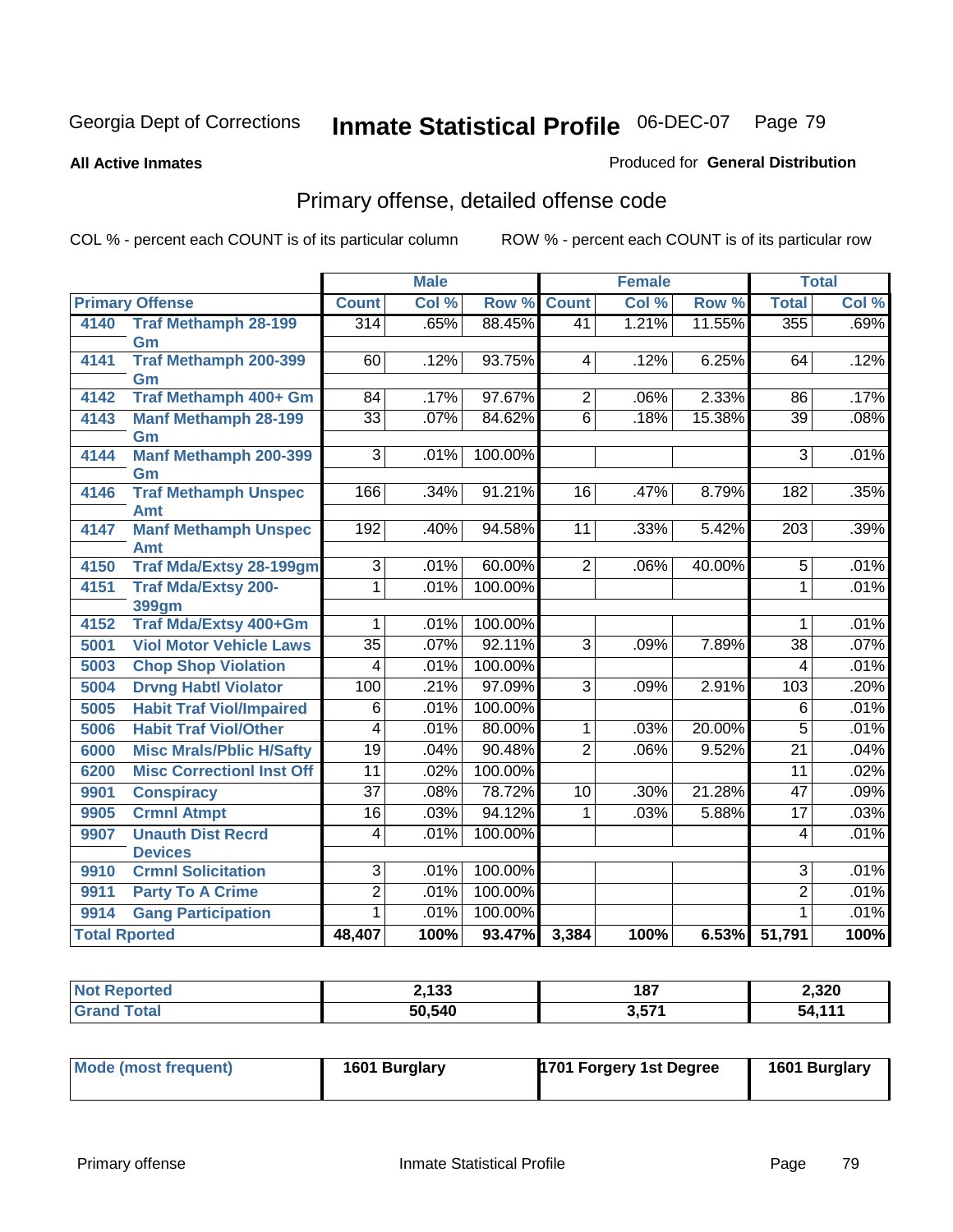#### **All Active Inmates**

#### Produced for **General Distribution**

## Primary offense, detailed offense code

|                      |                                              | <b>Male</b>     |       |         |                 | <b>Female</b> |        | <b>Total</b>     |       |
|----------------------|----------------------------------------------|-----------------|-------|---------|-----------------|---------------|--------|------------------|-------|
|                      | <b>Primary Offense</b>                       | <b>Count</b>    | Col % | Row %   | <b>Count</b>    | Col %         | Row %  | <b>Total</b>     | Col % |
| 4140                 | <b>Traf Methamph 28-199</b>                  | 314             | .65%  | 88.45%  | 41              | 1.21%         | 11.55% | 355              | .69%  |
|                      | Gm                                           |                 |       |         |                 |               |        |                  |       |
| 4141                 | <b>Traf Methamph 200-399</b>                 | 60              | .12%  | 93.75%  | 4               | .12%          | 6.25%  | 64               | .12%  |
| 4142                 | Gm<br><b>Traf Methamph 400+ Gm</b>           | $\overline{84}$ | .17%  | 97.67%  | $\overline{2}$  | .06%          | 2.33%  | $\overline{86}$  | .17%  |
| 4143                 | <b>Manf Methamph 28-199</b>                  | $\overline{33}$ | .07%  | 84.62%  | $\overline{6}$  | .18%          | 15.38% | $\overline{39}$  | .08%  |
|                      | Gm                                           |                 |       |         |                 |               |        |                  |       |
| 4144                 | <b>Manf Methamph 200-399</b>                 | $\overline{3}$  | .01%  | 100.00% |                 |               |        | $\overline{3}$   | .01%  |
|                      | Gm                                           |                 |       |         |                 |               |        |                  |       |
| 4146                 | <b>Traf Methamph Unspec</b>                  | 166             | .34%  | 91.21%  | $\overline{16}$ | .47%          | 8.79%  | 182              | .35%  |
|                      | <b>Amt</b>                                   |                 |       |         |                 |               |        |                  |       |
| 4147                 | <b>Manf Methamph Unspec</b>                  | 192             | .40%  | 94.58%  | $\overline{11}$ | .33%          | 5.42%  | $\overline{203}$ | .39%  |
| 4150                 | <b>Amt</b><br><b>Traf Mda/Extsy 28-199gm</b> | $\overline{3}$  | .01%  | 60.00%  | $\overline{2}$  | .06%          | 40.00% | $\overline{5}$   | .01%  |
| 4151                 | <b>Traf Mda/Extsy 200-</b>                   | 1               | .01%  | 100.00% |                 |               |        | 1                | .01%  |
|                      | <b>399gm</b>                                 |                 |       |         |                 |               |        |                  |       |
| 4152                 | <b>Traf Mda/Extsy 400+Gm</b>                 | 1               | .01%  | 100.00% |                 |               |        | 1                | .01%  |
| 5001                 | <b>Viol Motor Vehicle Laws</b>               | $\overline{35}$ | .07%  | 92.11%  | $\overline{3}$  | .09%          | 7.89%  | $\overline{38}$  | .07%  |
| 5003                 | <b>Chop Shop Violation</b>                   | 4               | .01%  | 100.00% |                 |               |        | $\overline{4}$   | .01%  |
| 5004                 | <b>Drvng Habtl Violator</b>                  | 100             | .21%  | 97.09%  | $\overline{3}$  | .09%          | 2.91%  | 103              | .20%  |
| 5005                 | <b>Habit Traf Viol/Impaired</b>              | 6               | .01%  | 100.00% |                 |               |        | 6                | .01%  |
| 5006                 | <b>Habit Traf Viol/Other</b>                 | 4               | .01%  | 80.00%  | 1               | .03%          | 20.00% | $\overline{5}$   | .01%  |
| 6000                 | <b>Misc Mrals/Pblic H/Safty</b>              | $\overline{19}$ | .04%  | 90.48%  | $\overline{2}$  | .06%          | 9.52%  | $\overline{21}$  | .04%  |
| 6200                 | <b>Misc CorrectionI Inst Off</b>             | 11              | .02%  | 100.00% |                 |               |        | $\overline{11}$  | .02%  |
| 9901                 | <b>Conspiracy</b>                            | $\overline{37}$ | .08%  | 78.72%  | $\overline{10}$ | .30%          | 21.28% | 47               | .09%  |
| 9905                 | <b>Crmnl Atmpt</b>                           | $\overline{16}$ | .03%  | 94.12%  | 1               | .03%          | 5.88%  | $\overline{17}$  | .03%  |
| 9907                 | <b>Unauth Dist Recrd</b>                     | 4               | .01%  | 100.00% |                 |               |        | $\overline{4}$   | .01%  |
|                      | <b>Devices</b>                               |                 |       |         |                 |               |        |                  |       |
| 9910                 | <b>Crmnl Solicitation</b>                    | $\overline{3}$  | .01%  | 100.00% |                 |               |        | $\overline{3}$   | .01%  |
| 9911                 | <b>Party To A Crime</b>                      | $\overline{2}$  | .01%  | 100.00% |                 |               |        | $\overline{2}$   | .01%  |
| 9914                 | <b>Gang Participation</b>                    | 1               | .01%  | 100.00% |                 |               |        | 1                | .01%  |
| <b>Total Rported</b> |                                              | 48,407          | 100%  | 93.47%  | 3,384           | 100%          | 6.53%  | 51,791           | 100%  |

| <b>Not Reported</b> | 2,133  | 187   | 2,320 |
|---------------------|--------|-------|-------|
| <b>Grand Total</b>  | 50,540 | 3,571 | 51111 |

| Mode (most frequent) | 1601 Burglary | <b>1701 Forgery 1st Degree</b> | 1601 Burglary |
|----------------------|---------------|--------------------------------|---------------|
|----------------------|---------------|--------------------------------|---------------|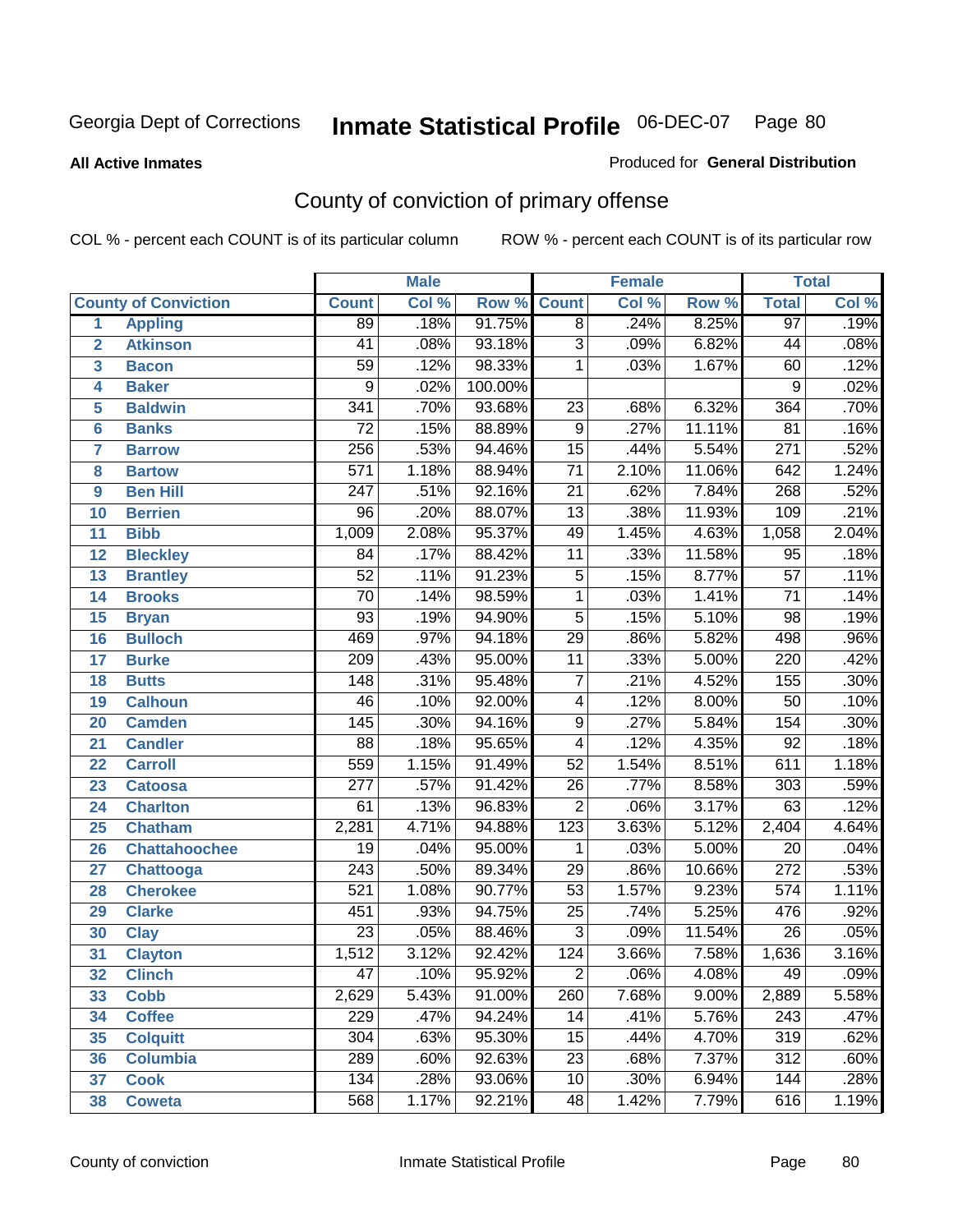**All Active Inmates**

#### Produced for **General Distribution**

## County of conviction of primary offense

|                 |                             |                  | <b>Male</b> |         |                  | <b>Female</b> |        |                  | <b>Total</b> |
|-----------------|-----------------------------|------------------|-------------|---------|------------------|---------------|--------|------------------|--------------|
|                 | <b>County of Conviction</b> | <b>Count</b>     | Col %       | Row %   | <b>Count</b>     | Col %         | Row %  | <b>Total</b>     | Col %        |
| 1               | <b>Appling</b>              | 89               | .18%        | 91.75%  | $\overline{8}$   | .24%          | 8.25%  | 97               | .19%         |
| $\overline{2}$  | <b>Atkinson</b>             | 41               | .08%        | 93.18%  | $\overline{3}$   | .09%          | 6.82%  | 44               | .08%         |
| 3               | <b>Bacon</b>                | $\overline{59}$  | .12%        | 98.33%  | 1                | .03%          | 1.67%  | 60               | .12%         |
| 4               | <b>Baker</b>                | 9                | .02%        | 100.00% |                  |               |        | 9                | .02%         |
| 5               | <b>Baldwin</b>              | 341              | .70%        | 93.68%  | $\overline{23}$  | .68%          | 6.32%  | 364              | .70%         |
| 6               | <b>Banks</b>                | $\overline{72}$  | .15%        | 88.89%  | $\overline{9}$   | .27%          | 11.11% | $\overline{81}$  | .16%         |
| 7               | <b>Barrow</b>               | 256              | .53%        | 94.46%  | $\overline{15}$  | .44%          | 5.54%  | $\overline{271}$ | .52%         |
| 8               | <b>Bartow</b>               | $\overline{571}$ | 1.18%       | 88.94%  | $\overline{71}$  | 2.10%         | 11.06% | 642              | 1.24%        |
| 9               | <b>Ben Hill</b>             | $\overline{247}$ | .51%        | 92.16%  | $\overline{21}$  | .62%          | 7.84%  | 268              | .52%         |
| 10              | <b>Berrien</b>              | $\overline{96}$  | .20%        | 88.07%  | 13               | .38%          | 11.93% | 109              | .21%         |
| 11              | <b>Bibb</b>                 | 1,009            | 2.08%       | 95.37%  | 49               | 1.45%         | 4.63%  | 1,058            | 2.04%        |
| 12              | <b>Bleckley</b>             | 84               | .17%        | 88.42%  | $\overline{11}$  | .33%          | 11.58% | $\overline{95}$  | .18%         |
| $\overline{13}$ | <b>Brantley</b>             | $\overline{52}$  | .11%        | 91.23%  | $\overline{5}$   | .15%          | 8.77%  | $\overline{57}$  | .11%         |
| 14              | <b>Brooks</b>               | $\overline{70}$  | .14%        | 98.59%  | 1                | .03%          | 1.41%  | $\overline{71}$  | .14%         |
| 15              | <b>Bryan</b>                | $\overline{93}$  | .19%        | 94.90%  | $\overline{5}$   | .15%          | 5.10%  | $\overline{98}$  | .19%         |
| 16              | <b>Bulloch</b>              | 469              | .97%        | 94.18%  | $\overline{29}$  | .86%          | 5.82%  | 498              | .96%         |
| $\overline{17}$ | <b>Burke</b>                | $\overline{209}$ | .43%        | 95.00%  | $\overline{11}$  | .33%          | 5.00%  | $\overline{220}$ | .42%         |
| 18              | <b>Butts</b>                | 148              | .31%        | 95.48%  | $\overline{7}$   | .21%          | 4.52%  | 155              | .30%         |
| 19              | <b>Calhoun</b>              | $\overline{46}$  | .10%        | 92.00%  | 4                | .12%          | 8.00%  | $\overline{50}$  | .10%         |
| 20              | <b>Camden</b>               | 145              | .30%        | 94.16%  | $\overline{9}$   | .27%          | 5.84%  | 154              | .30%         |
| 21              | <b>Candler</b>              | $\overline{88}$  | .18%        | 95.65%  | $\overline{4}$   | .12%          | 4.35%  | $\overline{92}$  | .18%         |
| 22              | <b>Carroll</b>              | 559              | 1.15%       | 91.49%  | $\overline{52}$  | 1.54%         | 8.51%  | 611              | 1.18%        |
| 23              | <b>Catoosa</b>              | $\overline{277}$ | .57%        | 91.42%  | $\overline{26}$  | .77%          | 8.58%  | $\overline{303}$ | .59%         |
| 24              | <b>Charlton</b>             | 61               | .13%        | 96.83%  | $\overline{2}$   | .06%          | 3.17%  | 63               | .12%         |
| 25              | <b>Chatham</b>              | 2,281            | 4.71%       | 94.88%  | $\overline{123}$ | 3.63%         | 5.12%  | 2,404            | 4.64%        |
| 26              | <b>Chattahoochee</b>        | 19               | .04%        | 95.00%  | 1                | .03%          | 5.00%  | 20               | .04%         |
| 27              | Chattooga                   | $\overline{243}$ | .50%        | 89.34%  | $\overline{29}$  | .86%          | 10.66% | $\overline{272}$ | .53%         |
| 28              | <b>Cherokee</b>             | $\overline{521}$ | 1.08%       | 90.77%  | $\overline{53}$  | 1.57%         | 9.23%  | $\overline{574}$ | 1.11%        |
| 29              | <b>Clarke</b>               | 451              | .93%        | 94.75%  | $\overline{25}$  | .74%          | 5.25%  | 476              | .92%         |
| 30              | <b>Clay</b>                 | $\overline{23}$  | .05%        | 88.46%  | $\overline{3}$   | .09%          | 11.54% | $\overline{26}$  | .05%         |
| $\overline{31}$ | <b>Clayton</b>              | 1,512            | 3.12%       | 92.42%  | 124              | 3.66%         | 7.58%  | 1,636            | 3.16%        |
| 32              | <b>Clinch</b>               | 47               | .10%        | 95.92%  | $\overline{c}$   | .06%          | 4.08%  | 49               | .09%         |
| 33              | <b>Cobb</b>                 | 2,629            | 5.43%       | 91.00%  | 260              | 7.68%         | 9.00%  | 2,889            | 5.58%        |
| 34              | <b>Coffee</b>               | 229              | .47%        | 94.24%  | 14               | .41%          | 5.76%  | 243              | .47%         |
| 35              | <b>Colquitt</b>             | $\overline{304}$ | .63%        | 95.30%  | 15               | .44%          | 4.70%  | 319              | .62%         |
| 36              | <b>Columbia</b>             | 289              | .60%        | 92.63%  | 23               | .68%          | 7.37%  | 312              | .60%         |
| 37              | <b>Cook</b>                 | 134              | .28%        | 93.06%  | 10               | .30%          | 6.94%  | 144              | .28%         |
| 38              | <b>Coweta</b>               | 568              | 1.17%       | 92.21%  | 48               | 1.42%         | 7.79%  | 616              | 1.19%        |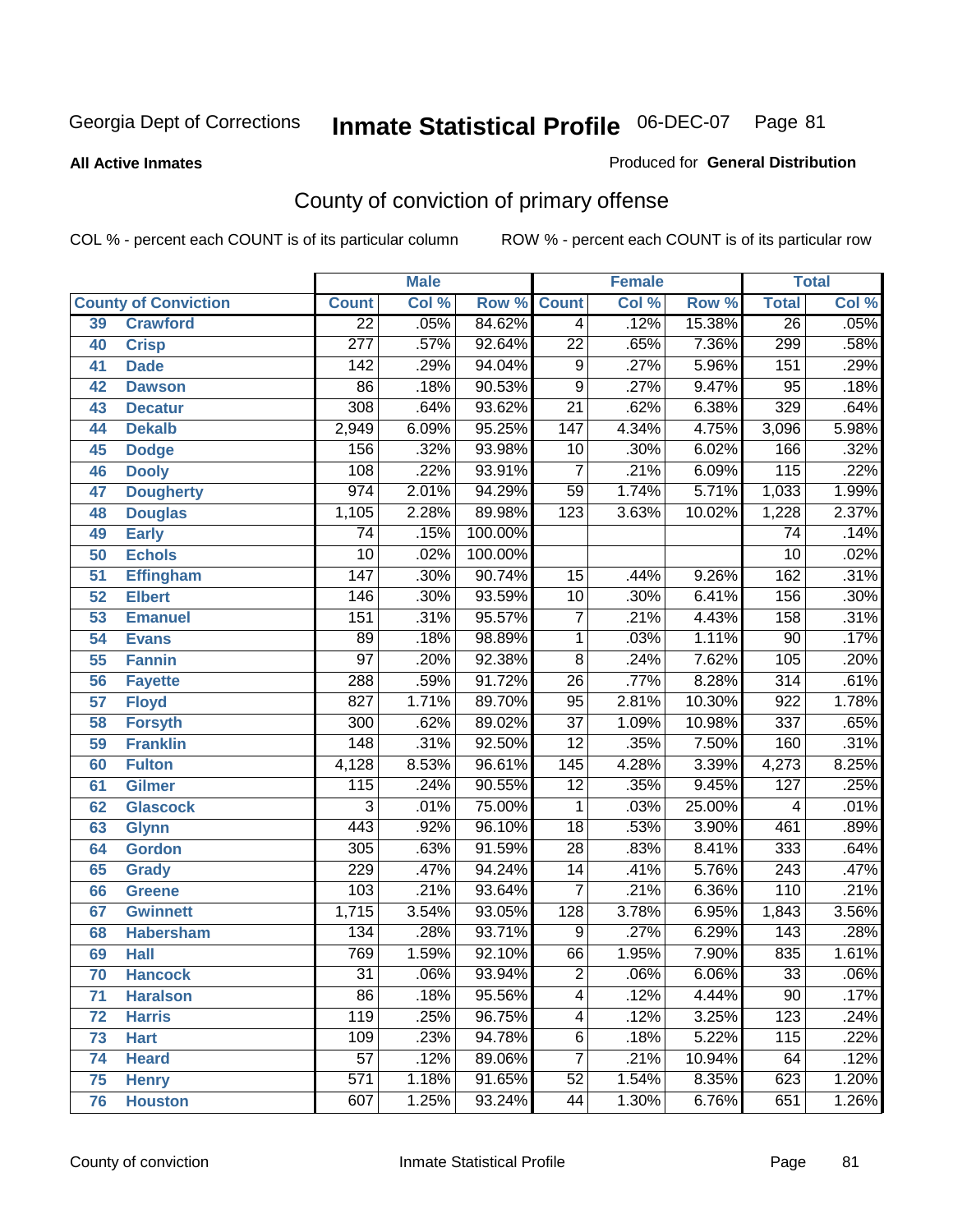#### **All Active Inmates**

#### Produced for **General Distribution**

## County of conviction of primary offense

|                 | <b>Male</b><br><b>Female</b> |                  |       | <b>Total</b> |                  |       |        |                  |       |
|-----------------|------------------------------|------------------|-------|--------------|------------------|-------|--------|------------------|-------|
|                 | <b>County of Conviction</b>  | <b>Count</b>     | Col % | Row %        | <b>Count</b>     | Col % | Row %  | <b>Total</b>     | Col % |
| 39              | <b>Crawford</b>              | $\overline{22}$  | .05%  | 84.62%       | $\overline{4}$   | .12%  | 15.38% | $\overline{26}$  | .05%  |
| 40              | <b>Crisp</b>                 | $\overline{277}$ | .57%  | 92.64%       | $\overline{22}$  | .65%  | 7.36%  | 299              | .58%  |
| 41              | <b>Dade</b>                  | 142              | .29%  | 94.04%       | 9                | .27%  | 5.96%  | 151              | .29%  |
| 42              | <b>Dawson</b>                | $\overline{86}$  | .18%  | 90.53%       | $\overline{9}$   | .27%  | 9.47%  | $\overline{95}$  | .18%  |
| 43              | <b>Decatur</b>               | 308              | .64%  | 93.62%       | $\overline{21}$  | .62%  | 6.38%  | 329              | .64%  |
| 44              | <b>Dekalb</b>                | 2,949            | 6.09% | 95.25%       | $\overline{147}$ | 4.34% | 4.75%  | 3,096            | 5.98% |
| 45              | <b>Dodge</b>                 | 156              | .32%  | 93.98%       | 10               | .30%  | 6.02%  | 166              | .32%  |
| 46              | <b>Dooly</b>                 | 108              | .22%  | 93.91%       | $\overline{7}$   | .21%  | 6.09%  | $\overline{115}$ | .22%  |
| 47              | <b>Dougherty</b>             | $\overline{974}$ | 2.01% | 94.29%       | $\overline{59}$  | 1.74% | 5.71%  | 1,033            | 1.99% |
| 48              | <b>Douglas</b>               | 1,105            | 2.28% | 89.98%       | $\overline{123}$ | 3.63% | 10.02% | 1,228            | 2.37% |
| 49              | <b>Early</b>                 | 74               | .15%  | 100.00%      |                  |       |        | $\overline{74}$  | .14%  |
| 50              | <b>Echols</b>                | $\overline{10}$  | .02%  | 100.00%      |                  |       |        | $\overline{10}$  | .02%  |
| $\overline{51}$ | <b>Effingham</b>             | 147              | .30%  | 90.74%       | 15               | .44%  | 9.26%  | 162              | .31%  |
| 52              | <b>Elbert</b>                | 146              | .30%  | 93.59%       | 10               | .30%  | 6.41%  | 156              | .30%  |
| 53              | <b>Emanuel</b>               | 151              | .31%  | 95.57%       | $\overline{7}$   | .21%  | 4.43%  | 158              | .31%  |
| 54              | <b>Evans</b>                 | 89               | .18%  | 98.89%       | 1                | .03%  | 1.11%  | $\overline{90}$  | .17%  |
| 55              | <b>Fannin</b>                | $\overline{97}$  | .20%  | 92.38%       | $\overline{8}$   | .24%  | 7.62%  | 105              | .20%  |
| 56              | <b>Fayette</b>               | 288              | .59%  | 91.72%       | $\overline{26}$  | .77%  | 8.28%  | $\overline{314}$ | .61%  |
| 57              | <b>Floyd</b>                 | 827              | 1.71% | 89.70%       | 95               | 2.81% | 10.30% | 922              | 1.78% |
| 58              | <b>Forsyth</b>               | $\overline{300}$ | .62%  | 89.02%       | $\overline{37}$  | 1.09% | 10.98% | 337              | .65%  |
| 59              | <b>Franklin</b>              | 148              | .31%  | 92.50%       | $\overline{12}$  | .35%  | 7.50%  | 160              | .31%  |
| 60              | <b>Fulton</b>                | 4,128            | 8.53% | 96.61%       | $\overline{145}$ | 4.28% | 3.39%  | 4,273            | 8.25% |
| 61              | Gilmer                       | 115              | .24%  | 90.55%       | $\overline{12}$  | .35%  | 9.45%  | $\overline{127}$ | .25%  |
| 62              | <b>Glascock</b>              | $\overline{3}$   | .01%  | 75.00%       | $\overline{1}$   | .03%  | 25.00% | 4                | .01%  |
| 63              | <b>Glynn</b>                 | 443              | .92%  | 96.10%       | $\overline{18}$  | .53%  | 3.90%  | 461              | .89%  |
| 64              | <b>Gordon</b>                | 305              | .63%  | 91.59%       | $\overline{28}$  | .83%  | 8.41%  | 333              | .64%  |
| 65              | <b>Grady</b>                 | 229              | .47%  | 94.24%       | $\overline{14}$  | .41%  | 5.76%  | $\overline{243}$ | .47%  |
| 66              | <b>Greene</b>                | 103              | .21%  | 93.64%       | $\overline{7}$   | .21%  | 6.36%  | 110              | .21%  |
| 67              | <b>Gwinnett</b>              | 1,715            | 3.54% | 93.05%       | 128              | 3.78% | 6.95%  | 1,843            | 3.56% |
| 68              | <b>Habersham</b>             | 134              | .28%  | 93.71%       | $\overline{9}$   | .27%  | 6.29%  | $\overline{143}$ | .28%  |
| 69              | <b>Hall</b>                  | 769              | 1.59% | 92.10%       | 66               | 1.95% | 7.90%  | 835              | 1.61% |
| 70              | <b>Hancock</b>               | 31               | .06%  | 93.94%       | 2                | .06%  | 6.06%  | 33               | .06%  |
| 71              | <b>Haralson</b>              | 86               | .18%  | 95.56%       | 4                | .12%  | 4.44%  | 90               | .17%  |
| 72              | <b>Harris</b>                | $\overline{119}$ | .25%  | 96.75%       | $\overline{4}$   | .12%  | 3.25%  | 123              | .24%  |
| 73              | <b>Hart</b>                  | 109              | .23%  | 94.78%       | $\overline{6}$   | .18%  | 5.22%  | 115              | .22%  |
| 74              | <b>Heard</b>                 | $\overline{57}$  | .12%  | 89.06%       | $\overline{7}$   | .21%  | 10.94% | 64               | .12%  |
| 75              | <b>Henry</b>                 | $\overline{571}$ | 1.18% | 91.65%       | $\overline{52}$  | 1.54% | 8.35%  | 623              | 1.20% |
| 76              | <b>Houston</b>               | 607              | 1.25% | 93.24%       | 44               | 1.30% | 6.76%  | 651              | 1.26% |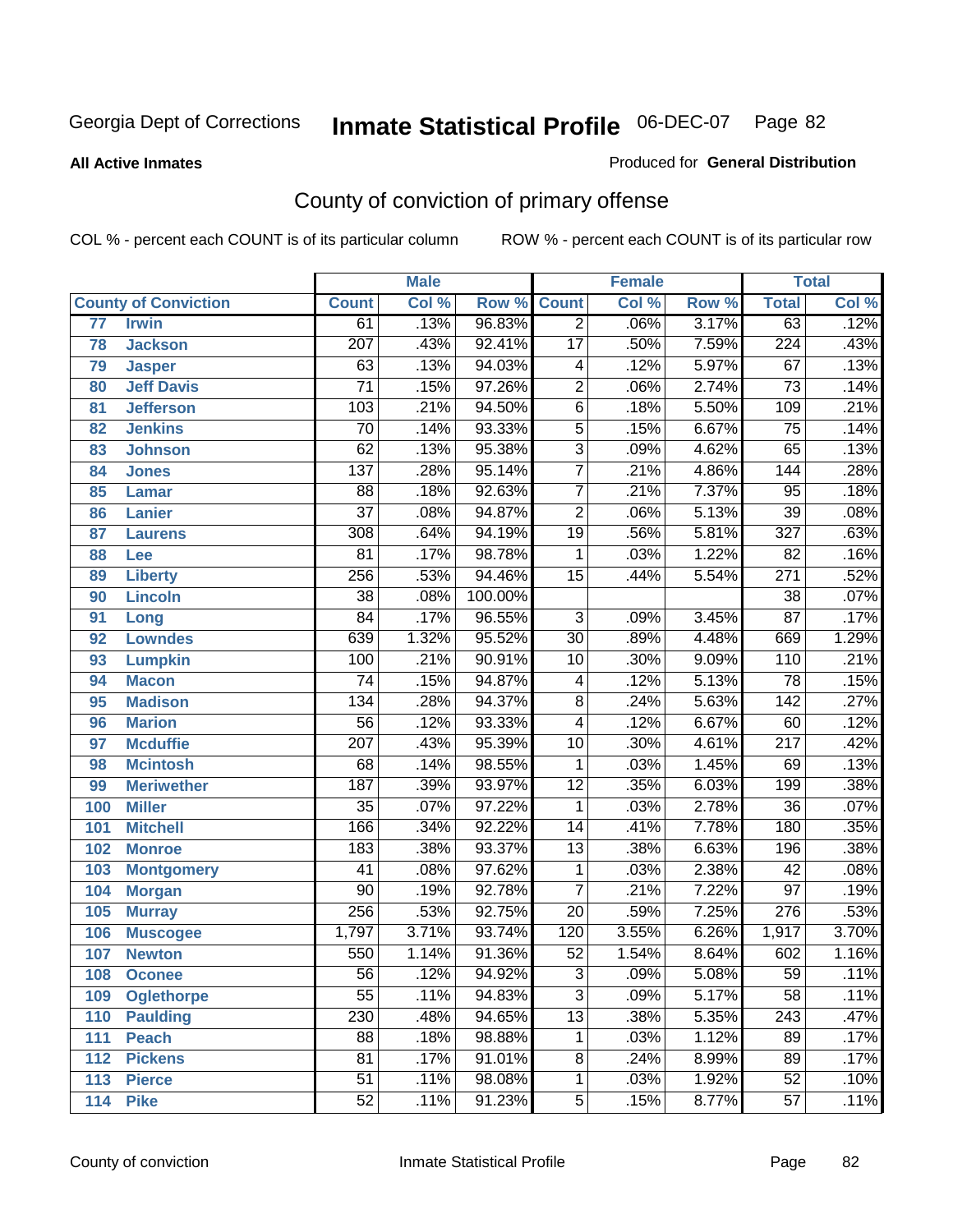#### **All Active Inmates**

#### Produced for **General Distribution**

## County of conviction of primary offense

|                 |                             |                  | <b>Male</b> |         |                 | <b>Female</b> |       |                  | <b>Total</b> |
|-----------------|-----------------------------|------------------|-------------|---------|-----------------|---------------|-------|------------------|--------------|
|                 | <b>County of Conviction</b> | <b>Count</b>     | Col %       | Row %   | <b>Count</b>    | Col %         | Row % | <b>Total</b>     | Col %        |
| $\overline{77}$ | <b>Irwin</b>                | 61               | .13%        | 96.83%  | $\overline{2}$  | .06%          | 3.17% | 63               | .12%         |
| 78              | <b>Jackson</b>              | 207              | .43%        | 92.41%  | $\overline{17}$ | .50%          | 7.59% | 224              | .43%         |
| 79              | <b>Jasper</b>               | 63               | .13%        | 94.03%  | 4               | .12%          | 5.97% | 67               | .13%         |
| 80              | <b>Jeff Davis</b>           | $\overline{71}$  | .15%        | 97.26%  | $\overline{2}$  | .06%          | 2.74% | $\overline{73}$  | .14%         |
| 81              | <b>Jefferson</b>            | 103              | .21%        | 94.50%  | $\overline{6}$  | .18%          | 5.50% | 109              | .21%         |
| 82              | <b>Jenkins</b>              | $\overline{70}$  | .14%        | 93.33%  | $\overline{5}$  | .15%          | 6.67% | $\overline{75}$  | .14%         |
| 83              | <b>Johnson</b>              | 62               | .13%        | 95.38%  | $\overline{3}$  | .09%          | 4.62% | 65               | .13%         |
| 84              | <b>Jones</b>                | $\overline{137}$ | .28%        | 95.14%  | $\overline{7}$  | .21%          | 4.86% | 144              | .28%         |
| 85              | <b>Lamar</b>                | $\overline{88}$  | .18%        | 92.63%  | $\overline{7}$  | .21%          | 7.37% | $\overline{95}$  | .18%         |
| 86              | <b>Lanier</b>               | $\overline{37}$  | .08%        | 94.87%  | $\overline{2}$  | .06%          | 5.13% | $\overline{39}$  | .08%         |
| 87              | <b>Laurens</b>              | 308              | .64%        | 94.19%  | $\overline{19}$ | .56%          | 5.81% | $\overline{327}$ | .63%         |
| 88              | Lee                         | 81               | .17%        | 98.78%  | 1               | .03%          | 1.22% | $\overline{82}$  | .16%         |
| 89              | <b>Liberty</b>              | 256              | .53%        | 94.46%  | $\overline{15}$ | .44%          | 5.54% | $\overline{271}$ | .52%         |
| 90              | <b>Lincoln</b>              | $\overline{38}$  | .08%        | 100.00% |                 |               |       | $\overline{38}$  | .07%         |
| 91              | Long                        | $\overline{84}$  | .17%        | 96.55%  | $\overline{3}$  | .09%          | 3.45% | $\overline{87}$  | .17%         |
| 92              | <b>Lowndes</b>              | 639              | 1.32%       | 95.52%  | $\overline{30}$ | .89%          | 4.48% | 669              | 1.29%        |
| 93              | <b>Lumpkin</b>              | 100              | .21%        | 90.91%  | 10              | .30%          | 9.09% | 110              | .21%         |
| 94              | <b>Macon</b>                | $\overline{74}$  | .15%        | 94.87%  | 4               | .12%          | 5.13% | $\overline{78}$  | .15%         |
| 95              | <b>Madison</b>              | $\overline{134}$ | .28%        | 94.37%  | $\overline{8}$  | .24%          | 5.63% | $\overline{142}$ | .27%         |
| 96              | <b>Marion</b>               | $\overline{56}$  | .12%        | 93.33%  | 4               | .12%          | 6.67% | 60               | .12%         |
| 97              | <b>Mcduffie</b>             | $\overline{207}$ | .43%        | 95.39%  | 10              | .30%          | 4.61% | $\overline{217}$ | .42%         |
| 98              | <b>Mcintosh</b>             | 68               | .14%        | 98.55%  | 1               | .03%          | 1.45% | 69               | .13%         |
| 99              | <b>Meriwether</b>           | 187              | .39%        | 93.97%  | $\overline{12}$ | .35%          | 6.03% | 199              | .38%         |
| 100             | <b>Miller</b>               | $\overline{35}$  | .07%        | 97.22%  | 1               | .03%          | 2.78% | $\overline{36}$  | .07%         |
| 101             | <b>Mitchell</b>             | 166              | .34%        | 92.22%  | 14              | .41%          | 7.78% | 180              | .35%         |
| 102             | <b>Monroe</b>               | 183              | .38%        | 93.37%  | $\overline{13}$ | .38%          | 6.63% | 196              | .38%         |
| 103             | <b>Montgomery</b>           | $\overline{41}$  | .08%        | 97.62%  | $\mathbf 1$     | .03%          | 2.38% | 42               | .08%         |
| 104             | <b>Morgan</b>               | $\overline{90}$  | .19%        | 92.78%  | 7               | .21%          | 7.22% | $\overline{97}$  | .19%         |
| 105             | <b>Murray</b>               | 256              | .53%        | 92.75%  | $\overline{20}$ | .59%          | 7.25% | $\overline{276}$ | .53%         |
| 106             | <b>Muscogee</b>             | 1,797            | 3.71%       | 93.74%  | 120             | 3.55%         | 6.26% | 1,917            | 3.70%        |
| 107             | <b>Newton</b>               | 550              | 1.14%       | 91.36%  | $\overline{52}$ | 1.54%         | 8.64% | 602              | 1.16%        |
| 108             | <b>Oconee</b>               | 56               | .12%        | 94.92%  | 3               | .09%          | 5.08% | 59               | $.11\%$      |
| 109             | <b>Oglethorpe</b>           | $\overline{55}$  | .11%        | 94.83%  | $\overline{3}$  | .09%          | 5.17% | $\overline{58}$  | .11%         |
| 110             | Paulding                    | 230              | .48%        | 94.65%  | $\overline{13}$ | .38%          | 5.35% | $\overline{243}$ | .47%         |
| 111             | <b>Peach</b>                | 88               | .18%        | 98.88%  | $\mathbf 1$     | .03%          | 1.12% | 89               | .17%         |
| 112             | <b>Pickens</b>              | 81               | .17%        | 91.01%  | 8               | .24%          | 8.99% | 89               | .17%         |
| 113             | <b>Pierce</b>               | $\overline{51}$  | .11%        | 98.08%  | $\mathbf{1}$    | .03%          | 1.92% | 52               | .10%         |
| 114             | <b>Pike</b>                 | 52               | .11%        | 91.23%  | $\overline{5}$  | .15%          | 8.77% | 57               | .11%         |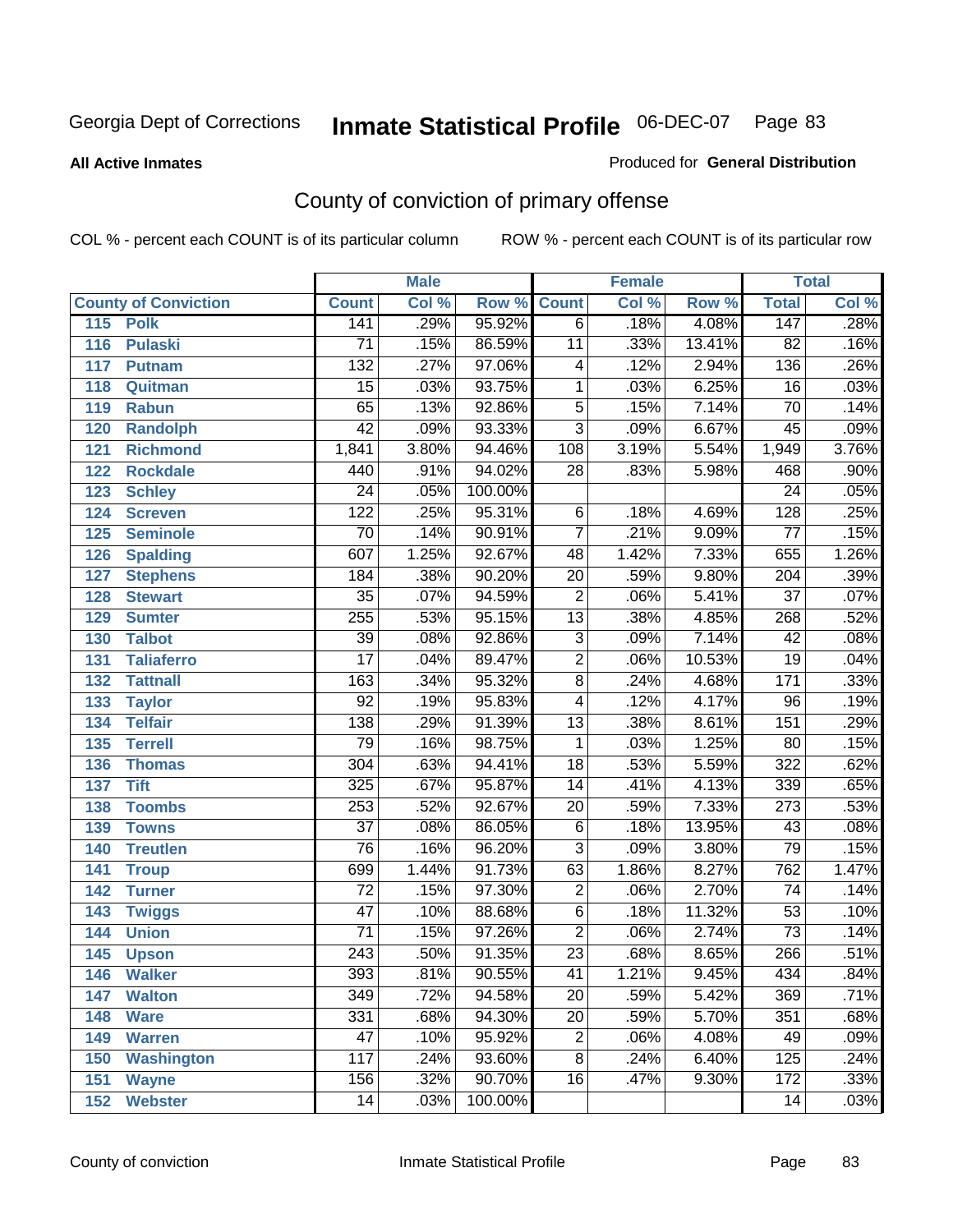**All Active Inmates**

#### Produced for **General Distribution**

## County of conviction of primary offense

|     |                             |                  | <b>Male</b> |                    |                 | <b>Female</b> |        |                  | <b>Total</b> |
|-----|-----------------------------|------------------|-------------|--------------------|-----------------|---------------|--------|------------------|--------------|
|     | <b>County of Conviction</b> | <b>Count</b>     | Col %       | <b>Row % Count</b> |                 | Col %         | Row %  | <b>Total</b>     | Col %        |
| 115 | <b>Polk</b>                 | 141              | .29%        | 95.92%             | $\overline{6}$  | .18%          | 4.08%  | 147              | .28%         |
| 116 | <b>Pulaski</b>              | 71               | .15%        | 86.59%             | $\overline{11}$ | .33%          | 13.41% | $\overline{82}$  | .16%         |
| 117 | Putnam                      | $\overline{132}$ | .27%        | 97.06%             | 4               | .12%          | 2.94%  | 136              | .26%         |
| 118 | Quitman                     | 15               | .03%        | 93.75%             | 1               | .03%          | 6.25%  | 16               | .03%         |
| 119 | <b>Rabun</b>                | 65               | .13%        | 92.86%             | $\overline{5}$  | .15%          | 7.14%  | $\overline{70}$  | .14%         |
| 120 | <b>Randolph</b>             | $\overline{42}$  | .09%        | 93.33%             | $\overline{3}$  | .09%          | 6.67%  | 45               | .09%         |
| 121 | <b>Richmond</b>             | 1,841            | 3.80%       | 94.46%             | 108             | 3.19%         | 5.54%  | 1,949            | 3.76%        |
| 122 | <b>Rockdale</b>             | 440              | .91%        | 94.02%             | 28              | .83%          | 5.98%  | 468              | .90%         |
| 123 | <b>Schley</b>               | $\overline{24}$  | .05%        | 100.00%            |                 |               |        | $\overline{24}$  | .05%         |
| 124 | <b>Screven</b>              | 122              | .25%        | 95.31%             | 6               | .18%          | 4.69%  | $\overline{128}$ | .25%         |
| 125 | <b>Seminole</b>             | $\overline{70}$  | .14%        | 90.91%             | $\overline{7}$  | .21%          | 9.09%  | $\overline{77}$  | .15%         |
| 126 | <b>Spalding</b>             | 607              | 1.25%       | 92.67%             | 48              | 1.42%         | 7.33%  | 655              | 1.26%        |
| 127 | <b>Stephens</b>             | 184              | .38%        | 90.20%             | $\overline{20}$ | .59%          | 9.80%  | $\overline{204}$ | .39%         |
| 128 | <b>Stewart</b>              | $\overline{35}$  | .07%        | 94.59%             | $\overline{2}$  | .06%          | 5.41%  | $\overline{37}$  | .07%         |
| 129 | <b>Sumter</b>               | 255              | .53%        | 95.15%             | $\overline{13}$ | .38%          | 4.85%  | 268              | .52%         |
| 130 | <b>Talbot</b>               | 39               | .08%        | 92.86%             | 3               | .09%          | 7.14%  | 42               | .08%         |
| 131 | <b>Taliaferro</b>           | $\overline{17}$  | .04%        | 89.47%             | $\overline{2}$  | .06%          | 10.53% | $\overline{19}$  | .04%         |
| 132 | <b>Tattnall</b>             | $\overline{163}$ | .34%        | 95.32%             | $\overline{8}$  | .24%          | 4.68%  | 171              | .33%         |
| 133 | <b>Taylor</b>               | $\overline{92}$  | .19%        | 95.83%             | 4               | .12%          | 4.17%  | $\overline{96}$  | .19%         |
| 134 | <b>Telfair</b>              | $\overline{138}$ | .29%        | 91.39%             | $\overline{13}$ | .38%          | 8.61%  | 151              | .29%         |
| 135 | <b>Terrell</b>              | $\overline{79}$  | .16%        | 98.75%             | $\mathbf{1}$    | .03%          | 1.25%  | $\overline{80}$  | .15%         |
| 136 | <b>Thomas</b>               | $\overline{304}$ | .63%        | 94.41%             | $\overline{18}$ | .53%          | 5.59%  | 322              | .62%         |
| 137 | <b>Tift</b>                 | 325              | .67%        | 95.87%             | $\overline{14}$ | .41%          | 4.13%  | 339              | .65%         |
| 138 | <b>Toombs</b>               | 253              | .52%        | 92.67%             | 20              | .59%          | 7.33%  | $\overline{273}$ | .53%         |
| 139 | <b>Towns</b>                | $\overline{37}$  | .08%        | 86.05%             | $\overline{6}$  | .18%          | 13.95% | $\overline{43}$  | .08%         |
| 140 | <b>Treutlen</b>             | 76               | .16%        | 96.20%             | $\overline{3}$  | .09%          | 3.80%  | 79               | .15%         |
| 141 | <b>Troup</b>                | 699              | 1.44%       | 91.73%             | 63              | 1.86%         | 8.27%  | 762              | 1.47%        |
| 142 | <b>Turner</b>               | 72               | .15%        | 97.30%             | $\overline{2}$  | .06%          | 2.70%  | 74               | .14%         |
| 143 | <b>Twiggs</b>               | $\overline{47}$  | .10%        | 88.68%             | $\overline{6}$  | .18%          | 11.32% | $\overline{53}$  | .10%         |
| 144 | <b>Union</b>                | $\overline{71}$  | .15%        | 97.26%             | $\overline{2}$  | .06%          | 2.74%  | $\overline{73}$  | .14%         |
| 145 | <b>Upson</b>                | $\overline{243}$ | .50%        | 91.35%             | $\overline{23}$ | .68%          | 8.65%  | 266              | .51%         |
| 146 | <b>Walker</b>               | 393              | .81%        | 90.55%             | 41              | 1.21%         | 9.45%  | 434              | .84%         |
| 147 | <b>Walton</b>               | $\overline{349}$ | .72%        | 94.58%             | $\overline{20}$ | .59%          | 5.42%  | 369              | .71%         |
| 148 | <b>Ware</b>                 | 331              | .68%        | 94.30%             | $\overline{20}$ | .59%          | 5.70%  | 351              | .68%         |
| 149 | <b>Warren</b>               | $\overline{47}$  | .10%        | 95.92%             | $\overline{2}$  | .06%          | 4.08%  | 49               | .09%         |
| 150 | <b>Washington</b>           | $\overline{117}$ | .24%        | 93.60%             | 8               | .24%          | 6.40%  | 125              | .24%         |
| 151 | <b>Wayne</b>                | 156              | .32%        | 90.70%             | 16              | .47%          | 9.30%  | 172              | .33%         |
| 152 | <b>Webster</b>              | 14               | .03%        | 100.00%            |                 |               |        | 14               | .03%         |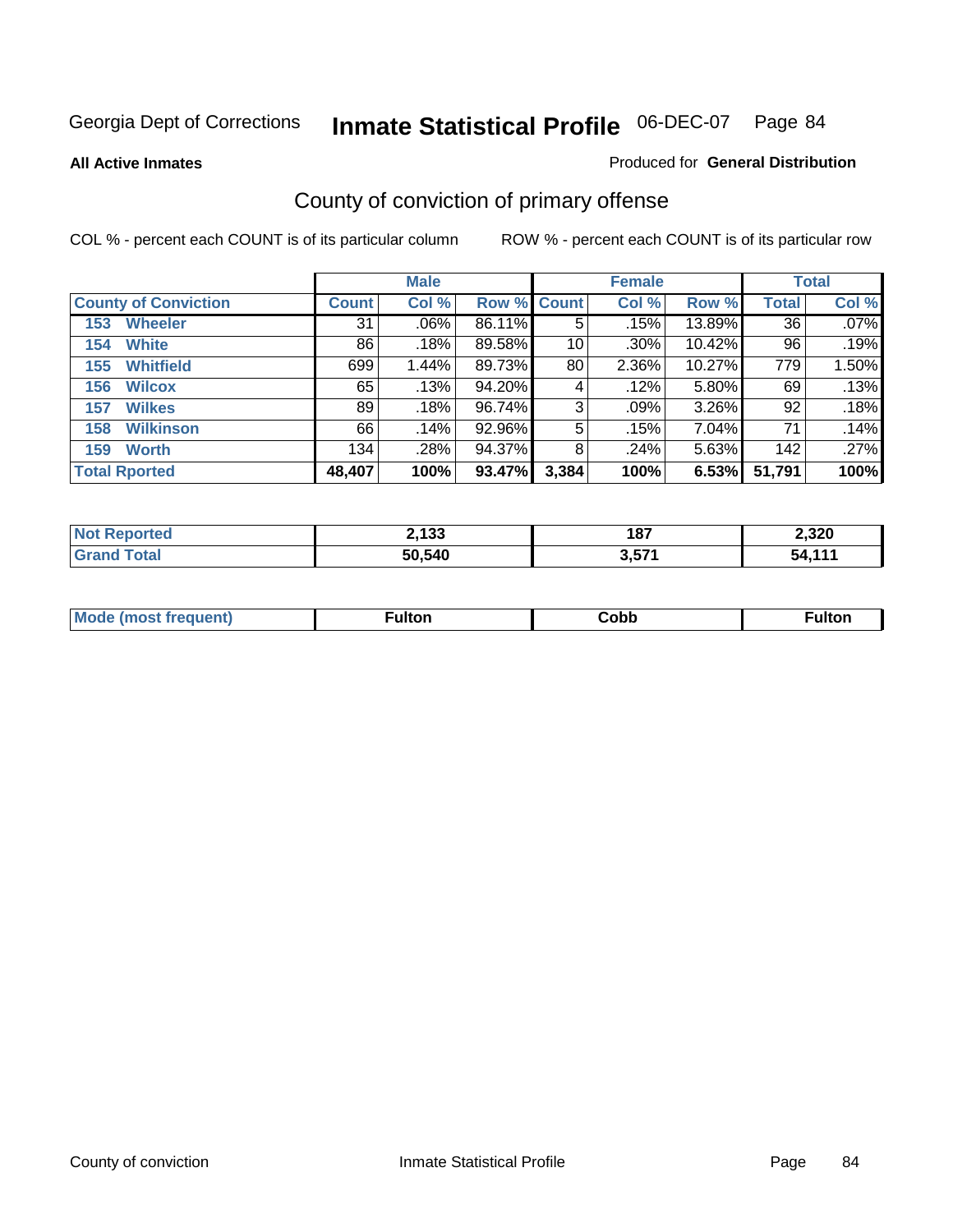**All Active Inmates**

#### Produced for **General Distribution**

## County of conviction of primary offense

|                             |              | <b>Male</b> |             |       | <b>Female</b> |          |              | <b>Total</b> |
|-----------------------------|--------------|-------------|-------------|-------|---------------|----------|--------------|--------------|
| <b>County of Conviction</b> | <b>Count</b> | Col %       | Row % Count |       | Col %         | Row %    | <b>Total</b> | Col %        |
| <b>Wheeler</b><br>153       | 31           | $.06\%$     | 86.11%      | 5     | .15%          | 13.89%   | 36           | $.07\%$      |
| <b>White</b><br>154         | 86           | .18%        | 89.58%      | 10    | $.30\%$       | 10.42%   | 96           | .19%         |
| <b>Whitfield</b><br>155     | 699          | 1.44%       | 89.73%      | 80    | 2.36%         | 10.27%   | 779          | 1.50%        |
| 156<br><b>Wilcox</b>        | 65           | .13%        | 94.20%      | 4     | .12%          | 5.80%    | 69           | .13%         |
| <b>Wilkes</b><br>157        | 89           | .18%        | 96.74%      | 3     | .09%          | $3.26\%$ | 92           | .18%         |
| <b>Wilkinson</b><br>158     | 66           | .14%        | 92.96%      | 5     | .15%          | 7.04%    | 71           | .14%         |
| <b>Worth</b><br>159         | 134          | .28%        | 94.37%      | 8     | .24%          | 5.63%    | 142          | .27%         |
| <b>Total Rported</b>        | 48,407       | 100%        | 93.47%      | 3,384 | 100%          | 6.53%    | 51,791       | 100%         |

| eported<br>NO: | 2,133  | 187             | 2,320                |
|----------------|--------|-----------------|----------------------|
|                | 50,540 | 3571<br>, , , , | $\overline{A}$<br>57 |

| Mc | ™ulton | Cobb |  |
|----|--------|------|--|
|    |        |      |  |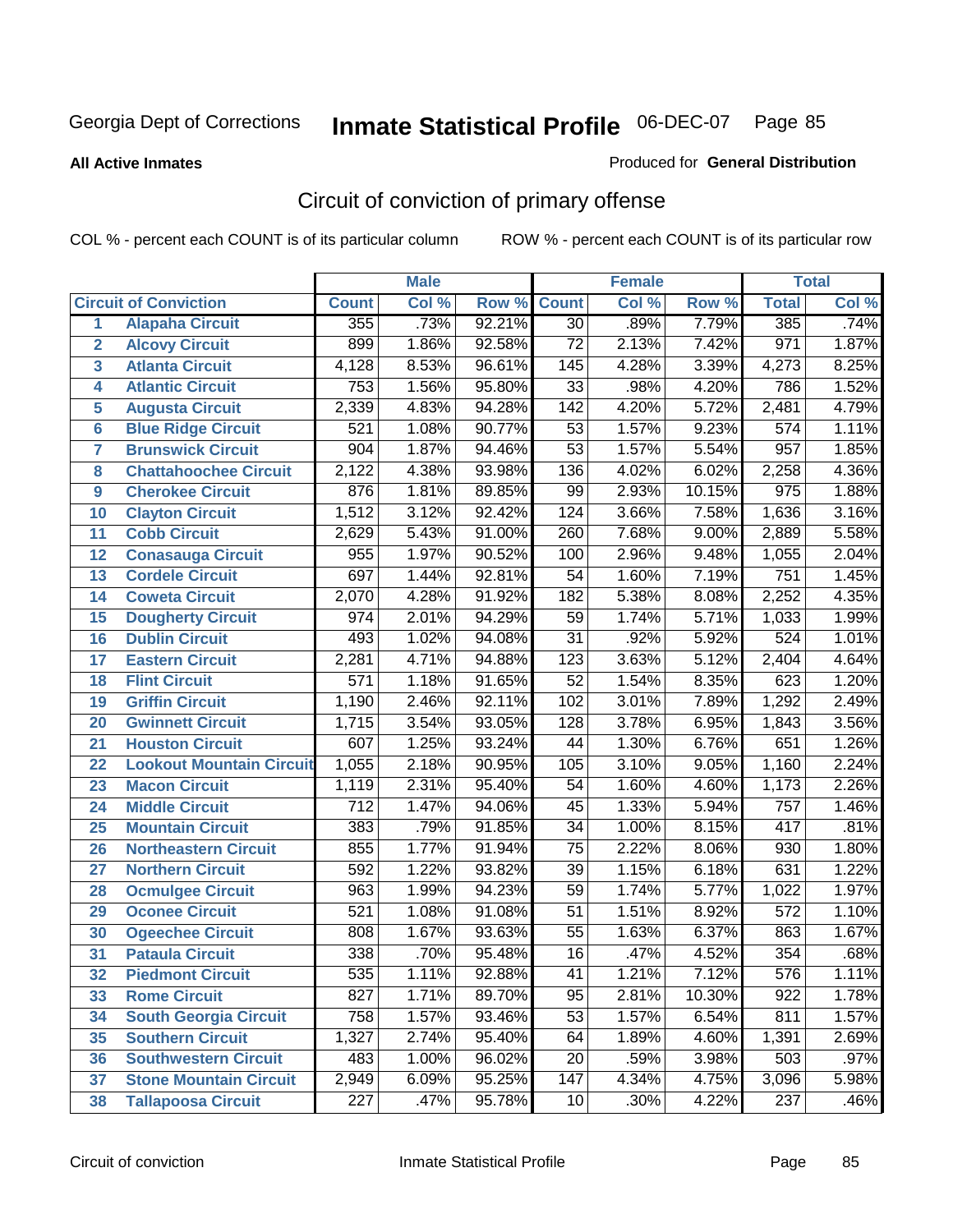#### **All Active Inmates**

#### Produced for **General Distribution**

## Circuit of conviction of primary offense

|                         |                                 |                  | <b>Male</b> |        |                  | <b>Female</b> |        |                  | <b>Total</b> |
|-------------------------|---------------------------------|------------------|-------------|--------|------------------|---------------|--------|------------------|--------------|
|                         | <b>Circuit of Conviction</b>    | <b>Count</b>     | Col %       | Row %  | <b>Count</b>     | Col %         | Row %  | <b>Total</b>     | Col %        |
| 1                       | <b>Alapaha Circuit</b>          | 355              | .73%        | 92.21% | $\overline{30}$  | .89%          | 7.79%  | 385              | .74%         |
| $\overline{2}$          | <b>Alcovy Circuit</b>           | 899              | 1.86%       | 92.58% | $\overline{72}$  | 2.13%         | 7.42%  | 971              | 1.87%        |
| $\overline{\mathbf{3}}$ | <b>Atlanta Circuit</b>          | 4,128            | 8.53%       | 96.61% | $\overline{145}$ | 4.28%         | 3.39%  | 4,273            | 8.25%        |
| 4                       | <b>Atlantic Circuit</b>         | $\overline{753}$ | 1.56%       | 95.80% | $\overline{33}$  | .98%          | 4.20%  | 786              | 1.52%        |
| 5                       | <b>Augusta Circuit</b>          | 2,339            | 4.83%       | 94.28% | $\overline{142}$ | 4.20%         | 5.72%  | 2,481            | 4.79%        |
| $6\phantom{a}$          | <b>Blue Ridge Circuit</b>       | $\overline{521}$ | 1.08%       | 90.77% | $\overline{53}$  | 1.57%         | 9.23%  | $\overline{574}$ | 1.11%        |
| $\overline{7}$          | <b>Brunswick Circuit</b>        | 904              | 1.87%       | 94.46% | $\overline{53}$  | 1.57%         | 5.54%  | 957              | 1.85%        |
| 8                       | <b>Chattahoochee Circuit</b>    | 2,122            | 4.38%       | 93.98% | 136              | 4.02%         | 6.02%  | 2,258            | 4.36%        |
| 9                       | <b>Cherokee Circuit</b>         | 876              | 1.81%       | 89.85% | 99               | 2.93%         | 10.15% | 975              | 1.88%        |
| 10                      | <b>Clayton Circuit</b>          | 1,512            | 3.12%       | 92.42% | 124              | 3.66%         | 7.58%  | 1,636            | 3.16%        |
| 11                      | <b>Cobb Circuit</b>             | 2,629            | 5.43%       | 91.00% | 260              | 7.68%         | 9.00%  | 2,889            | 5.58%        |
| 12                      | <b>Conasauga Circuit</b>        | 955              | 1.97%       | 90.52% | 100              | 2.96%         | 9.48%  | 1,055            | 2.04%        |
| 13                      | <b>Cordele Circuit</b>          | 697              | 1.44%       | 92.81% | $\overline{54}$  | 1.60%         | 7.19%  | $\overline{751}$ | 1.45%        |
| 14                      | <b>Coweta Circuit</b>           | 2,070            | 4.28%       | 91.92% | 182              | 5.38%         | 8.08%  | 2,252            | 4.35%        |
| 15                      | <b>Dougherty Circuit</b>        | 974              | 2.01%       | 94.29% | 59               | 1.74%         | 5.71%  | 1,033            | 1.99%        |
| 16                      | <b>Dublin Circuit</b>           | 493              | 1.02%       | 94.08% | $\overline{31}$  | .92%          | 5.92%  | 524              | 1.01%        |
| 17                      | <b>Eastern Circuit</b>          | 2,281            | 4.71%       | 94.88% | $\overline{123}$ | 3.63%         | 5.12%  | 2,404            | 4.64%        |
| 18                      | <b>Flint Circuit</b>            | $\overline{571}$ | 1.18%       | 91.65% | $\overline{52}$  | 1.54%         | 8.35%  | 623              | 1.20%        |
| 19                      | <b>Griffin Circuit</b>          | 1,190            | 2.46%       | 92.11% | 102              | 3.01%         | 7.89%  | 1,292            | 2.49%        |
| 20                      | <b>Gwinnett Circuit</b>         | 1,715            | 3.54%       | 93.05% | $\overline{128}$ | 3.78%         | 6.95%  | 1,843            | 3.56%        |
| 21                      | <b>Houston Circuit</b>          | 607              | 1.25%       | 93.24% | 44               | 1.30%         | 6.76%  | 651              | 1.26%        |
| $\overline{22}$         | <b>Lookout Mountain Circuit</b> | 1,055            | 2.18%       | 90.95% | 105              | 3.10%         | 9.05%  | 1,160            | 2.24%        |
| 23                      | <b>Macon Circuit</b>            | 1,119            | 2.31%       | 95.40% | 54               | 1.60%         | 4.60%  | 1,173            | 2.26%        |
| 24                      | <b>Middle Circuit</b>           | $\overline{712}$ | 1.47%       | 94.06% | 45               | 1.33%         | 5.94%  | 757              | 1.46%        |
| 25                      | <b>Mountain Circuit</b>         | 383              | .79%        | 91.85% | $\overline{34}$  | 1.00%         | 8.15%  | 417              | .81%         |
| 26                      | <b>Northeastern Circuit</b>     | 855              | 1.77%       | 91.94% | $\overline{75}$  | 2.22%         | 8.06%  | 930              | 1.80%        |
| 27                      | <b>Northern Circuit</b>         | 592              | 1.22%       | 93.82% | $\overline{39}$  | 1.15%         | 6.18%  | 631              | 1.22%        |
| 28                      | <b>Ocmulgee Circuit</b>         | $\overline{963}$ | 1.99%       | 94.23% | $\overline{59}$  | 1.74%         | 5.77%  | 1,022            | 1.97%        |
| 29                      | <b>Oconee Circuit</b>           | $\overline{521}$ | 1.08%       | 91.08% | $\overline{51}$  | 1.51%         | 8.92%  | $\overline{572}$ | 1.10%        |
| 30                      | <b>Ogeechee Circuit</b>         | 808              | 1.67%       | 93.63% | $\overline{55}$  | 1.63%         | 6.37%  | 863              | 1.67%        |
| $\overline{31}$         | <b>Pataula Circuit</b>          | 338              | .70%        | 95.48% | $\overline{16}$  | .47%          | 4.52%  | 354              | .68%         |
| 32                      | <b>Piedmont Circuit</b>         | 535              | 1.11%       | 92.88% | 41               | 1.21%         | 7.12%  | 576              | 1.11%        |
| 33                      | <b>Rome Circuit</b>             | $\overline{827}$ | 1.71%       | 89.70% | 95               | 2.81%         | 10.30% | $\overline{922}$ | 1.78%        |
| 34                      | <b>South Georgia Circuit</b>    | 758              | 1.57%       | 93.46% | $\overline{53}$  | 1.57%         | 6.54%  | 811              | 1.57%        |
| 35                      | <b>Southern Circuit</b>         | 1,327            | 2.74%       | 95.40% | 64               | 1.89%         | 4.60%  | 1,391            | 2.69%        |
| 36                      | <b>Southwestern Circuit</b>     | 483              | 1.00%       | 96.02% | 20               | .59%          | 3.98%  | $\overline{503}$ | .97%         |
| 37                      | <b>Stone Mountain Circuit</b>   | 2,949            | 6.09%       | 95.25% | 147              | 4.34%         | 4.75%  | 3,096            | 5.98%        |
| 38                      | <b>Tallapoosa Circuit</b>       | $\overline{227}$ | .47%        | 95.78% | 10               | .30%          | 4.22%  | $\overline{237}$ | .46%         |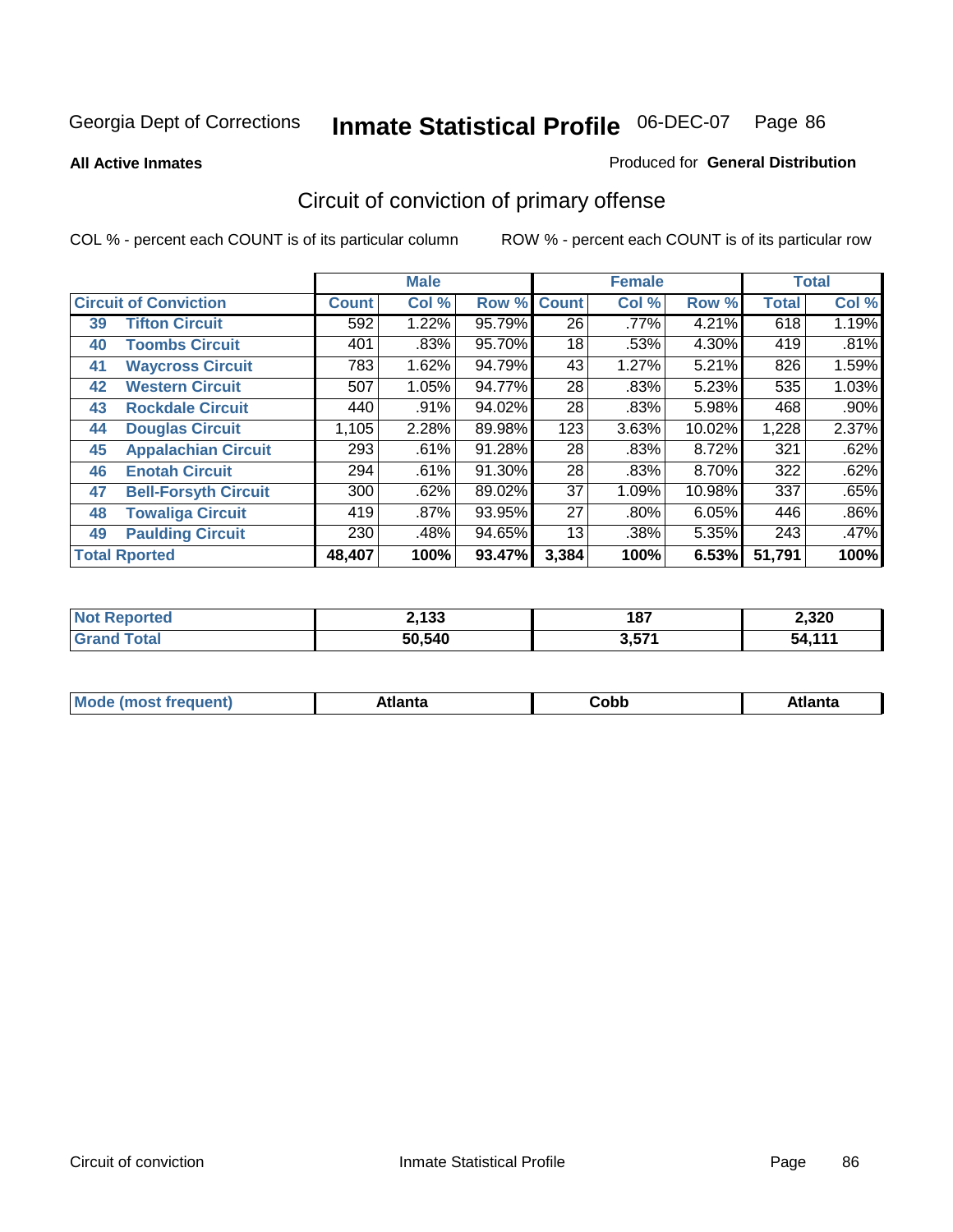**All Active Inmates**

#### Produced for **General Distribution**

## Circuit of conviction of primary offense

|    |                                |              | <b>Male</b> |        |              | <b>Female</b> |        |              | <b>Total</b> |
|----|--------------------------------|--------------|-------------|--------|--------------|---------------|--------|--------------|--------------|
|    | <b>Circuit of Conviction</b>   | <b>Count</b> | Col %       | Row %  | <b>Count</b> | Col %         | Row %  | <b>Total</b> | Col %        |
| 39 | <b>Tifton Circuit</b>          | 592          | 1.22%       | 95.79% | 26           | $.77\%$       | 4.21%  | 618          | 1.19%        |
| 40 | <b>Toombs Circuit</b>          | 401          | .83%        | 95.70% | 18           | .53%          | 4.30%  | 419          | .81%         |
| 41 | <b>Waycross Circuit</b>        | 783          | 1.62%       | 94.79% | 43           | 1.27%         | 5.21%  | 826          | 1.59%        |
| 42 | <b>Western Circuit</b>         | 507          | 1.05%       | 94.77% | 28           | .83%          | 5.23%  | 535          | 1.03%        |
| 43 | <b>Rockdale Circuit</b>        | 440          | .91%        | 94.02% | 28           | .83%          | 5.98%  | 468          | $.90\%$      |
| 44 | <b>Douglas Circuit</b>         | 1,105        | 2.28%       | 89.98% | 123          | 3.63%         | 10.02% | 1,228        | 2.37%        |
| 45 | <b>Appalachian Circuit</b>     | 293          | .61%        | 91.28% | 28           | .83%          | 8.72%  | 321          | .62%         |
| 46 | <b>Enotah Circuit</b>          | 294          | .61%        | 91.30% | 28           | .83%          | 8.70%  | 322          | .62%         |
| 47 | <b>Bell-Forsyth Circuit</b>    | 300          | .62%        | 89.02% | 37           | 1.09%         | 10.98% | 337          | .65%         |
| 48 | <b>Towaliga Circuit</b>        | 419          | $.87\%$     | 93.95% | 27           | $.80\%$       | 6.05%  | 446          | $.86\%$      |
| 49 | <b>Paulding Circuit</b>        | 230          | .48%        | 94.65% | 13           | .38%          | 5.35%  | 243          | .47%         |
|    | <b>Total Rported</b><br>48,407 |              | 100%        | 93.47% | 3,384        | 100%          | 6.53%  | 51,791       | 100%         |

| N.<br><b>rteg</b> | 2,133  | 187           | 2,320              |
|-------------------|--------|---------------|--------------------|
| <b>otal</b>       | 50,540 | 2571<br>ו שוט | $.44 \times$<br>54 |

| M, | $+1 - - + -$<br>annu -<br>uu | ∶obb<br>- - - - - | .<br>чна<br>- --------- |
|----|------------------------------|-------------------|-------------------------|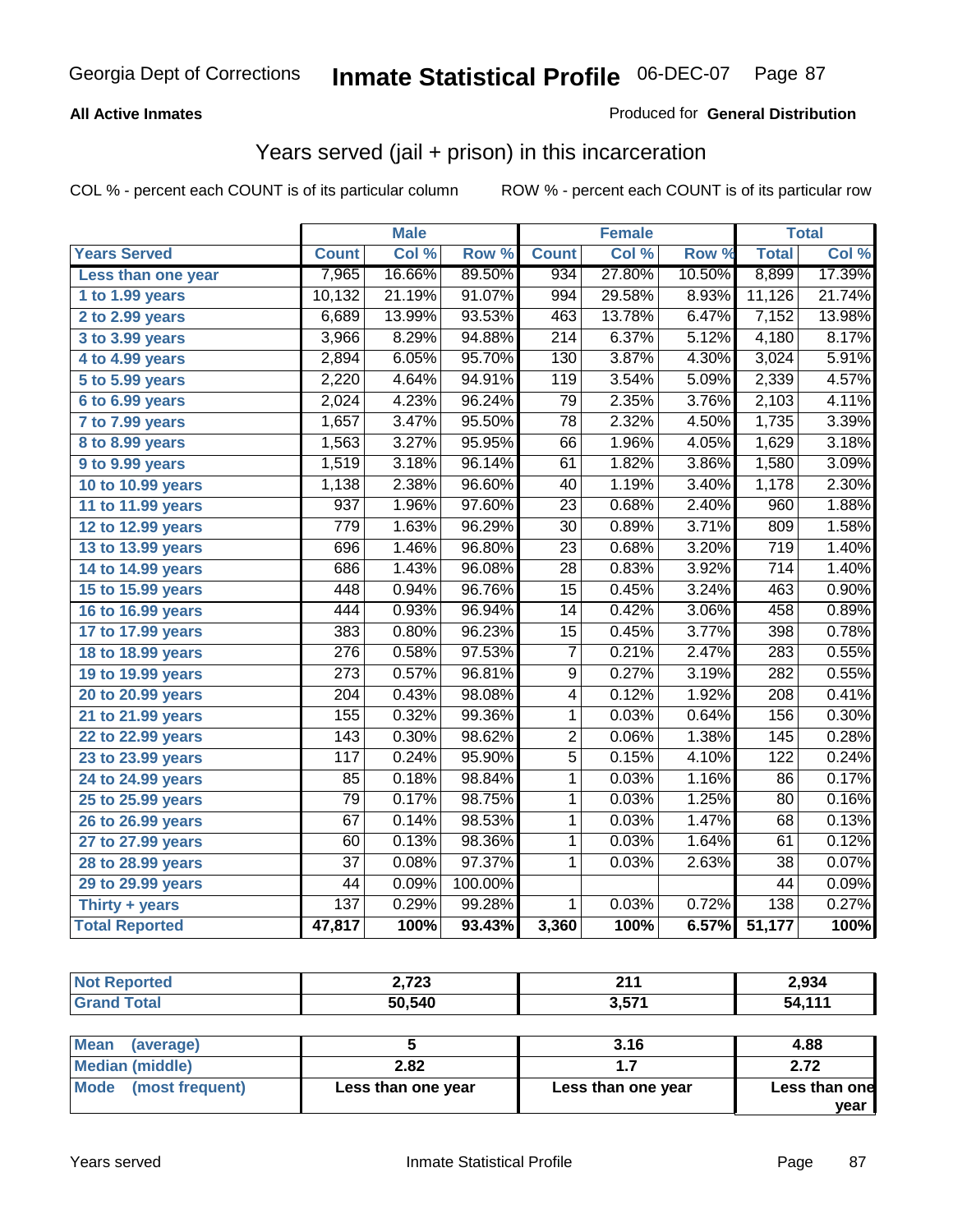#### **All Active Inmates**

#### Produced for **General Distribution**

### Years served (jail + prison) in this incarceration

|                              |                  | <b>Male</b> |         |                  | <b>Female</b> |        |                  | <b>Total</b> |
|------------------------------|------------------|-------------|---------|------------------|---------------|--------|------------------|--------------|
| <b>Years Served</b>          | <b>Count</b>     | Col %       | Row %   | <b>Count</b>     | Col %         | Row %  | <b>Total</b>     | Col %        |
| Less than one year           | 7,965            | 16.66%      | 89.50%  | 934              | 27.80%        | 10.50% | 8,899            | 17.39%       |
| 1 to 1.99 years              | 10,132           | 21.19%      | 91.07%  | 994              | 29.58%        | 8.93%  | 11,126           | 21.74%       |
| 2 to 2.99 years              | 6,689            | 13.99%      | 93.53%  | 463              | 13.78%        | 6.47%  | 7,152            | 13.98%       |
| 3 to 3.99 years              | 3,966            | 8.29%       | 94.88%  | $\overline{214}$ | 6.37%         | 5.12%  | 4,180            | 8.17%        |
| 4 to 4.99 years              | 2,894            | 6.05%       | 95.70%  | 130              | 3.87%         | 4.30%  | 3,024            | 5.91%        |
| $\overline{5}$ to 5.99 years | 2,220            | 4.64%       | 94.91%  | 119              | 3.54%         | 5.09%  | 2,339            | 4.57%        |
| 6 to 6.99 years              | 2,024            | 4.23%       | 96.24%  | $\overline{79}$  | 2.35%         | 3.76%  | 2,103            | 4.11%        |
| 7 to 7.99 years              | 1,657            | 3.47%       | 95.50%  | $\overline{78}$  | 2.32%         | 4.50%  | 1,735            | 3.39%        |
| 8 to 8.99 years              | 1,563            | 3.27%       | 95.95%  | 66               | 1.96%         | 4.05%  | 1,629            | 3.18%        |
| 9 to 9.99 years              | 1,519            | 3.18%       | 96.14%  | 61               | 1.82%         | 3.86%  | 1,580            | 3.09%        |
| 10 to 10.99 years            | 1,138            | 2.38%       | 96.60%  | 40               | 1.19%         | 3.40%  | 1,178            | 2.30%        |
| 11 to 11.99 years            | 937              | 1.96%       | 97.60%  | $\overline{23}$  | 0.68%         | 2.40%  | 960              | 1.88%        |
| 12 to 12.99 years            | 779              | 1.63%       | 96.29%  | $\overline{30}$  | 0.89%         | 3.71%  | 809              | 1.58%        |
| 13 to 13.99 years            | 696              | 1.46%       | 96.80%  | 23               | 0.68%         | 3.20%  | 719              | 1.40%        |
| 14 to 14.99 years            | 686              | 1.43%       | 96.08%  | $\overline{28}$  | 0.83%         | 3.92%  | $\overline{714}$ | 1.40%        |
| 15 to 15.99 years            | 448              | 0.94%       | 96.76%  | $\overline{15}$  | 0.45%         | 3.24%  | 463              | 0.90%        |
| 16 to 16.99 years            | 444              | 0.93%       | 96.94%  | 14               | 0.42%         | 3.06%  | 458              | 0.89%        |
| 17 to 17.99 years            | 383              | 0.80%       | 96.23%  | $\overline{15}$  | 0.45%         | 3.77%  | 398              | 0.78%        |
| 18 to 18.99 years            | $\overline{276}$ | 0.58%       | 97.53%  | $\overline{7}$   | 0.21%         | 2.47%  | 283              | 0.55%        |
| 19 to 19.99 years            | $\overline{273}$ | 0.57%       | 96.81%  | $\overline{9}$   | 0.27%         | 3.19%  | $\overline{282}$ | 0.55%        |
| 20 to 20.99 years            | $\overline{204}$ | 0.43%       | 98.08%  | $\overline{4}$   | 0.12%         | 1.92%  | $\overline{208}$ | 0.41%        |
| 21 to 21.99 years            | 155              | 0.32%       | 99.36%  | 1                | 0.03%         | 0.64%  | 156              | 0.30%        |
| 22 to 22.99 years            | $\overline{143}$ | 0.30%       | 98.62%  | $\overline{2}$   | 0.06%         | 1.38%  | 145              | 0.28%        |
| 23 to 23.99 years            | 117              | 0.24%       | 95.90%  | $\overline{5}$   | 0.15%         | 4.10%  | 122              | 0.24%        |
| 24 to 24.99 years            | 85               | 0.18%       | 98.84%  | 1                | 0.03%         | 1.16%  | 86               | 0.17%        |
| 25 to 25.99 years            | 79               | 0.17%       | 98.75%  | 1                | 0.03%         | 1.25%  | 80               | 0.16%        |
| 26 to 26.99 years            | $\overline{67}$  | 0.14%       | 98.53%  | $\mathbf 1$      | 0.03%         | 1.47%  | 68               | 0.13%        |
| 27 to 27.99 years            | 60               | 0.13%       | 98.36%  | 1                | 0.03%         | 1.64%  | 61               | 0.12%        |
| 28 to 28.99 years            | $\overline{37}$  | 0.08%       | 97.37%  | 1                | 0.03%         | 2.63%  | 38               | 0.07%        |
| 29 to 29.99 years            | 44               | 0.09%       | 100.00% |                  |               |        | $\overline{44}$  | 0.09%        |
| Thirty + years               | $\overline{137}$ | 0.29%       | 99.28%  | $\overline{1}$   | 0.03%         | 0.72%  | 138              | 0.27%        |
| <b>Total Reported</b>        | 47,817           | 100%        | 93.43%  | 3,360            | 100%          | 6.57%  | 51,177           | 100%         |

| Reported<br><b>NOT</b> | 2,723  | <b>04</b><br>. | 2,934  |
|------------------------|--------|----------------|--------|
| 'otal<br>. Gr          | 50,540 | 2.574<br>      | 54.111 |

| <b>Mean</b><br>(average) |                    | 3.16               | 4.88          |
|--------------------------|--------------------|--------------------|---------------|
| Median (middle)          | 2.82               |                    | 2.72          |
| Mode<br>(most frequent)  | Less than one year | Less than one year | Less than one |
|                          |                    |                    | vear          |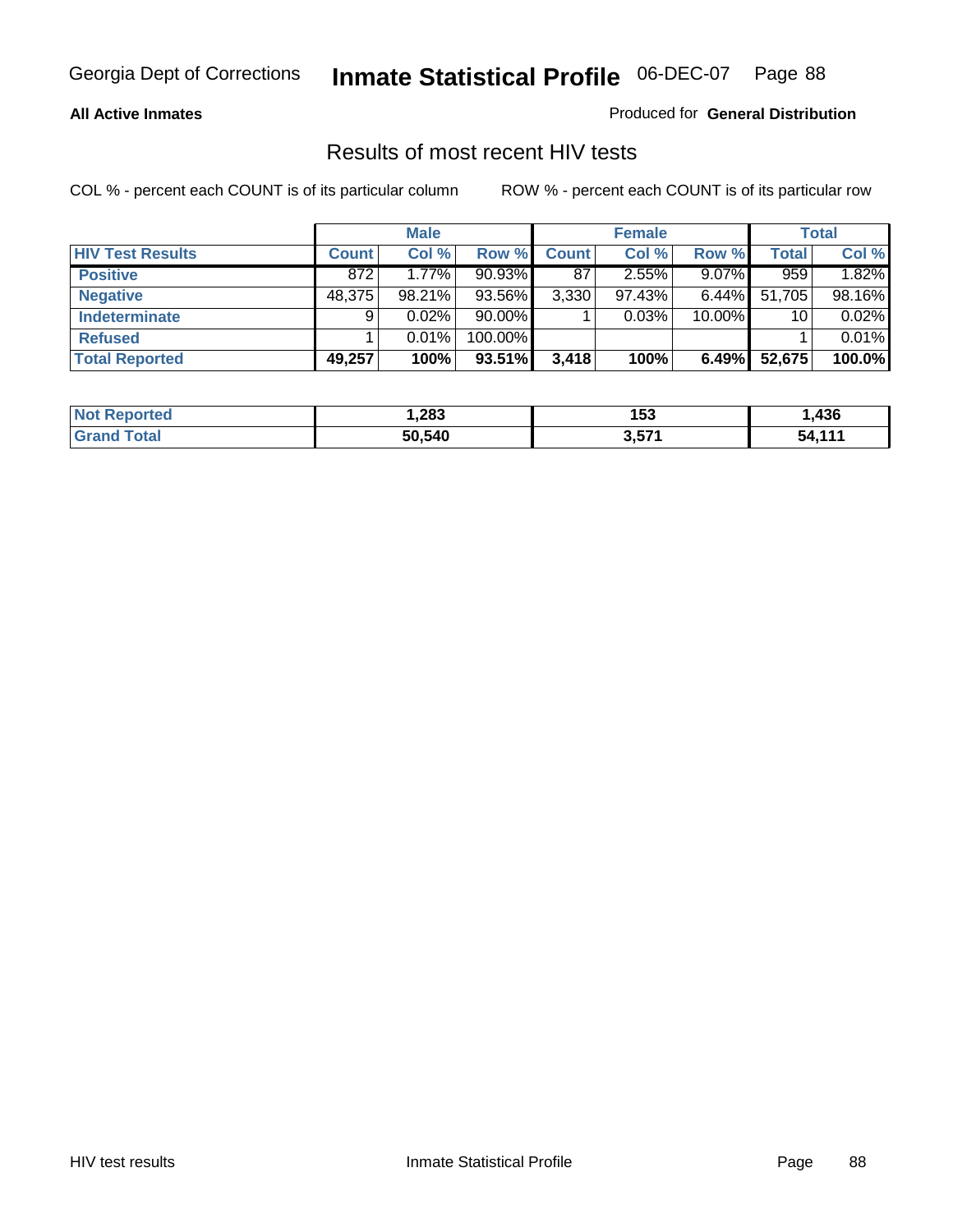#### **All Active Inmates**

Produced for **General Distribution**

### Results of most recent HIV tests

|                         |              | <b>Male</b> |           |              | <b>Female</b> |          |              | Total  |
|-------------------------|--------------|-------------|-----------|--------------|---------------|----------|--------------|--------|
| <b>HIV Test Results</b> | <b>Count</b> | Col %       | Row %     | <b>Count</b> | Col %         | Row %    | <b>Total</b> | Col %  |
| <b>Positive</b>         | 872          | 1.77%       | 90.93%    | 87           | 2.55%         | $9.07\%$ | 959          | 1.82%  |
| <b>Negative</b>         | 48,375       | $98.21\%$   | 93.56%    | 3,330        | $97.43\%$     | $6.44\%$ | 51,705       | 98.16% |
| <b>Indeterminate</b>    | 9            | $0.02\%$    | $90.00\%$ |              | 0.03%         | 10.00%   | 10           | 0.02%  |
| <b>Refused</b>          |              | 0.01%       | 100.00%   |              |               |          |              | 0.01%  |
| <b>Total Reported</b>   | 49,257       | 100%        | 93.51%    | 3,418        | 100%          | 6.49%    | 52,675       | 100.0% |

| <b>Not</b><br><b>rted</b><br>œoro | .283   | 153   | ,436      |
|-----------------------------------|--------|-------|-----------|
| `otal<br><b>Granu</b>             | 50.540 | 3,571 | 444<br>54 |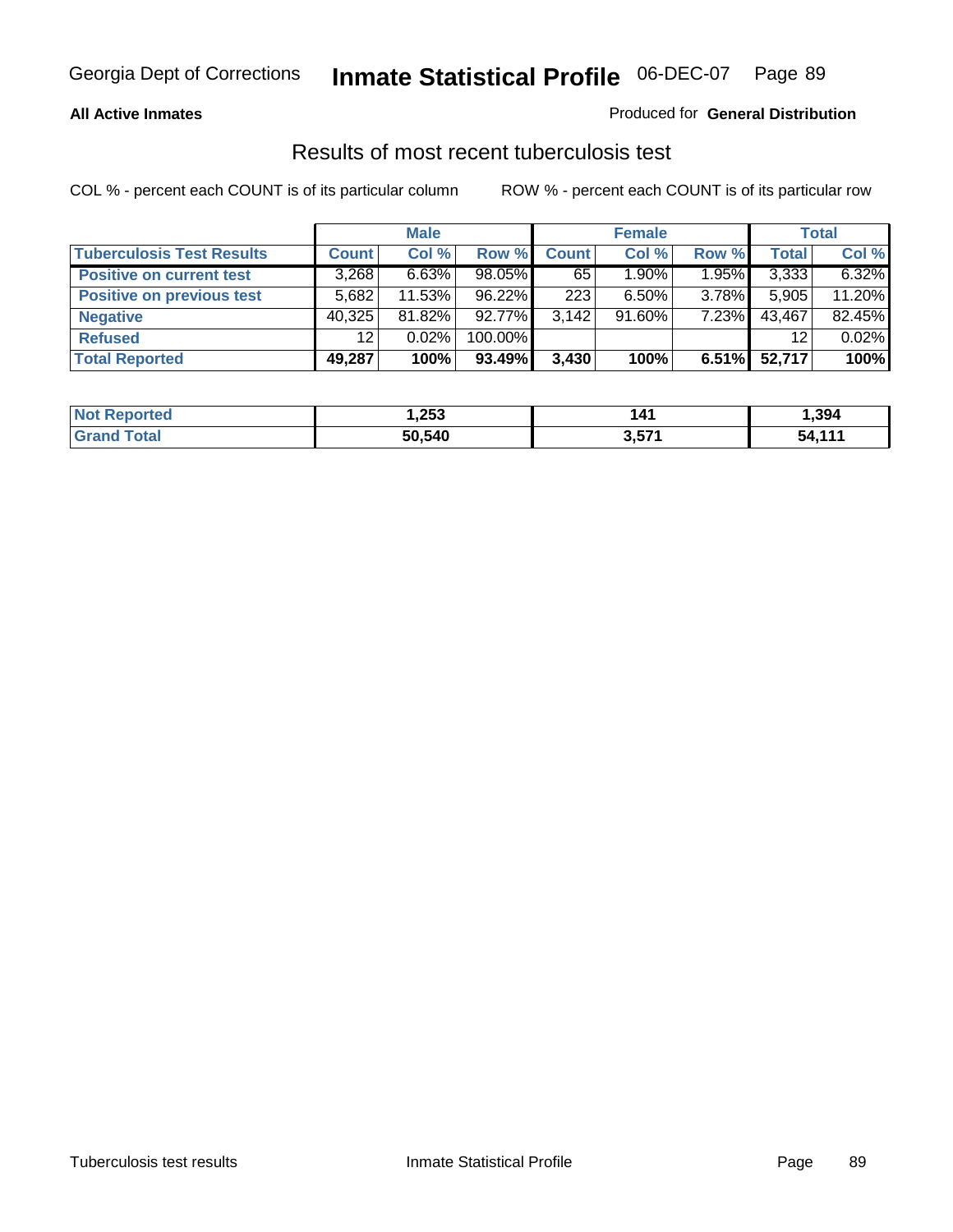#### **All Active Inmates**

#### Produced for **General Distribution**

### Results of most recent tuberculosis test

|                                  |                 | <b>Male</b> |         |              | <b>Female</b> |       |              | <b>Total</b> |
|----------------------------------|-----------------|-------------|---------|--------------|---------------|-------|--------------|--------------|
| <b>Tuberculosis Test Results</b> | Count           | Col %       | Row %   | <b>Count</b> | Col %         | Row % | <b>Total</b> | Col %        |
| <b>Positive on current test</b>  | 3,268           | 6.63%       | 98.05%  | 65           | $1.90\%$      | 1.95% | 3,333        | 6.32%        |
| <b>Positive on previous test</b> | 5,682           | 11.53%      | 96.22%  | 223          | $6.50\%$      | 3.78% | 5,905        | 11.20%       |
| <b>Negative</b>                  | 40,325          | 81.82%      | 92.77%  | 3.142        | $91.60\%$     | 7.23% | 43,467       | 82.45%       |
| <b>Refused</b>                   | 12 <sub>1</sub> | 0.02%       | 100.00% |              |               |       | 12           | 0.02%        |
| <b>Total Reported</b>            | 49,287          | 100%        | 93.49%  | 3,430        | 100%          | 6.51% | 52,717       | 100%         |

| <b>Not</b><br><b>Reported</b> | ,253   | 14 <sub>1</sub> | ,394   |
|-------------------------------|--------|-----------------|--------|
| <b>Grand</b><br><b>Total</b>  | 50,540 | 3,571           | 54 111 |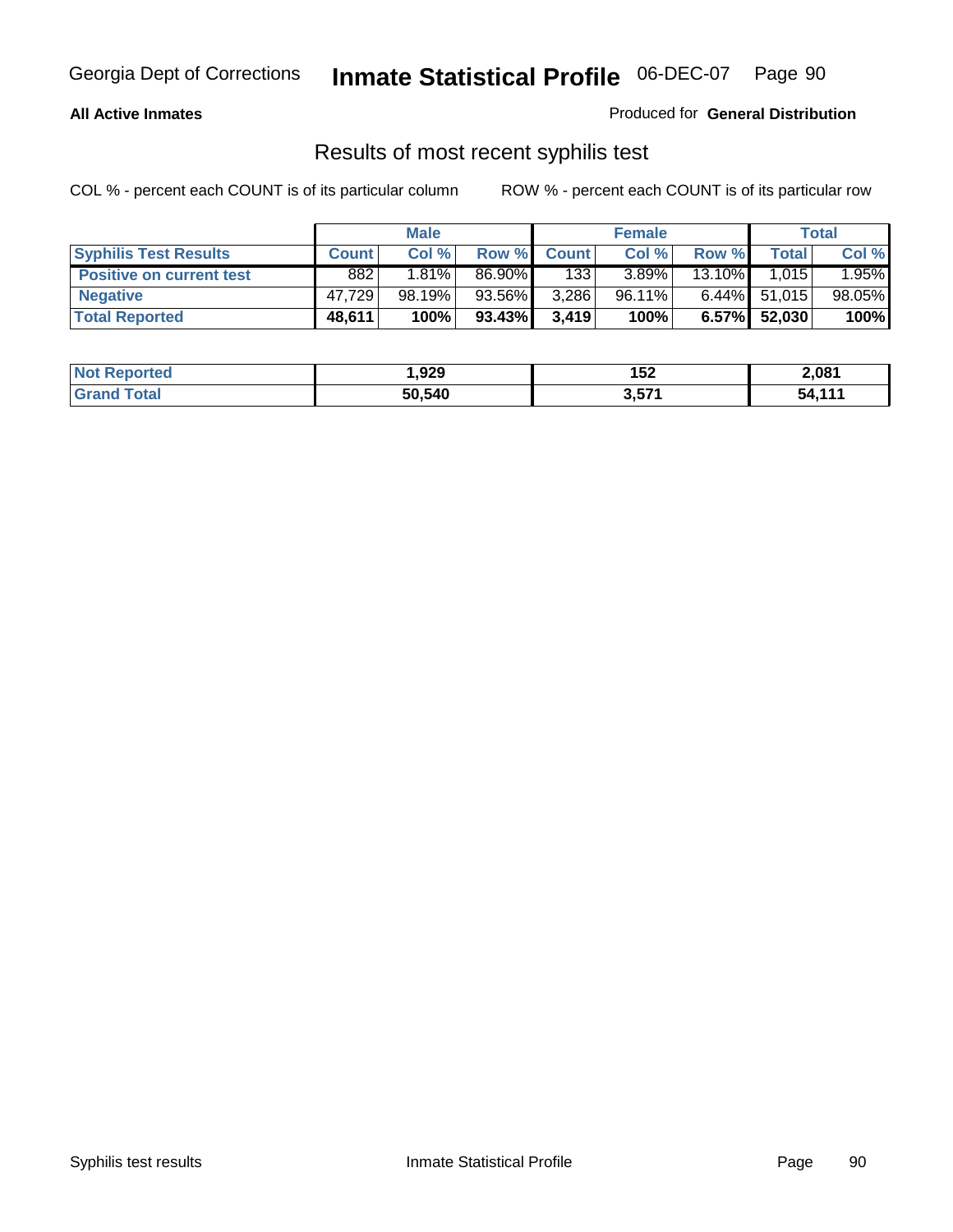#### **All Active Inmates**

Produced for **General Distribution**

### Results of most recent syphilis test

|                                 | <b>Male</b>  |          |           | <b>Female</b> |        | Total    |                 |        |
|---------------------------------|--------------|----------|-----------|---------------|--------|----------|-----------------|--------|
| <b>Syphilis Test Results</b>    | <b>Count</b> | Col %    | Row %     | <b>Count</b>  | Col %  | Row %    | Total           | Col %  |
| <b>Positive on current test</b> | 882          | $1.81\%$ | 86.90%    | 133           | 3.89%  | 13.10%   | 1.015           | 1.95%  |
| <b>Negative</b>                 | 47.729       | 98.19%   | 93.56%    | 3,286         | 96.11% |          | $6.44\%$ 51,015 | 98.05% |
| <b>Total Reported</b>           | 48,611       | 100%     | $93.43\%$ | 3,419         | 100%   | $6.57\%$ | 52.030          | 100%   |

| <b>Not Reported</b> | 929, ا | 152   | 2,081  |
|---------------------|--------|-------|--------|
| <b>Grand Total</b>  | 50,540 | 3,571 | 54.111 |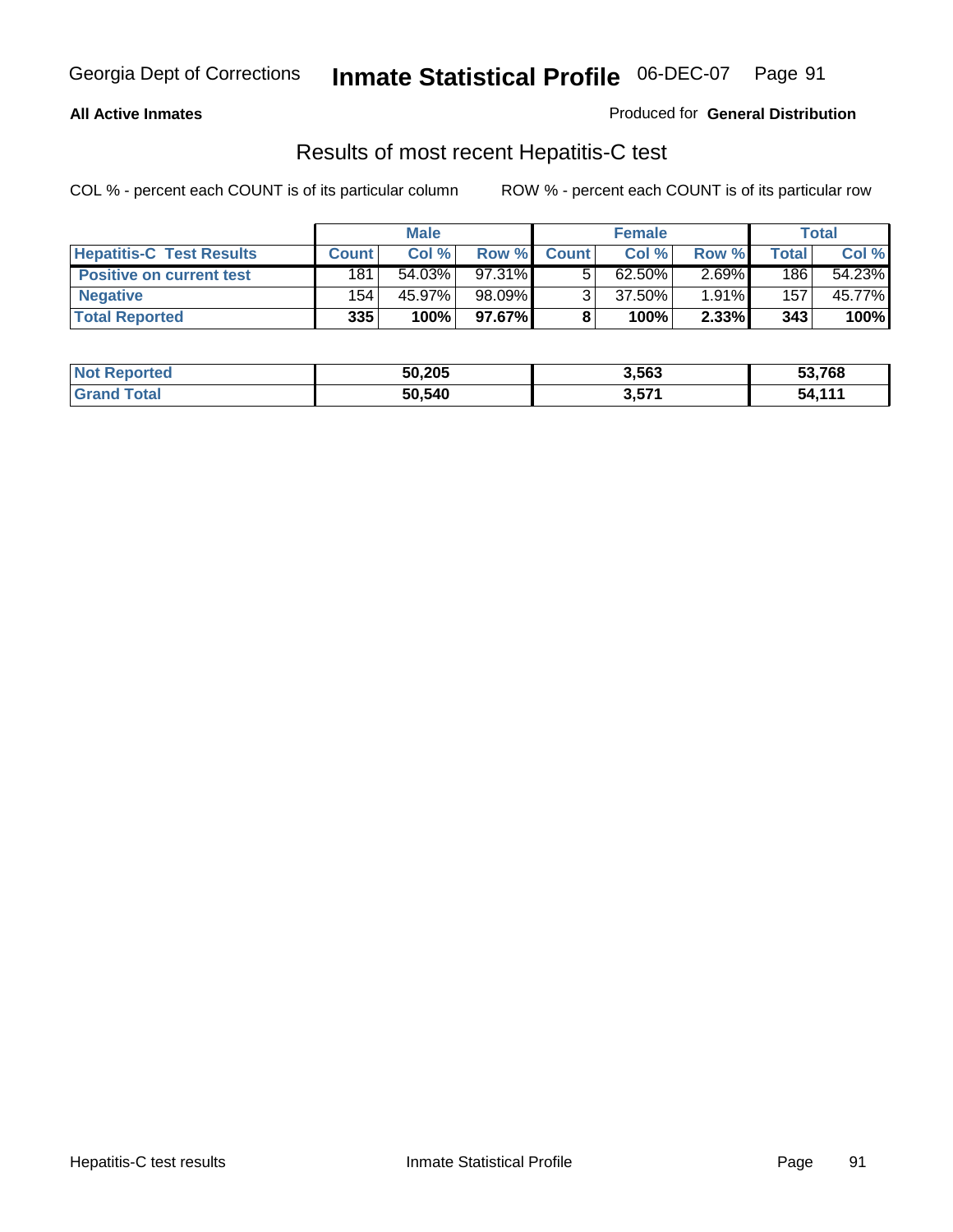#### **All Active Inmates**

Produced for **General Distribution**

### Results of most recent Hepatitis-C test

|                                 | <b>Male</b>  |        |        | <b>Female</b> |           |          | <b>Total</b>       |        |
|---------------------------------|--------------|--------|--------|---------------|-----------|----------|--------------------|--------|
| <b>Hepatitis-C Test Results</b> | <b>Count</b> | Col %  | Row %  | <b>Count</b>  | Col %     | Row %    | Total <sub>1</sub> | Col %  |
| <b>Positive on current test</b> | 181          | 54.03% | 97.31% |               | $62.50\%$ | $2.69\%$ | 186                | 54.23% |
| <b>Negative</b>                 | 154          | 45.97% | 98.09% |               | 37.50%    | 1.91%    | 157                | 45.77% |
| <b>Total Reported</b>           | 335          | 100%   | 97.67% |               | 100%      | 2.33%    | 343                | 100%   |

| <b>Not Reported</b> | 50,205 | 3,563 | 53,768 |
|---------------------|--------|-------|--------|
| <b>Grand Total</b>  | 50,540 | 3,571 | 54.111 |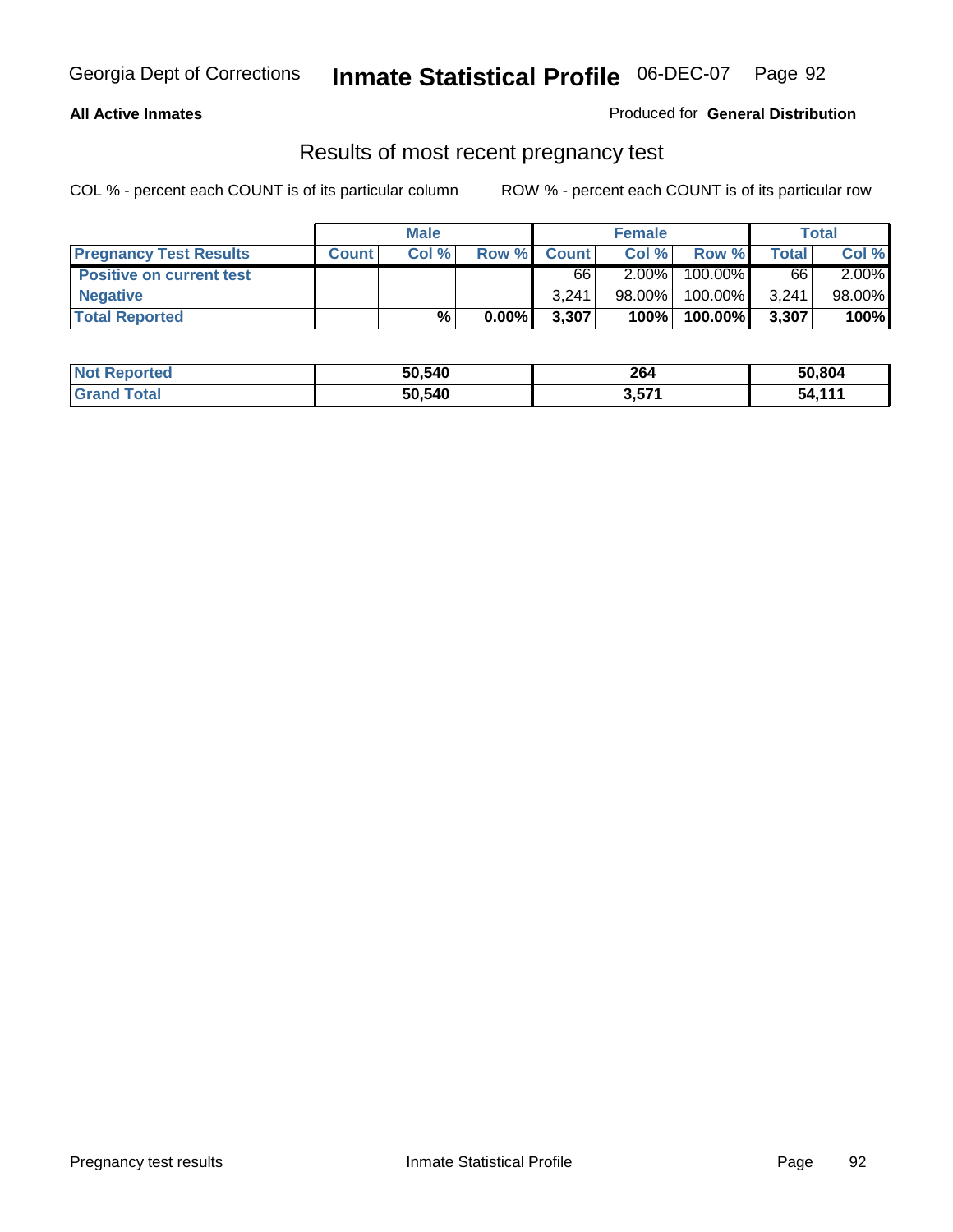#### **All Active Inmates**

#### Produced for **General Distribution**

### Results of most recent pregnancy test

|                                 | <b>Male</b>  |       | <b>Female</b> |              |          | Total   |       |          |
|---------------------------------|--------------|-------|---------------|--------------|----------|---------|-------|----------|
| <b>Pregnancy Test Results</b>   | <b>Count</b> | Col % | Row %         | <b>Count</b> | Col %    | Row %   | Total | Col %    |
| <b>Positive on current test</b> |              |       |               | 66           | $2.00\%$ | 100.00% | 66    | $2.00\%$ |
| <b>Negative</b>                 |              |       |               | 3.241        | 98.00%   | 100.00% | 3,241 | 98.00%   |
| <b>Total Reported</b>           |              | $\%$  | $0.00\%$      | 3,307        | 100%     | 100.00% | 3,307 | 100%     |

| <b>Not Reported</b> | 50,540 | 264   | 50,804 |
|---------------------|--------|-------|--------|
| <b>Grand Total</b>  | 50,540 | 3,571 | 54,111 |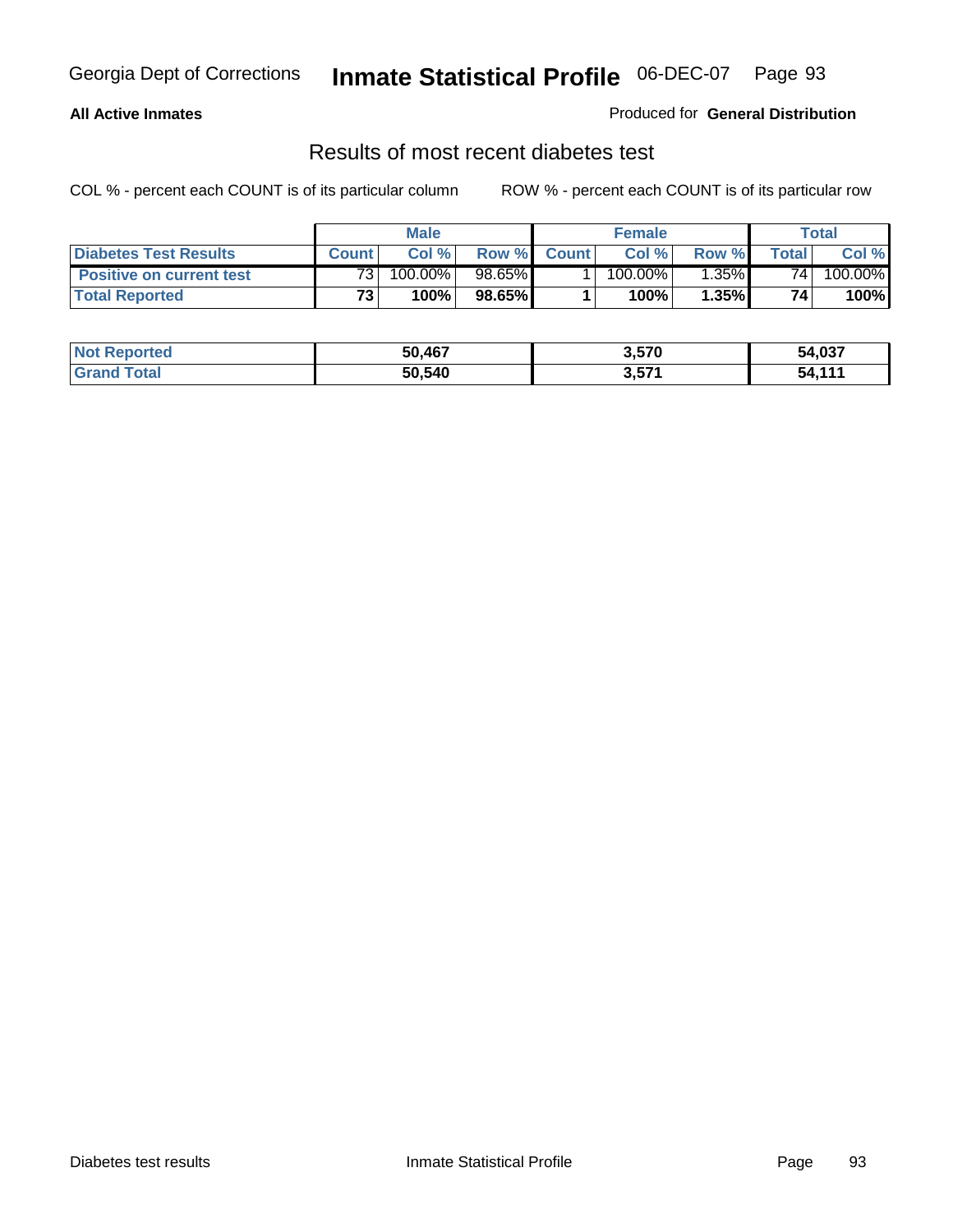#### **All Active Inmates**

#### Produced for **General Distribution**

### Results of most recent diabetes test

|                                 |                 | <b>Male</b> |        |              | <b>Female</b>         |          |       | Total   |
|---------------------------------|-----------------|-------------|--------|--------------|-----------------------|----------|-------|---------|
| <b>Diabetes Test Results</b>    | <b>Count</b>    | Col %       | Row %  | <b>Count</b> | Col %                 | Row %I   | Total | Col %   |
| <b>Positive on current test</b> | 73 <sub>1</sub> | 100.00%     | 98.65% |              | $100.\overline{00\%}$ | $1.35\%$ | 74    | 100.00% |
| <b>Total Reported</b>           | 73.             | 100%        | 98.65% |              | $100\%$               | 1.35%    | 74    | 100%    |

| <b>Not Reported</b> | 50,467 | 3,570 | 54,037 |
|---------------------|--------|-------|--------|
| <b>Grand Total</b>  | 50,540 | 3,571 | 54.111 |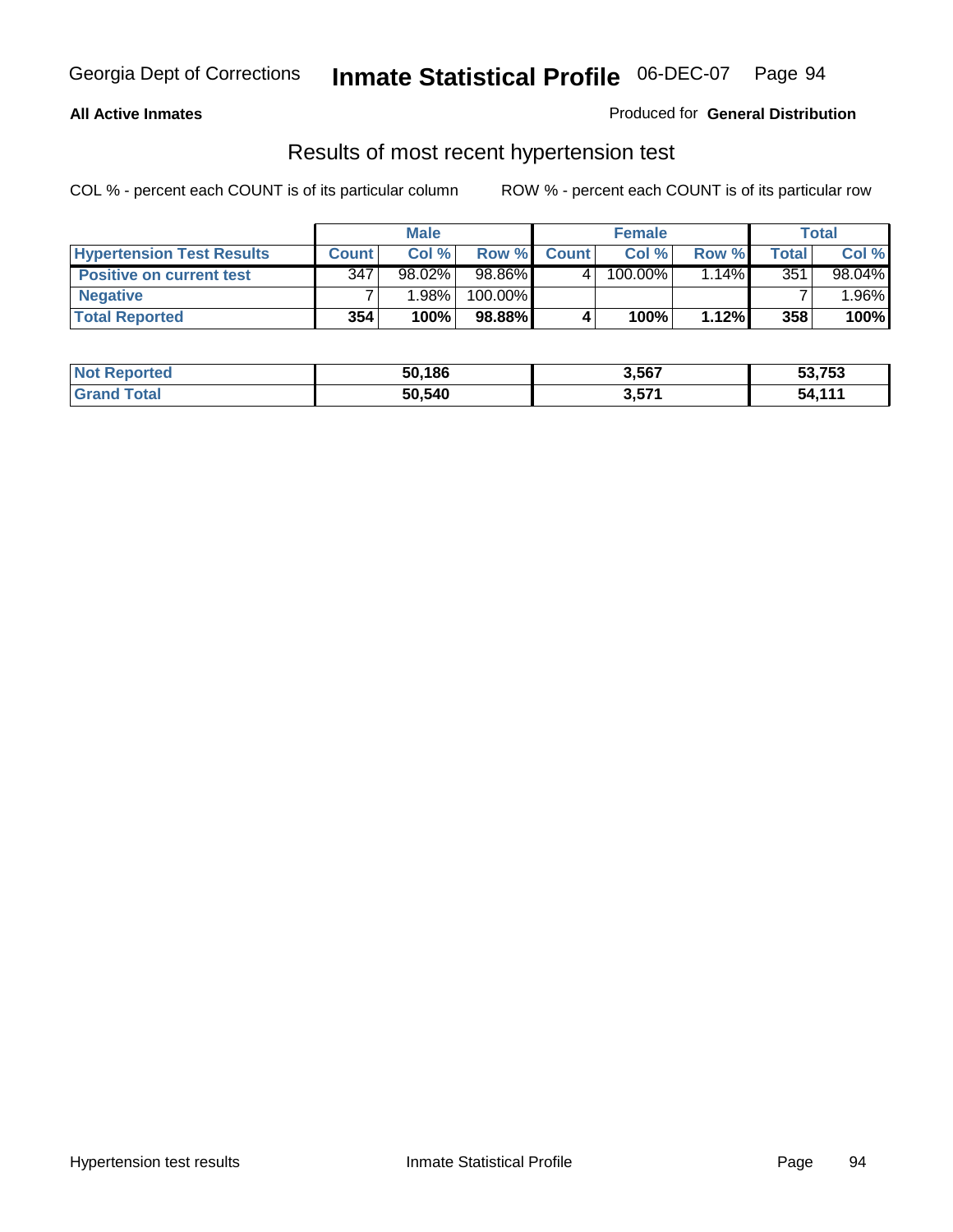#### **All Active Inmates**

#### Produced for **General Distribution**

### Results of most recent hypertension test

|                                  | <b>Male</b>  |           |         |              | <b>Female</b> |          | Total |         |
|----------------------------------|--------------|-----------|---------|--------------|---------------|----------|-------|---------|
| <b>Hypertension Test Results</b> | <b>Count</b> | Col %     | Row %   | <b>Count</b> | Col%          | Row %    | Total | Col %   |
| <b>Positive on current test</b>  | 347          | $98.02\%$ | 98.86%  |              | 100.00%       | $1.14\%$ | 351   | 98.04%  |
| <b>Negative</b>                  |              | 1.98%     | 100.00% |              |               |          |       | $.96\%$ |
| <b>Total Reported</b>            | 354          | 100%      | 98.88%  |              | 100%          | 1.12%    | 358   | 100%    |

| <b>Not Reported</b> | 50,186 | 3,567 | 53,753 |
|---------------------|--------|-------|--------|
| <b>Grand Total</b>  | 50,540 | 3,571 | 54.111 |